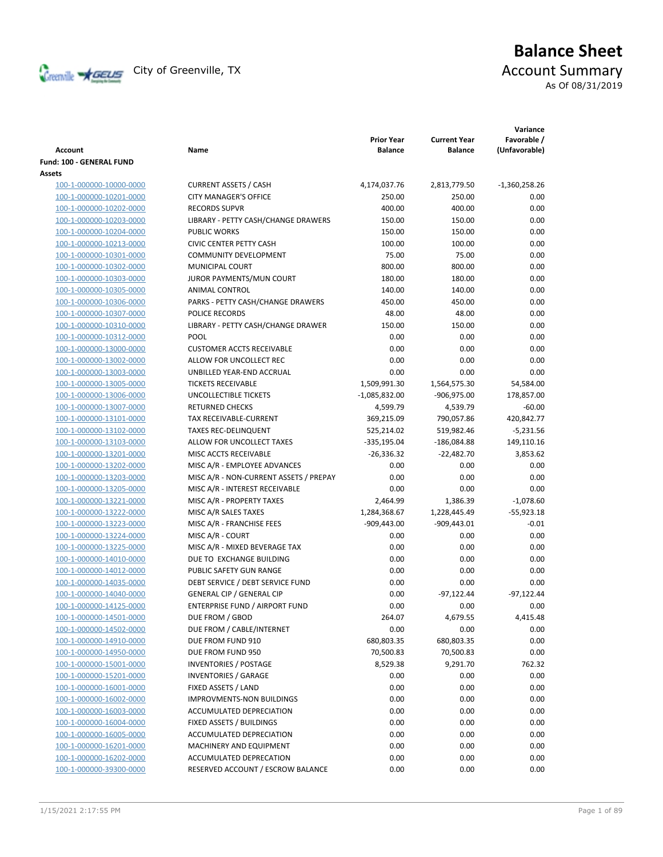

# **Balance Sheet** Creenville Strategy City of Greenville, TX Account Summary

As Of 08/31/2019

|                          |                                        | <b>Prior Year</b> | <b>Current Year</b> | Variance<br>Favorable / |
|--------------------------|----------------------------------------|-------------------|---------------------|-------------------------|
| Account                  | Name                                   | <b>Balance</b>    | <b>Balance</b>      | (Unfavorable)           |
| Fund: 100 - GENERAL FUND |                                        |                   |                     |                         |
| Assets                   |                                        |                   |                     |                         |
| 100-1-000000-10000-0000  | <b>CURRENT ASSETS / CASH</b>           | 4,174,037.76      | 2,813,779.50        | $-1,360,258.26$         |
| 100-1-000000-10201-0000  | <b>CITY MANAGER'S OFFICE</b>           | 250.00            | 250.00              | 0.00                    |
| 100-1-000000-10202-0000  | <b>RECORDS SUPVR</b>                   | 400.00            | 400.00              | 0.00                    |
| 100-1-000000-10203-0000  | LIBRARY - PETTY CASH/CHANGE DRAWERS    | 150.00            | 150.00              | 0.00                    |
| 100-1-000000-10204-0000  | <b>PUBLIC WORKS</b>                    | 150.00            | 150.00              | 0.00                    |
| 100-1-000000-10213-0000  | <b>CIVIC CENTER PETTY CASH</b>         | 100.00            | 100.00              | 0.00                    |
| 100-1-000000-10301-0000  | <b>COMMUNITY DEVELOPMENT</b>           | 75.00             | 75.00               | 0.00                    |
| 100-1-000000-10302-0000  | <b>MUNICIPAL COURT</b>                 | 800.00            | 800.00              | 0.00                    |
| 100-1-000000-10303-0000  | JUROR PAYMENTS/MUN COURT               | 180.00            | 180.00              | 0.00                    |
| 100-1-000000-10305-0000  | ANIMAL CONTROL                         | 140.00            | 140.00              | 0.00                    |
| 100-1-000000-10306-0000  | PARKS - PETTY CASH/CHANGE DRAWERS      | 450.00            | 450.00              | 0.00                    |
| 100-1-000000-10307-0000  | POLICE RECORDS                         | 48.00             | 48.00               | 0.00                    |
| 100-1-000000-10310-0000  | LIBRARY - PETTY CASH/CHANGE DRAWER     | 150.00            | 150.00              | 0.00                    |
| 100-1-000000-10312-0000  | POOL                                   | 0.00              | 0.00                | 0.00                    |
| 100-1-000000-13000-0000  | <b>CUSTOMER ACCTS RECEIVABLE</b>       | 0.00              | 0.00                | 0.00                    |
| 100-1-000000-13002-0000  | ALLOW FOR UNCOLLECT REC                | 0.00              | 0.00                | 0.00                    |
| 100-1-000000-13003-0000  | UNBILLED YEAR-END ACCRUAL              | 0.00              | 0.00                | 0.00                    |
| 100-1-000000-13005-0000  | <b>TICKETS RECEIVABLE</b>              | 1,509,991.30      | 1,564,575.30        | 54,584.00               |
| 100-1-000000-13006-0000  | UNCOLLECTIBLE TICKETS                  | $-1,085,832.00$   | -906,975.00         | 178,857.00              |
| 100-1-000000-13007-0000  | <b>RETURNED CHECKS</b>                 | 4,599.79          | 4,539.79            | $-60.00$                |
| 100-1-000000-13101-0000  | <b>TAX RECEIVABLE-CURRENT</b>          | 369,215.09        | 790,057.86          | 420,842.77              |
| 100-1-000000-13102-0000  | <b>TAXES REC-DELINQUENT</b>            | 525,214.02        | 519,982.46          | $-5,231.56$             |
| 100-1-000000-13103-0000  | ALLOW FOR UNCOLLECT TAXES              | $-335,195.04$     | -186,084.88         | 149,110.16              |
| 100-1-000000-13201-0000  | MISC ACCTS RECEIVABLE                  | $-26,336.32$      | $-22,482.70$        | 3,853.62                |
| 100-1-000000-13202-0000  | MISC A/R - EMPLOYEE ADVANCES           | 0.00              | 0.00                | 0.00                    |
| 100-1-000000-13203-0000  | MISC A/R - NON-CURRENT ASSETS / PREPAY | 0.00              | 0.00                | 0.00                    |
| 100-1-000000-13205-0000  | MISC A/R - INTEREST RECEIVABLE         | 0.00              | 0.00                | 0.00                    |
| 100-1-000000-13221-0000  | MISC A/R - PROPERTY TAXES              | 2,464.99          | 1,386.39            | $-1,078.60$             |
| 100-1-000000-13222-0000  | MISC A/R SALES TAXES                   | 1,284,368.67      | 1,228,445.49        | $-55,923.18$            |
| 100-1-000000-13223-0000  | MISC A/R - FRANCHISE FEES              | $-909,443.00$     | $-909,443.01$       | $-0.01$                 |
| 100-1-000000-13224-0000  | MISC A/R - COURT                       | 0.00              | 0.00                | 0.00                    |
| 100-1-000000-13225-0000  | MISC A/R - MIXED BEVERAGE TAX          | 0.00              | 0.00                | 0.00                    |
| 100-1-000000-14010-0000  | DUE TO EXCHANGE BUILDING               | 0.00              | 0.00                | 0.00                    |
| 100-1-000000-14012-0000  | PUBLIC SAFETY GUN RANGE                | 0.00              | 0.00                | 0.00                    |
| 100-1-000000-14035-0000  | DEBT SERVICE / DEBT SERVICE FUND       | 0.00              | 0.00                | 0.00                    |
| 100-1-000000-14040-0000  | GENERAL CIP / GENERAL CIP              | 0.00              | $-97,122.44$        | $-97,122.44$            |
| 100-1-000000-14125-0000  | ENTERPRISE FUND / AIRPORT FUND         | 0.00              | 0.00                | 0.00                    |
| 100-1-000000-14501-0000  | DUE FROM / GBOD                        | 264.07            | 4,679.55            | 4,415.48                |
| 100-1-000000-14502-0000  | DUE FROM / CABLE/INTERNET              | 0.00              | 0.00                | 0.00                    |
| 100-1-000000-14910-0000  | DUE FROM FUND 910                      | 680,803.35        | 680,803.35          | 0.00                    |
| 100-1-000000-14950-0000  | DUE FROM FUND 950                      | 70,500.83         | 70,500.83           | 0.00                    |
| 100-1-000000-15001-0000  | <b>INVENTORIES / POSTAGE</b>           | 8,529.38          | 9,291.70            | 762.32                  |
| 100-1-000000-15201-0000  | <b>INVENTORIES / GARAGE</b>            | 0.00              | 0.00                | 0.00                    |
| 100-1-000000-16001-0000  | FIXED ASSETS / LAND                    | 0.00              | 0.00                | 0.00                    |
| 100-1-000000-16002-0000  | IMPROVMENTS-NON BUILDINGS              | 0.00              | 0.00                | 0.00                    |
| 100-1-000000-16003-0000  | ACCUMULATED DEPRECIATION               | 0.00              | 0.00                | 0.00                    |
| 100-1-000000-16004-0000  | FIXED ASSETS / BUILDINGS               | 0.00              | 0.00                | 0.00                    |
| 100-1-000000-16005-0000  | ACCUMULATED DEPRECIATION               | 0.00              | 0.00                | 0.00                    |
| 100-1-000000-16201-0000  | MACHINERY AND EQUIPMENT                | 0.00              | 0.00                | 0.00                    |
| 100-1-000000-16202-0000  | ACCUMULATED DEPRECATION                | 0.00              | 0.00                | 0.00                    |
| 100-1-000000-39300-0000  | RESERVED ACCOUNT / ESCROW BALANCE      | 0.00              | 0.00                | 0.00                    |
|                          |                                        |                   |                     |                         |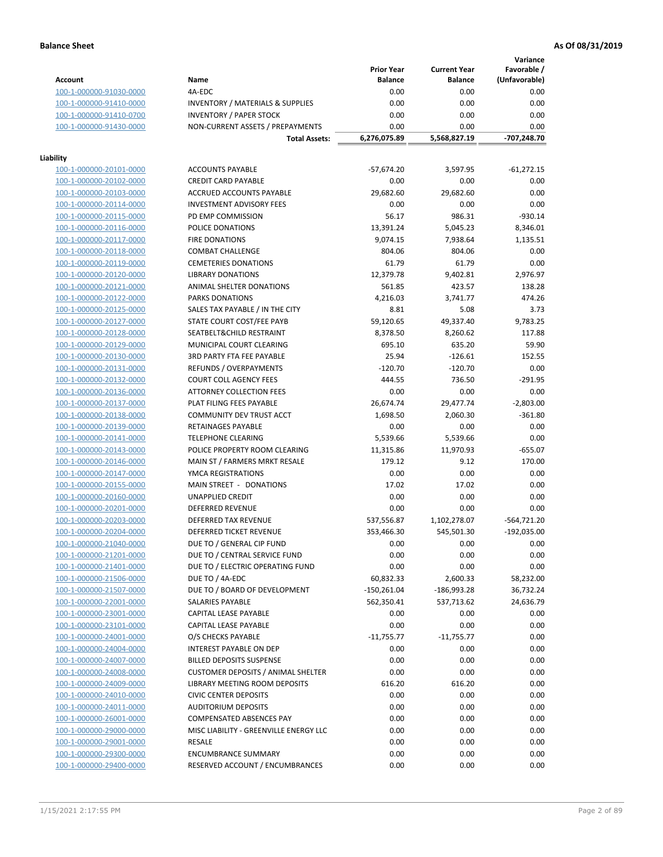**Variance**

|                                                    |                                                     | <b>Prior Year</b> | <b>Current Year</b> | Favorable /   |
|----------------------------------------------------|-----------------------------------------------------|-------------------|---------------------|---------------|
| <b>Account</b>                                     | Name                                                | <b>Balance</b>    | <b>Balance</b>      | (Unfavorable) |
| 100-1-000000-91030-0000                            | 4A-EDC                                              | 0.00              | 0.00                | 0.00          |
| 100-1-000000-91410-0000                            | <b>INVENTORY / MATERIALS &amp; SUPPLIES</b>         | 0.00              | 0.00                | 0.00          |
| 100-1-000000-91410-0700                            | <b>INVENTORY / PAPER STOCK</b>                      | 0.00              | 0.00                | 0.00          |
| 100-1-000000-91430-0000                            | NON-CURRENT ASSETS / PREPAYMENTS                    | 0.00              | 0.00                | 0.00          |
|                                                    | <b>Total Assets:</b>                                | 6,276,075.89      | 5,568,827.19        | -707,248.70   |
|                                                    |                                                     |                   |                     |               |
| Liability                                          |                                                     |                   |                     |               |
| 100-1-000000-20101-0000                            | <b>ACCOUNTS PAYABLE</b>                             | $-57,674.20$      | 3,597.95            | $-61,272.15$  |
| 100-1-000000-20102-0000                            | <b>CREDIT CARD PAYABLE</b>                          | 0.00              | 0.00                | 0.00          |
| 100-1-000000-20103-0000                            | ACCRUED ACCOUNTS PAYABLE                            | 29,682.60         | 29,682.60           | 0.00          |
| 100-1-000000-20114-0000                            | <b>INVESTMENT ADVISORY FEES</b>                     | 0.00              | 0.00                | 0.00          |
| 100-1-000000-20115-0000                            | PD EMP COMMISSION                                   | 56.17             | 986.31              | $-930.14$     |
| 100-1-000000-20116-0000                            | POLICE DONATIONS                                    | 13,391.24         | 5,045.23            | 8,346.01      |
| 100-1-000000-20117-0000                            | <b>FIRE DONATIONS</b>                               | 9,074.15          | 7,938.64            | 1,135.51      |
| 100-1-000000-20118-0000                            | <b>COMBAT CHALLENGE</b>                             | 804.06            | 804.06              | 0.00          |
| 100-1-000000-20119-0000                            | <b>CEMETERIES DONATIONS</b>                         | 61.79             | 61.79               | 0.00          |
| 100-1-000000-20120-0000                            | <b>LIBRARY DONATIONS</b>                            | 12,379.78         | 9,402.81            | 2,976.97      |
| 100-1-000000-20121-0000                            | ANIMAL SHELTER DONATIONS                            | 561.85            | 423.57              | 138.28        |
| 100-1-000000-20122-0000                            | <b>PARKS DONATIONS</b>                              | 4,216.03          | 3,741.77            | 474.26        |
| 100-1-000000-20125-0000                            | SALES TAX PAYABLE / IN THE CITY                     | 8.81              | 5.08                | 3.73          |
| 100-1-000000-20127-0000                            | STATE COURT COST/FEE PAYB                           | 59,120.65         | 49,337.40           | 9,783.25      |
| 100-1-000000-20128-0000                            | SEATBELT&CHILD RESTRAINT                            | 8,378.50          | 8,260.62            | 117.88        |
| 100-1-000000-20129-0000                            | MUNICIPAL COURT CLEARING                            | 695.10            | 635.20              | 59.90         |
| 100-1-000000-20130-0000                            | 3RD PARTY FTA FEE PAYABLE                           | 25.94             | $-126.61$           | 152.55        |
| 100-1-000000-20131-0000                            | REFUNDS / OVERPAYMENTS                              | $-120.70$         | $-120.70$           | 0.00          |
| 100-1-000000-20132-0000                            | <b>COURT COLL AGENCY FEES</b>                       | 444.55            | 736.50              | $-291.95$     |
| 100-1-000000-20136-0000                            | <b>ATTORNEY COLLECTION FEES</b>                     | 0.00              | 0.00                | 0.00          |
| 100-1-000000-20137-0000                            | PLAT FILING FEES PAYABLE                            | 26,674.74         | 29,477.74           | $-2,803.00$   |
| 100-1-000000-20138-0000                            | COMMUNITY DEV TRUST ACCT                            | 1,698.50          | 2,060.30            | $-361.80$     |
| 100-1-000000-20139-0000                            | RETAINAGES PAYABLE                                  | 0.00              | 0.00                | 0.00          |
| 100-1-000000-20141-0000                            | <b>TELEPHONE CLEARING</b>                           | 5,539.66          | 5,539.66            | 0.00          |
| 100-1-000000-20143-0000                            | POLICE PROPERTY ROOM CLEARING                       | 11,315.86         | 11,970.93           | $-655.07$     |
| 100-1-000000-20146-0000                            | MAIN ST / FARMERS MRKT RESALE                       | 179.12            | 9.12                | 170.00        |
| 100-1-000000-20147-0000                            | YMCA REGISTRATIONS                                  | 0.00              | 0.00                | 0.00          |
| 100-1-000000-20155-0000                            | MAIN STREET - DONATIONS                             | 17.02             | 17.02               | 0.00          |
| 100-1-000000-20160-0000                            | <b>UNAPPLIED CREDIT</b>                             | 0.00              | 0.00                | 0.00          |
| 100-1-000000-20201-0000                            | <b>DEFERRED REVENUE</b>                             | 0.00              | 0.00                | 0.00          |
| 100-1-000000-20203-0000                            | DEFERRED TAX REVENUE                                | 537,556.87        | 1,102,278.07        | $-564,721.20$ |
| 100-1-000000-20204-0000                            | DEFERRED TICKET REVENUE                             | 353,466.30        | 545,501.30          | $-192,035.00$ |
| 100-1-000000-21040-0000                            | DUE TO / GENERAL CIP FUND                           | 0.00              | 0.00                | 0.00          |
| 100-1-000000-21201-0000                            | DUE TO / CENTRAL SERVICE FUND                       | 0.00              | 0.00                | 0.00          |
|                                                    |                                                     |                   |                     |               |
| 100-1-000000-21401-0000<br>100-1-000000-21506-0000 | DUE TO / ELECTRIC OPERATING FUND<br>DUE TO / 4A-EDC | 0.00<br>60,832.33 | 0.00                | 0.00          |
|                                                    |                                                     |                   | 2,600.33            | 58,232.00     |
| 100-1-000000-21507-0000                            | DUE TO / BOARD OF DEVELOPMENT                       | $-150,261.04$     | -186,993.28         | 36,732.24     |
| 100-1-000000-22001-0000                            | SALARIES PAYABLE                                    | 562,350.41        | 537,713.62          | 24,636.79     |
| 100-1-000000-23001-0000                            | CAPITAL LEASE PAYABLE                               | 0.00              | 0.00                | 0.00          |
| 100-1-000000-23101-0000                            | CAPITAL LEASE PAYABLE                               | 0.00              | 0.00                | 0.00          |
| 100-1-000000-24001-0000                            | O/S CHECKS PAYABLE                                  | $-11,755.77$      | $-11,755.77$        | 0.00          |
| 100-1-000000-24004-0000                            | INTEREST PAYABLE ON DEP                             | 0.00              | 0.00                | 0.00          |
| 100-1-000000-24007-0000                            | <b>BILLED DEPOSITS SUSPENSE</b>                     | 0.00              | 0.00                | 0.00          |
| 100-1-000000-24008-0000                            | <b>CUSTOMER DEPOSITS / ANIMAL SHELTER</b>           | 0.00              | 0.00                | 0.00          |
| 100-1-000000-24009-0000                            | LIBRARY MEETING ROOM DEPOSITS                       | 616.20            | 616.20              | 0.00          |
| 100-1-000000-24010-0000                            | <b>CIVIC CENTER DEPOSITS</b>                        | 0.00              | 0.00                | 0.00          |
| 100-1-000000-24011-0000                            | <b>AUDITORIUM DEPOSITS</b>                          | 0.00              | 0.00                | 0.00          |
| 100-1-000000-26001-0000                            | COMPENSATED ABSENCES PAY                            | 0.00              | 0.00                | 0.00          |
| 100-1-000000-29000-0000                            | MISC LIABILITY - GREENVILLE ENERGY LLC              | 0.00              | 0.00                | 0.00          |
| 100-1-000000-29001-0000                            | <b>RESALE</b>                                       | 0.00              | 0.00                | 0.00          |
| 100-1-000000-29300-0000                            | <b>ENCUMBRANCE SUMMARY</b>                          | 0.00              | 0.00                | 0.00          |
| 100-1-000000-29400-0000                            | RESERVED ACCOUNT / ENCUMBRANCES                     | 0.00              | 0.00                | 0.00          |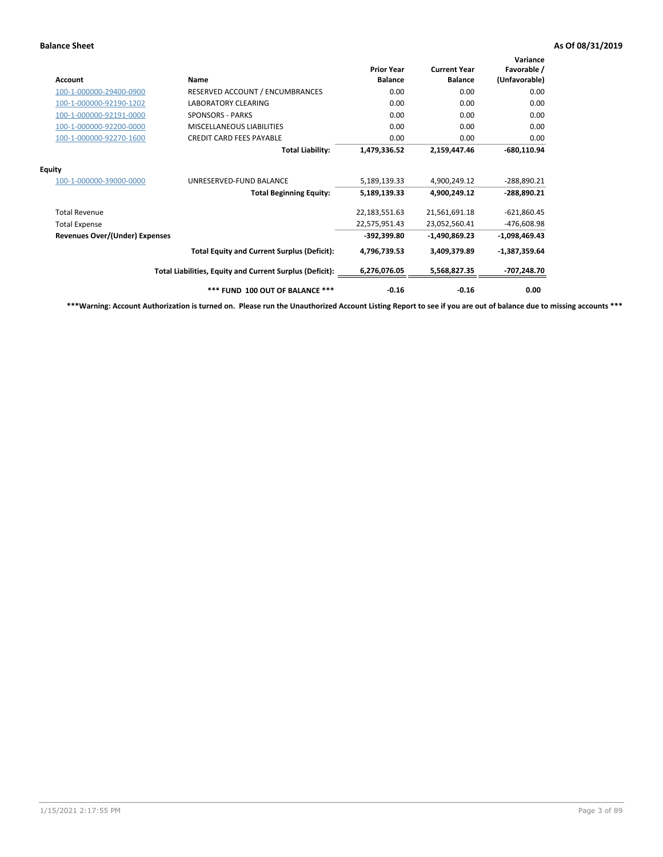| Account                               | Name                                                     | <b>Prior Year</b><br><b>Balance</b> | <b>Current Year</b><br><b>Balance</b> | Variance<br>Favorable /<br>(Unfavorable) |
|---------------------------------------|----------------------------------------------------------|-------------------------------------|---------------------------------------|------------------------------------------|
| 100-1-000000-29400-0900               | RESERVED ACCOUNT / ENCUMBRANCES                          | 0.00                                | 0.00                                  | 0.00                                     |
| 100-1-000000-92190-1202               | <b>LABORATORY CLEARING</b>                               | 0.00                                | 0.00                                  | 0.00                                     |
| 100-1-000000-92191-0000               | <b>SPONSORS - PARKS</b>                                  | 0.00                                | 0.00                                  | 0.00                                     |
| 100-1-000000-92200-0000               | <b>MISCELLANEOUS LIABILITIES</b>                         | 0.00                                | 0.00                                  | 0.00                                     |
| 100-1-000000-92270-1600               | <b>CREDIT CARD FEES PAYABLE</b>                          | 0.00                                | 0.00                                  | 0.00                                     |
|                                       | <b>Total Liability:</b>                                  | 1,479,336.52                        | 2,159,447.46                          | $-680,110.94$                            |
| <b>Equity</b>                         |                                                          |                                     |                                       |                                          |
| 100-1-000000-39000-0000               | UNRESERVED-FUND BALANCE                                  | 5,189,139.33                        | 4,900,249.12                          | -288,890.21                              |
|                                       | <b>Total Beginning Equity:</b>                           | 5,189,139.33                        | 4,900,249.12                          | -288,890.21                              |
| <b>Total Revenue</b>                  |                                                          | 22,183,551.63                       | 21,561,691.18                         | $-621,860.45$                            |
| <b>Total Expense</b>                  |                                                          | 22,575,951.43                       | 23,052,560.41                         | -476,608.98                              |
| <b>Revenues Over/(Under) Expenses</b> |                                                          | -392,399.80                         | -1,490,869.23                         | $-1,098,469.43$                          |
|                                       | <b>Total Equity and Current Surplus (Deficit):</b>       | 4,796,739.53                        | 3,409,379.89                          | $-1,387,359.64$                          |
|                                       | Total Liabilities, Equity and Current Surplus (Deficit): | 6,276,076.05                        | 5,568,827.35                          | -707,248.70                              |
|                                       | *** FUND 100 OUT OF BALANCE ***                          | $-0.16$                             | $-0.16$                               | 0.00                                     |

**\*\*\*Warning: Account Authorization is turned on. Please run the Unauthorized Account Listing Report to see if you are out of balance due to missing accounts \*\*\***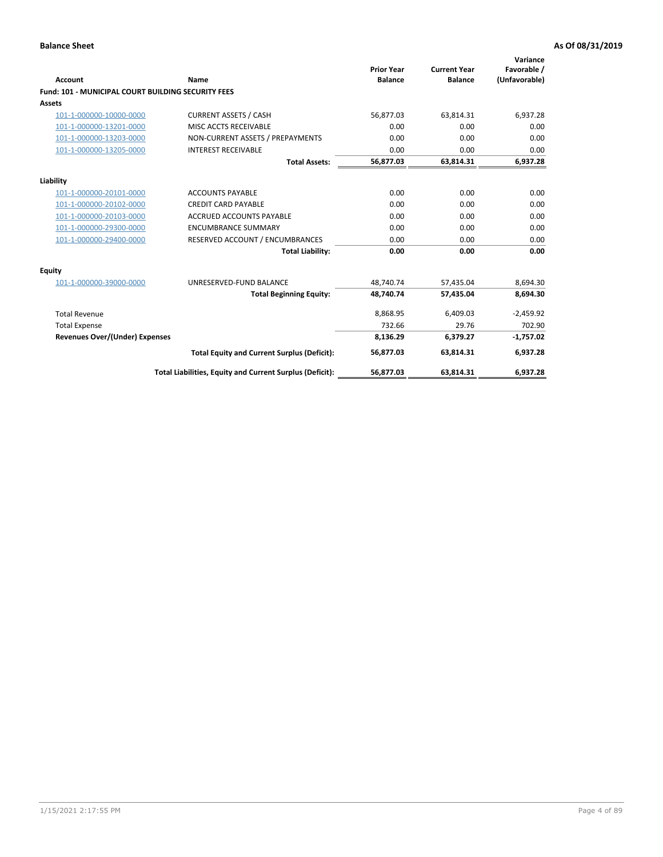| <b>Account</b>                                            | Name                                                     | <b>Prior Year</b><br><b>Balance</b> | <b>Current Year</b><br><b>Balance</b> | Variance<br>Favorable /<br>(Unfavorable) |
|-----------------------------------------------------------|----------------------------------------------------------|-------------------------------------|---------------------------------------|------------------------------------------|
| <b>Fund: 101 - MUNICIPAL COURT BUILDING SECURITY FEES</b> |                                                          |                                     |                                       |                                          |
| Assets                                                    |                                                          |                                     |                                       |                                          |
| 101-1-000000-10000-0000                                   | <b>CURRENT ASSETS / CASH</b>                             | 56,877.03                           | 63,814.31                             | 6,937.28                                 |
| 101-1-000000-13201-0000                                   | MISC ACCTS RECEIVABLE                                    | 0.00                                | 0.00                                  | 0.00                                     |
| 101-1-000000-13203-0000                                   | NON-CURRENT ASSETS / PREPAYMENTS                         | 0.00                                | 0.00                                  | 0.00                                     |
| 101-1-000000-13205-0000                                   | <b>INTEREST RECEIVABLE</b>                               | 0.00                                | 0.00                                  | 0.00                                     |
|                                                           | <b>Total Assets:</b>                                     | 56,877.03                           | 63,814.31                             | 6,937.28                                 |
| Liability                                                 |                                                          |                                     |                                       |                                          |
| 101-1-000000-20101-0000                                   | <b>ACCOUNTS PAYABLE</b>                                  | 0.00                                | 0.00                                  | 0.00                                     |
| 101-1-000000-20102-0000                                   | <b>CREDIT CARD PAYABLE</b>                               | 0.00                                | 0.00                                  | 0.00                                     |
| 101-1-000000-20103-0000                                   | <b>ACCRUED ACCOUNTS PAYABLE</b>                          | 0.00                                | 0.00                                  | 0.00                                     |
| 101-1-000000-29300-0000                                   | <b>ENCUMBRANCE SUMMARY</b>                               | 0.00                                | 0.00                                  | 0.00                                     |
| 101-1-000000-29400-0000                                   | RESERVED ACCOUNT / ENCUMBRANCES                          | 0.00                                | 0.00                                  | 0.00                                     |
|                                                           | <b>Total Liability:</b>                                  | 0.00                                | 0.00                                  | 0.00                                     |
| Equity                                                    |                                                          |                                     |                                       |                                          |
| 101-1-000000-39000-0000                                   | UNRESERVED-FUND BALANCE                                  | 48,740.74                           | 57,435.04                             | 8,694.30                                 |
|                                                           | <b>Total Beginning Equity:</b>                           | 48,740.74                           | 57,435.04                             | 8,694.30                                 |
| <b>Total Revenue</b>                                      |                                                          | 8,868.95                            | 6,409.03                              | $-2,459.92$                              |
| <b>Total Expense</b>                                      |                                                          | 732.66                              | 29.76                                 | 702.90                                   |
| <b>Revenues Over/(Under) Expenses</b>                     |                                                          | 8,136.29                            | 6,379.27                              | $-1,757.02$                              |
|                                                           | <b>Total Equity and Current Surplus (Deficit):</b>       | 56,877.03                           | 63,814.31                             | 6,937.28                                 |
|                                                           | Total Liabilities, Equity and Current Surplus (Deficit): | 56,877.03                           | 63,814.31                             | 6,937.28                                 |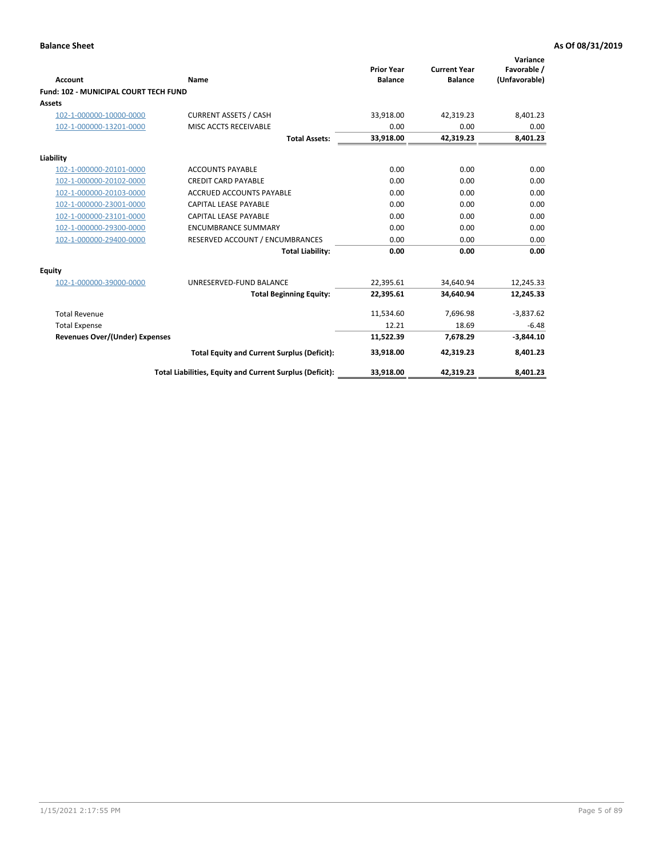| <b>Account</b>                               | Name                                                     | <b>Prior Year</b><br><b>Balance</b> | <b>Current Year</b><br><b>Balance</b> | Variance<br>Favorable /<br>(Unfavorable) |
|----------------------------------------------|----------------------------------------------------------|-------------------------------------|---------------------------------------|------------------------------------------|
| <b>Fund: 102 - MUNICIPAL COURT TECH FUND</b> |                                                          |                                     |                                       |                                          |
| Assets                                       |                                                          |                                     |                                       |                                          |
| 102-1-000000-10000-0000                      | <b>CURRENT ASSETS / CASH</b>                             | 33,918.00                           | 42,319.23                             | 8,401.23                                 |
| 102-1-000000-13201-0000                      | MISC ACCTS RECEIVABLE                                    | 0.00                                | 0.00                                  | 0.00                                     |
|                                              | <b>Total Assets:</b>                                     | 33,918.00                           | 42,319.23                             | 8,401.23                                 |
| Liability                                    |                                                          |                                     |                                       |                                          |
| 102-1-000000-20101-0000                      | <b>ACCOUNTS PAYABLE</b>                                  | 0.00                                | 0.00                                  | 0.00                                     |
| 102-1-000000-20102-0000                      | <b>CREDIT CARD PAYABLE</b>                               | 0.00                                | 0.00                                  | 0.00                                     |
| 102-1-000000-20103-0000                      | <b>ACCRUED ACCOUNTS PAYABLE</b>                          | 0.00                                | 0.00                                  | 0.00                                     |
| 102-1-000000-23001-0000                      | <b>CAPITAL LEASE PAYABLE</b>                             | 0.00                                | 0.00                                  | 0.00                                     |
| 102-1-000000-23101-0000                      | <b>CAPITAL LEASE PAYABLE</b>                             | 0.00                                | 0.00                                  | 0.00                                     |
| 102-1-000000-29300-0000                      | <b>ENCUMBRANCE SUMMARY</b>                               | 0.00                                | 0.00                                  | 0.00                                     |
| 102-1-000000-29400-0000                      | RESERVED ACCOUNT / ENCUMBRANCES                          | 0.00                                | 0.00                                  | 0.00                                     |
|                                              | <b>Total Liability:</b>                                  | 0.00                                | 0.00                                  | 0.00                                     |
| <b>Equity</b>                                |                                                          |                                     |                                       |                                          |
| 102-1-000000-39000-0000                      | UNRESERVED-FUND BALANCE                                  | 22,395.61                           | 34,640.94                             | 12,245.33                                |
|                                              | <b>Total Beginning Equity:</b>                           | 22,395.61                           | 34,640.94                             | 12,245.33                                |
| <b>Total Revenue</b>                         |                                                          | 11,534.60                           | 7,696.98                              | $-3,837.62$                              |
| <b>Total Expense</b>                         |                                                          | 12.21                               | 18.69                                 | $-6.48$                                  |
| <b>Revenues Over/(Under) Expenses</b>        |                                                          | 11,522.39                           | 7,678.29                              | $-3,844.10$                              |
|                                              | <b>Total Equity and Current Surplus (Deficit):</b>       | 33,918.00                           | 42,319.23                             | 8,401.23                                 |
|                                              | Total Liabilities, Equity and Current Surplus (Deficit): | 33,918.00                           | 42,319.23                             | 8,401.23                                 |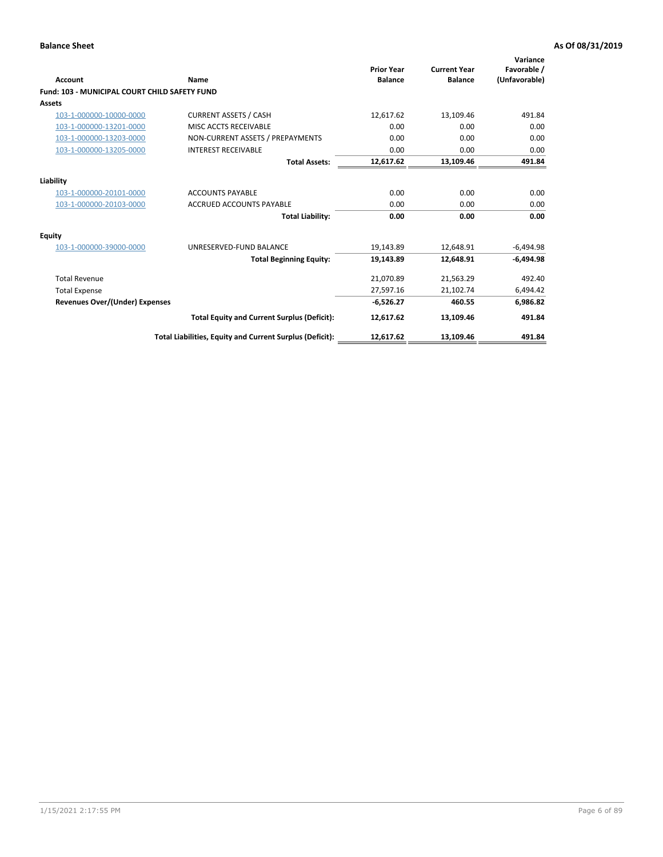| <b>Account</b>                                | Name                                                     | <b>Prior Year</b><br><b>Balance</b> | <b>Current Year</b><br><b>Balance</b> | Variance<br>Favorable /<br>(Unfavorable) |
|-----------------------------------------------|----------------------------------------------------------|-------------------------------------|---------------------------------------|------------------------------------------|
| Fund: 103 - MUNICIPAL COURT CHILD SAFETY FUND |                                                          |                                     |                                       |                                          |
| Assets                                        |                                                          |                                     |                                       |                                          |
| 103-1-000000-10000-0000                       | <b>CURRENT ASSETS / CASH</b>                             | 12,617.62                           | 13,109.46                             | 491.84                                   |
| 103-1-000000-13201-0000                       | MISC ACCTS RECEIVABLE                                    | 0.00                                | 0.00                                  | 0.00                                     |
| 103-1-000000-13203-0000                       | NON-CURRENT ASSETS / PREPAYMENTS                         | 0.00                                | 0.00                                  | 0.00                                     |
| 103-1-000000-13205-0000                       | <b>INTEREST RECEIVABLE</b>                               | 0.00                                | 0.00                                  | 0.00                                     |
|                                               | <b>Total Assets:</b>                                     | 12,617.62                           | 13,109.46                             | 491.84                                   |
| Liability                                     |                                                          |                                     |                                       |                                          |
| 103-1-000000-20101-0000                       | <b>ACCOUNTS PAYABLE</b>                                  | 0.00                                | 0.00                                  | 0.00                                     |
| 103-1-000000-20103-0000                       | <b>ACCRUED ACCOUNTS PAYABLE</b>                          | 0.00                                | 0.00                                  | 0.00                                     |
|                                               | <b>Total Liability:</b>                                  | 0.00                                | 0.00                                  | 0.00                                     |
| Equity                                        |                                                          |                                     |                                       |                                          |
| 103-1-000000-39000-0000                       | UNRESERVED-FUND BALANCE                                  | 19,143.89                           | 12,648.91                             | $-6,494.98$                              |
|                                               | <b>Total Beginning Equity:</b>                           | 19,143.89                           | 12,648.91                             | $-6,494.98$                              |
| <b>Total Revenue</b>                          |                                                          | 21,070.89                           | 21,563.29                             | 492.40                                   |
| <b>Total Expense</b>                          |                                                          | 27,597.16                           | 21,102.74                             | 6,494.42                                 |
| Revenues Over/(Under) Expenses                |                                                          | $-6,526.27$                         | 460.55                                | 6,986.82                                 |
|                                               | <b>Total Equity and Current Surplus (Deficit):</b>       | 12,617.62                           | 13,109.46                             | 491.84                                   |
|                                               | Total Liabilities, Equity and Current Surplus (Deficit): | 12,617.62                           | 13,109.46                             | 491.84                                   |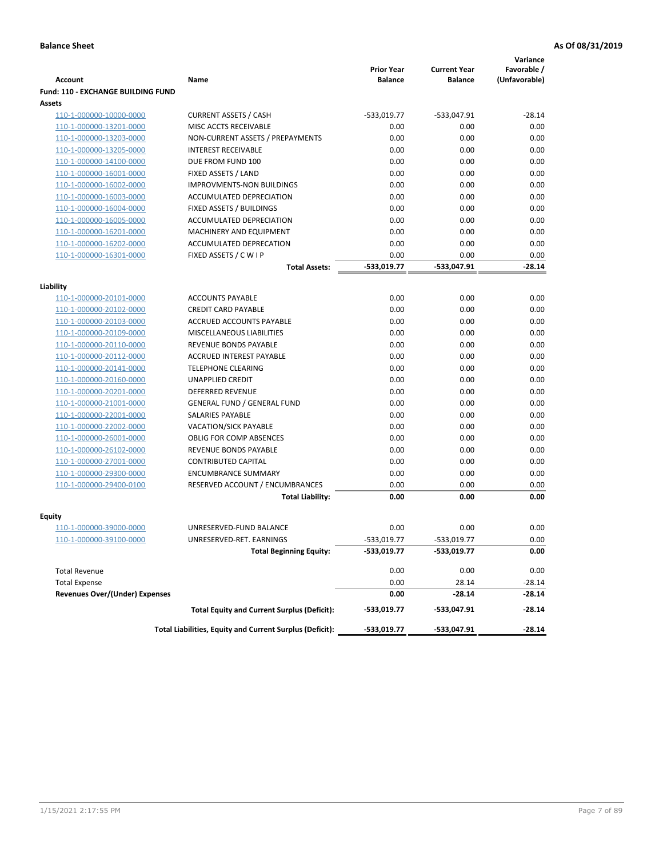|                                           |                                                          |                                     |                                       | Variance                     |
|-------------------------------------------|----------------------------------------------------------|-------------------------------------|---------------------------------------|------------------------------|
| <b>Account</b>                            | Name                                                     | <b>Prior Year</b><br><b>Balance</b> | <b>Current Year</b><br><b>Balance</b> | Favorable /<br>(Unfavorable) |
| <b>Fund: 110 - EXCHANGE BUILDING FUND</b> |                                                          |                                     |                                       |                              |
| Assets                                    |                                                          |                                     |                                       |                              |
| 110-1-000000-10000-0000                   | <b>CURRENT ASSETS / CASH</b>                             | -533,019.77                         | -533,047.91                           | $-28.14$                     |
| 110-1-000000-13201-0000                   | MISC ACCTS RECEIVABLE                                    | 0.00                                | 0.00                                  | 0.00                         |
| 110-1-000000-13203-0000                   | NON-CURRENT ASSETS / PREPAYMENTS                         | 0.00                                | 0.00                                  | 0.00                         |
| 110-1-000000-13205-0000                   | <b>INTEREST RECEIVABLE</b>                               | 0.00                                | 0.00                                  | 0.00                         |
| 110-1-000000-14100-0000                   | DUE FROM FUND 100                                        | 0.00                                | 0.00                                  | 0.00                         |
| 110-1-000000-16001-0000                   | FIXED ASSETS / LAND                                      | 0.00                                | 0.00                                  | 0.00                         |
| 110-1-000000-16002-0000                   | <b>IMPROVMENTS-NON BUILDINGS</b>                         | 0.00                                | 0.00                                  | 0.00                         |
| 110-1-000000-16003-0000                   | ACCUMULATED DEPRECIATION                                 | 0.00                                | 0.00                                  | 0.00                         |
| 110-1-000000-16004-0000                   | FIXED ASSETS / BUILDINGS                                 | 0.00                                | 0.00                                  | 0.00                         |
| 110-1-000000-16005-0000                   | ACCUMULATED DEPRECIATION                                 | 0.00                                | 0.00                                  | 0.00                         |
| 110-1-000000-16201-0000                   | <b>MACHINERY AND EQUIPMENT</b>                           | 0.00                                | 0.00                                  | 0.00                         |
| 110-1-000000-16202-0000                   | ACCUMULATED DEPRECATION                                  | 0.00                                | 0.00                                  | 0.00                         |
| 110-1-000000-16301-0000                   | FIXED ASSETS / C W I P                                   | 0.00                                | 0.00                                  | 0.00                         |
|                                           | <b>Total Assets:</b>                                     | $-533,019.77$                       | -533,047.91                           | $-28.14$                     |
| Liability                                 |                                                          |                                     |                                       |                              |
| 110-1-000000-20101-0000                   | <b>ACCOUNTS PAYABLE</b>                                  | 0.00                                | 0.00                                  | 0.00                         |
| 110-1-000000-20102-0000                   | <b>CREDIT CARD PAYABLE</b>                               | 0.00                                | 0.00                                  | 0.00                         |
| 110-1-000000-20103-0000                   | ACCRUED ACCOUNTS PAYABLE                                 | 0.00                                | 0.00                                  | 0.00                         |
| 110-1-000000-20109-0000                   | MISCELLANEOUS LIABILITIES                                | 0.00                                | 0.00                                  | 0.00                         |
| 110-1-000000-20110-0000                   | REVENUE BONDS PAYABLE                                    | 0.00                                | 0.00                                  | 0.00                         |
| 110-1-000000-20112-0000                   | <b>ACCRUED INTEREST PAYABLE</b>                          | 0.00                                | 0.00                                  | 0.00                         |
| 110-1-000000-20141-0000                   | <b>TELEPHONE CLEARING</b>                                | 0.00                                | 0.00                                  | 0.00                         |
| 110-1-000000-20160-0000                   | <b>UNAPPLIED CREDIT</b>                                  | 0.00                                | 0.00                                  | 0.00                         |
| 110-1-000000-20201-0000                   | <b>DEFERRED REVENUE</b>                                  | 0.00                                | 0.00                                  | 0.00                         |
| 110-1-000000-21001-0000                   | <b>GENERAL FUND / GENERAL FUND</b>                       | 0.00                                | 0.00                                  | 0.00                         |
| 110-1-000000-22001-0000                   | SALARIES PAYABLE                                         | 0.00                                | 0.00                                  | 0.00                         |
| 110-1-000000-22002-0000                   | <b>VACATION/SICK PAYABLE</b>                             | 0.00                                | 0.00                                  | 0.00                         |
| 110-1-000000-26001-0000                   | <b>OBLIG FOR COMP ABSENCES</b>                           | 0.00                                | 0.00                                  | 0.00                         |
| 110-1-000000-26102-0000                   | REVENUE BONDS PAYABLE                                    | 0.00                                | 0.00                                  | 0.00                         |
| 110-1-000000-27001-0000                   | <b>CONTRIBUTED CAPITAL</b>                               | 0.00                                | 0.00                                  | 0.00                         |
| 110-1-000000-29300-0000                   | <b>ENCUMBRANCE SUMMARY</b>                               | 0.00                                | 0.00                                  | 0.00                         |
| 110-1-000000-29400-0100                   | RESERVED ACCOUNT / ENCUMBRANCES                          | 0.00<br>0.00                        | 0.00<br>0.00                          | 0.00<br>0.00                 |
|                                           | <b>Total Liability:</b>                                  |                                     |                                       |                              |
| <b>Equity</b>                             |                                                          |                                     |                                       |                              |
| 110-1-000000-39000-0000                   | UNRESERVED-FUND BALANCE                                  | 0.00                                | 0.00                                  | 0.00                         |
| 110-1-000000-39100-0000                   | UNRESERVED-RET. EARNINGS                                 | $-533,019.77$                       | -533,019.77                           | 0.00                         |
|                                           | <b>Total Beginning Equity:</b>                           | -533,019.77                         | -533,019.77                           | 0.00                         |
| <b>Total Revenue</b>                      |                                                          | 0.00                                | 0.00                                  | 0.00                         |
| <b>Total Expense</b>                      |                                                          | 0.00                                | 28.14                                 | $-28.14$                     |
| <b>Revenues Over/(Under) Expenses</b>     |                                                          | 0.00                                | $-28.14$                              | $-28.14$                     |
|                                           | <b>Total Equity and Current Surplus (Deficit):</b>       | -533,019.77                         | -533,047.91                           | $-28.14$                     |
|                                           | Total Liabilities, Equity and Current Surplus (Deficit): | -533,019.77                         | -533,047.91                           | $-28.14$                     |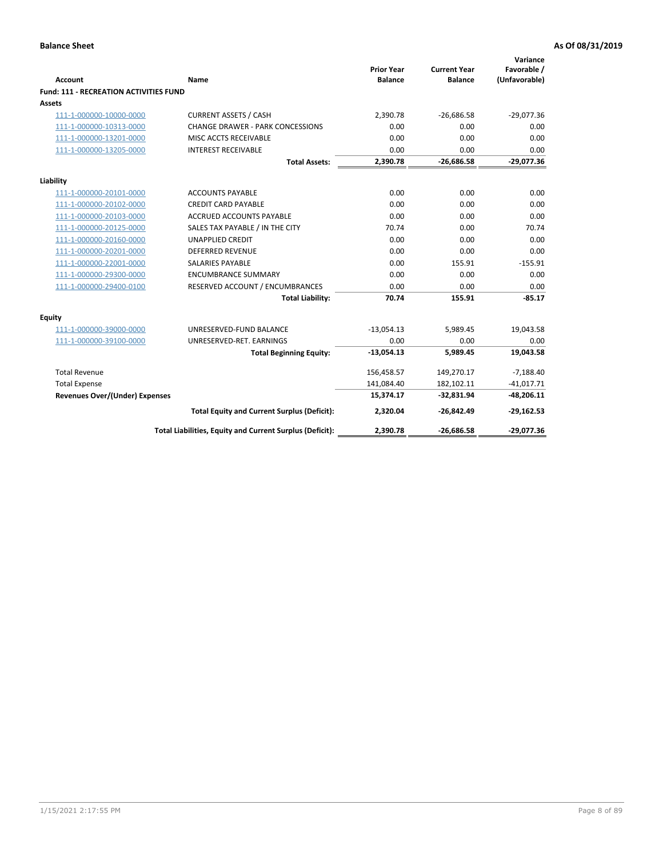| <b>Account</b>                                     | <b>Name</b>                                              | <b>Prior Year</b><br><b>Balance</b> | <b>Current Year</b><br><b>Balance</b> | Variance<br>Favorable /<br>(Unfavorable) |
|----------------------------------------------------|----------------------------------------------------------|-------------------------------------|---------------------------------------|------------------------------------------|
| Fund: 111 - RECREATION ACTIVITIES FUND             |                                                          |                                     |                                       |                                          |
| Assets                                             |                                                          |                                     |                                       |                                          |
| 111-1-000000-10000-0000                            | <b>CURRENT ASSETS / CASH</b>                             | 2,390.78                            | $-26,686.58$                          | $-29,077.36$                             |
| 111-1-000000-10313-0000                            | <b>CHANGE DRAWER - PARK CONCESSIONS</b>                  | 0.00                                | 0.00                                  | 0.00                                     |
| 111-1-000000-13201-0000                            | MISC ACCTS RECEIVABLE                                    | 0.00                                | 0.00                                  | 0.00                                     |
| 111-1-000000-13205-0000                            | <b>INTEREST RECEIVABLE</b>                               | 0.00                                | 0.00                                  | 0.00                                     |
|                                                    | <b>Total Assets:</b>                                     | 2,390.78                            | $-26,686.58$                          | $-29,077.36$                             |
| Liability                                          |                                                          |                                     |                                       |                                          |
|                                                    |                                                          | 0.00                                | 0.00                                  |                                          |
| 111-1-000000-20101-0000<br>111-1-000000-20102-0000 | <b>ACCOUNTS PAYABLE</b><br><b>CREDIT CARD PAYABLE</b>    | 0.00                                | 0.00                                  | 0.00<br>0.00                             |
| 111-1-000000-20103-0000                            | <b>ACCRUED ACCOUNTS PAYABLE</b>                          | 0.00                                | 0.00                                  | 0.00                                     |
| 111-1-000000-20125-0000                            | SALES TAX PAYABLE / IN THE CITY                          | 70.74                               | 0.00                                  | 70.74                                    |
| 111-1-000000-20160-0000                            | <b>UNAPPLIED CREDIT</b>                                  | 0.00                                | 0.00                                  | 0.00                                     |
| 111-1-000000-20201-0000                            | <b>DEFERRED REVENUE</b>                                  | 0.00                                | 0.00                                  | 0.00                                     |
| 111-1-000000-22001-0000                            | <b>SALARIES PAYABLE</b>                                  | 0.00                                | 155.91                                | $-155.91$                                |
| 111-1-000000-29300-0000                            | <b>ENCUMBRANCE SUMMARY</b>                               | 0.00                                | 0.00                                  | 0.00                                     |
| 111-1-000000-29400-0100                            | RESERVED ACCOUNT / ENCUMBRANCES                          | 0.00                                | 0.00                                  | 0.00                                     |
|                                                    | <b>Total Liability:</b>                                  | 70.74                               | 155.91                                | $-85.17$                                 |
| <b>Equity</b>                                      |                                                          |                                     |                                       |                                          |
| 111-1-000000-39000-0000                            | UNRESERVED-FUND BALANCE                                  | $-13,054.13$                        | 5,989.45                              | 19,043.58                                |
| 111-1-000000-39100-0000                            | UNRESERVED-RET. EARNINGS                                 | 0.00                                | 0.00                                  | 0.00                                     |
|                                                    | <b>Total Beginning Equity:</b>                           | $-13,054.13$                        | 5,989.45                              | 19,043.58                                |
| <b>Total Revenue</b>                               |                                                          | 156,458.57                          | 149,270.17                            | $-7,188.40$                              |
| <b>Total Expense</b>                               |                                                          | 141,084.40                          | 182,102.11                            | $-41,017.71$                             |
| <b>Revenues Over/(Under) Expenses</b>              |                                                          | 15,374.17                           | $-32,831.94$                          | $-48,206.11$                             |
|                                                    | <b>Total Equity and Current Surplus (Deficit):</b>       | 2,320.04                            | $-26,842.49$                          | $-29,162.53$                             |
|                                                    | Total Liabilities, Equity and Current Surplus (Deficit): | 2,390.78                            | $-26,686.58$                          | $-29,077.36$                             |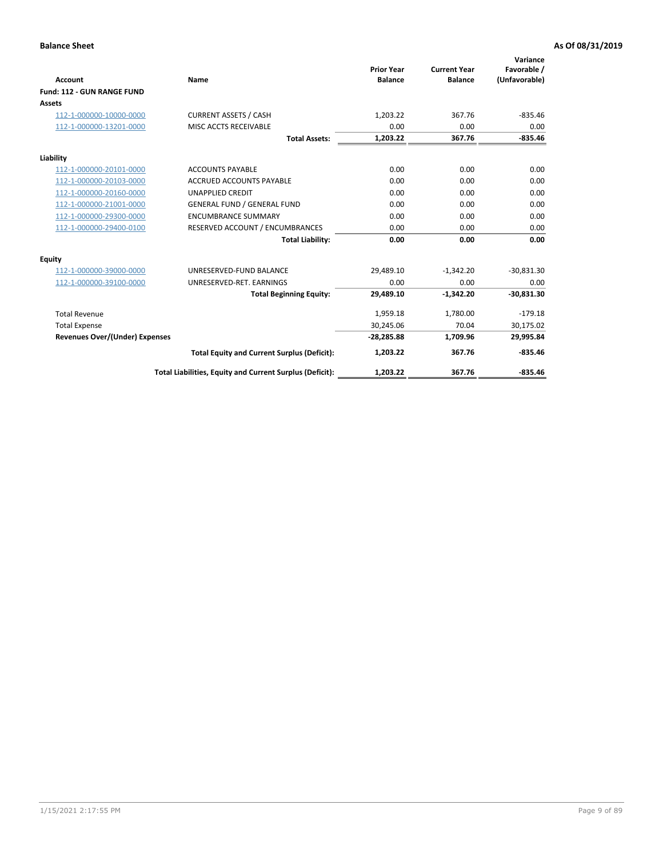|                                       |                                                          |                                     |                                       | Variance                     |
|---------------------------------------|----------------------------------------------------------|-------------------------------------|---------------------------------------|------------------------------|
| <b>Account</b>                        | Name                                                     | <b>Prior Year</b><br><b>Balance</b> | <b>Current Year</b><br><b>Balance</b> | Favorable /<br>(Unfavorable) |
| Fund: 112 - GUN RANGE FUND            |                                                          |                                     |                                       |                              |
| <b>Assets</b>                         |                                                          |                                     |                                       |                              |
| 112-1-000000-10000-0000               | <b>CURRENT ASSETS / CASH</b>                             | 1,203.22                            | 367.76                                | $-835.46$                    |
| 112-1-000000-13201-0000               | MISC ACCTS RECEIVABLE                                    | 0.00                                | 0.00                                  | 0.00                         |
|                                       | <b>Total Assets:</b>                                     | 1,203.22                            | 367.76                                | $-835.46$                    |
| Liability                             |                                                          |                                     |                                       |                              |
| 112-1-000000-20101-0000               | <b>ACCOUNTS PAYABLE</b>                                  | 0.00                                | 0.00                                  | 0.00                         |
| 112-1-000000-20103-0000               | <b>ACCRUED ACCOUNTS PAYABLE</b>                          | 0.00                                | 0.00                                  | 0.00                         |
| 112-1-000000-20160-0000               | <b>UNAPPLIED CREDIT</b>                                  | 0.00                                | 0.00                                  | 0.00                         |
| 112-1-000000-21001-0000               | <b>GENERAL FUND / GENERAL FUND</b>                       | 0.00                                | 0.00                                  | 0.00                         |
| 112-1-000000-29300-0000               | <b>ENCUMBRANCE SUMMARY</b>                               | 0.00                                | 0.00                                  | 0.00                         |
| 112-1-000000-29400-0100               | RESERVED ACCOUNT / ENCUMBRANCES                          | 0.00                                | 0.00                                  | 0.00                         |
|                                       | <b>Total Liability:</b>                                  | 0.00                                | 0.00                                  | 0.00                         |
| Equity                                |                                                          |                                     |                                       |                              |
| 112-1-000000-39000-0000               | UNRESERVED-FUND BALANCE                                  | 29,489.10                           | $-1,342.20$                           | $-30,831.30$                 |
| 112-1-000000-39100-0000               | UNRESERVED-RET. EARNINGS                                 | 0.00                                | 0.00                                  | 0.00                         |
|                                       | <b>Total Beginning Equity:</b>                           | 29,489.10                           | $-1.342.20$                           | $-30.831.30$                 |
| <b>Total Revenue</b>                  |                                                          | 1,959.18                            | 1,780.00                              | $-179.18$                    |
| <b>Total Expense</b>                  |                                                          | 30,245.06                           | 70.04                                 | 30,175.02                    |
| <b>Revenues Over/(Under) Expenses</b> |                                                          | $-28,285.88$                        | 1,709.96                              | 29,995.84                    |
|                                       | <b>Total Equity and Current Surplus (Deficit):</b>       | 1,203.22                            | 367.76                                | $-835.46$                    |
|                                       | Total Liabilities, Equity and Current Surplus (Deficit): | 1,203.22                            | 367.76                                | $-835.46$                    |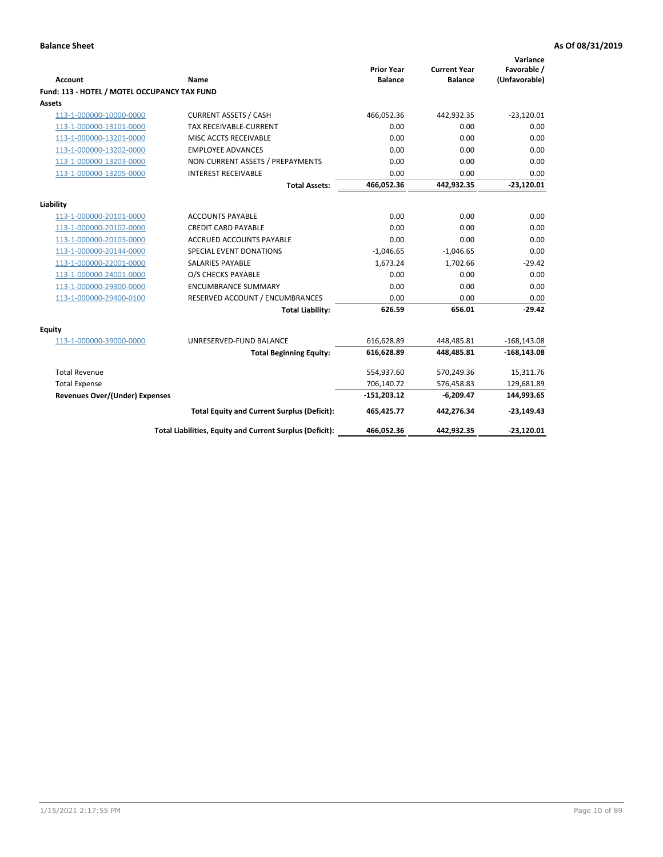| <b>Account</b>                               | Name                                                     | <b>Prior Year</b><br><b>Balance</b> | <b>Current Year</b><br><b>Balance</b> | Variance<br>Favorable /<br>(Unfavorable) |
|----------------------------------------------|----------------------------------------------------------|-------------------------------------|---------------------------------------|------------------------------------------|
| Fund: 113 - HOTEL / MOTEL OCCUPANCY TAX FUND |                                                          |                                     |                                       |                                          |
| Assets                                       |                                                          |                                     |                                       |                                          |
| 113-1-000000-10000-0000                      | <b>CURRENT ASSETS / CASH</b>                             | 466,052.36                          | 442,932.35                            | $-23,120.01$                             |
| 113-1-000000-13101-0000                      | TAX RECEIVABLE-CURRENT                                   | 0.00                                | 0.00                                  | 0.00                                     |
| 113-1-000000-13201-0000                      | MISC ACCTS RECEIVABLE                                    | 0.00                                | 0.00                                  | 0.00                                     |
| 113-1-000000-13202-0000                      | <b>EMPLOYEE ADVANCES</b>                                 | 0.00                                | 0.00                                  | 0.00                                     |
| 113-1-000000-13203-0000                      | NON-CURRENT ASSETS / PREPAYMENTS                         | 0.00                                | 0.00                                  | 0.00                                     |
| 113-1-000000-13205-0000                      | <b>INTEREST RECEIVABLE</b>                               | 0.00                                | 0.00                                  | 0.00                                     |
|                                              | <b>Total Assets:</b>                                     | 466,052.36                          | 442,932.35                            | $-23,120.01$                             |
| Liability                                    |                                                          |                                     |                                       |                                          |
| 113-1-000000-20101-0000                      | <b>ACCOUNTS PAYABLE</b>                                  | 0.00                                | 0.00                                  | 0.00                                     |
| 113-1-000000-20102-0000                      | <b>CREDIT CARD PAYABLE</b>                               | 0.00                                | 0.00                                  | 0.00                                     |
| 113-1-000000-20103-0000                      | <b>ACCRUED ACCOUNTS PAYABLE</b>                          | 0.00                                | 0.00                                  | 0.00                                     |
| 113-1-000000-20144-0000                      | SPECIAL EVENT DONATIONS                                  | $-1,046.65$                         | $-1,046.65$                           | 0.00                                     |
| 113-1-000000-22001-0000                      | <b>SALARIES PAYABLE</b>                                  | 1,673.24                            | 1,702.66                              | $-29.42$                                 |
| 113-1-000000-24001-0000                      | O/S CHECKS PAYABLE                                       | 0.00                                | 0.00                                  | 0.00                                     |
| 113-1-000000-29300-0000                      | <b>ENCUMBRANCE SUMMARY</b>                               | 0.00                                | 0.00                                  | 0.00                                     |
| 113-1-000000-29400-0100                      | RESERVED ACCOUNT / ENCUMBRANCES                          | 0.00                                | 0.00                                  | 0.00                                     |
|                                              | <b>Total Liability:</b>                                  | 626.59                              | 656.01                                | $-29.42$                                 |
| Equity                                       |                                                          |                                     |                                       |                                          |
| 113-1-000000-39000-0000                      | UNRESERVED-FUND BALANCE                                  | 616,628.89                          | 448,485.81                            | $-168, 143.08$                           |
|                                              | <b>Total Beginning Equity:</b>                           | 616,628.89                          | 448,485.81                            | $-168, 143.08$                           |
| <b>Total Revenue</b>                         |                                                          | 554,937.60                          | 570,249.36                            | 15,311.76                                |
| <b>Total Expense</b>                         |                                                          | 706,140.72                          | 576,458.83                            | 129,681.89                               |
| Revenues Over/(Under) Expenses               |                                                          | $-151,203.12$                       | $-6,209.47$                           | 144,993.65                               |
|                                              |                                                          |                                     |                                       |                                          |
|                                              | <b>Total Equity and Current Surplus (Deficit):</b>       | 465,425.77                          | 442,276.34                            | $-23,149.43$                             |
|                                              | Total Liabilities, Equity and Current Surplus (Deficit): | 466,052.36                          | 442,932.35                            | $-23,120.01$                             |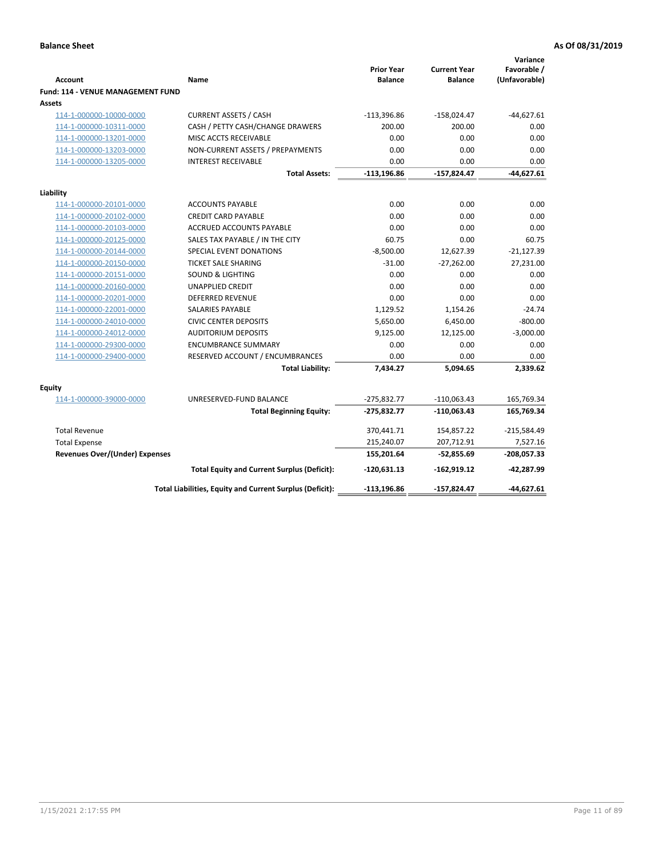| <b>Account</b>                        | Name                                                     | <b>Prior Year</b><br><b>Balance</b> | <b>Current Year</b><br><b>Balance</b> | Variance<br>Favorable /<br>(Unfavorable) |
|---------------------------------------|----------------------------------------------------------|-------------------------------------|---------------------------------------|------------------------------------------|
| Fund: 114 - VENUE MANAGEMENT FUND     |                                                          |                                     |                                       |                                          |
| Assets                                |                                                          |                                     |                                       |                                          |
| 114-1-000000-10000-0000               | <b>CURRENT ASSETS / CASH</b>                             | $-113,396.86$                       | $-158,024.47$                         | $-44,627.61$                             |
| 114-1-000000-10311-0000               | CASH / PETTY CASH/CHANGE DRAWERS                         | 200.00                              | 200.00                                | 0.00                                     |
| 114-1-000000-13201-0000               | MISC ACCTS RECEIVABLE                                    | 0.00                                | 0.00                                  | 0.00                                     |
| 114-1-000000-13203-0000               | NON-CURRENT ASSETS / PREPAYMENTS                         | 0.00                                | 0.00                                  | 0.00                                     |
| 114-1-000000-13205-0000               | <b>INTEREST RECEIVABLE</b>                               | 0.00                                | 0.00                                  | 0.00                                     |
|                                       | <b>Total Assets:</b>                                     | $-113, 196.86$                      | $-157,824.47$                         | $-44,627.61$                             |
| Liability                             |                                                          |                                     |                                       |                                          |
| 114-1-000000-20101-0000               | <b>ACCOUNTS PAYABLE</b>                                  | 0.00                                | 0.00                                  | 0.00                                     |
| 114-1-000000-20102-0000               | <b>CREDIT CARD PAYABLE</b>                               | 0.00                                | 0.00                                  | 0.00                                     |
| 114-1-000000-20103-0000               | <b>ACCRUED ACCOUNTS PAYABLE</b>                          | 0.00                                | 0.00                                  | 0.00                                     |
| 114-1-000000-20125-0000               | SALES TAX PAYABLE / IN THE CITY                          | 60.75                               | 0.00                                  | 60.75                                    |
| 114-1-000000-20144-0000               | SPECIAL EVENT DONATIONS                                  | $-8,500.00$                         | 12,627.39                             | $-21,127.39$                             |
| 114-1-000000-20150-0000               | <b>TICKET SALE SHARING</b>                               | $-31.00$                            | $-27,262.00$                          | 27,231.00                                |
| 114-1-000000-20151-0000               | <b>SOUND &amp; LIGHTING</b>                              | 0.00                                | 0.00                                  | 0.00                                     |
| 114-1-000000-20160-0000               | <b>UNAPPLIED CREDIT</b>                                  | 0.00                                | 0.00                                  | 0.00                                     |
| 114-1-000000-20201-0000               | <b>DEFERRED REVENUE</b>                                  | 0.00                                | 0.00                                  | 0.00                                     |
| 114-1-000000-22001-0000               | SALARIES PAYABLE                                         | 1,129.52                            | 1,154.26                              | $-24.74$                                 |
| 114-1-000000-24010-0000               | <b>CIVIC CENTER DEPOSITS</b>                             | 5,650.00                            | 6,450.00                              | $-800.00$                                |
| 114-1-000000-24012-0000               | <b>AUDITORIUM DEPOSITS</b>                               | 9,125.00                            | 12,125.00                             | $-3,000.00$                              |
| 114-1-000000-29300-0000               | <b>ENCUMBRANCE SUMMARY</b>                               | 0.00                                | 0.00                                  | 0.00                                     |
| 114-1-000000-29400-0000               | RESERVED ACCOUNT / ENCUMBRANCES                          | 0.00                                | 0.00                                  | 0.00                                     |
|                                       | <b>Total Liability:</b>                                  | 7,434.27                            | 5,094.65                              | 2,339.62                                 |
| Equity                                |                                                          |                                     |                                       |                                          |
| 114-1-000000-39000-0000               | UNRESERVED-FUND BALANCE                                  | $-275,832.77$                       | $-110,063.43$                         | 165,769.34                               |
|                                       | <b>Total Beginning Equity:</b>                           | $-275,832.77$                       | $-110,063.43$                         | 165,769.34                               |
| <b>Total Revenue</b>                  |                                                          | 370,441.71                          | 154,857.22                            | $-215,584.49$                            |
| <b>Total Expense</b>                  |                                                          | 215,240.07                          | 207,712.91                            | 7,527.16                                 |
| <b>Revenues Over/(Under) Expenses</b> |                                                          | 155,201.64                          | $-52,855.69$                          | $-208,057.33$                            |
|                                       | <b>Total Equity and Current Surplus (Deficit):</b>       | $-120,631.13$                       | $-162,919.12$                         | $-42,287.99$                             |
|                                       | Total Liabilities, Equity and Current Surplus (Deficit): | $-113, 196.86$                      | $-157,824.47$                         | $-44.627.61$                             |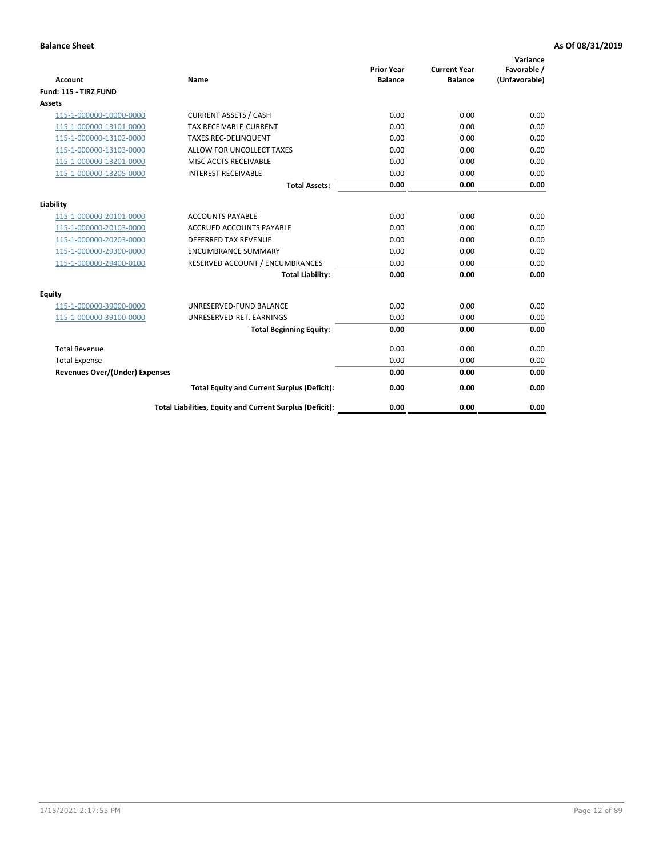| <b>Account</b>                        | <b>Name</b>                                              | <b>Prior Year</b><br><b>Balance</b> | <b>Current Year</b><br><b>Balance</b> | Variance<br>Favorable /<br>(Unfavorable) |
|---------------------------------------|----------------------------------------------------------|-------------------------------------|---------------------------------------|------------------------------------------|
| Fund: 115 - TIRZ FUND                 |                                                          |                                     |                                       |                                          |
| <b>Assets</b>                         |                                                          |                                     |                                       |                                          |
| 115-1-000000-10000-0000               | <b>CURRENT ASSETS / CASH</b>                             | 0.00                                | 0.00                                  | 0.00                                     |
| 115-1-000000-13101-0000               | TAX RECEIVABLE-CURRENT                                   | 0.00                                | 0.00                                  | 0.00                                     |
| 115-1-000000-13102-0000               | <b>TAXES REC-DELINQUENT</b>                              | 0.00                                | 0.00                                  | 0.00                                     |
| 115-1-000000-13103-0000               | ALLOW FOR UNCOLLECT TAXES                                | 0.00                                | 0.00                                  | 0.00                                     |
| 115-1-000000-13201-0000               | MISC ACCTS RECEIVABLE                                    | 0.00                                | 0.00                                  | 0.00                                     |
| 115-1-000000-13205-0000               | <b>INTEREST RECEIVABLE</b>                               | 0.00                                | 0.00                                  | 0.00                                     |
|                                       | <b>Total Assets:</b>                                     | 0.00                                | 0.00                                  | 0.00                                     |
| Liability                             |                                                          |                                     |                                       |                                          |
| 115-1-000000-20101-0000               | <b>ACCOUNTS PAYABLE</b>                                  | 0.00                                | 0.00                                  | 0.00                                     |
| 115-1-000000-20103-0000               | <b>ACCRUED ACCOUNTS PAYABLE</b>                          | 0.00                                | 0.00                                  | 0.00                                     |
| 115-1-000000-20203-0000               | <b>DEFERRED TAX REVENUE</b>                              | 0.00                                | 0.00                                  | 0.00                                     |
| 115-1-000000-29300-0000               | <b>ENCUMBRANCE SUMMARY</b>                               | 0.00                                | 0.00                                  | 0.00                                     |
| 115-1-000000-29400-0100               | RESERVED ACCOUNT / ENCUMBRANCES                          | 0.00                                | 0.00                                  | 0.00                                     |
|                                       | <b>Total Liability:</b>                                  | 0.00                                | 0.00                                  | 0.00                                     |
| <b>Equity</b>                         |                                                          |                                     |                                       |                                          |
| 115-1-000000-39000-0000               | UNRESERVED-FUND BALANCE                                  | 0.00                                | 0.00                                  | 0.00                                     |
| 115-1-000000-39100-0000               | UNRESERVED-RET. EARNINGS                                 | 0.00                                | 0.00                                  | 0.00                                     |
|                                       | <b>Total Beginning Equity:</b>                           | 0.00                                | 0.00                                  | 0.00                                     |
| <b>Total Revenue</b>                  |                                                          | 0.00                                | 0.00                                  | 0.00                                     |
| <b>Total Expense</b>                  |                                                          | 0.00                                | 0.00                                  | 0.00                                     |
| <b>Revenues Over/(Under) Expenses</b> |                                                          | 0.00                                | 0.00                                  | 0.00                                     |
|                                       | <b>Total Equity and Current Surplus (Deficit):</b>       | 0.00                                | 0.00                                  | 0.00                                     |
|                                       | Total Liabilities, Equity and Current Surplus (Deficit): | 0.00                                | 0.00                                  | 0.00                                     |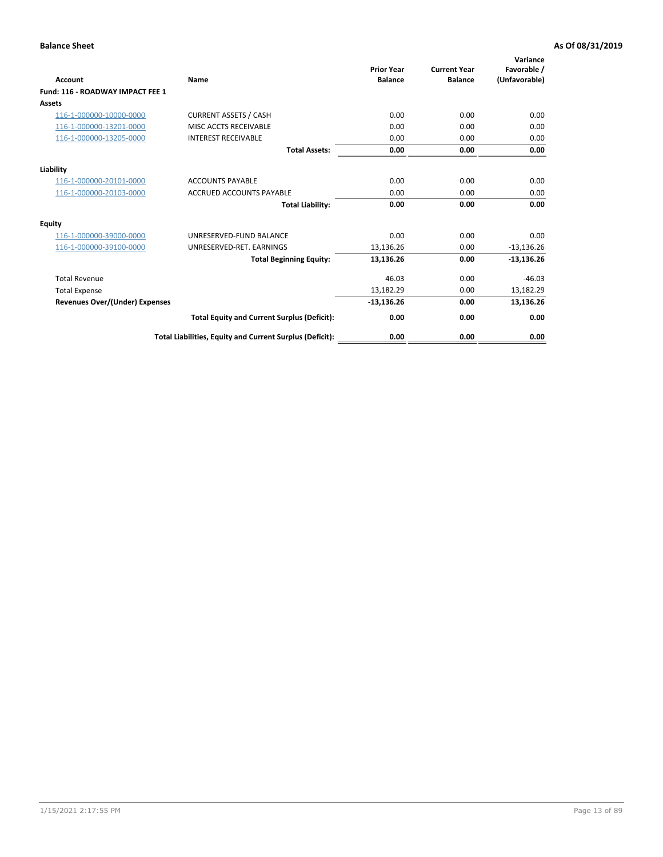| Account                               | Name                                                     | <b>Prior Year</b><br><b>Balance</b> | <b>Current Year</b><br><b>Balance</b> | Variance<br>Favorable /<br>(Unfavorable) |
|---------------------------------------|----------------------------------------------------------|-------------------------------------|---------------------------------------|------------------------------------------|
| Fund: 116 - ROADWAY IMPACT FEE 1      |                                                          |                                     |                                       |                                          |
| Assets                                |                                                          |                                     |                                       |                                          |
| 116-1-000000-10000-0000               | <b>CURRENT ASSETS / CASH</b>                             | 0.00                                | 0.00                                  | 0.00                                     |
| 116-1-000000-13201-0000               | MISC ACCTS RECEIVABLE                                    | 0.00                                | 0.00                                  | 0.00                                     |
| 116-1-000000-13205-0000               | <b>INTEREST RECEIVABLE</b>                               | 0.00                                | 0.00                                  | 0.00                                     |
|                                       | <b>Total Assets:</b>                                     | 0.00                                | 0.00                                  | 0.00                                     |
| Liability                             |                                                          |                                     |                                       |                                          |
| 116-1-000000-20101-0000               | <b>ACCOUNTS PAYABLE</b>                                  | 0.00                                | 0.00                                  | 0.00                                     |
| 116-1-000000-20103-0000               | <b>ACCRUED ACCOUNTS PAYABLE</b>                          | 0.00                                | 0.00                                  | 0.00                                     |
|                                       | <b>Total Liability:</b>                                  | 0.00                                | 0.00                                  | 0.00                                     |
| Equity                                |                                                          |                                     |                                       |                                          |
| 116-1-000000-39000-0000               | UNRESERVED-FUND BALANCE                                  | 0.00                                | 0.00                                  | 0.00                                     |
| 116-1-000000-39100-0000               | UNRESERVED-RET. EARNINGS                                 | 13,136.26                           | 0.00                                  | $-13,136.26$                             |
|                                       | <b>Total Beginning Equity:</b>                           | 13,136.26                           | 0.00                                  | $-13,136.26$                             |
| <b>Total Revenue</b>                  |                                                          | 46.03                               | 0.00                                  | $-46.03$                                 |
| <b>Total Expense</b>                  |                                                          | 13,182.29                           | 0.00                                  | 13,182.29                                |
| <b>Revenues Over/(Under) Expenses</b> |                                                          | $-13,136.26$                        | 0.00                                  | 13,136.26                                |
|                                       | <b>Total Equity and Current Surplus (Deficit):</b>       | 0.00                                | 0.00                                  | 0.00                                     |
|                                       | Total Liabilities, Equity and Current Surplus (Deficit): | 0.00                                | 0.00                                  | 0.00                                     |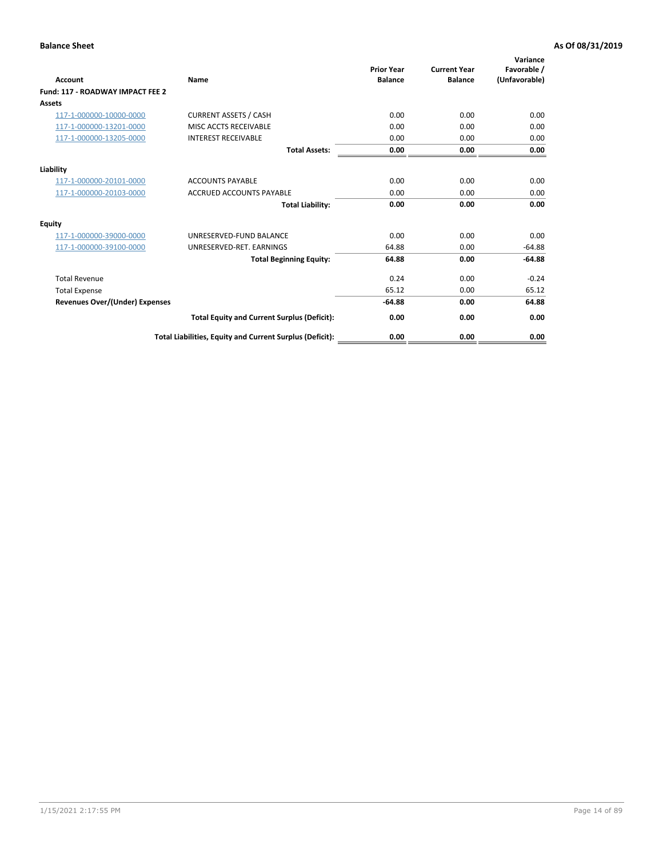| <b>Account</b>                        | Name                                                     | <b>Prior Year</b><br><b>Balance</b> | <b>Current Year</b><br><b>Balance</b> | Variance<br>Favorable /<br>(Unfavorable) |
|---------------------------------------|----------------------------------------------------------|-------------------------------------|---------------------------------------|------------------------------------------|
| Fund: 117 - ROADWAY IMPACT FEE 2      |                                                          |                                     |                                       |                                          |
| <b>Assets</b>                         |                                                          |                                     |                                       |                                          |
| 117-1-000000-10000-0000               | <b>CURRENT ASSETS / CASH</b>                             | 0.00                                | 0.00                                  | 0.00                                     |
| 117-1-000000-13201-0000               | MISC ACCTS RECEIVABLE                                    | 0.00                                | 0.00                                  | 0.00                                     |
| 117-1-000000-13205-0000               | <b>INTEREST RECEIVABLE</b>                               | 0.00                                | 0.00                                  | 0.00                                     |
|                                       | <b>Total Assets:</b>                                     | 0.00                                | 0.00                                  | 0.00                                     |
| Liability                             |                                                          |                                     |                                       |                                          |
| 117-1-000000-20101-0000               | <b>ACCOUNTS PAYABLE</b>                                  | 0.00                                | 0.00                                  | 0.00                                     |
| 117-1-000000-20103-0000               | <b>ACCRUED ACCOUNTS PAYABLE</b>                          | 0.00                                | 0.00                                  | 0.00                                     |
|                                       | <b>Total Liability:</b>                                  | 0.00                                | 0.00                                  | 0.00                                     |
| Equity                                |                                                          |                                     |                                       |                                          |
| 117-1-000000-39000-0000               | UNRESERVED-FUND BALANCE                                  | 0.00                                | 0.00                                  | 0.00                                     |
| 117-1-000000-39100-0000               | UNRESERVED-RET. EARNINGS                                 | 64.88                               | 0.00                                  | $-64.88$                                 |
|                                       | <b>Total Beginning Equity:</b>                           | 64.88                               | 0.00                                  | $-64.88$                                 |
| <b>Total Revenue</b>                  |                                                          | 0.24                                | 0.00                                  | $-0.24$                                  |
| <b>Total Expense</b>                  |                                                          | 65.12                               | 0.00                                  | 65.12                                    |
| <b>Revenues Over/(Under) Expenses</b> |                                                          | $-64.88$                            | 0.00                                  | 64.88                                    |
|                                       | <b>Total Equity and Current Surplus (Deficit):</b>       | 0.00                                | 0.00                                  | 0.00                                     |
|                                       | Total Liabilities, Equity and Current Surplus (Deficit): | 0.00                                | 0.00                                  | 0.00                                     |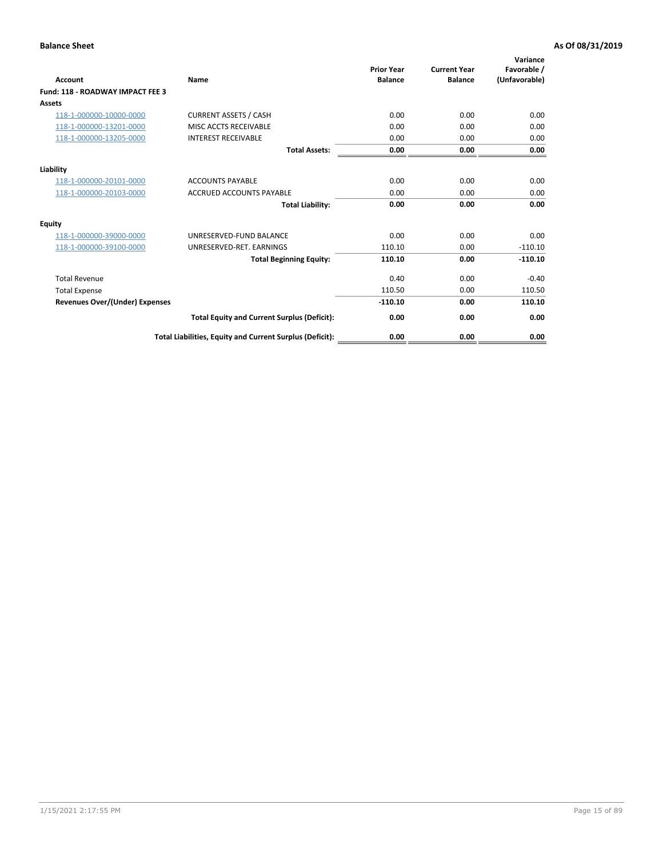| Account                                 | Name                                                     | <b>Prior Year</b><br><b>Balance</b> | <b>Current Year</b><br><b>Balance</b> | Variance<br>Favorable /<br>(Unfavorable) |
|-----------------------------------------|----------------------------------------------------------|-------------------------------------|---------------------------------------|------------------------------------------|
| <b>Fund: 118 - ROADWAY IMPACT FEE 3</b> |                                                          |                                     |                                       |                                          |
| Assets                                  |                                                          |                                     |                                       |                                          |
| 118-1-000000-10000-0000                 | <b>CURRENT ASSETS / CASH</b>                             | 0.00                                | 0.00                                  | 0.00                                     |
| 118-1-000000-13201-0000                 | MISC ACCTS RECEIVABLE                                    | 0.00                                | 0.00                                  | 0.00                                     |
| 118-1-000000-13205-0000                 | <b>INTEREST RECEIVABLE</b>                               | 0.00                                | 0.00                                  | 0.00                                     |
|                                         | <b>Total Assets:</b>                                     | 0.00                                | 0.00                                  | 0.00                                     |
| Liability                               |                                                          |                                     |                                       |                                          |
| 118-1-000000-20101-0000                 | <b>ACCOUNTS PAYABLE</b>                                  | 0.00                                | 0.00                                  | 0.00                                     |
| 118-1-000000-20103-0000                 | <b>ACCRUED ACCOUNTS PAYABLE</b>                          | 0.00                                | 0.00                                  | 0.00                                     |
|                                         | <b>Total Liability:</b>                                  | 0.00                                | 0.00                                  | 0.00                                     |
| Equity                                  |                                                          |                                     |                                       |                                          |
| 118-1-000000-39000-0000                 | UNRESERVED-FUND BALANCE                                  | 0.00                                | 0.00                                  | 0.00                                     |
| 118-1-000000-39100-0000                 | UNRESERVED-RET. EARNINGS                                 | 110.10                              | 0.00                                  | $-110.10$                                |
|                                         | <b>Total Beginning Equity:</b>                           | 110.10                              | 0.00                                  | $-110.10$                                |
| <b>Total Revenue</b>                    |                                                          | 0.40                                | 0.00                                  | $-0.40$                                  |
| <b>Total Expense</b>                    |                                                          | 110.50                              | 0.00                                  | 110.50                                   |
| <b>Revenues Over/(Under) Expenses</b>   |                                                          | $-110.10$                           | 0.00                                  | 110.10                                   |
|                                         | <b>Total Equity and Current Surplus (Deficit):</b>       | 0.00                                | 0.00                                  | 0.00                                     |
|                                         | Total Liabilities, Equity and Current Surplus (Deficit): | 0.00                                | 0.00                                  | 0.00                                     |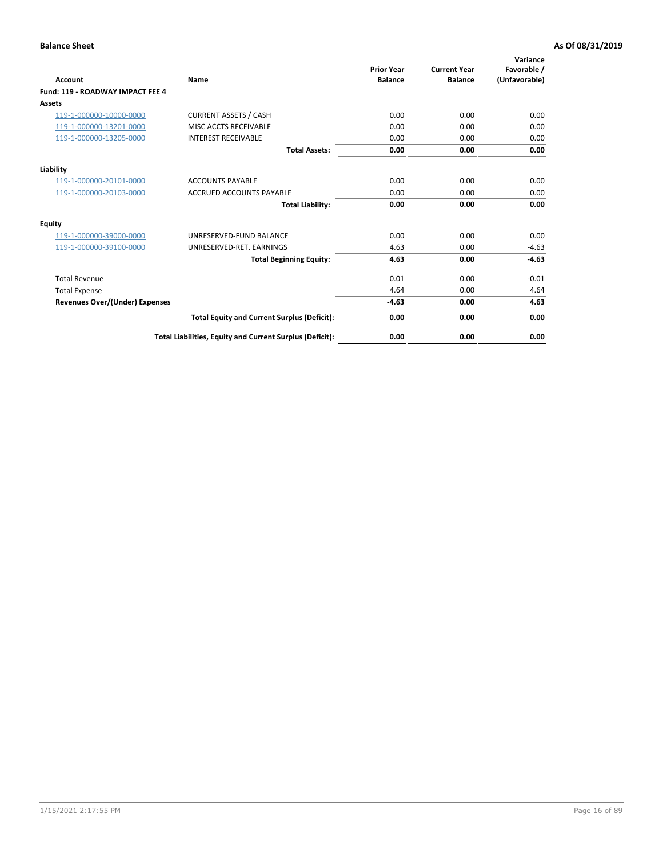| Account                               | Name                                                     | <b>Prior Year</b><br><b>Balance</b> | <b>Current Year</b><br><b>Balance</b> | Variance<br>Favorable /<br>(Unfavorable) |
|---------------------------------------|----------------------------------------------------------|-------------------------------------|---------------------------------------|------------------------------------------|
| Fund: 119 - ROADWAY IMPACT FEE 4      |                                                          |                                     |                                       |                                          |
| Assets                                |                                                          |                                     |                                       |                                          |
| 119-1-000000-10000-0000               | <b>CURRENT ASSETS / CASH</b>                             | 0.00                                | 0.00                                  | 0.00                                     |
| 119-1-000000-13201-0000               | <b>MISC ACCTS RECEIVABLE</b>                             | 0.00                                | 0.00                                  | 0.00                                     |
| 119-1-000000-13205-0000               | <b>INTEREST RECEIVABLE</b>                               | 0.00                                | 0.00                                  | 0.00                                     |
|                                       | <b>Total Assets:</b>                                     | 0.00                                | 0.00                                  | 0.00                                     |
| Liability                             |                                                          |                                     |                                       |                                          |
| 119-1-000000-20101-0000               | <b>ACCOUNTS PAYABLE</b>                                  | 0.00                                | 0.00                                  | 0.00                                     |
| 119-1-000000-20103-0000               | <b>ACCRUED ACCOUNTS PAYABLE</b>                          | 0.00                                | 0.00                                  | 0.00                                     |
|                                       | <b>Total Liability:</b>                                  | 0.00                                | 0.00                                  | 0.00                                     |
| Equity                                |                                                          |                                     |                                       |                                          |
| 119-1-000000-39000-0000               | UNRESERVED-FUND BALANCE                                  | 0.00                                | 0.00                                  | 0.00                                     |
| 119-1-000000-39100-0000               | UNRESERVED-RET. EARNINGS                                 | 4.63                                | 0.00                                  | $-4.63$                                  |
|                                       | <b>Total Beginning Equity:</b>                           | 4.63                                | 0.00                                  | $-4.63$                                  |
| <b>Total Revenue</b>                  |                                                          | 0.01                                | 0.00                                  | $-0.01$                                  |
| <b>Total Expense</b>                  |                                                          | 4.64                                | 0.00                                  | 4.64                                     |
| <b>Revenues Over/(Under) Expenses</b> |                                                          | $-4.63$                             | 0.00                                  | 4.63                                     |
|                                       | <b>Total Equity and Current Surplus (Deficit):</b>       | 0.00                                | 0.00                                  | 0.00                                     |
|                                       | Total Liabilities, Equity and Current Surplus (Deficit): | 0.00                                | 0.00                                  | 0.00                                     |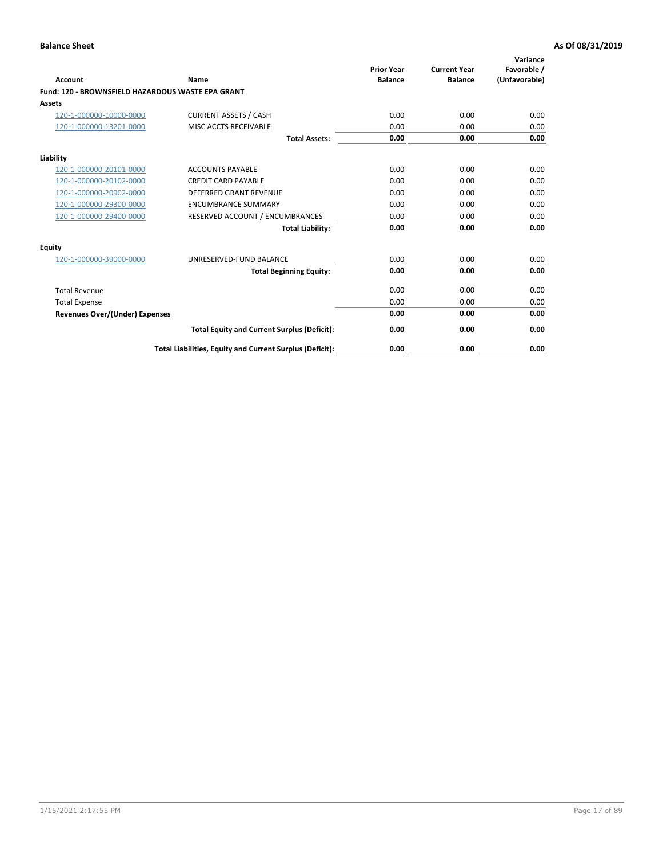| <b>Account</b>                                    | Name                                                     | <b>Prior Year</b><br><b>Balance</b> | <b>Current Year</b><br><b>Balance</b> | Variance<br>Favorable /<br>(Unfavorable) |
|---------------------------------------------------|----------------------------------------------------------|-------------------------------------|---------------------------------------|------------------------------------------|
| Fund: 120 - BROWNSFIELD HAZARDOUS WASTE EPA GRANT |                                                          |                                     |                                       |                                          |
| <b>Assets</b>                                     |                                                          |                                     |                                       |                                          |
| 120-1-000000-10000-0000                           | <b>CURRENT ASSETS / CASH</b>                             | 0.00                                | 0.00                                  | 0.00                                     |
| 120-1-000000-13201-0000                           | MISC ACCTS RECEIVABLE                                    | 0.00                                | 0.00                                  | 0.00                                     |
|                                                   | <b>Total Assets:</b>                                     | 0.00                                | 0.00                                  | 0.00                                     |
| Liability                                         |                                                          |                                     |                                       |                                          |
| 120-1-000000-20101-0000                           | <b>ACCOUNTS PAYABLE</b>                                  | 0.00                                | 0.00                                  | 0.00                                     |
| 120-1-000000-20102-0000                           | <b>CREDIT CARD PAYABLE</b>                               | 0.00                                | 0.00                                  | 0.00                                     |
| 120-1-000000-20902-0000                           | <b>DEFERRED GRANT REVENUE</b>                            | 0.00                                | 0.00                                  | 0.00                                     |
| 120-1-000000-29300-0000                           | <b>ENCUMBRANCE SUMMARY</b>                               | 0.00                                | 0.00                                  | 0.00                                     |
| 120-1-000000-29400-0000                           | RESERVED ACCOUNT / ENCUMBRANCES                          | 0.00                                | 0.00                                  | 0.00                                     |
|                                                   | <b>Total Liability:</b>                                  | 0.00                                | 0.00                                  | 0.00                                     |
| Equity                                            |                                                          |                                     |                                       |                                          |
| 120-1-000000-39000-0000                           | UNRESERVED-FUND BALANCE                                  | 0.00                                | 0.00                                  | 0.00                                     |
|                                                   | <b>Total Beginning Equity:</b>                           | 0.00                                | 0.00                                  | 0.00                                     |
| <b>Total Revenue</b>                              |                                                          | 0.00                                | 0.00                                  | 0.00                                     |
| <b>Total Expense</b>                              |                                                          | 0.00                                | 0.00                                  | 0.00                                     |
| <b>Revenues Over/(Under) Expenses</b>             |                                                          | 0.00                                | 0.00                                  | 0.00                                     |
|                                                   | <b>Total Equity and Current Surplus (Deficit):</b>       | 0.00                                | 0.00                                  | 0.00                                     |
|                                                   | Total Liabilities, Equity and Current Surplus (Deficit): | 0.00                                | 0.00                                  | 0.00                                     |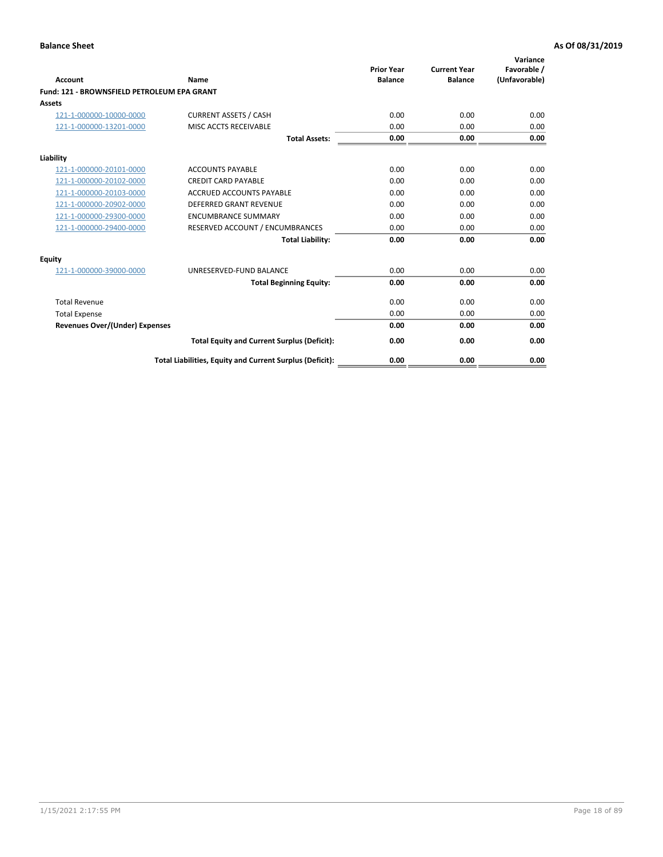| Account                                     | Name                                                     | <b>Prior Year</b><br><b>Balance</b> | <b>Current Year</b><br><b>Balance</b> | Variance<br>Favorable /<br>(Unfavorable) |
|---------------------------------------------|----------------------------------------------------------|-------------------------------------|---------------------------------------|------------------------------------------|
| Fund: 121 - BROWNSFIELD PETROLEUM EPA GRANT |                                                          |                                     |                                       |                                          |
| <b>Assets</b>                               |                                                          |                                     |                                       |                                          |
| 121-1-000000-10000-0000                     | <b>CURRENT ASSETS / CASH</b>                             | 0.00                                | 0.00                                  | 0.00                                     |
| 121-1-000000-13201-0000                     | <b>MISC ACCTS RECEIVABLE</b>                             | 0.00                                | 0.00                                  | 0.00                                     |
|                                             | <b>Total Assets:</b>                                     | 0.00                                | 0.00                                  | 0.00                                     |
| Liability                                   |                                                          |                                     |                                       |                                          |
| 121-1-000000-20101-0000                     | <b>ACCOUNTS PAYABLE</b>                                  | 0.00                                | 0.00                                  | 0.00                                     |
| 121-1-000000-20102-0000                     | <b>CREDIT CARD PAYABLE</b>                               | 0.00                                | 0.00                                  | 0.00                                     |
| 121-1-000000-20103-0000                     | <b>ACCRUED ACCOUNTS PAYABLE</b>                          | 0.00                                | 0.00                                  | 0.00                                     |
| 121-1-000000-20902-0000                     | <b>DEFERRED GRANT REVENUE</b>                            | 0.00                                | 0.00                                  | 0.00                                     |
| 121-1-000000-29300-0000                     | <b>ENCUMBRANCE SUMMARY</b>                               | 0.00                                | 0.00                                  | 0.00                                     |
| 121-1-000000-29400-0000                     | RESERVED ACCOUNT / ENCUMBRANCES                          | 0.00                                | 0.00                                  | 0.00                                     |
|                                             | <b>Total Liability:</b>                                  | 0.00                                | 0.00                                  | 0.00                                     |
| <b>Equity</b>                               |                                                          |                                     |                                       |                                          |
| 121-1-000000-39000-0000                     | UNRESERVED-FUND BALANCE                                  | 0.00                                | 0.00                                  | 0.00                                     |
|                                             | <b>Total Beginning Equity:</b>                           | 0.00                                | 0.00                                  | 0.00                                     |
| <b>Total Revenue</b>                        |                                                          | 0.00                                | 0.00                                  | 0.00                                     |
| <b>Total Expense</b>                        |                                                          | 0.00                                | 0.00                                  | 0.00                                     |
| <b>Revenues Over/(Under) Expenses</b>       |                                                          | 0.00                                | 0.00                                  | 0.00                                     |
|                                             | <b>Total Equity and Current Surplus (Deficit):</b>       | 0.00                                | 0.00                                  | 0.00                                     |
|                                             | Total Liabilities, Equity and Current Surplus (Deficit): | 0.00                                | 0.00                                  | 0.00                                     |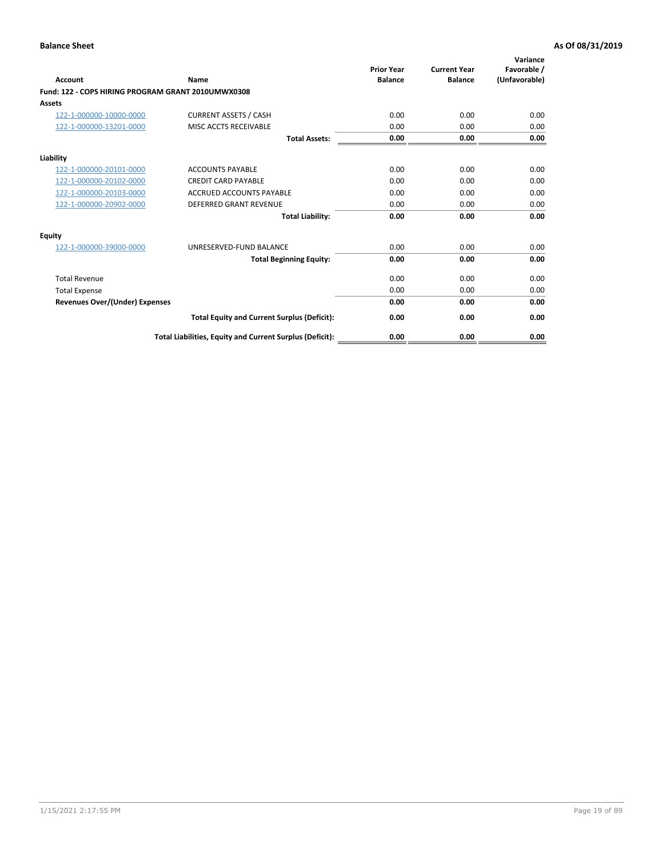| <b>Account</b>                                     | Name                                                     | <b>Prior Year</b><br><b>Balance</b> | <b>Current Year</b><br><b>Balance</b> | Variance<br>Favorable /<br>(Unfavorable) |
|----------------------------------------------------|----------------------------------------------------------|-------------------------------------|---------------------------------------|------------------------------------------|
| Fund: 122 - COPS HIRING PROGRAM GRANT 2010UMWX0308 |                                                          |                                     |                                       |                                          |
| Assets                                             |                                                          |                                     |                                       |                                          |
| 122-1-000000-10000-0000                            | <b>CURRENT ASSETS / CASH</b>                             | 0.00                                | 0.00                                  | 0.00                                     |
| 122-1-000000-13201-0000                            | MISC ACCTS RECEIVABLE                                    | 0.00                                | 0.00                                  | 0.00                                     |
|                                                    | <b>Total Assets:</b>                                     | 0.00                                | 0.00                                  | 0.00                                     |
| Liability                                          |                                                          |                                     |                                       |                                          |
| 122-1-000000-20101-0000                            | <b>ACCOUNTS PAYABLE</b>                                  | 0.00                                | 0.00                                  | 0.00                                     |
| 122-1-000000-20102-0000                            | <b>CREDIT CARD PAYABLE</b>                               | 0.00                                | 0.00                                  | 0.00                                     |
| 122-1-000000-20103-0000                            | <b>ACCRUED ACCOUNTS PAYABLE</b>                          | 0.00                                | 0.00                                  | 0.00                                     |
| 122-1-000000-20902-0000                            | <b>DEFERRED GRANT REVENUE</b>                            | 0.00                                | 0.00                                  | 0.00                                     |
|                                                    | <b>Total Liability:</b>                                  | 0.00                                | 0.00                                  | 0.00                                     |
| Equity                                             |                                                          |                                     |                                       |                                          |
| 122-1-000000-39000-0000                            | UNRESERVED-FUND BALANCE                                  | 0.00                                | 0.00                                  | 0.00                                     |
|                                                    | <b>Total Beginning Equity:</b>                           | 0.00                                | 0.00                                  | 0.00                                     |
| <b>Total Revenue</b>                               |                                                          | 0.00                                | 0.00                                  | 0.00                                     |
| <b>Total Expense</b>                               |                                                          | 0.00                                | 0.00                                  | 0.00                                     |
| <b>Revenues Over/(Under) Expenses</b>              |                                                          | 0.00                                | 0.00                                  | 0.00                                     |
|                                                    | <b>Total Equity and Current Surplus (Deficit):</b>       | 0.00                                | 0.00                                  | 0.00                                     |
|                                                    | Total Liabilities, Equity and Current Surplus (Deficit): | 0.00                                | 0.00                                  | 0.00                                     |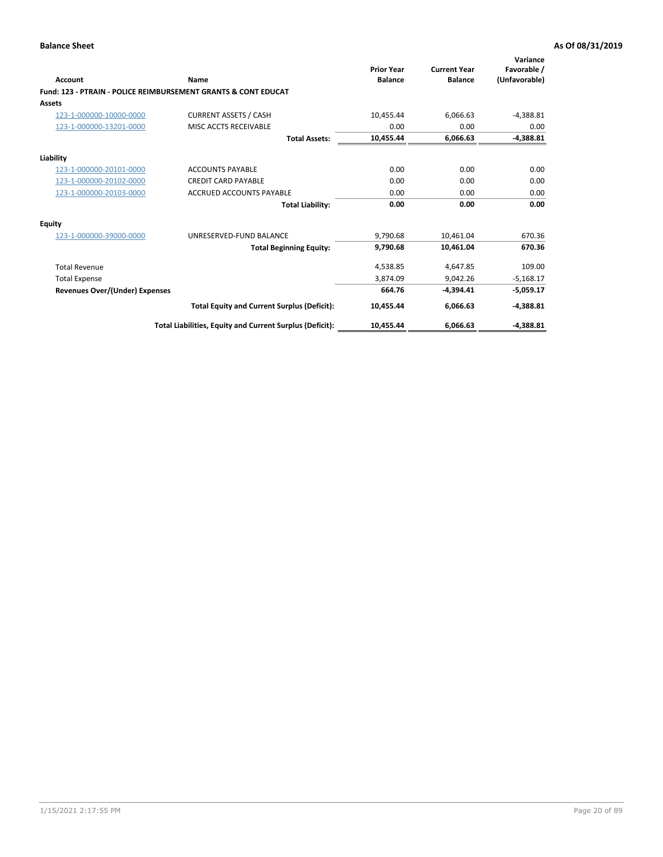| Account                        | Name                                                           | <b>Prior Year</b><br><b>Balance</b> | <b>Current Year</b><br><b>Balance</b> | Variance<br>Favorable /<br>(Unfavorable) |
|--------------------------------|----------------------------------------------------------------|-------------------------------------|---------------------------------------|------------------------------------------|
|                                | Fund: 123 - PTRAIN - POLICE REIMBURSEMENT GRANTS & CONT EDUCAT |                                     |                                       |                                          |
| Assets                         |                                                                |                                     |                                       |                                          |
| 123-1-000000-10000-0000        | <b>CURRENT ASSETS / CASH</b>                                   | 10,455.44                           | 6,066.63                              | $-4,388.81$                              |
| 123-1-000000-13201-0000        | MISC ACCTS RECEIVABLE                                          | 0.00                                | 0.00                                  | 0.00                                     |
|                                | <b>Total Assets:</b>                                           | 10,455.44                           | 6,066.63                              | $-4,388.81$                              |
| Liability                      |                                                                |                                     |                                       |                                          |
| 123-1-000000-20101-0000        | <b>ACCOUNTS PAYABLE</b>                                        | 0.00                                | 0.00                                  | 0.00                                     |
| 123-1-000000-20102-0000        | <b>CREDIT CARD PAYABLE</b>                                     | 0.00                                | 0.00                                  | 0.00                                     |
| 123-1-000000-20103-0000        | <b>ACCRUED ACCOUNTS PAYABLE</b>                                | 0.00                                | 0.00                                  | 0.00                                     |
|                                | <b>Total Liability:</b>                                        | 0.00                                | 0.00                                  | 0.00                                     |
| Equity                         |                                                                |                                     |                                       |                                          |
| 123-1-000000-39000-0000        | UNRESERVED-FUND BALANCE                                        | 9.790.68                            | 10.461.04                             | 670.36                                   |
|                                | <b>Total Beginning Equity:</b>                                 | 9,790.68                            | 10,461.04                             | 670.36                                   |
| <b>Total Revenue</b>           |                                                                | 4,538.85                            | 4,647.85                              | 109.00                                   |
| <b>Total Expense</b>           |                                                                | 3.874.09                            | 9.042.26                              | $-5,168.17$                              |
| Revenues Over/(Under) Expenses |                                                                | 664.76                              | $-4.394.41$                           | $-5,059.17$                              |
|                                | <b>Total Equity and Current Surplus (Deficit):</b>             | 10,455.44                           | 6,066.63                              | $-4,388.81$                              |
|                                | Total Liabilities, Equity and Current Surplus (Deficit):       | 10,455.44                           | 6,066.63                              | $-4,388.81$                              |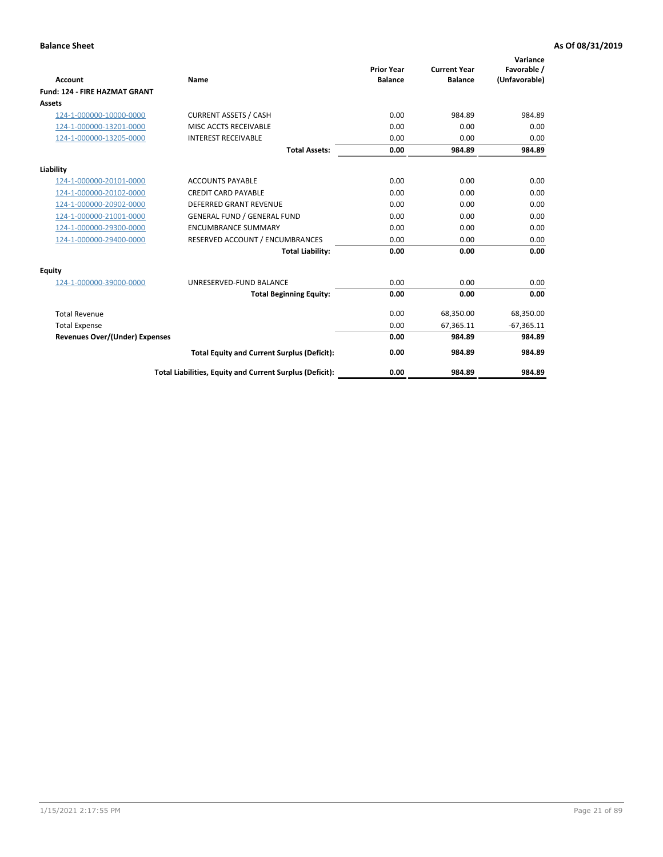|                                      |                                                          | <b>Prior Year</b> | <b>Current Year</b> | Variance<br>Favorable / |
|--------------------------------------|----------------------------------------------------------|-------------------|---------------------|-------------------------|
| <b>Account</b>                       | Name                                                     | <b>Balance</b>    | <b>Balance</b>      | (Unfavorable)           |
| <b>Fund: 124 - FIRE HAZMAT GRANT</b> |                                                          |                   |                     |                         |
| <b>Assets</b>                        |                                                          |                   |                     |                         |
| 124-1-000000-10000-0000              | <b>CURRENT ASSETS / CASH</b>                             | 0.00              | 984.89              | 984.89                  |
| 124-1-000000-13201-0000              | MISC ACCTS RECEIVABLE                                    | 0.00              | 0.00                | 0.00                    |
| 124-1-000000-13205-0000              | <b>INTEREST RECEIVABLE</b>                               | 0.00              | 0.00                | 0.00                    |
|                                      | <b>Total Assets:</b>                                     | 0.00              | 984.89              | 984.89                  |
| Liability                            |                                                          |                   |                     |                         |
| 124-1-000000-20101-0000              | <b>ACCOUNTS PAYABLE</b>                                  | 0.00              | 0.00                | 0.00                    |
| 124-1-000000-20102-0000              | <b>CREDIT CARD PAYABLE</b>                               | 0.00              | 0.00                | 0.00                    |
| 124-1-000000-20902-0000              | <b>DEFERRED GRANT REVENUE</b>                            | 0.00              | 0.00                | 0.00                    |
| 124-1-000000-21001-0000              | <b>GENERAL FUND / GENERAL FUND</b>                       | 0.00              | 0.00                | 0.00                    |
| 124-1-000000-29300-0000              | <b>ENCUMBRANCE SUMMARY</b>                               | 0.00              | 0.00                | 0.00                    |
| 124-1-000000-29400-0000              | RESERVED ACCOUNT / ENCUMBRANCES                          | 0.00              | 0.00                | 0.00                    |
|                                      | <b>Total Liability:</b>                                  | 0.00              | 0.00                | 0.00                    |
| Equity                               |                                                          |                   |                     |                         |
| 124-1-000000-39000-0000              | UNRESERVED-FUND BALANCE                                  | 0.00              | 0.00                | 0.00                    |
|                                      | <b>Total Beginning Equity:</b>                           | 0.00              | 0.00                | 0.00                    |
| <b>Total Revenue</b>                 |                                                          | 0.00              | 68,350.00           | 68,350.00               |
| <b>Total Expense</b>                 |                                                          | 0.00              | 67,365.11           | $-67,365.11$            |
| Revenues Over/(Under) Expenses       |                                                          | 0.00              | 984.89              | 984.89                  |
|                                      | <b>Total Equity and Current Surplus (Deficit):</b>       | 0.00              | 984.89              | 984.89                  |
|                                      | Total Liabilities, Equity and Current Surplus (Deficit): | 0.00              | 984.89              | 984.89                  |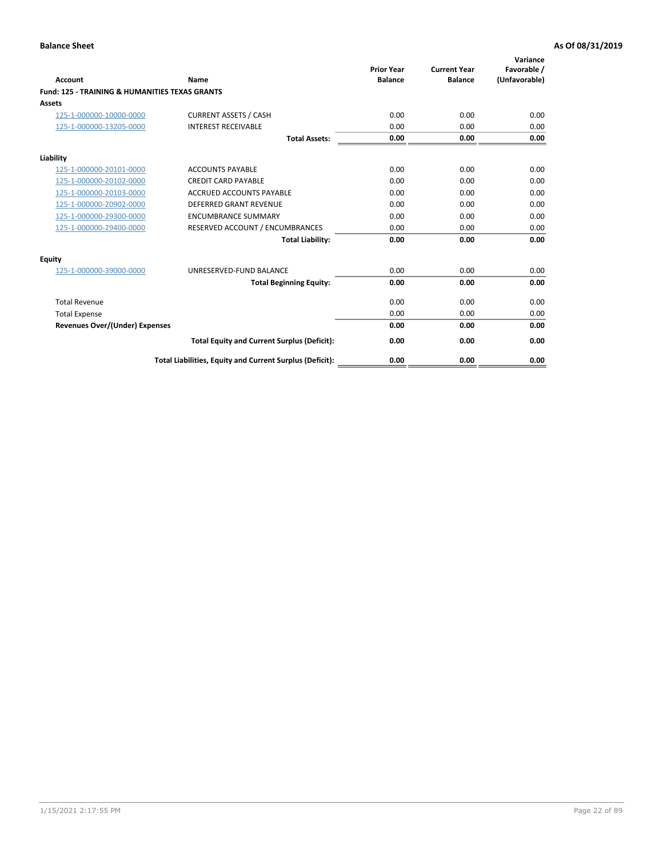| Account                                                   | Name                                                     | <b>Prior Year</b><br><b>Balance</b> | <b>Current Year</b><br><b>Balance</b> | Variance<br>Favorable /<br>(Unfavorable) |
|-----------------------------------------------------------|----------------------------------------------------------|-------------------------------------|---------------------------------------|------------------------------------------|
| <b>Fund: 125 - TRAINING &amp; HUMANITIES TEXAS GRANTS</b> |                                                          |                                     |                                       |                                          |
| <b>Assets</b>                                             |                                                          |                                     |                                       |                                          |
| 125-1-000000-10000-0000                                   | <b>CURRENT ASSETS / CASH</b>                             | 0.00                                | 0.00                                  | 0.00                                     |
| 125-1-000000-13205-0000                                   | <b>INTEREST RECEIVABLE</b>                               | 0.00                                | 0.00                                  | 0.00                                     |
|                                                           | <b>Total Assets:</b>                                     | 0.00                                | 0.00                                  | 0.00                                     |
| Liability                                                 |                                                          |                                     |                                       |                                          |
| 125-1-000000-20101-0000                                   | <b>ACCOUNTS PAYABLE</b>                                  | 0.00                                | 0.00                                  | 0.00                                     |
| 125-1-000000-20102-0000                                   | <b>CREDIT CARD PAYABLE</b>                               | 0.00                                | 0.00                                  | 0.00                                     |
| 125-1-000000-20103-0000                                   | <b>ACCRUED ACCOUNTS PAYABLE</b>                          | 0.00                                | 0.00                                  | 0.00                                     |
| 125-1-000000-20902-0000                                   | <b>DEFERRED GRANT REVENUE</b>                            | 0.00                                | 0.00                                  | 0.00                                     |
| 125-1-000000-29300-0000                                   | <b>ENCUMBRANCE SUMMARY</b>                               | 0.00                                | 0.00                                  | 0.00                                     |
| 125-1-000000-29400-0000                                   | RESERVED ACCOUNT / ENCUMBRANCES                          | 0.00                                | 0.00                                  | 0.00                                     |
|                                                           | <b>Total Liability:</b>                                  | 0.00                                | 0.00                                  | 0.00                                     |
| <b>Equity</b>                                             |                                                          |                                     |                                       |                                          |
| 125-1-000000-39000-0000                                   | UNRESERVED-FUND BALANCE                                  | 0.00                                | 0.00                                  | 0.00                                     |
|                                                           | <b>Total Beginning Equity:</b>                           | 0.00                                | 0.00                                  | 0.00                                     |
| <b>Total Revenue</b>                                      |                                                          | 0.00                                | 0.00                                  | 0.00                                     |
| <b>Total Expense</b>                                      |                                                          | 0.00                                | 0.00                                  | 0.00                                     |
| <b>Revenues Over/(Under) Expenses</b>                     |                                                          | 0.00                                | 0.00                                  | 0.00                                     |
|                                                           | <b>Total Equity and Current Surplus (Deficit):</b>       | 0.00                                | 0.00                                  | 0.00                                     |
|                                                           | Total Liabilities, Equity and Current Surplus (Deficit): | 0.00                                | 0.00                                  | 0.00                                     |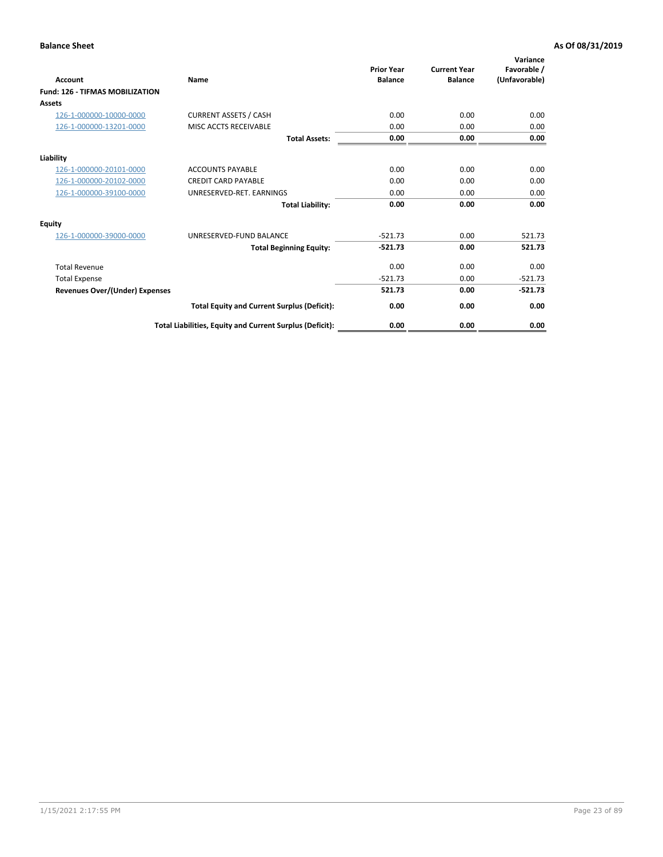| Account                                | Name                                                     | <b>Prior Year</b><br><b>Balance</b> | <b>Current Year</b><br><b>Balance</b> | Variance<br>Favorable /<br>(Unfavorable) |
|----------------------------------------|----------------------------------------------------------|-------------------------------------|---------------------------------------|------------------------------------------|
| <b>Fund: 126 - TIFMAS MOBILIZATION</b> |                                                          |                                     |                                       |                                          |
| Assets                                 |                                                          |                                     |                                       |                                          |
| 126-1-000000-10000-0000                | <b>CURRENT ASSETS / CASH</b>                             | 0.00                                | 0.00                                  | 0.00                                     |
| 126-1-000000-13201-0000                | MISC ACCTS RECEIVABLE                                    | 0.00                                | 0.00                                  | 0.00                                     |
|                                        | <b>Total Assets:</b>                                     | 0.00                                | 0.00                                  | 0.00                                     |
| Liability                              |                                                          |                                     |                                       |                                          |
| 126-1-000000-20101-0000                | <b>ACCOUNTS PAYABLE</b>                                  | 0.00                                | 0.00                                  | 0.00                                     |
| 126-1-000000-20102-0000                | <b>CREDIT CARD PAYABLE</b>                               | 0.00                                | 0.00                                  | 0.00                                     |
| 126-1-000000-39100-0000                | UNRESERVED-RET. EARNINGS                                 | 0.00                                | 0.00                                  | 0.00                                     |
|                                        | <b>Total Liability:</b>                                  | 0.00                                | 0.00                                  | 0.00                                     |
| Equity                                 |                                                          |                                     |                                       |                                          |
| 126-1-000000-39000-0000                | UNRESERVED-FUND BALANCE                                  | $-521.73$                           | 0.00                                  | 521.73                                   |
|                                        | <b>Total Beginning Equity:</b>                           | $-521.73$                           | 0.00                                  | 521.73                                   |
| <b>Total Revenue</b>                   |                                                          | 0.00                                | 0.00                                  | 0.00                                     |
| <b>Total Expense</b>                   |                                                          | $-521.73$                           | 0.00                                  | $-521.73$                                |
| Revenues Over/(Under) Expenses         |                                                          | 521.73                              | 0.00                                  | $-521.73$                                |
|                                        | <b>Total Equity and Current Surplus (Deficit):</b>       | 0.00                                | 0.00                                  | 0.00                                     |
|                                        | Total Liabilities, Equity and Current Surplus (Deficit): | 0.00                                | 0.00                                  | 0.00                                     |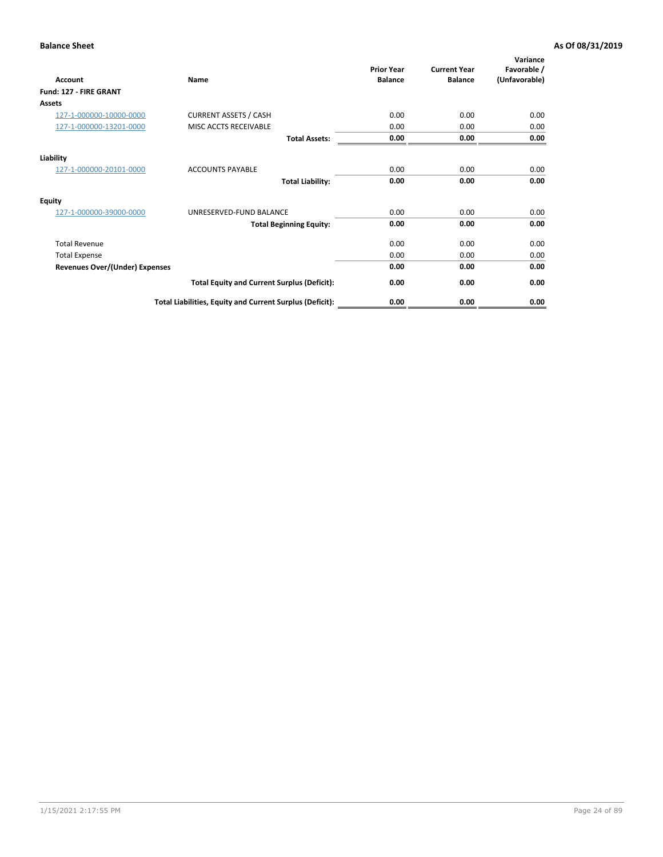| <b>Account</b>                        | Name                                                     | <b>Prior Year</b><br><b>Balance</b> | <b>Current Year</b><br><b>Balance</b> | Variance<br>Favorable /<br>(Unfavorable) |
|---------------------------------------|----------------------------------------------------------|-------------------------------------|---------------------------------------|------------------------------------------|
| Fund: 127 - FIRE GRANT                |                                                          |                                     |                                       |                                          |
| <b>Assets</b>                         |                                                          |                                     |                                       |                                          |
| 127-1-000000-10000-0000               | <b>CURRENT ASSETS / CASH</b>                             | 0.00                                | 0.00                                  | 0.00                                     |
| 127-1-000000-13201-0000               | MISC ACCTS RECEIVABLE                                    | 0.00                                | 0.00                                  | 0.00                                     |
|                                       | <b>Total Assets:</b>                                     | 0.00                                | 0.00                                  | 0.00                                     |
| Liability                             |                                                          |                                     |                                       |                                          |
| 127-1-000000-20101-0000               | <b>ACCOUNTS PAYABLE</b>                                  | 0.00                                | 0.00                                  | 0.00                                     |
|                                       | <b>Total Liability:</b>                                  | 0.00                                | 0.00                                  | 0.00                                     |
| Equity                                |                                                          |                                     |                                       |                                          |
| 127-1-000000-39000-0000               | UNRESERVED-FUND BALANCE                                  | 0.00                                | 0.00                                  | 0.00                                     |
|                                       | <b>Total Beginning Equity:</b>                           | 0.00                                | 0.00                                  | 0.00                                     |
| <b>Total Revenue</b>                  |                                                          | 0.00                                | 0.00                                  | 0.00                                     |
| <b>Total Expense</b>                  |                                                          | 0.00                                | 0.00                                  | 0.00                                     |
| <b>Revenues Over/(Under) Expenses</b> |                                                          | 0.00                                | 0.00                                  | 0.00                                     |
|                                       | <b>Total Equity and Current Surplus (Deficit):</b>       | 0.00                                | 0.00                                  | 0.00                                     |
|                                       | Total Liabilities, Equity and Current Surplus (Deficit): | 0.00                                | 0.00                                  | 0.00                                     |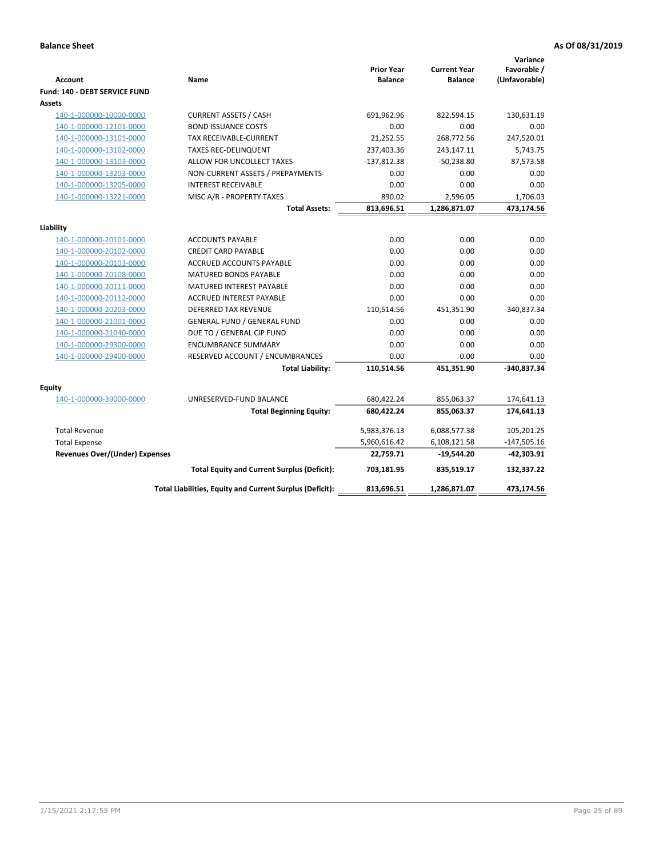| <b>Account</b>                        | <b>Name</b>                                              | <b>Prior Year</b><br><b>Balance</b> | <b>Current Year</b><br><b>Balance</b> | Variance<br>Favorable /<br>(Unfavorable) |
|---------------------------------------|----------------------------------------------------------|-------------------------------------|---------------------------------------|------------------------------------------|
| Fund: 140 - DEBT SERVICE FUND         |                                                          |                                     |                                       |                                          |
| Assets                                |                                                          |                                     |                                       |                                          |
| 140-1-000000-10000-0000               | <b>CURRENT ASSETS / CASH</b>                             | 691,962.96                          | 822,594.15                            | 130,631.19                               |
| 140-1-000000-12101-0000               | <b>BOND ISSUANCE COSTS</b>                               | 0.00                                | 0.00                                  | 0.00                                     |
| 140-1-000000-13101-0000               | <b>TAX RECEIVABLE-CURRENT</b>                            | 21,252.55                           | 268,772.56                            | 247,520.01                               |
| 140-1-000000-13102-0000               | <b>TAXES REC-DELINQUENT</b>                              | 237,403.36                          | 243,147.11                            | 5,743.75                                 |
| 140-1-000000-13103-0000               | ALLOW FOR UNCOLLECT TAXES                                | $-137,812.38$                       | $-50,238.80$                          | 87,573.58                                |
| 140-1-000000-13203-0000               | NON-CURRENT ASSETS / PREPAYMENTS                         | 0.00                                | 0.00                                  | 0.00                                     |
| 140-1-000000-13205-0000               | <b>INTEREST RECEIVABLE</b>                               | 0.00                                | 0.00                                  | 0.00                                     |
| 140-1-000000-13221-0000               | MISC A/R - PROPERTY TAXES                                | 890.02                              | 2,596.05                              | 1,706.03                                 |
|                                       | <b>Total Assets:</b>                                     | 813,696.51                          | 1,286,871.07                          | 473,174.56                               |
| Liability                             |                                                          |                                     |                                       |                                          |
| 140-1-000000-20101-0000               | <b>ACCOUNTS PAYABLE</b>                                  | 0.00                                | 0.00                                  | 0.00                                     |
| 140-1-000000-20102-0000               | <b>CREDIT CARD PAYABLE</b>                               | 0.00                                | 0.00                                  | 0.00                                     |
| 140-1-000000-20103-0000               | <b>ACCRUED ACCOUNTS PAYABLE</b>                          | 0.00                                | 0.00                                  | 0.00                                     |
| 140-1-000000-20108-0000               | <b>MATURED BONDS PAYABLE</b>                             | 0.00                                | 0.00                                  | 0.00                                     |
| 140-1-000000-20111-0000               | MATURED INTEREST PAYABLE                                 | 0.00                                | 0.00                                  | 0.00                                     |
| 140-1-000000-20112-0000               | <b>ACCRUED INTEREST PAYABLE</b>                          | 0.00                                | 0.00                                  | 0.00                                     |
| 140-1-000000-20203-0000               | <b>DEFERRED TAX REVENUE</b>                              | 110,514.56                          | 451,351.90                            | $-340,837.34$                            |
| 140-1-000000-21001-0000               | <b>GENERAL FUND / GENERAL FUND</b>                       | 0.00                                | 0.00                                  | 0.00                                     |
| 140-1-000000-21040-0000               | DUE TO / GENERAL CIP FUND                                | 0.00                                | 0.00                                  | 0.00                                     |
| 140-1-000000-29300-0000               | <b>ENCUMBRANCE SUMMARY</b>                               | 0.00                                | 0.00                                  | 0.00                                     |
| 140-1-000000-29400-0000               | RESERVED ACCOUNT / ENCUMBRANCES                          | 0.00                                | 0.00                                  | 0.00                                     |
|                                       | <b>Total Liability:</b>                                  | 110,514.56                          | 451,351.90                            | -340,837.34                              |
|                                       |                                                          |                                     |                                       |                                          |
| Equity                                |                                                          |                                     |                                       |                                          |
| 140-1-000000-39000-0000               | UNRESERVED-FUND BALANCE                                  | 680,422.24                          | 855,063.37                            | 174,641.13                               |
|                                       | <b>Total Beginning Equity:</b>                           | 680,422.24                          | 855,063.37                            | 174,641.13                               |
| <b>Total Revenue</b>                  |                                                          | 5,983,376.13                        | 6,088,577.38                          | 105,201.25                               |
| <b>Total Expense</b>                  |                                                          | 5,960,616.42                        | 6,108,121.58                          | $-147,505.16$                            |
| <b>Revenues Over/(Under) Expenses</b> |                                                          | 22,759.71                           | $-19,544.20$                          | $-42,303.91$                             |
|                                       | <b>Total Equity and Current Surplus (Deficit):</b>       | 703,181.95                          | 835,519.17                            | 132,337.22                               |
|                                       | Total Liabilities, Equity and Current Surplus (Deficit): | 813,696.51                          | 1,286,871.07                          | 473,174.56                               |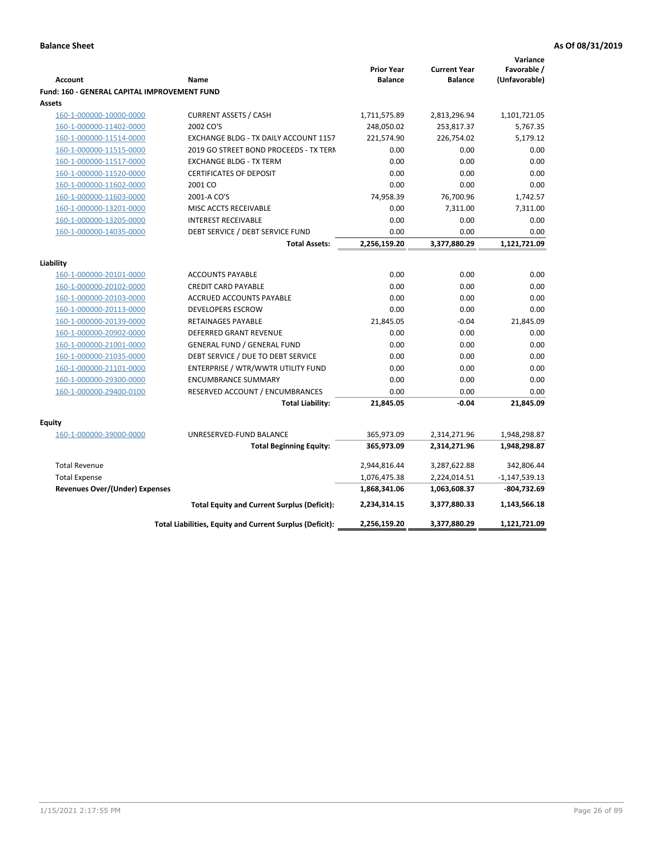|                                              |                                                          |                                     |                                       | Variance                     |
|----------------------------------------------|----------------------------------------------------------|-------------------------------------|---------------------------------------|------------------------------|
| <b>Account</b>                               | Name                                                     | <b>Prior Year</b><br><b>Balance</b> | <b>Current Year</b><br><b>Balance</b> | Favorable /<br>(Unfavorable) |
| Fund: 160 - GENERAL CAPITAL IMPROVEMENT FUND |                                                          |                                     |                                       |                              |
| Assets                                       |                                                          |                                     |                                       |                              |
| 160-1-000000-10000-0000                      | <b>CURRENT ASSETS / CASH</b>                             | 1,711,575.89                        | 2,813,296.94                          | 1,101,721.05                 |
| 160-1-000000-11402-0000                      | 2002 CO'S                                                | 248,050.02                          | 253,817.37                            | 5,767.35                     |
| 160-1-000000-11514-0000                      | EXCHANGE BLDG - TX DAILY ACCOUNT 1157                    | 221,574.90                          | 226,754.02                            | 5,179.12                     |
| 160-1-000000-11515-0000                      | 2019 GO STREET BOND PROCEEDS - TX TERN                   | 0.00                                | 0.00                                  | 0.00                         |
| 160-1-000000-11517-0000                      | <b>EXCHANGE BLDG - TX TERM</b>                           | 0.00                                | 0.00                                  | 0.00                         |
| 160-1-000000-11520-0000                      | <b>CERTIFICATES OF DEPOSIT</b>                           | 0.00                                | 0.00                                  | 0.00                         |
| 160-1-000000-11602-0000                      | 2001 CO                                                  | 0.00                                | 0.00                                  | 0.00                         |
| 160-1-000000-11603-0000                      | 2001-A CO'S                                              | 74,958.39                           | 76,700.96                             | 1,742.57                     |
| 160-1-000000-13201-0000                      | MISC ACCTS RECEIVABLE                                    | 0.00                                | 7,311.00                              | 7,311.00                     |
| 160-1-000000-13205-0000                      | <b>INTEREST RECEIVABLE</b>                               | 0.00                                | 0.00                                  | 0.00                         |
| 160-1-000000-14035-0000                      | DEBT SERVICE / DEBT SERVICE FUND                         | 0.00                                | 0.00                                  | 0.00                         |
|                                              | <b>Total Assets:</b>                                     | 2,256,159.20                        | 3,377,880.29                          | 1,121,721.09                 |
|                                              |                                                          |                                     |                                       |                              |
| Liability                                    |                                                          |                                     |                                       |                              |
| 160-1-000000-20101-0000                      | <b>ACCOUNTS PAYABLE</b>                                  | 0.00                                | 0.00                                  | 0.00                         |
| 160-1-000000-20102-0000                      | <b>CREDIT CARD PAYABLE</b>                               | 0.00                                | 0.00                                  | 0.00                         |
| 160-1-000000-20103-0000                      | ACCRUED ACCOUNTS PAYABLE                                 | 0.00                                | 0.00                                  | 0.00                         |
| 160-1-000000-20113-0000                      | <b>DEVELOPERS ESCROW</b>                                 | 0.00                                | 0.00                                  | 0.00                         |
| 160-1-000000-20139-0000                      | <b>RETAINAGES PAYABLE</b>                                | 21,845.05                           | $-0.04$                               | 21,845.09                    |
| 160-1-000000-20902-0000                      | <b>DEFERRED GRANT REVENUE</b>                            | 0.00                                | 0.00                                  | 0.00                         |
| 160-1-000000-21001-0000                      | <b>GENERAL FUND / GENERAL FUND</b>                       | 0.00                                | 0.00                                  | 0.00                         |
| 160-1-000000-21035-0000                      | DEBT SERVICE / DUE TO DEBT SERVICE                       | 0.00                                | 0.00                                  | 0.00                         |
| 160-1-000000-21101-0000                      | ENTERPRISE / WTR/WWTR UTILITY FUND                       | 0.00                                | 0.00                                  | 0.00                         |
| 160-1-000000-29300-0000                      | <b>ENCUMBRANCE SUMMARY</b>                               | 0.00                                | 0.00                                  | 0.00                         |
| 160-1-000000-29400-0100                      | RESERVED ACCOUNT / ENCUMBRANCES                          | 0.00                                | 0.00                                  | 0.00                         |
|                                              | <b>Total Liability:</b>                                  | 21,845.05                           | $-0.04$                               | 21,845.09                    |
| <b>Equity</b>                                |                                                          |                                     |                                       |                              |
| 160-1-000000-39000-0000                      | UNRESERVED-FUND BALANCE                                  | 365,973.09                          | 2,314,271.96                          | 1,948,298.87                 |
|                                              | <b>Total Beginning Equity:</b>                           | 365,973.09                          | 2,314,271.96                          | 1,948,298.87                 |
|                                              |                                                          |                                     |                                       |                              |
| <b>Total Revenue</b>                         |                                                          | 2,944,816.44                        | 3,287,622.88                          | 342,806.44                   |
| <b>Total Expense</b>                         |                                                          | 1,076,475.38                        | 2,224,014.51                          | $-1,147,539.13$              |
| <b>Revenues Over/(Under) Expenses</b>        |                                                          | 1,868,341.06                        | 1,063,608.37                          | $-804,732.69$                |
|                                              | <b>Total Equity and Current Surplus (Deficit):</b>       | 2,234,314.15                        | 3,377,880.33                          | 1,143,566.18                 |
|                                              | Total Liabilities, Equity and Current Surplus (Deficit): | 2,256,159.20                        | 3,377,880.29                          | 1,121,721.09                 |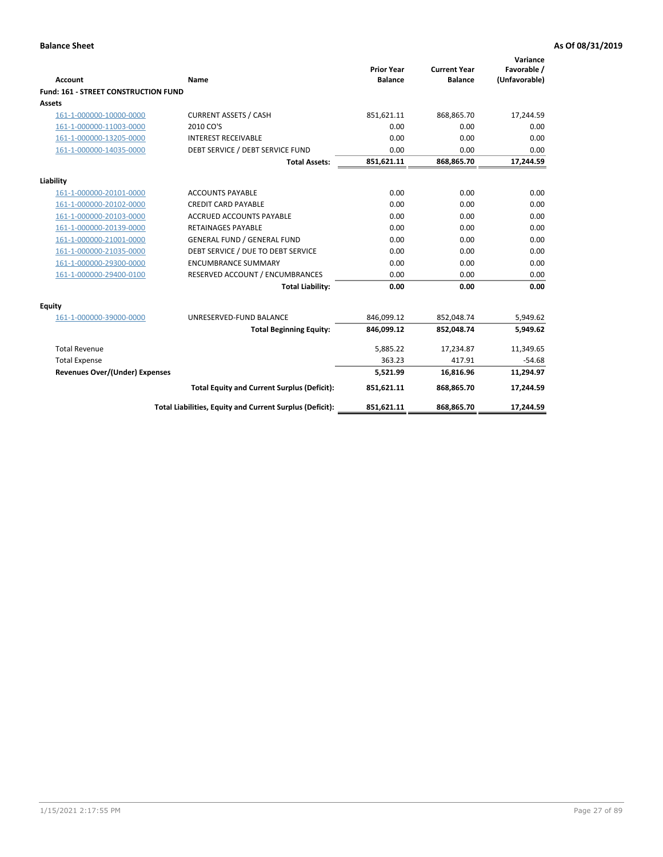| <b>Account</b>                       | Name                                                     | <b>Prior Year</b><br><b>Balance</b> | <b>Current Year</b><br><b>Balance</b> | Variance<br>Favorable /<br>(Unfavorable) |
|--------------------------------------|----------------------------------------------------------|-------------------------------------|---------------------------------------|------------------------------------------|
| Fund: 161 - STREET CONSTRUCTION FUND |                                                          |                                     |                                       |                                          |
| <b>Assets</b>                        |                                                          |                                     |                                       |                                          |
| 161-1-000000-10000-0000              | <b>CURRENT ASSETS / CASH</b>                             | 851,621.11                          | 868,865.70                            | 17,244.59                                |
| 161-1-000000-11003-0000              | 2010 CO'S                                                | 0.00                                | 0.00                                  | 0.00                                     |
| 161-1-000000-13205-0000              | <b>INTEREST RECEIVABLE</b>                               | 0.00                                | 0.00                                  | 0.00                                     |
| 161-1-000000-14035-0000              | DEBT SERVICE / DEBT SERVICE FUND                         | 0.00                                | 0.00                                  | 0.00                                     |
|                                      | <b>Total Assets:</b>                                     | 851,621.11                          | 868,865.70                            | 17,244.59                                |
| Liability                            |                                                          |                                     |                                       |                                          |
| 161-1-000000-20101-0000              | <b>ACCOUNTS PAYABLE</b>                                  | 0.00                                | 0.00                                  | 0.00                                     |
| 161-1-000000-20102-0000              | <b>CREDIT CARD PAYABLE</b>                               | 0.00                                | 0.00                                  | 0.00                                     |
| 161-1-000000-20103-0000              | <b>ACCRUED ACCOUNTS PAYABLE</b>                          | 0.00                                | 0.00                                  | 0.00                                     |
| 161-1-000000-20139-0000              | <b>RETAINAGES PAYABLE</b>                                | 0.00                                | 0.00                                  | 0.00                                     |
| 161-1-000000-21001-0000              | <b>GENERAL FUND / GENERAL FUND</b>                       | 0.00                                | 0.00                                  | 0.00                                     |
| 161-1-000000-21035-0000              | DEBT SERVICE / DUE TO DEBT SERVICE                       | 0.00                                | 0.00                                  | 0.00                                     |
| 161-1-000000-29300-0000              | <b>ENCUMBRANCE SUMMARY</b>                               | 0.00                                | 0.00                                  | 0.00                                     |
| 161-1-000000-29400-0100              | RESERVED ACCOUNT / ENCUMBRANCES                          | 0.00                                | 0.00                                  | 0.00                                     |
|                                      | <b>Total Liability:</b>                                  | 0.00                                | 0.00                                  | 0.00                                     |
| <b>Equity</b>                        |                                                          |                                     |                                       |                                          |
| 161-1-000000-39000-0000              | UNRESERVED-FUND BALANCE                                  | 846,099.12                          | 852,048.74                            | 5,949.62                                 |
|                                      | <b>Total Beginning Equity:</b>                           | 846,099.12                          | 852,048.74                            | 5,949.62                                 |
| <b>Total Revenue</b>                 |                                                          | 5,885.22                            | 17,234.87                             | 11,349.65                                |
| <b>Total Expense</b>                 |                                                          | 363.23                              | 417.91                                | $-54.68$                                 |
| Revenues Over/(Under) Expenses       |                                                          | 5,521.99                            | 16,816.96                             | 11,294.97                                |
|                                      | <b>Total Equity and Current Surplus (Deficit):</b>       | 851,621.11                          | 868,865.70                            | 17,244.59                                |
|                                      | Total Liabilities, Equity and Current Surplus (Deficit): | 851,621.11                          | 868,865.70                            | 17,244.59                                |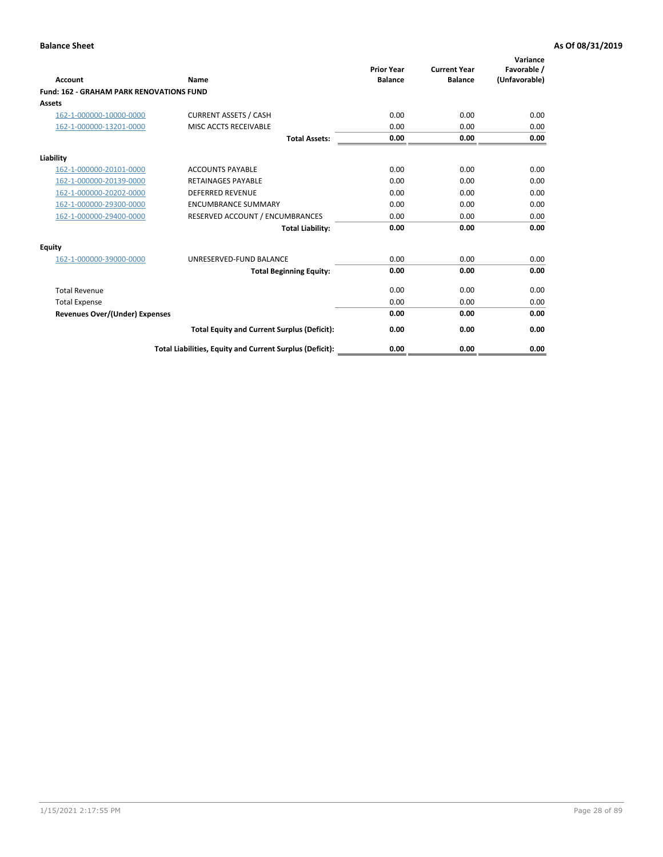| Account                                         | Name                                                     | <b>Prior Year</b><br><b>Balance</b> | <b>Current Year</b><br><b>Balance</b> | Variance<br>Favorable /<br>(Unfavorable) |
|-------------------------------------------------|----------------------------------------------------------|-------------------------------------|---------------------------------------|------------------------------------------|
| <b>Fund: 162 - GRAHAM PARK RENOVATIONS FUND</b> |                                                          |                                     |                                       |                                          |
| <b>Assets</b>                                   |                                                          |                                     |                                       |                                          |
| 162-1-000000-10000-0000                         | <b>CURRENT ASSETS / CASH</b>                             | 0.00                                | 0.00                                  | 0.00                                     |
| 162-1-000000-13201-0000                         | MISC ACCTS RECEIVABLE                                    | 0.00                                | 0.00                                  | 0.00                                     |
|                                                 | <b>Total Assets:</b>                                     | 0.00                                | 0.00                                  | 0.00                                     |
| Liability                                       |                                                          |                                     |                                       |                                          |
| 162-1-000000-20101-0000                         | <b>ACCOUNTS PAYABLE</b>                                  | 0.00                                | 0.00                                  | 0.00                                     |
| 162-1-000000-20139-0000                         | <b>RETAINAGES PAYABLE</b>                                | 0.00                                | 0.00                                  | 0.00                                     |
| 162-1-000000-20202-0000                         | <b>DEFERRED REVENUE</b>                                  | 0.00                                | 0.00                                  | 0.00                                     |
| 162-1-000000-29300-0000                         | <b>ENCUMBRANCE SUMMARY</b>                               | 0.00                                | 0.00                                  | 0.00                                     |
| 162-1-000000-29400-0000                         | RESERVED ACCOUNT / ENCUMBRANCES                          | 0.00                                | 0.00                                  | 0.00                                     |
|                                                 | <b>Total Liability:</b>                                  | 0.00                                | 0.00                                  | 0.00                                     |
| Equity                                          |                                                          |                                     |                                       |                                          |
| 162-1-000000-39000-0000                         | UNRESERVED-FUND BALANCE                                  | 0.00                                | 0.00                                  | 0.00                                     |
|                                                 | <b>Total Beginning Equity:</b>                           | 0.00                                | 0.00                                  | 0.00                                     |
| <b>Total Revenue</b>                            |                                                          | 0.00                                | 0.00                                  | 0.00                                     |
| <b>Total Expense</b>                            |                                                          | 0.00                                | 0.00                                  | 0.00                                     |
| <b>Revenues Over/(Under) Expenses</b>           |                                                          | 0.00                                | 0.00                                  | 0.00                                     |
|                                                 | <b>Total Equity and Current Surplus (Deficit):</b>       | 0.00                                | 0.00                                  | 0.00                                     |
|                                                 | Total Liabilities, Equity and Current Surplus (Deficit): | 0.00                                | 0.00                                  | 0.00                                     |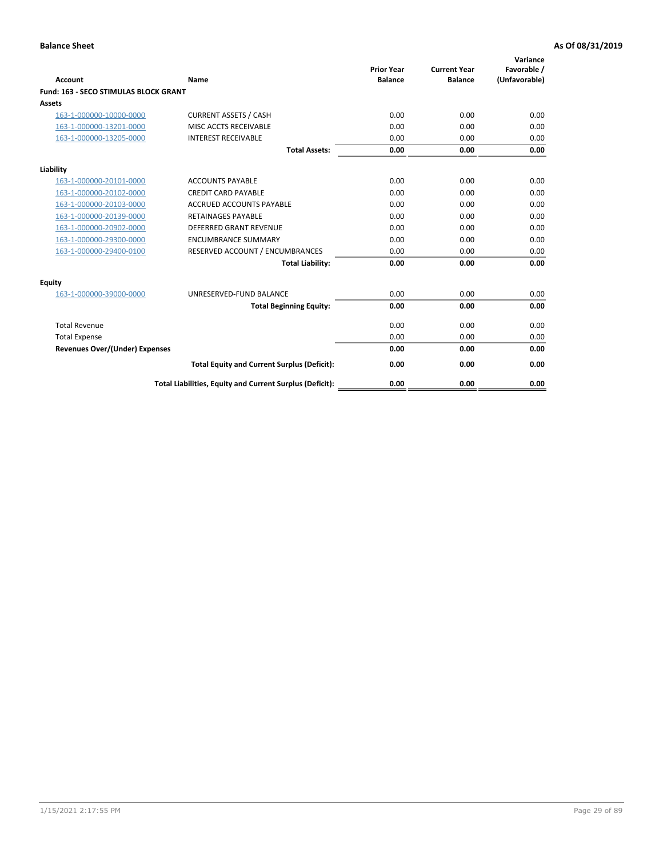| Account                               | Name                                                     | <b>Prior Year</b><br><b>Balance</b> | <b>Current Year</b><br><b>Balance</b> | Variance<br>Favorable /<br>(Unfavorable) |
|---------------------------------------|----------------------------------------------------------|-------------------------------------|---------------------------------------|------------------------------------------|
| Fund: 163 - SECO STIMULAS BLOCK GRANT |                                                          |                                     |                                       |                                          |
| <b>Assets</b>                         |                                                          |                                     |                                       |                                          |
| 163-1-000000-10000-0000               | <b>CURRENT ASSETS / CASH</b>                             | 0.00                                | 0.00                                  | 0.00                                     |
| 163-1-000000-13201-0000               | MISC ACCTS RECEIVABLE                                    | 0.00                                | 0.00                                  | 0.00                                     |
| 163-1-000000-13205-0000               | <b>INTEREST RECEIVABLE</b>                               | 0.00                                | 0.00                                  | 0.00                                     |
|                                       | <b>Total Assets:</b>                                     | 0.00                                | 0.00                                  | 0.00                                     |
| Liability                             |                                                          |                                     |                                       |                                          |
| 163-1-000000-20101-0000               | <b>ACCOUNTS PAYABLE</b>                                  | 0.00                                | 0.00                                  | 0.00                                     |
| 163-1-000000-20102-0000               | <b>CREDIT CARD PAYABLE</b>                               | 0.00                                | 0.00                                  | 0.00                                     |
| 163-1-000000-20103-0000               | <b>ACCRUED ACCOUNTS PAYABLE</b>                          | 0.00                                | 0.00                                  | 0.00                                     |
| 163-1-000000-20139-0000               | <b>RETAINAGES PAYABLE</b>                                | 0.00                                | 0.00                                  | 0.00                                     |
| 163-1-000000-20902-0000               | DEFERRED GRANT REVENUE                                   | 0.00                                | 0.00                                  | 0.00                                     |
| 163-1-000000-29300-0000               | <b>ENCUMBRANCE SUMMARY</b>                               | 0.00                                | 0.00                                  | 0.00                                     |
| 163-1-000000-29400-0100               | RESERVED ACCOUNT / ENCUMBRANCES                          | 0.00                                | 0.00                                  | 0.00                                     |
|                                       | <b>Total Liability:</b>                                  | 0.00                                | 0.00                                  | 0.00                                     |
| <b>Equity</b>                         |                                                          |                                     |                                       |                                          |
| 163-1-000000-39000-0000               | UNRESERVED-FUND BALANCE                                  | 0.00                                | 0.00                                  | 0.00                                     |
|                                       | <b>Total Beginning Equity:</b>                           | 0.00                                | 0.00                                  | 0.00                                     |
| <b>Total Revenue</b>                  |                                                          | 0.00                                | 0.00                                  | 0.00                                     |
| <b>Total Expense</b>                  |                                                          | 0.00                                | 0.00                                  | 0.00                                     |
| <b>Revenues Over/(Under) Expenses</b> |                                                          | 0.00                                | 0.00                                  | 0.00                                     |
|                                       | <b>Total Equity and Current Surplus (Deficit):</b>       | 0.00                                | 0.00                                  | 0.00                                     |
|                                       | Total Liabilities, Equity and Current Surplus (Deficit): | 0.00                                | 0.00                                  | 0.00                                     |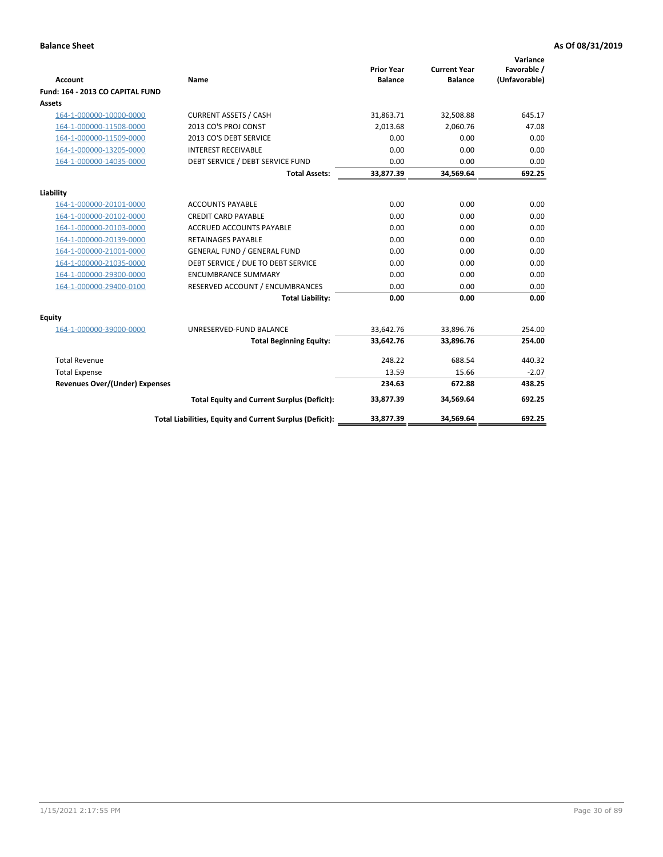| <b>Account</b>                   | Name                                                     | <b>Prior Year</b><br><b>Balance</b> | <b>Current Year</b><br><b>Balance</b> | Variance<br>Favorable /<br>(Unfavorable) |
|----------------------------------|----------------------------------------------------------|-------------------------------------|---------------------------------------|------------------------------------------|
| Fund: 164 - 2013 CO CAPITAL FUND |                                                          |                                     |                                       |                                          |
| Assets                           |                                                          |                                     |                                       |                                          |
| 164-1-000000-10000-0000          | <b>CURRENT ASSETS / CASH</b>                             | 31,863.71                           | 32,508.88                             | 645.17                                   |
| 164-1-000000-11508-0000          | 2013 CO'S PROJ CONST                                     | 2,013.68                            | 2,060.76                              | 47.08                                    |
| 164-1-000000-11509-0000          | 2013 CO'S DEBT SERVICE                                   | 0.00                                | 0.00                                  | 0.00                                     |
| 164-1-000000-13205-0000          | <b>INTEREST RECEIVABLE</b>                               | 0.00                                | 0.00                                  | 0.00                                     |
| 164-1-000000-14035-0000          | DEBT SERVICE / DEBT SERVICE FUND                         | 0.00                                | 0.00                                  | 0.00                                     |
|                                  | <b>Total Assets:</b>                                     | 33,877.39                           | 34,569.64                             | 692.25                                   |
| Liability                        |                                                          |                                     |                                       |                                          |
| 164-1-000000-20101-0000          | <b>ACCOUNTS PAYABLE</b>                                  | 0.00                                | 0.00                                  | 0.00                                     |
| 164-1-000000-20102-0000          | <b>CREDIT CARD PAYABLE</b>                               | 0.00                                | 0.00                                  | 0.00                                     |
| 164-1-000000-20103-0000          | <b>ACCRUED ACCOUNTS PAYABLE</b>                          | 0.00                                | 0.00                                  | 0.00                                     |
| 164-1-000000-20139-0000          | <b>RETAINAGES PAYABLE</b>                                | 0.00                                | 0.00                                  | 0.00                                     |
| 164-1-000000-21001-0000          | <b>GENERAL FUND / GENERAL FUND</b>                       | 0.00                                | 0.00                                  | 0.00                                     |
| 164-1-000000-21035-0000          | DEBT SERVICE / DUE TO DEBT SERVICE                       | 0.00                                | 0.00                                  | 0.00                                     |
| 164-1-000000-29300-0000          | <b>ENCUMBRANCE SUMMARY</b>                               | 0.00                                | 0.00                                  | 0.00                                     |
| 164-1-000000-29400-0100          | RESERVED ACCOUNT / ENCUMBRANCES                          | 0.00                                | 0.00                                  | 0.00                                     |
|                                  | <b>Total Liability:</b>                                  | 0.00                                | 0.00                                  | 0.00                                     |
| Equity                           |                                                          |                                     |                                       |                                          |
| 164-1-000000-39000-0000          | UNRESERVED-FUND BALANCE                                  | 33,642.76                           | 33,896.76                             | 254.00                                   |
|                                  | <b>Total Beginning Equity:</b>                           | 33,642.76                           | 33,896.76                             | 254.00                                   |
| <b>Total Revenue</b>             |                                                          | 248.22                              | 688.54                                | 440.32                                   |
| <b>Total Expense</b>             |                                                          | 13.59                               | 15.66                                 | $-2.07$                                  |
| Revenues Over/(Under) Expenses   |                                                          | 234.63                              | 672.88                                | 438.25                                   |
|                                  | <b>Total Equity and Current Surplus (Deficit):</b>       | 33,877.39                           | 34,569.64                             | 692.25                                   |
|                                  | Total Liabilities, Equity and Current Surplus (Deficit): | 33,877.39                           | 34,569.64                             | 692.25                                   |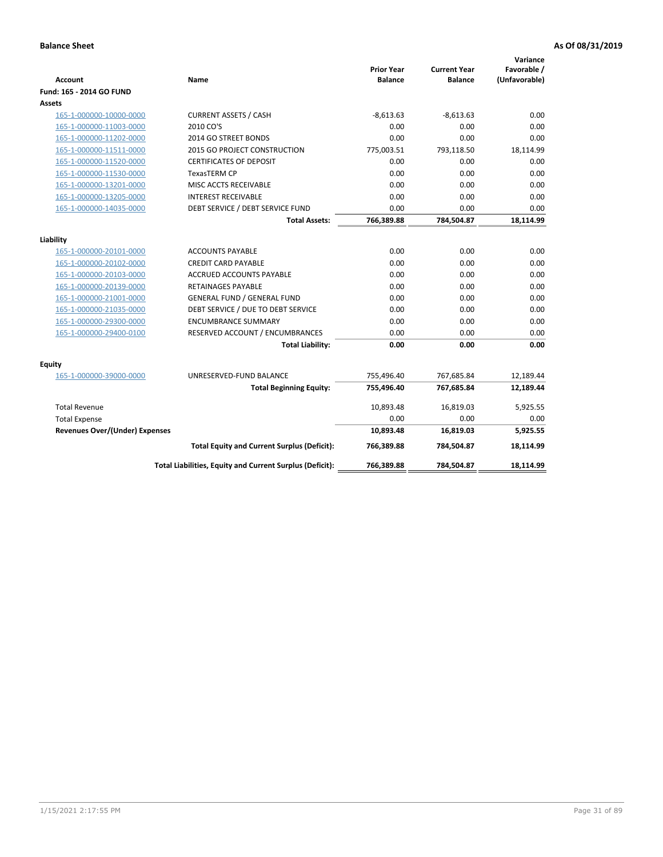| <b>Account</b>                        | Name                                                     | <b>Prior Year</b><br><b>Balance</b> | <b>Current Year</b><br><b>Balance</b> | Variance<br>Favorable /<br>(Unfavorable) |
|---------------------------------------|----------------------------------------------------------|-------------------------------------|---------------------------------------|------------------------------------------|
| Fund: 165 - 2014 GO FUND              |                                                          |                                     |                                       |                                          |
| Assets                                |                                                          |                                     |                                       |                                          |
| 165-1-000000-10000-0000               | <b>CURRENT ASSETS / CASH</b>                             | $-8,613.63$                         | $-8,613.63$                           | 0.00                                     |
| 165-1-000000-11003-0000               | 2010 CO'S                                                | 0.00                                | 0.00                                  | 0.00                                     |
| 165-1-000000-11202-0000               | 2014 GO STREET BONDS                                     | 0.00                                | 0.00                                  | 0.00                                     |
| 165-1-000000-11511-0000               | 2015 GO PROJECT CONSTRUCTION                             | 775,003.51                          | 793,118.50                            | 18,114.99                                |
| 165-1-000000-11520-0000               | <b>CERTIFICATES OF DEPOSIT</b>                           | 0.00                                | 0.00                                  | 0.00                                     |
| 165-1-000000-11530-0000               | <b>TexasTERM CP</b>                                      | 0.00                                | 0.00                                  | 0.00                                     |
| 165-1-000000-13201-0000               | MISC ACCTS RECEIVABLE                                    | 0.00                                | 0.00                                  | 0.00                                     |
| 165-1-000000-13205-0000               | <b>INTEREST RECEIVABLE</b>                               | 0.00                                | 0.00                                  | 0.00                                     |
| 165-1-000000-14035-0000               | DEBT SERVICE / DEBT SERVICE FUND                         | 0.00                                | 0.00                                  | 0.00                                     |
|                                       | <b>Total Assets:</b>                                     | 766,389.88                          | 784,504.87                            | 18,114.99                                |
| Liability                             |                                                          |                                     |                                       |                                          |
| 165-1-000000-20101-0000               | <b>ACCOUNTS PAYABLE</b>                                  | 0.00                                | 0.00                                  | 0.00                                     |
| 165-1-000000-20102-0000               | <b>CREDIT CARD PAYABLE</b>                               | 0.00                                | 0.00                                  | 0.00                                     |
| 165-1-000000-20103-0000               | <b>ACCRUED ACCOUNTS PAYABLE</b>                          | 0.00                                | 0.00                                  | 0.00                                     |
| 165-1-000000-20139-0000               | <b>RETAINAGES PAYABLE</b>                                | 0.00                                | 0.00                                  | 0.00                                     |
| 165-1-000000-21001-0000               | <b>GENERAL FUND / GENERAL FUND</b>                       | 0.00                                | 0.00                                  | 0.00                                     |
| 165-1-000000-21035-0000               | DEBT SERVICE / DUE TO DEBT SERVICE                       | 0.00                                | 0.00                                  | 0.00                                     |
| 165-1-000000-29300-0000               | <b>ENCUMBRANCE SUMMARY</b>                               | 0.00                                | 0.00                                  | 0.00                                     |
| 165-1-000000-29400-0100               | RESERVED ACCOUNT / ENCUMBRANCES                          | 0.00                                | 0.00                                  | 0.00                                     |
|                                       | <b>Total Liability:</b>                                  | 0.00                                | 0.00                                  | 0.00                                     |
| Equity                                |                                                          |                                     |                                       |                                          |
| 165-1-000000-39000-0000               | UNRESERVED-FUND BALANCE                                  | 755,496.40                          | 767,685.84                            | 12,189.44                                |
|                                       | <b>Total Beginning Equity:</b>                           | 755,496.40                          | 767,685.84                            | 12,189.44                                |
| <b>Total Revenue</b>                  |                                                          | 10,893.48                           | 16,819.03                             | 5,925.55                                 |
| <b>Total Expense</b>                  |                                                          | 0.00                                | 0.00                                  | 0.00                                     |
| <b>Revenues Over/(Under) Expenses</b> |                                                          | 10,893.48                           | 16,819.03                             | 5,925.55                                 |
|                                       | <b>Total Equity and Current Surplus (Deficit):</b>       | 766,389.88                          | 784,504.87                            | 18,114.99                                |
|                                       | Total Liabilities, Equity and Current Surplus (Deficit): | 766,389.88                          | 784,504.87                            | 18.114.99                                |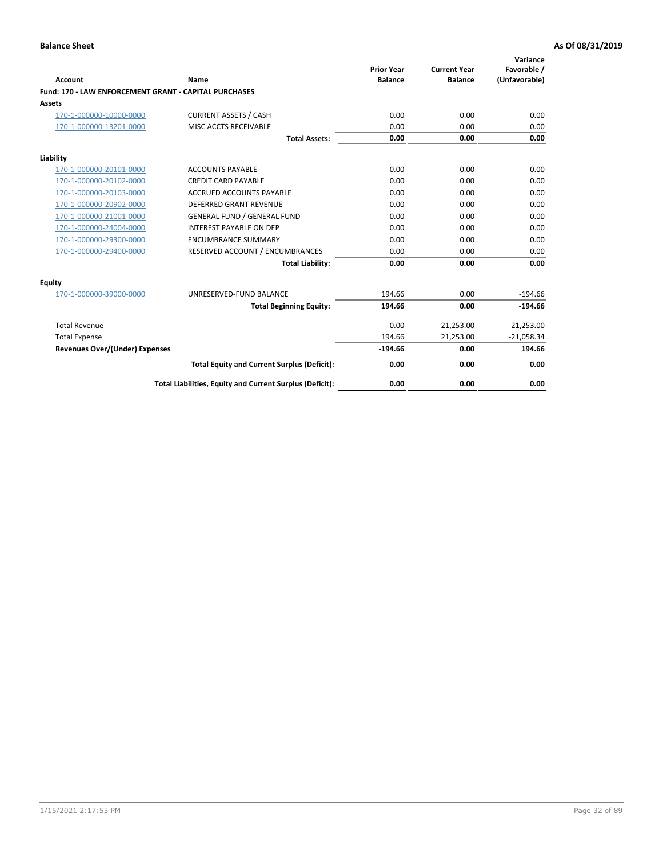|                                                       |                                                          | <b>Prior Year</b> | <b>Current Year</b> | Variance<br>Favorable / |
|-------------------------------------------------------|----------------------------------------------------------|-------------------|---------------------|-------------------------|
| Account                                               | Name                                                     | <b>Balance</b>    | <b>Balance</b>      | (Unfavorable)           |
| Fund: 170 - LAW ENFORCEMENT GRANT - CAPITAL PURCHASES |                                                          |                   |                     |                         |
| Assets                                                |                                                          |                   |                     |                         |
| 170-1-000000-10000-0000                               | <b>CURRENT ASSETS / CASH</b>                             | 0.00              | 0.00                | 0.00                    |
| 170-1-000000-13201-0000                               | MISC ACCTS RECEIVABLE                                    | 0.00              | 0.00                | 0.00                    |
|                                                       | <b>Total Assets:</b>                                     | 0.00              | 0.00                | 0.00                    |
| Liability                                             |                                                          |                   |                     |                         |
| 170-1-000000-20101-0000                               | <b>ACCOUNTS PAYABLE</b>                                  | 0.00              | 0.00                | 0.00                    |
| 170-1-000000-20102-0000                               | <b>CREDIT CARD PAYABLE</b>                               | 0.00              | 0.00                | 0.00                    |
| 170-1-000000-20103-0000                               | <b>ACCRUED ACCOUNTS PAYABLE</b>                          | 0.00              | 0.00                | 0.00                    |
| 170-1-000000-20902-0000                               | DEFERRED GRANT REVENUE                                   | 0.00              | 0.00                | 0.00                    |
| 170-1-000000-21001-0000                               | <b>GENERAL FUND / GENERAL FUND</b>                       | 0.00              | 0.00                | 0.00                    |
| 170-1-000000-24004-0000                               | <b>INTEREST PAYABLE ON DEP</b>                           | 0.00              | 0.00                | 0.00                    |
| 170-1-000000-29300-0000                               | <b>ENCUMBRANCE SUMMARY</b>                               | 0.00              | 0.00                | 0.00                    |
| 170-1-000000-29400-0000                               | RESERVED ACCOUNT / ENCUMBRANCES                          | 0.00              | 0.00                | 0.00                    |
|                                                       | <b>Total Liability:</b>                                  | 0.00              | 0.00                | 0.00                    |
| Equity                                                |                                                          |                   |                     |                         |
| 170-1-000000-39000-0000                               | UNRESERVED-FUND BALANCE                                  | 194.66            | 0.00                | $-194.66$               |
|                                                       | <b>Total Beginning Equity:</b>                           | 194.66            | 0.00                | $-194.66$               |
| <b>Total Revenue</b>                                  |                                                          | 0.00              | 21,253.00           | 21,253.00               |
| <b>Total Expense</b>                                  |                                                          | 194.66            | 21,253.00           | $-21,058.34$            |
| <b>Revenues Over/(Under) Expenses</b>                 |                                                          | $-194.66$         | 0.00                | 194.66                  |
|                                                       | <b>Total Equity and Current Surplus (Deficit):</b>       | 0.00              | 0.00                | 0.00                    |
|                                                       | Total Liabilities, Equity and Current Surplus (Deficit): | 0.00              | 0.00                | 0.00                    |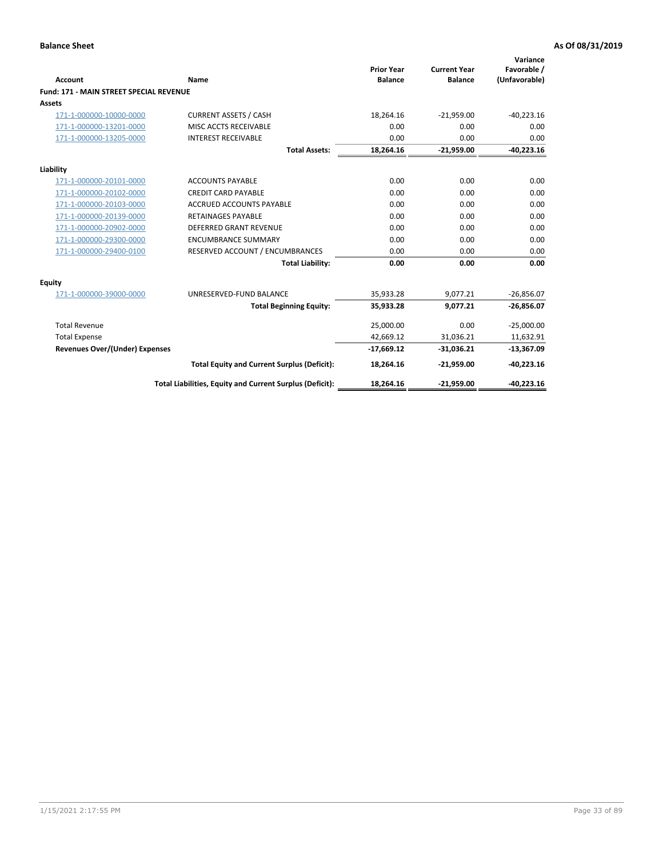| Account                                        | <b>Name</b>                                              | <b>Prior Year</b><br><b>Balance</b> | <b>Current Year</b><br><b>Balance</b> | Variance<br>Favorable /<br>(Unfavorable) |
|------------------------------------------------|----------------------------------------------------------|-------------------------------------|---------------------------------------|------------------------------------------|
| <b>Fund: 171 - MAIN STREET SPECIAL REVENUE</b> |                                                          |                                     |                                       |                                          |
| Assets                                         |                                                          |                                     |                                       |                                          |
| 171-1-000000-10000-0000                        | <b>CURRENT ASSETS / CASH</b>                             | 18,264.16                           | $-21,959.00$                          | $-40,223.16$                             |
| 171-1-000000-13201-0000                        | MISC ACCTS RECEIVABLE                                    | 0.00                                | 0.00                                  | 0.00                                     |
| 171-1-000000-13205-0000                        | <b>INTEREST RECEIVABLE</b>                               | 0.00                                | 0.00                                  | 0.00                                     |
|                                                | <b>Total Assets:</b>                                     | 18,264.16                           | $-21,959.00$                          | $-40,223.16$                             |
| Liability                                      |                                                          |                                     |                                       |                                          |
| 171-1-000000-20101-0000                        | <b>ACCOUNTS PAYABLE</b>                                  | 0.00                                | 0.00                                  | 0.00                                     |
| 171-1-000000-20102-0000                        | <b>CREDIT CARD PAYABLE</b>                               | 0.00                                | 0.00                                  | 0.00                                     |
| 171-1-000000-20103-0000                        | <b>ACCRUED ACCOUNTS PAYABLE</b>                          | 0.00                                | 0.00                                  | 0.00                                     |
| 171-1-000000-20139-0000                        | <b>RETAINAGES PAYABLE</b>                                | 0.00                                | 0.00                                  | 0.00                                     |
| 171-1-000000-20902-0000                        | <b>DEFERRED GRANT REVENUE</b>                            | 0.00                                | 0.00                                  | 0.00                                     |
| 171-1-000000-29300-0000                        | <b>ENCUMBRANCE SUMMARY</b>                               | 0.00                                | 0.00                                  | 0.00                                     |
| 171-1-000000-29400-0100                        | RESERVED ACCOUNT / ENCUMBRANCES                          | 0.00                                | 0.00                                  | 0.00                                     |
|                                                | <b>Total Liability:</b>                                  | 0.00                                | 0.00                                  | 0.00                                     |
| <b>Equity</b>                                  |                                                          |                                     |                                       |                                          |
| 171-1-000000-39000-0000                        | UNRESERVED-FUND BALANCE                                  | 35,933.28                           | 9,077.21                              | $-26,856.07$                             |
|                                                | <b>Total Beginning Equity:</b>                           | 35,933.28                           | 9,077.21                              | $-26,856.07$                             |
| <b>Total Revenue</b>                           |                                                          | 25,000.00                           | 0.00                                  | $-25,000.00$                             |
| <b>Total Expense</b>                           |                                                          | 42,669.12                           | 31,036.21                             | 11,632.91                                |
| Revenues Over/(Under) Expenses                 |                                                          | $-17,669.12$                        | $-31,036.21$                          | $-13,367.09$                             |
|                                                | <b>Total Equity and Current Surplus (Deficit):</b>       | 18,264.16                           | $-21,959.00$                          | $-40,223.16$                             |
|                                                | Total Liabilities, Equity and Current Surplus (Deficit): | 18,264.16                           | $-21,959.00$                          | $-40.223.16$                             |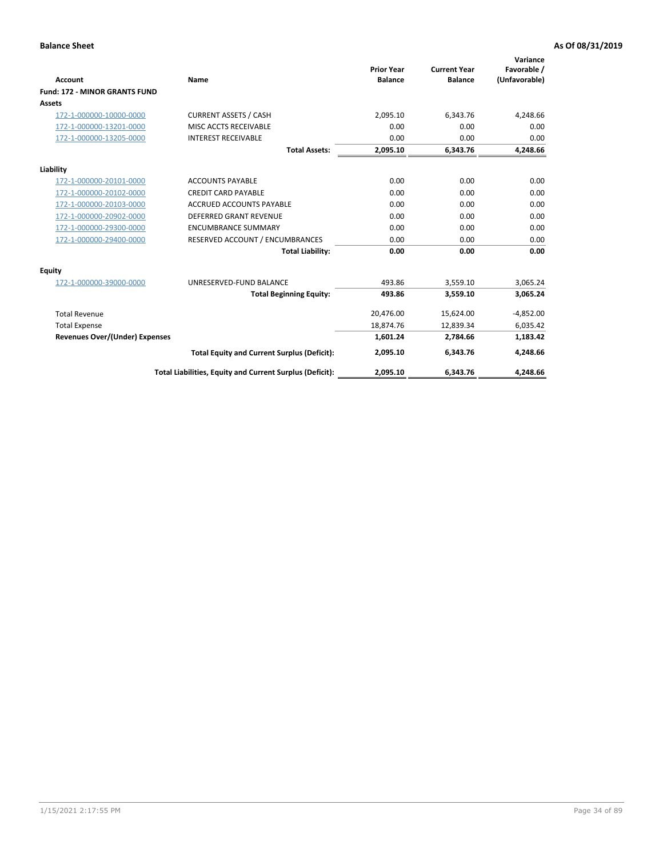|                                      |                                                          |                                     |                                       | Variance                     |
|--------------------------------------|----------------------------------------------------------|-------------------------------------|---------------------------------------|------------------------------|
| <b>Account</b>                       | Name                                                     | <b>Prior Year</b><br><b>Balance</b> | <b>Current Year</b><br><b>Balance</b> | Favorable /<br>(Unfavorable) |
| <b>Fund: 172 - MINOR GRANTS FUND</b> |                                                          |                                     |                                       |                              |
| <b>Assets</b>                        |                                                          |                                     |                                       |                              |
| 172-1-000000-10000-0000              | <b>CURRENT ASSETS / CASH</b>                             | 2,095.10                            | 6,343.76                              | 4,248.66                     |
| 172-1-000000-13201-0000              | MISC ACCTS RECEIVABLE                                    | 0.00                                | 0.00                                  | 0.00                         |
| 172-1-000000-13205-0000              | <b>INTEREST RECEIVABLE</b>                               | 0.00                                | 0.00                                  | 0.00                         |
|                                      | <b>Total Assets:</b>                                     | 2,095.10                            | 6,343.76                              | 4,248.66                     |
| Liability                            |                                                          |                                     |                                       |                              |
| 172-1-000000-20101-0000              | <b>ACCOUNTS PAYABLE</b>                                  | 0.00                                | 0.00                                  | 0.00                         |
| 172-1-000000-20102-0000              | <b>CREDIT CARD PAYABLE</b>                               | 0.00                                | 0.00                                  | 0.00                         |
| 172-1-000000-20103-0000              | <b>ACCRUED ACCOUNTS PAYABLE</b>                          | 0.00                                | 0.00                                  | 0.00                         |
| 172-1-000000-20902-0000              | DEFERRED GRANT REVENUE                                   | 0.00                                | 0.00                                  | 0.00                         |
| 172-1-000000-29300-0000              | <b>ENCUMBRANCE SUMMARY</b>                               | 0.00                                | 0.00                                  | 0.00                         |
| 172-1-000000-29400-0000              | RESERVED ACCOUNT / ENCUMBRANCES                          | 0.00                                | 0.00                                  | 0.00                         |
|                                      | <b>Total Liability:</b>                                  | 0.00                                | 0.00                                  | 0.00                         |
| Equity                               |                                                          |                                     |                                       |                              |
| 172-1-000000-39000-0000              | UNRESERVED-FUND BALANCE                                  | 493.86                              | 3,559.10                              | 3,065.24                     |
|                                      | <b>Total Beginning Equity:</b>                           | 493.86                              | 3,559.10                              | 3,065.24                     |
| <b>Total Revenue</b>                 |                                                          | 20,476.00                           | 15,624.00                             | $-4,852.00$                  |
| <b>Total Expense</b>                 |                                                          | 18,874.76                           | 12,839.34                             | 6,035.42                     |
| Revenues Over/(Under) Expenses       |                                                          | 1,601.24                            | 2,784.66                              | 1,183.42                     |
|                                      | <b>Total Equity and Current Surplus (Deficit):</b>       | 2,095.10                            | 6,343.76                              | 4,248.66                     |
|                                      | Total Liabilities, Equity and Current Surplus (Deficit): | 2,095.10                            | 6,343.76                              | 4,248.66                     |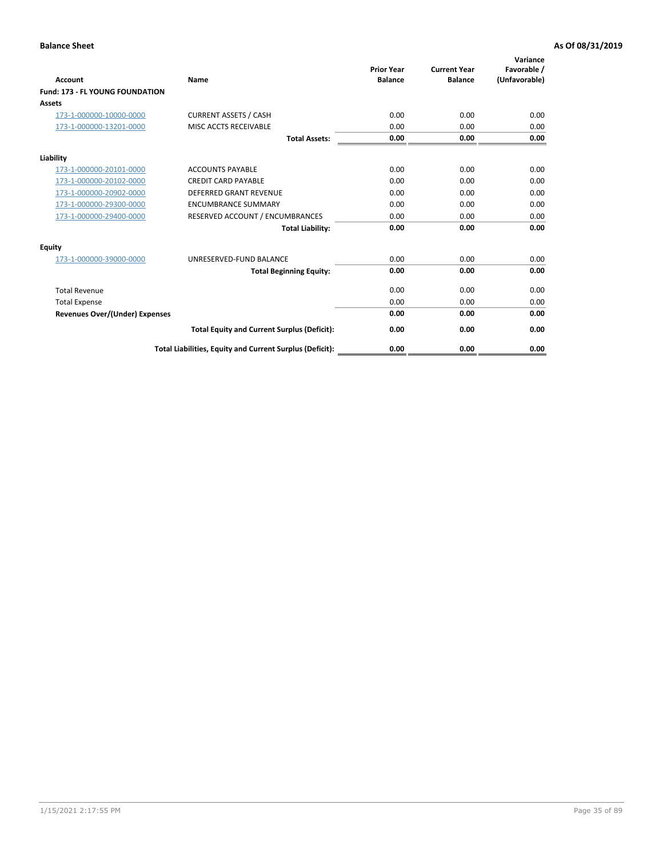| Account                                | <b>Name</b>                                              | <b>Prior Year</b><br><b>Balance</b> | <b>Current Year</b><br><b>Balance</b> | Variance<br>Favorable /<br>(Unfavorable) |
|----------------------------------------|----------------------------------------------------------|-------------------------------------|---------------------------------------|------------------------------------------|
| <b>Fund: 173 - FL YOUNG FOUNDATION</b> |                                                          |                                     |                                       |                                          |
| Assets                                 |                                                          |                                     |                                       |                                          |
| 173-1-000000-10000-0000                | <b>CURRENT ASSETS / CASH</b>                             | 0.00                                | 0.00                                  | 0.00                                     |
| 173-1-000000-13201-0000                | MISC ACCTS RECEIVABLE                                    | 0.00                                | 0.00                                  | 0.00                                     |
|                                        | <b>Total Assets:</b>                                     | 0.00                                | 0.00                                  | 0.00                                     |
| Liability                              |                                                          |                                     |                                       |                                          |
| 173-1-000000-20101-0000                | <b>ACCOUNTS PAYABLE</b>                                  | 0.00                                | 0.00                                  | 0.00                                     |
| 173-1-000000-20102-0000                | <b>CREDIT CARD PAYABLE</b>                               | 0.00                                | 0.00                                  | 0.00                                     |
| 173-1-000000-20902-0000                | <b>DEFERRED GRANT REVENUE</b>                            | 0.00                                | 0.00                                  | 0.00                                     |
| 173-1-000000-29300-0000                | <b>ENCUMBRANCE SUMMARY</b>                               | 0.00                                | 0.00                                  | 0.00                                     |
| 173-1-000000-29400-0000                | RESERVED ACCOUNT / ENCUMBRANCES                          | 0.00                                | 0.00                                  | 0.00                                     |
|                                        | <b>Total Liability:</b>                                  | 0.00                                | 0.00                                  | 0.00                                     |
| Equity                                 |                                                          |                                     |                                       |                                          |
| 173-1-000000-39000-0000                | UNRESERVED-FUND BALANCE                                  | 0.00                                | 0.00                                  | 0.00                                     |
|                                        | <b>Total Beginning Equity:</b>                           | 0.00                                | 0.00                                  | 0.00                                     |
| <b>Total Revenue</b>                   |                                                          | 0.00                                | 0.00                                  | 0.00                                     |
| <b>Total Expense</b>                   |                                                          | 0.00                                | 0.00                                  | 0.00                                     |
| <b>Revenues Over/(Under) Expenses</b>  |                                                          | 0.00                                | 0.00                                  | 0.00                                     |
|                                        | <b>Total Equity and Current Surplus (Deficit):</b>       | 0.00                                | 0.00                                  | 0.00                                     |
|                                        | Total Liabilities, Equity and Current Surplus (Deficit): | 0.00                                | 0.00                                  | 0.00                                     |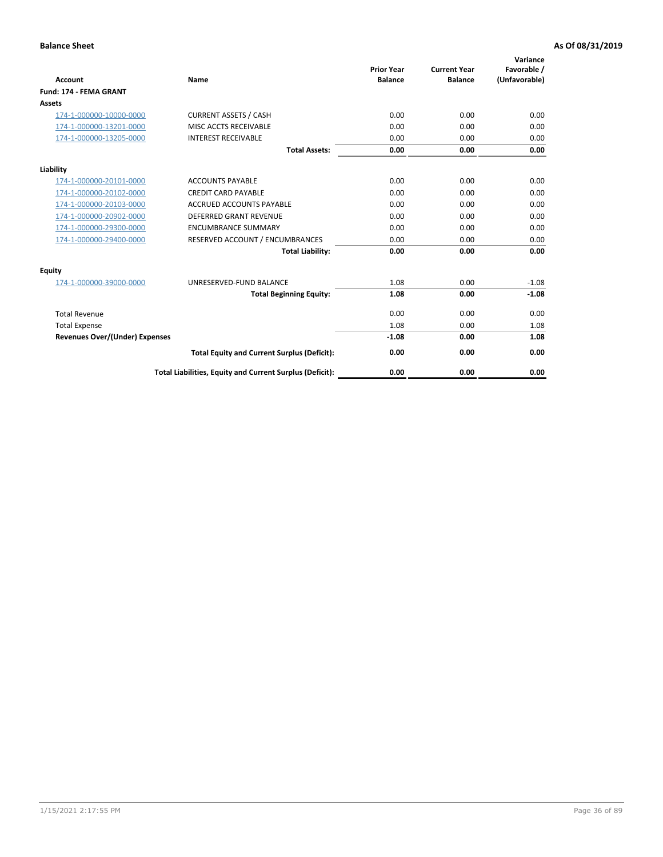| Account                               | Name                                                     | <b>Prior Year</b><br><b>Balance</b> | <b>Current Year</b><br><b>Balance</b> | Variance<br>Favorable /<br>(Unfavorable) |
|---------------------------------------|----------------------------------------------------------|-------------------------------------|---------------------------------------|------------------------------------------|
| <b>Fund: 174 - FEMA GRANT</b>         |                                                          |                                     |                                       |                                          |
| Assets                                |                                                          |                                     |                                       |                                          |
| 174-1-000000-10000-0000               | <b>CURRENT ASSETS / CASH</b>                             | 0.00                                | 0.00                                  | 0.00                                     |
| 174-1-000000-13201-0000               | MISC ACCTS RECEIVABLE                                    | 0.00                                | 0.00                                  | 0.00                                     |
| 174-1-000000-13205-0000               | <b>INTEREST RECEIVABLE</b>                               | 0.00                                | 0.00                                  | 0.00                                     |
|                                       | <b>Total Assets:</b>                                     | 0.00                                | 0.00                                  | 0.00                                     |
| Liability                             |                                                          |                                     |                                       |                                          |
| 174-1-000000-20101-0000               | <b>ACCOUNTS PAYABLE</b>                                  | 0.00                                | 0.00                                  | 0.00                                     |
| 174-1-000000-20102-0000               | <b>CREDIT CARD PAYABLE</b>                               | 0.00                                | 0.00                                  | 0.00                                     |
| 174-1-000000-20103-0000               | <b>ACCRUED ACCOUNTS PAYABLE</b>                          | 0.00                                | 0.00                                  | 0.00                                     |
| 174-1-000000-20902-0000               | <b>DEFERRED GRANT REVENUE</b>                            | 0.00                                | 0.00                                  | 0.00                                     |
| 174-1-000000-29300-0000               | <b>ENCUMBRANCE SUMMARY</b>                               | 0.00                                | 0.00                                  | 0.00                                     |
| 174-1-000000-29400-0000               | RESERVED ACCOUNT / ENCUMBRANCES                          | 0.00                                | 0.00                                  | 0.00                                     |
|                                       | <b>Total Liability:</b>                                  | 0.00                                | 0.00                                  | 0.00                                     |
| Equity                                |                                                          |                                     |                                       |                                          |
| 174-1-000000-39000-0000               | UNRESERVED-FUND BALANCE                                  | 1.08                                | 0.00                                  | $-1.08$                                  |
|                                       | <b>Total Beginning Equity:</b>                           | 1.08                                | 0.00                                  | $-1.08$                                  |
| <b>Total Revenue</b>                  |                                                          | 0.00                                | 0.00                                  | 0.00                                     |
| <b>Total Expense</b>                  |                                                          | 1.08                                | 0.00                                  | 1.08                                     |
| <b>Revenues Over/(Under) Expenses</b> |                                                          | $-1.08$                             | 0.00                                  | 1.08                                     |
|                                       | <b>Total Equity and Current Surplus (Deficit):</b>       | 0.00                                | 0.00                                  | 0.00                                     |
|                                       | Total Liabilities, Equity and Current Surplus (Deficit): | 0.00                                | 0.00                                  | 0.00                                     |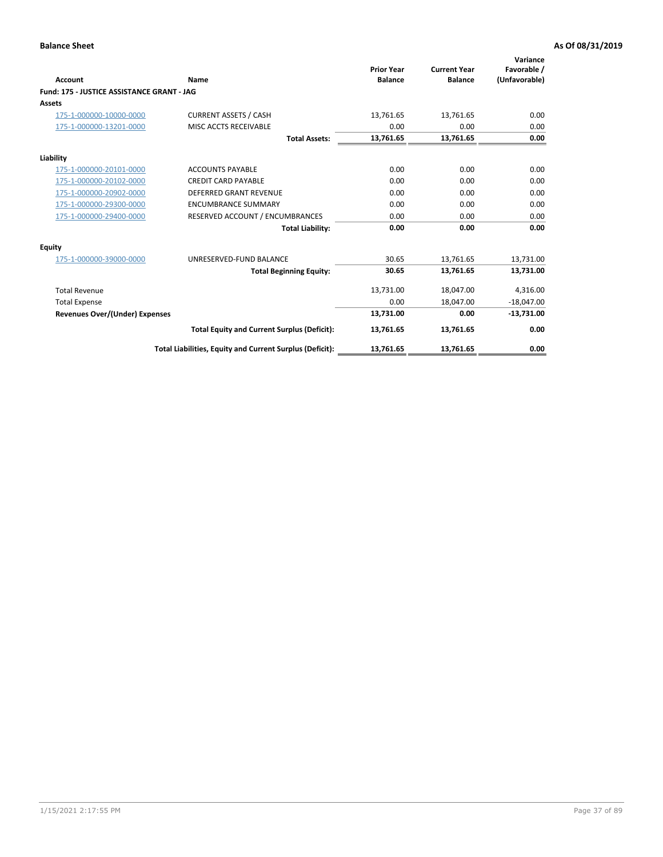| <b>Account</b>                             | Name                                                     | <b>Prior Year</b><br><b>Balance</b> | <b>Current Year</b><br><b>Balance</b> | Variance<br>Favorable /<br>(Unfavorable) |
|--------------------------------------------|----------------------------------------------------------|-------------------------------------|---------------------------------------|------------------------------------------|
| Fund: 175 - JUSTICE ASSISTANCE GRANT - JAG |                                                          |                                     |                                       |                                          |
| <b>Assets</b>                              |                                                          |                                     |                                       |                                          |
| 175-1-000000-10000-0000                    | <b>CURRENT ASSETS / CASH</b>                             | 13,761.65                           | 13,761.65                             | 0.00                                     |
| 175-1-000000-13201-0000                    | MISC ACCTS RECEIVABLE                                    | 0.00                                | 0.00                                  | 0.00                                     |
|                                            | <b>Total Assets:</b>                                     | 13,761.65                           | 13,761.65                             | 0.00                                     |
| Liability                                  |                                                          |                                     |                                       |                                          |
| 175-1-000000-20101-0000                    | <b>ACCOUNTS PAYABLE</b>                                  | 0.00                                | 0.00                                  | 0.00                                     |
| 175-1-000000-20102-0000                    | <b>CREDIT CARD PAYABLE</b>                               | 0.00                                | 0.00                                  | 0.00                                     |
| 175-1-000000-20902-0000                    | DEFERRED GRANT REVENUE                                   | 0.00                                | 0.00                                  | 0.00                                     |
| 175-1-000000-29300-0000                    | <b>ENCUMBRANCE SUMMARY</b>                               | 0.00                                | 0.00                                  | 0.00                                     |
| 175-1-000000-29400-0000                    | RESERVED ACCOUNT / ENCUMBRANCES                          | 0.00                                | 0.00                                  | 0.00                                     |
|                                            | <b>Total Liability:</b>                                  | 0.00                                | 0.00                                  | 0.00                                     |
| <b>Equity</b>                              |                                                          |                                     |                                       |                                          |
| 175-1-000000-39000-0000                    | UNRESERVED-FUND BALANCE                                  | 30.65                               | 13,761.65                             | 13,731.00                                |
|                                            | <b>Total Beginning Equity:</b>                           | 30.65                               | 13.761.65                             | 13.731.00                                |
| <b>Total Revenue</b>                       |                                                          | 13,731.00                           | 18,047.00                             | 4,316.00                                 |
| <b>Total Expense</b>                       |                                                          | 0.00                                | 18,047.00                             | $-18,047.00$                             |
| <b>Revenues Over/(Under) Expenses</b>      |                                                          | 13,731.00                           | 0.00                                  | $-13,731.00$                             |
|                                            | <b>Total Equity and Current Surplus (Deficit):</b>       | 13,761.65                           | 13,761.65                             | 0.00                                     |
|                                            | Total Liabilities, Equity and Current Surplus (Deficit): | 13,761.65                           | 13,761.65                             | 0.00                                     |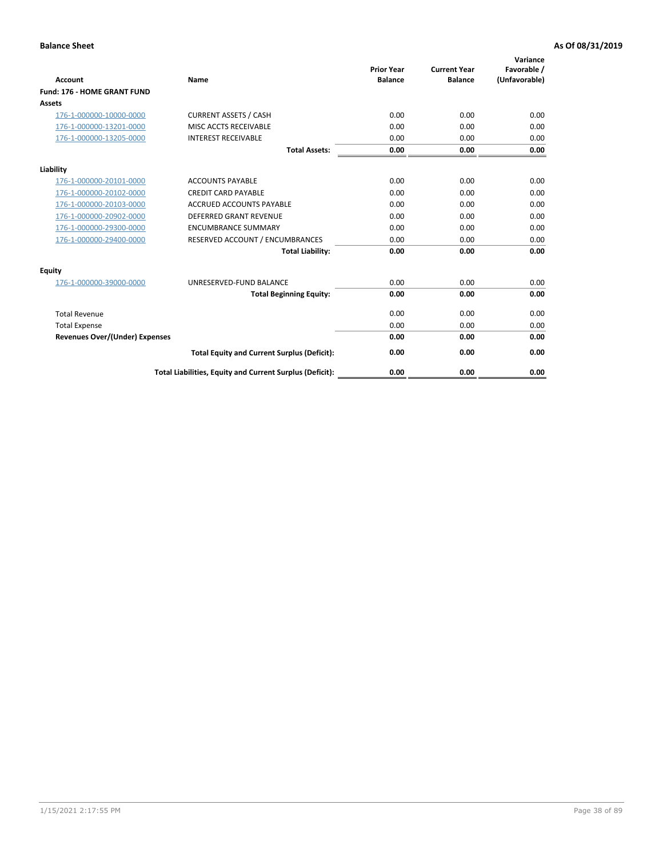|                                       |                                                          | <b>Prior Year</b> | <b>Current Year</b> | Variance<br>Favorable / |
|---------------------------------------|----------------------------------------------------------|-------------------|---------------------|-------------------------|
| <b>Account</b>                        | <b>Name</b>                                              | <b>Balance</b>    | <b>Balance</b>      | (Unfavorable)           |
| Fund: 176 - HOME GRANT FUND           |                                                          |                   |                     |                         |
| <b>Assets</b>                         |                                                          |                   |                     |                         |
| 176-1-000000-10000-0000               | <b>CURRENT ASSETS / CASH</b>                             | 0.00              | 0.00                | 0.00                    |
| 176-1-000000-13201-0000               | MISC ACCTS RECEIVABLE                                    | 0.00              | 0.00                | 0.00                    |
| 176-1-000000-13205-0000               | <b>INTEREST RECEIVABLE</b>                               | 0.00              | 0.00                | 0.00                    |
|                                       | <b>Total Assets:</b>                                     | 0.00              | 0.00                | 0.00                    |
| Liability                             |                                                          |                   |                     |                         |
| 176-1-000000-20101-0000               | <b>ACCOUNTS PAYABLE</b>                                  | 0.00              | 0.00                | 0.00                    |
| 176-1-000000-20102-0000               | <b>CREDIT CARD PAYABLE</b>                               | 0.00              | 0.00                | 0.00                    |
| 176-1-000000-20103-0000               | <b>ACCRUED ACCOUNTS PAYABLE</b>                          | 0.00              | 0.00                | 0.00                    |
| 176-1-000000-20902-0000               | <b>DEFERRED GRANT REVENUE</b>                            | 0.00              | 0.00                | 0.00                    |
| 176-1-000000-29300-0000               | <b>ENCUMBRANCE SUMMARY</b>                               | 0.00              | 0.00                | 0.00                    |
| 176-1-000000-29400-0000               | RESERVED ACCOUNT / ENCUMBRANCES                          | 0.00              | 0.00                | 0.00                    |
|                                       | <b>Total Liability:</b>                                  | 0.00              | 0.00                | 0.00                    |
| Equity                                |                                                          |                   |                     |                         |
| 176-1-000000-39000-0000               | UNRESERVED-FUND BALANCE                                  | 0.00              | 0.00                | 0.00                    |
|                                       | <b>Total Beginning Equity:</b>                           | 0.00              | 0.00                | 0.00                    |
| <b>Total Revenue</b>                  |                                                          | 0.00              | 0.00                | 0.00                    |
| <b>Total Expense</b>                  |                                                          | 0.00              | 0.00                | 0.00                    |
| <b>Revenues Over/(Under) Expenses</b> |                                                          | 0.00              | 0.00                | 0.00                    |
|                                       | <b>Total Equity and Current Surplus (Deficit):</b>       | 0.00              | 0.00                | 0.00                    |
|                                       | Total Liabilities, Equity and Current Surplus (Deficit): | 0.00              | 0.00                | 0.00                    |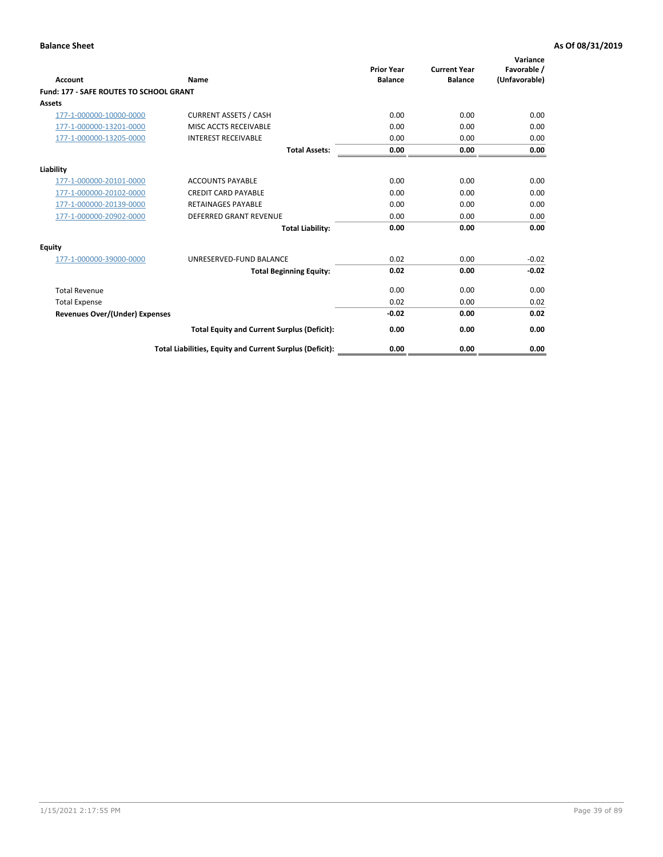| Account                                        | Name                                                     | <b>Prior Year</b><br><b>Balance</b> | <b>Current Year</b><br><b>Balance</b> | Variance<br>Favorable /<br>(Unfavorable) |
|------------------------------------------------|----------------------------------------------------------|-------------------------------------|---------------------------------------|------------------------------------------|
| <b>Fund: 177 - SAFE ROUTES TO SCHOOL GRANT</b> |                                                          |                                     |                                       |                                          |
| <b>Assets</b>                                  |                                                          |                                     |                                       |                                          |
| 177-1-000000-10000-0000                        | <b>CURRENT ASSETS / CASH</b>                             | 0.00                                | 0.00                                  | 0.00                                     |
| 177-1-000000-13201-0000                        | MISC ACCTS RECEIVABLE                                    | 0.00                                | 0.00                                  | 0.00                                     |
| 177-1-000000-13205-0000                        | <b>INTEREST RECEIVABLE</b>                               | 0.00                                | 0.00                                  | 0.00                                     |
|                                                | <b>Total Assets:</b>                                     | 0.00                                | 0.00                                  | 0.00                                     |
| Liability                                      |                                                          |                                     |                                       |                                          |
| 177-1-000000-20101-0000                        | <b>ACCOUNTS PAYABLE</b>                                  | 0.00                                | 0.00                                  | 0.00                                     |
| 177-1-000000-20102-0000                        | <b>CREDIT CARD PAYABLE</b>                               | 0.00                                | 0.00                                  | 0.00                                     |
| 177-1-000000-20139-0000                        | <b>RETAINAGES PAYABLE</b>                                | 0.00                                | 0.00                                  | 0.00                                     |
| 177-1-000000-20902-0000                        | <b>DEFERRED GRANT REVENUE</b>                            | 0.00                                | 0.00                                  | 0.00                                     |
|                                                | <b>Total Liability:</b>                                  | 0.00                                | 0.00                                  | 0.00                                     |
| Equity                                         |                                                          |                                     |                                       |                                          |
| 177-1-000000-39000-0000                        | UNRESERVED-FUND BALANCE                                  | 0.02                                | 0.00                                  | $-0.02$                                  |
|                                                | <b>Total Beginning Equity:</b>                           | 0.02                                | 0.00                                  | $-0.02$                                  |
| <b>Total Revenue</b>                           |                                                          | 0.00                                | 0.00                                  | 0.00                                     |
| <b>Total Expense</b>                           |                                                          | 0.02                                | 0.00                                  | 0.02                                     |
| <b>Revenues Over/(Under) Expenses</b>          |                                                          | $-0.02$                             | 0.00                                  | 0.02                                     |
|                                                | <b>Total Equity and Current Surplus (Deficit):</b>       | 0.00                                | 0.00                                  | 0.00                                     |
|                                                | Total Liabilities, Equity and Current Surplus (Deficit): | 0.00                                | 0.00                                  | 0.00                                     |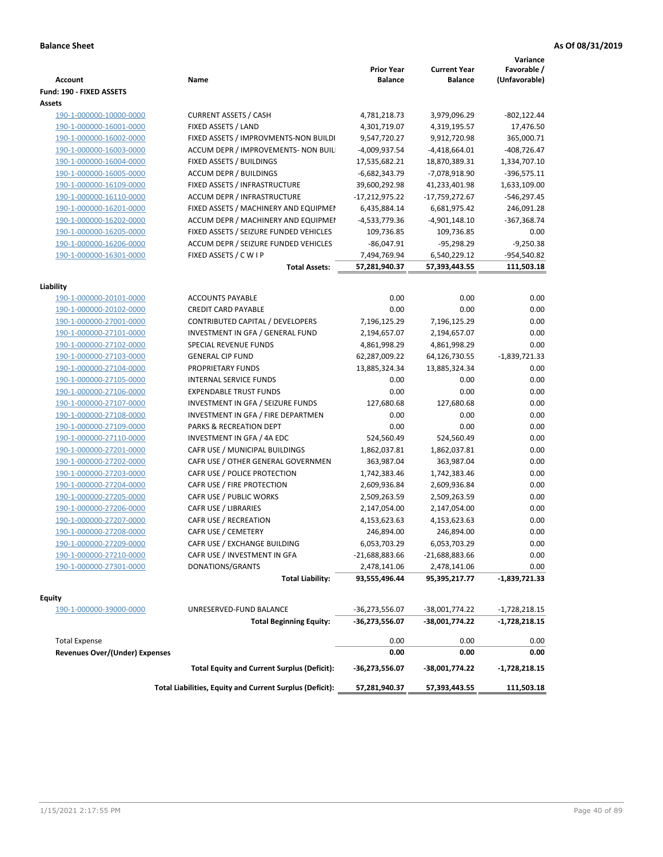| <b>Account</b>                        | Name                                                     | <b>Prior Year</b><br>Balance | <b>Current Year</b><br><b>Balance</b> | Variance<br>Favorable /<br>(Unfavorable) |
|---------------------------------------|----------------------------------------------------------|------------------------------|---------------------------------------|------------------------------------------|
| Fund: 190 - FIXED ASSETS              |                                                          |                              |                                       |                                          |
| Assets                                |                                                          |                              |                                       |                                          |
| 190-1-000000-10000-0000               | <b>CURRENT ASSETS / CASH</b>                             | 4,781,218.73                 | 3,979,096.29                          | $-802, 122.44$                           |
| 190-1-000000-16001-0000               | FIXED ASSETS / LAND                                      | 4,301,719.07                 | 4,319,195.57                          | 17,476.50                                |
| 190-1-000000-16002-0000               | FIXED ASSETS / IMPROVMENTS-NON BUILDI                    | 9,547,720.27                 | 9,912,720.98                          | 365,000.71                               |
| 190-1-000000-16003-0000               | ACCUM DEPR / IMPROVEMENTS- NON BUIL                      | -4,009,937.54                | $-4,418,664.01$                       | $-408,726.47$                            |
| 190-1-000000-16004-0000               | FIXED ASSETS / BUILDINGS                                 | 17,535,682.21                | 18,870,389.31                         | 1,334,707.10                             |
| 190-1-000000-16005-0000               | <b>ACCUM DEPR / BUILDINGS</b>                            | $-6,682,343.79$              | -7,078,918.90                         | $-396,575.11$                            |
| 190-1-000000-16109-0000               | FIXED ASSETS / INFRASTRUCTURE                            | 39,600,292.98                | 41,233,401.98                         | 1,633,109.00                             |
| 190-1-000000-16110-0000               | <b>ACCUM DEPR / INFRASTRUCTURE</b>                       | $-17,212,975.22$             | -17,759,272.67                        | -546,297.45                              |
| 190-1-000000-16201-0000               | FIXED ASSETS / MACHINERY AND EQUIPMEN                    | 6,435,884.14                 | 6,681,975.42                          | 246,091.28                               |
| 190-1-000000-16202-0000               | ACCUM DEPR / MACHINERY AND EQUIPMEI                      | -4,533,779.36                | -4,901,148.10                         | -367,368.74                              |
| 190-1-000000-16205-0000               | FIXED ASSETS / SEIZURE FUNDED VEHICLES                   | 109,736.85                   | 109,736.85                            | 0.00                                     |
| 190-1-000000-16206-0000               | ACCUM DEPR / SEIZURE FUNDED VEHICLES                     | $-86,047.91$                 | $-95,298.29$                          | $-9,250.38$                              |
| 190-1-000000-16301-0000               | FIXED ASSETS / C W I P                                   | 7,494,769.94                 | 6,540,229.12                          | -954,540.82                              |
|                                       | <b>Total Assets:</b>                                     | 57,281,940.37                | 57,393,443.55                         | 111,503.18                               |
|                                       |                                                          |                              |                                       |                                          |
| Liability                             |                                                          |                              |                                       |                                          |
| 190-1-000000-20101-0000               | <b>ACCOUNTS PAYABLE</b>                                  | 0.00                         | 0.00                                  | 0.00                                     |
| 190-1-000000-20102-0000               | <b>CREDIT CARD PAYABLE</b>                               | 0.00                         | 0.00                                  | 0.00                                     |
| 190-1-000000-27001-0000               | CONTRIBUTED CAPITAL / DEVELOPERS                         | 7,196,125.29                 | 7,196,125.29                          | 0.00                                     |
| 190-1-000000-27101-0000               | INVESTMENT IN GFA / GENERAL FUND                         | 2,194,657.07                 | 2,194,657.07                          | 0.00                                     |
| 190-1-000000-27102-0000               | <b>SPECIAL REVENUE FUNDS</b>                             | 4,861,998.29                 | 4,861,998.29                          | 0.00                                     |
| 190-1-000000-27103-0000               | <b>GENERAL CIP FUND</b>                                  | 62,287,009.22                | 64,126,730.55                         | $-1,839,721.33$                          |
| 190-1-000000-27104-0000               | PROPRIETARY FUNDS                                        | 13,885,324.34                | 13,885,324.34                         | 0.00                                     |
| 190-1-000000-27105-0000               | <b>INTERNAL SERVICE FUNDS</b>                            | 0.00                         | 0.00                                  | 0.00                                     |
| 190-1-000000-27106-0000               | <b>EXPENDABLE TRUST FUNDS</b>                            | 0.00                         | 0.00                                  | 0.00                                     |
| 190-1-000000-27107-0000               | INVESTMENT IN GFA / SEIZURE FUNDS                        | 127,680.68                   | 127,680.68                            | 0.00                                     |
| 190-1-000000-27108-0000               | INVESTMENT IN GFA / FIRE DEPARTMEN                       | 0.00                         | 0.00                                  | 0.00                                     |
| 190-1-000000-27109-0000               | PARKS & RECREATION DEPT                                  | 0.00                         | 0.00                                  | 0.00                                     |
| 190-1-000000-27110-0000               | INVESTMENT IN GFA / 4A EDC                               | 524,560.49                   | 524,560.49                            | 0.00                                     |
| 190-1-000000-27201-0000               | CAFR USE / MUNICIPAL BUILDINGS                           | 1,862,037.81                 | 1,862,037.81                          | 0.00                                     |
| 190-1-000000-27202-0000               | CAFR USE / OTHER GENERAL GOVERNMEN                       | 363,987.04                   | 363,987.04                            | 0.00                                     |
| 190-1-000000-27203-0000               | CAFR USE / POLICE PROTECTION                             | 1,742,383.46                 | 1,742,383.46                          | 0.00                                     |
| 190-1-000000-27204-0000               | CAFR USE / FIRE PROTECTION                               | 2,609,936.84                 | 2,609,936.84                          | 0.00                                     |
| 190-1-000000-27205-0000               | CAFR USE / PUBLIC WORKS                                  | 2,509,263.59                 | 2,509,263.59                          | 0.00                                     |
| 190-1-000000-27206-0000               | CAFR USE / LIBRARIES                                     | 2,147,054.00                 | 2,147,054.00                          | 0.00                                     |
| 190-1-000000-27207-0000               | CAFR USE / RECREATION                                    | 4,153,623.63                 | 4,153,623.63                          | 0.00                                     |
| 190-1-000000-27208-0000               | CAFR USE / CEMETERY                                      | 246,894.00                   | 246,894.00                            | 0.00                                     |
| 190-1-000000-27209-0000               | CAFR USE / EXCHANGE BUILDING                             | 6,053,703.29                 | 6,053,703.29                          | 0.00                                     |
| 190-1-000000-27210-0000               | CAFR USE / INVESTMENT IN GFA                             | $-21,688,883.66$             | $-21,688,883.66$                      | 0.00                                     |
| 190-1-000000-27301-0000               | DONATIONS/GRANTS                                         | 2,478,141.06                 | 2,478,141.06                          | 0.00                                     |
|                                       | <b>Total Liability:</b>                                  | 93,555,496.44                | 95,395,217.77                         | -1,839,721.33                            |
| Equity                                |                                                          |                              |                                       |                                          |
| 190-1-000000-39000-0000               | UNRESERVED-FUND BALANCE                                  | -36,273,556.07               | -38,001,774.22                        | $-1,728,218.15$                          |
|                                       | <b>Total Beginning Equity:</b>                           | -36,273,556.07               | -38,001,774.22                        | -1,728,218.15                            |
|                                       |                                                          |                              |                                       |                                          |
| <b>Total Expense</b>                  |                                                          | 0.00                         | 0.00                                  | 0.00                                     |
| <b>Revenues Over/(Under) Expenses</b> |                                                          | 0.00                         | 0.00                                  | 0.00                                     |
|                                       | <b>Total Equity and Current Surplus (Deficit):</b>       | -36,273,556.07               | -38,001,774.22                        | -1,728,218.15                            |
|                                       | Total Liabilities, Equity and Current Surplus (Deficit): | 57,281,940.37                | 57,393,443.55                         | 111,503.18                               |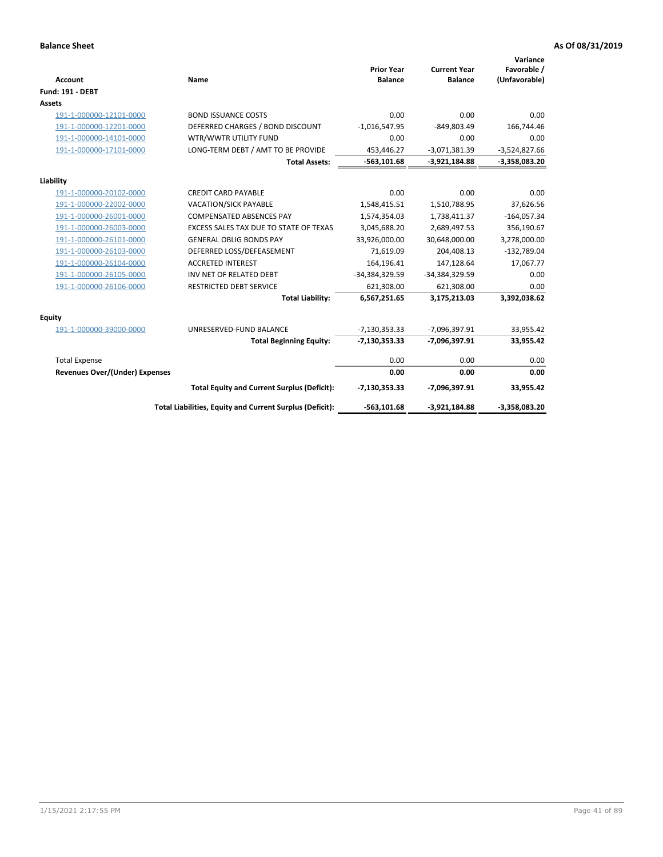| <b>Account</b>                 | Name                                                     | <b>Prior Year</b><br><b>Balance</b> | <b>Current Year</b><br><b>Balance</b> | Variance<br>Favorable /<br>(Unfavorable) |
|--------------------------------|----------------------------------------------------------|-------------------------------------|---------------------------------------|------------------------------------------|
| <b>Fund: 191 - DEBT</b>        |                                                          |                                     |                                       |                                          |
| <b>Assets</b>                  |                                                          |                                     |                                       |                                          |
| 191-1-000000-12101-0000        | <b>BOND ISSUANCE COSTS</b>                               | 0.00                                | 0.00                                  | 0.00                                     |
| 191-1-000000-12201-0000        | DEFERRED CHARGES / BOND DISCOUNT                         | $-1,016,547.95$                     | $-849,803.49$                         | 166,744.46                               |
| 191-1-000000-14101-0000        | WTR/WWTR UTILITY FUND                                    | 0.00                                | 0.00                                  | 0.00                                     |
| 191-1-000000-17101-0000        | LONG-TERM DEBT / AMT TO BE PROVIDE                       | 453,446.27                          | $-3,071,381.39$                       | $-3,524,827.66$                          |
|                                | <b>Total Assets:</b>                                     | $-563,101.68$                       | $-3,921,184.88$                       | $-3,358,083.20$                          |
| Liability                      |                                                          |                                     |                                       |                                          |
| 191-1-000000-20102-0000        | <b>CREDIT CARD PAYABLE</b>                               | 0.00                                | 0.00                                  | 0.00                                     |
| 191-1-000000-22002-0000        | <b>VACATION/SICK PAYABLE</b>                             | 1,548,415.51                        | 1,510,788.95                          | 37,626.56                                |
| 191-1-000000-26001-0000        | <b>COMPENSATED ABSENCES PAY</b>                          | 1,574,354.03                        | 1,738,411.37                          | $-164,057.34$                            |
| 191-1-000000-26003-0000        | EXCESS SALES TAX DUE TO STATE OF TEXAS                   | 3,045,688.20                        | 2,689,497.53                          | 356,190.67                               |
| 191-1-000000-26101-0000        | <b>GENERAL OBLIG BONDS PAY</b>                           | 33,926,000.00                       | 30,648,000.00                         | 3,278,000.00                             |
| 191-1-000000-26103-0000        | DEFERRED LOSS/DEFEASEMENT                                | 71,619.09                           | 204,408.13                            | $-132,789.04$                            |
| 191-1-000000-26104-0000        | <b>ACCRETED INTEREST</b>                                 | 164,196.41                          | 147,128.64                            | 17,067.77                                |
| 191-1-000000-26105-0000        | INV NET OF RELATED DEBT                                  | -34,384,329.59                      | -34,384,329.59                        | 0.00                                     |
| 191-1-000000-26106-0000        | <b>RESTRICTED DEBT SERVICE</b>                           | 621,308.00                          | 621,308.00                            | 0.00                                     |
|                                | <b>Total Liability:</b>                                  | 6,567,251.65                        | 3,175,213.03                          | 3,392,038.62                             |
| Equity                         |                                                          |                                     |                                       |                                          |
| 191-1-000000-39000-0000        | UNRESERVED-FUND BALANCE                                  | $-7,130,353.33$                     | -7,096,397.91                         | 33,955.42                                |
|                                | <b>Total Beginning Equity:</b>                           | $-7,130,353.33$                     | -7,096,397.91                         | 33,955.42                                |
| <b>Total Expense</b>           |                                                          | 0.00                                | 0.00                                  | 0.00                                     |
| Revenues Over/(Under) Expenses |                                                          | 0.00                                | 0.00                                  | 0.00                                     |
|                                | <b>Total Equity and Current Surplus (Deficit):</b>       | $-7,130,353.33$                     | -7,096,397.91                         | 33,955.42                                |
|                                | Total Liabilities, Equity and Current Surplus (Deficit): | $-563,101.68$                       | $-3,921,184.88$                       | $-3,358,083.20$                          |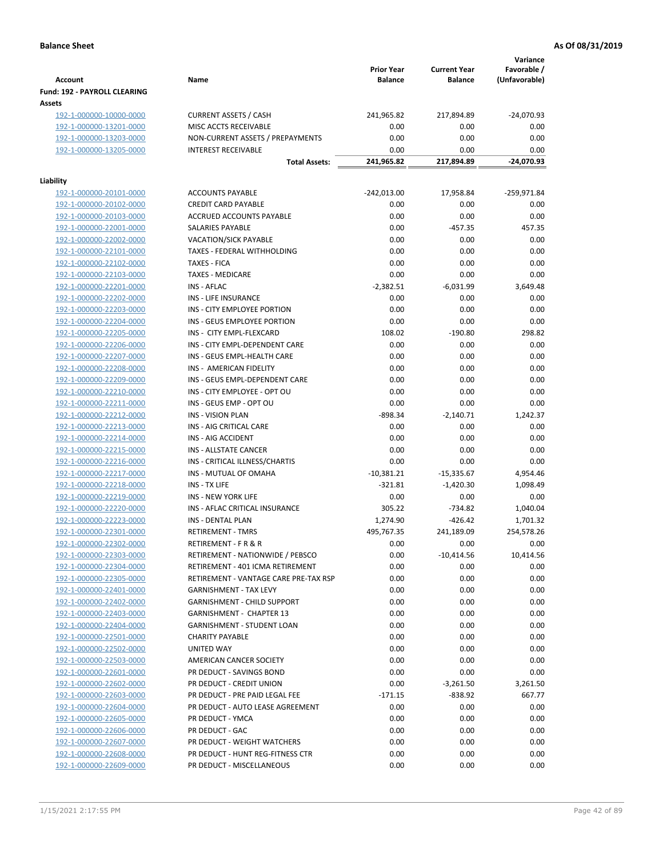|                                                    |                                                                | <b>Prior Year</b>         | <b>Current Year</b>         | Variance<br>Favorable / |
|----------------------------------------------------|----------------------------------------------------------------|---------------------------|-----------------------------|-------------------------|
| <b>Account</b>                                     | Name                                                           | <b>Balance</b>            | <b>Balance</b>              | (Unfavorable)           |
| Fund: 192 - PAYROLL CLEARING                       |                                                                |                           |                             |                         |
| Assets                                             |                                                                |                           |                             |                         |
| 192-1-000000-10000-0000                            | <b>CURRENT ASSETS / CASH</b>                                   | 241,965.82                | 217,894.89                  | $-24,070.93$            |
| 192-1-000000-13201-0000                            | MISC ACCTS RECEIVABLE                                          | 0.00                      | 0.00                        | 0.00                    |
| 192-1-000000-13203-0000                            | NON-CURRENT ASSETS / PREPAYMENTS                               | 0.00                      | 0.00                        | 0.00                    |
| 192-1-000000-13205-0000                            | <b>INTEREST RECEIVABLE</b>                                     | 0.00                      | 0.00<br>217,894.89          | 0.00<br>$-24,070.93$    |
|                                                    | <b>Total Assets:</b>                                           | 241,965.82                |                             |                         |
| Liability                                          |                                                                |                           |                             |                         |
| 192-1-000000-20101-0000                            | <b>ACCOUNTS PAYABLE</b>                                        | $-242,013.00$             | 17,958.84                   | -259,971.84             |
| 192-1-000000-20102-0000                            | <b>CREDIT CARD PAYABLE</b>                                     | 0.00                      | 0.00                        | 0.00                    |
| 192-1-000000-20103-0000                            | ACCRUED ACCOUNTS PAYABLE                                       | 0.00                      | 0.00                        | 0.00                    |
| 192-1-000000-22001-0000                            | SALARIES PAYABLE                                               | 0.00                      | $-457.35$                   | 457.35                  |
| 192-1-000000-22002-0000                            | <b>VACATION/SICK PAYABLE</b>                                   | 0.00                      | 0.00                        | 0.00                    |
| 192-1-000000-22101-0000                            | TAXES - FEDERAL WITHHOLDING                                    | 0.00                      | 0.00                        | 0.00                    |
| 192-1-000000-22102-0000                            | <b>TAXES - FICA</b>                                            | 0.00                      | 0.00                        | 0.00                    |
| 192-1-000000-22103-0000                            | <b>TAXES - MEDICARE</b>                                        | 0.00                      | 0.00                        | 0.00                    |
| 192-1-000000-22201-0000                            | INS - AFLAC                                                    | $-2,382.51$               | $-6,031.99$                 | 3,649.48                |
| 192-1-000000-22202-0000                            | <b>INS - LIFE INSURANCE</b>                                    | 0.00                      | 0.00                        | 0.00                    |
| 192-1-000000-22203-0000                            | INS - CITY EMPLOYEE PORTION                                    | 0.00                      | 0.00                        | 0.00                    |
| 192-1-000000-22204-0000                            | INS - GEUS EMPLOYEE PORTION                                    | 0.00                      | 0.00                        | 0.00                    |
| 192-1-000000-22205-0000                            | INS - CITY EMPL-FLEXCARD                                       | 108.02                    | $-190.80$                   | 298.82                  |
| 192-1-000000-22206-0000                            | INS - CITY EMPL-DEPENDENT CARE                                 | 0.00                      | 0.00                        | 0.00                    |
| 192-1-000000-22207-0000                            | INS - GEUS EMPL-HEALTH CARE                                    | 0.00                      | 0.00                        | 0.00                    |
| 192-1-000000-22208-0000                            | INS - AMERICAN FIDELITY                                        | 0.00                      | 0.00                        | 0.00                    |
| 192-1-000000-22209-0000                            | INS - GEUS EMPL-DEPENDENT CARE                                 | 0.00                      | 0.00                        | 0.00                    |
| 192-1-000000-22210-0000                            | INS - CITY EMPLOYEE - OPT OU                                   | 0.00                      | 0.00                        | 0.00                    |
| 192-1-000000-22211-0000                            | INS - GEUS EMP - OPT OU                                        | 0.00                      | 0.00                        | 0.00                    |
| 192-1-000000-22212-0000                            | <b>INS - VISION PLAN</b>                                       | $-898.34$                 | $-2,140.71$                 | 1,242.37                |
| 192-1-000000-22213-0000                            | INS - AIG CRITICAL CARE                                        | 0.00                      | 0.00                        | 0.00                    |
| 192-1-000000-22214-0000                            | INS - AIG ACCIDENT                                             | 0.00                      | 0.00                        | 0.00                    |
| 192-1-000000-22215-0000                            | INS - ALLSTATE CANCER                                          | 0.00                      | 0.00                        | 0.00                    |
| 192-1-000000-22216-0000                            | INS - CRITICAL ILLNESS/CHARTIS<br><b>INS - MUTUAL OF OMAHA</b> | 0.00                      | 0.00                        | 0.00                    |
| 192-1-000000-22217-0000                            | INS - TX LIFE                                                  | $-10,381.21$<br>$-321.81$ | $-15,335.67$<br>$-1,420.30$ | 4,954.46<br>1,098.49    |
| 192-1-000000-22218-0000<br>192-1-000000-22219-0000 | <b>INS - NEW YORK LIFE</b>                                     | 0.00                      | 0.00                        | 0.00                    |
| 192-1-000000-22220-0000                            | INS - AFLAC CRITICAL INSURANCE                                 | 305.22                    | $-734.82$                   | 1,040.04                |
| 192-1-000000-22223-0000                            | INS - DENTAL PLAN                                              | 1,274.90                  | $-426.42$                   | 1,701.32                |
| 192-1-000000-22301-0000                            | <b>RETIREMENT - TMRS</b>                                       | 495,767.35                | 241,189.09                  | 254,578.26              |
| 192-1-000000-22302-0000                            | RETIREMENT - F R & R                                           | 0.00                      | 0.00                        | 0.00                    |
| 192-1-000000-22303-0000                            | RETIREMENT - NATIONWIDE / PEBSCO                               | 0.00                      | $-10,414.56$                | 10,414.56               |
| 192-1-000000-22304-0000                            | RETIREMENT - 401 ICMA RETIREMENT                               | 0.00                      | 0.00                        | 0.00                    |
| 192-1-000000-22305-0000                            | RETIREMENT - VANTAGE CARE PRE-TAX RSP                          | 0.00                      | 0.00                        | 0.00                    |
| 192-1-000000-22401-0000                            | <b>GARNISHMENT - TAX LEVY</b>                                  | 0.00                      | 0.00                        | 0.00                    |
| 192-1-000000-22402-0000                            | <b>GARNISHMENT - CHILD SUPPORT</b>                             | 0.00                      | 0.00                        | 0.00                    |
| 192-1-000000-22403-0000                            | GARNISHMENT - CHAPTER 13                                       | 0.00                      | 0.00                        | 0.00                    |
| 192-1-000000-22404-0000                            | <b>GARNISHMENT - STUDENT LOAN</b>                              | 0.00                      | 0.00                        | 0.00                    |
| 192-1-000000-22501-0000                            | <b>CHARITY PAYABLE</b>                                         | 0.00                      | 0.00                        | 0.00                    |
| 192-1-000000-22502-0000                            | UNITED WAY                                                     | 0.00                      | 0.00                        | 0.00                    |
| 192-1-000000-22503-0000                            | AMERICAN CANCER SOCIETY                                        | 0.00                      | 0.00                        | 0.00                    |
| 192-1-000000-22601-0000                            | PR DEDUCT - SAVINGS BOND                                       | 0.00                      | 0.00                        | 0.00                    |
| 192-1-000000-22602-0000                            | PR DEDUCT - CREDIT UNION                                       | 0.00                      | $-3,261.50$                 | 3,261.50                |
| 192-1-000000-22603-0000                            | PR DEDUCT - PRE PAID LEGAL FEE                                 | $-171.15$                 | $-838.92$                   | 667.77                  |
| 192-1-000000-22604-0000                            | PR DEDUCT - AUTO LEASE AGREEMENT                               | 0.00                      | 0.00                        | 0.00                    |
| 192-1-000000-22605-0000                            | PR DEDUCT - YMCA                                               | 0.00                      | 0.00                        | 0.00                    |
| 192-1-000000-22606-0000                            | PR DEDUCT - GAC                                                | 0.00                      | 0.00                        | 0.00                    |
| 192-1-000000-22607-0000                            | PR DEDUCT - WEIGHT WATCHERS                                    | 0.00                      | 0.00                        | 0.00                    |
| 192-1-000000-22608-0000                            | PR DEDUCT - HUNT REG-FITNESS CTR                               | 0.00                      | 0.00                        | 0.00                    |
| 192-1-000000-22609-0000                            | PR DEDUCT - MISCELLANEOUS                                      | 0.00                      | 0.00                        | 0.00                    |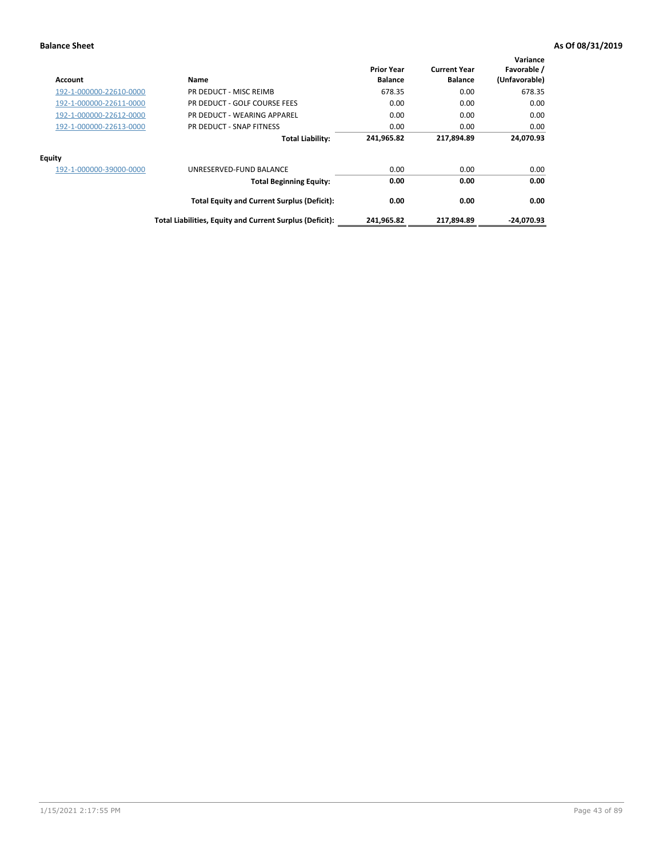| <b>Account</b>          | Name                                                     | <b>Prior Year</b><br><b>Balance</b> | <b>Current Year</b><br><b>Balance</b> | Variance<br>Favorable /<br>(Unfavorable) |
|-------------------------|----------------------------------------------------------|-------------------------------------|---------------------------------------|------------------------------------------|
| 192-1-000000-22610-0000 | PR DEDUCT - MISC REIMB                                   | 678.35                              | 0.00                                  | 678.35                                   |
| 192-1-000000-22611-0000 | PR DEDUCT - GOLF COURSE FEES                             | 0.00                                | 0.00                                  | 0.00                                     |
| 192-1-000000-22612-0000 | PR DEDUCT - WEARING APPAREL                              | 0.00                                | 0.00                                  | 0.00                                     |
| 192-1-000000-22613-0000 | PR DEDUCT - SNAP FITNESS                                 | 0.00                                | 0.00                                  | 0.00                                     |
|                         | <b>Total Liability:</b>                                  | 241,965.82                          | 217,894.89                            | 24,070.93                                |
| <b>Equity</b>           |                                                          |                                     |                                       |                                          |
| 192-1-000000-39000-0000 | UNRESERVED-FUND BALANCE                                  | 0.00                                | 0.00                                  | 0.00                                     |
|                         | <b>Total Beginning Equity:</b>                           | 0.00                                | 0.00                                  | 0.00                                     |
|                         | <b>Total Equity and Current Surplus (Deficit):</b>       | 0.00                                | 0.00                                  | 0.00                                     |
|                         | Total Liabilities, Equity and Current Surplus (Deficit): | 241,965.82                          | 217,894.89                            | -24.070.93                               |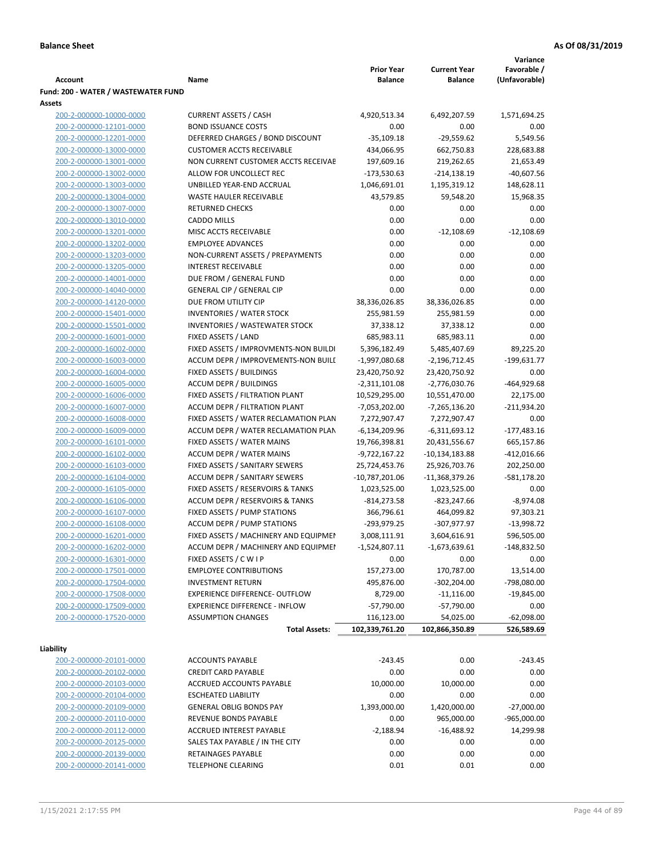|                                                    |                                                                         |                                     |                                       | Variance                     |
|----------------------------------------------------|-------------------------------------------------------------------------|-------------------------------------|---------------------------------------|------------------------------|
| Account                                            | Name                                                                    | <b>Prior Year</b><br><b>Balance</b> | <b>Current Year</b><br><b>Balance</b> | Favorable /<br>(Unfavorable) |
| Fund: 200 - WATER / WASTEWATER FUND                |                                                                         |                                     |                                       |                              |
| Assets                                             |                                                                         |                                     |                                       |                              |
| 200-2-000000-10000-0000                            | <b>CURRENT ASSETS / CASH</b>                                            | 4,920,513.34                        | 6,492,207.59                          | 1,571,694.25                 |
| 200-2-000000-12101-0000                            | <b>BOND ISSUANCE COSTS</b>                                              | 0.00                                | 0.00                                  | 0.00                         |
| 200-2-000000-12201-0000                            | DEFERRED CHARGES / BOND DISCOUNT                                        | $-35,109.18$                        | $-29,559.62$                          | 5,549.56                     |
| 200-2-000000-13000-0000                            | <b>CUSTOMER ACCTS RECEIVABLE</b>                                        | 434,066.95                          | 662,750.83                            | 228,683.88                   |
| 200-2-000000-13001-0000                            | NON CURRENT CUSTOMER ACCTS RECEIVAE                                     | 197,609.16                          | 219,262.65                            | 21,653.49                    |
| 200-2-000000-13002-0000                            | ALLOW FOR UNCOLLECT REC                                                 | $-173,530.63$                       | $-214,138.19$                         | $-40,607.56$                 |
| 200-2-000000-13003-0000                            | UNBILLED YEAR-END ACCRUAL                                               | 1,046,691.01                        | 1,195,319.12                          | 148,628.11                   |
| 200-2-000000-13004-0000                            | <b>WASTE HAULER RECEIVABLE</b>                                          | 43,579.85                           | 59,548.20                             | 15,968.35                    |
| 200-2-000000-13007-0000                            | <b>RETURNED CHECKS</b>                                                  | 0.00                                | 0.00                                  | 0.00                         |
| 200-2-000000-13010-0000                            | <b>CADDO MILLS</b>                                                      | 0.00                                | 0.00                                  | 0.00                         |
| 200-2-000000-13201-0000                            | MISC ACCTS RECEIVABLE                                                   | 0.00                                | $-12,108.69$                          | $-12,108.69$                 |
| 200-2-000000-13202-0000                            | <b>EMPLOYEE ADVANCES</b>                                                | 0.00                                | 0.00                                  | 0.00                         |
| 200-2-000000-13203-0000                            | NON-CURRENT ASSETS / PREPAYMENTS                                        | 0.00                                | 0.00                                  | 0.00                         |
| 200-2-000000-13205-0000                            | <b>INTEREST RECEIVABLE</b>                                              | 0.00                                | 0.00                                  | 0.00                         |
| 200-2-000000-14001-0000                            | DUE FROM / GENERAL FUND                                                 | 0.00                                | 0.00                                  | 0.00                         |
| 200-2-000000-14040-0000<br>200-2-000000-14120-0000 | <b>GENERAL CIP / GENERAL CIP</b>                                        | 0.00                                | 0.00                                  | 0.00                         |
| 200-2-000000-15401-0000                            | DUE FROM UTILITY CIP<br><b>INVENTORIES / WATER STOCK</b>                | 38,336,026.85<br>255,981.59         | 38,336,026.85<br>255,981.59           | 0.00<br>0.00                 |
| 200-2-000000-15501-0000                            | <b>INVENTORIES / WASTEWATER STOCK</b>                                   | 37,338.12                           | 37,338.12                             | 0.00                         |
| 200-2-000000-16001-0000                            | FIXED ASSETS / LAND                                                     | 685,983.11                          | 685,983.11                            | 0.00                         |
| 200-2-000000-16002-0000                            | FIXED ASSETS / IMPROVMENTS-NON BUILDI                                   | 5,396,182.49                        | 5,485,407.69                          | 89,225.20                    |
| 200-2-000000-16003-0000                            | ACCUM DEPR / IMPROVEMENTS-NON BUILI                                     | $-1,997,080.68$                     | -2,196,712.45                         | $-199,631.77$                |
| 200-2-000000-16004-0000                            | FIXED ASSETS / BUILDINGS                                                | 23,420,750.92                       | 23,420,750.92                         | 0.00                         |
| 200-2-000000-16005-0000                            | <b>ACCUM DEPR / BUILDINGS</b>                                           | $-2,311,101.08$                     | $-2,776,030.76$                       | $-464,929.68$                |
| 200-2-000000-16006-0000                            | FIXED ASSETS / FILTRATION PLANT                                         | 10,529,295.00                       | 10,551,470.00                         | 22,175.00                    |
| 200-2-000000-16007-0000                            | ACCUM DEPR / FILTRATION PLANT                                           | -7,053,202.00                       | $-7,265,136.20$                       | $-211,934.20$                |
| 200-2-000000-16008-0000                            | FIXED ASSETS / WATER RECLAMATION PLAN                                   | 7,272,907.47                        | 7,272,907.47                          | 0.00                         |
| 200-2-000000-16009-0000                            | ACCUM DEPR / WATER RECLAMATION PLAN                                     | $-6,134,209.96$                     | $-6,311,693.12$                       | $-177,483.16$                |
| 200-2-000000-16101-0000                            | FIXED ASSETS / WATER MAINS                                              | 19,766,398.81                       | 20,431,556.67                         | 665,157.86                   |
| 200-2-000000-16102-0000                            | <b>ACCUM DEPR / WATER MAINS</b>                                         | $-9,722,167.22$                     | -10,134,183.88                        | $-412,016.66$                |
| 200-2-000000-16103-0000                            | FIXED ASSETS / SANITARY SEWERS                                          | 25,724,453.76                       | 25,926,703.76                         | 202,250.00                   |
| 200-2-000000-16104-0000                            | <b>ACCUM DEPR / SANITARY SEWERS</b>                                     | $-10,787,201.06$                    | -11,368,379.26                        | -581,178.20                  |
| 200-2-000000-16105-0000                            | FIXED ASSETS / RESERVOIRS & TANKS                                       | 1,023,525.00                        | 1,023,525.00                          | 0.00                         |
| 200-2-000000-16106-0000                            | ACCUM DEPR / RESERVOIRS & TANKS                                         | $-814,273.58$                       | $-823,247.66$                         | $-8,974.08$                  |
| 200-2-000000-16107-0000                            | FIXED ASSETS / PUMP STATIONS                                            | 366,796.61                          | 464,099.82                            | 97,303.21                    |
| 200-2-000000-16108-0000                            | <b>ACCUM DEPR / PUMP STATIONS</b>                                       | -293,979.25                         | -307,977.97                           | $-13,998.72$                 |
| 200-2-000000-16201-0000                            | FIXED ASSETS / MACHINERY AND EQUIPMEN                                   | 3,008,111.91                        | 3,604,616.91                          | 596,505.00                   |
| 200-2-000000-16202-0000                            | ACCUM DEPR / MACHINERY AND EQUIPMEI                                     | $-1,524,807.11$                     | $-1,673,639.61$                       | -148,832.50                  |
| 200-2-000000-16301-0000                            | FIXED ASSETS / C W I P                                                  | 0.00                                | 0.00                                  | 0.00                         |
| 200-2-000000-17501-0000                            | <b>EMPLOYEE CONTRIBUTIONS</b><br><b>INVESTMENT RETURN</b>               | 157,273.00                          | 170,787.00                            | 13,514.00                    |
| 200-2-000000-17504-0000                            |                                                                         | 495,876.00                          | $-302,204.00$                         | -798,080.00                  |
| 200-2-000000-17508-0000<br>200-2-000000-17509-0000 | EXPERIENCE DIFFERENCE- OUTFLOW<br><b>EXPERIENCE DIFFERENCE - INFLOW</b> | 8,729.00<br>$-57,790.00$            | $-11,116.00$<br>$-57,790.00$          | $-19,845.00$<br>0.00         |
| 200-2-000000-17520-0000                            | <b>ASSUMPTION CHANGES</b>                                               | 116,123.00                          | 54,025.00                             | $-62,098.00$                 |
|                                                    | <b>Total Assets:</b>                                                    | 102,339,761.20                      | 102,866,350.89                        | 526,589.69                   |
|                                                    |                                                                         |                                     |                                       |                              |
| Liability                                          |                                                                         |                                     |                                       |                              |
| 200-2-000000-20101-0000                            | <b>ACCOUNTS PAYABLE</b>                                                 | $-243.45$                           | 0.00                                  | $-243.45$                    |
| 200-2-000000-20102-0000                            | <b>CREDIT CARD PAYABLE</b>                                              | 0.00                                | 0.00                                  | 0.00                         |
| 200-2-000000-20103-0000                            | ACCRUED ACCOUNTS PAYABLE                                                | 10,000.00                           | 10,000.00                             | 0.00                         |
| 200-2-000000-20104-0000                            | <b>ESCHEATED LIABILITY</b>                                              | 0.00                                | 0.00                                  | 0.00                         |
| 200-2-000000-20109-0000                            | <b>GENERAL OBLIG BONDS PAY</b>                                          | 1,393,000.00                        | 1,420,000.00                          | $-27,000.00$                 |
| 200-2-000000-20110-0000                            | REVENUE BONDS PAYABLE                                                   | 0.00                                | 965,000.00                            | $-965,000.00$                |
| 200-2-000000-20112-0000                            | ACCRUED INTEREST PAYABLE                                                | $-2,188.94$                         | $-16,488.92$                          | 14,299.98                    |
| 200-2-000000-20125-0000                            | SALES TAX PAYABLE / IN THE CITY                                         | 0.00                                | 0.00                                  | 0.00                         |
| 200-2-000000-20139-0000                            | RETAINAGES PAYABLE                                                      | 0.00                                | 0.00                                  | 0.00                         |
| 200-2-000000-20141-0000                            | TELEPHONE CLEARING                                                      | 0.01                                | 0.01                                  | 0.00                         |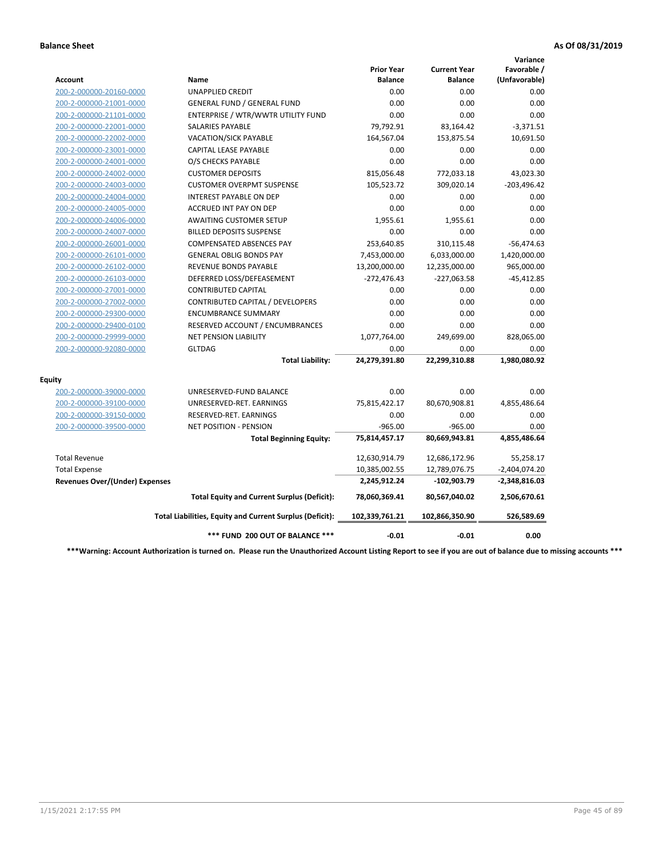|                                       |                                                          |                                     |                                       | Variance                     |
|---------------------------------------|----------------------------------------------------------|-------------------------------------|---------------------------------------|------------------------------|
| <b>Account</b>                        | <b>Name</b>                                              | <b>Prior Year</b><br><b>Balance</b> | <b>Current Year</b><br><b>Balance</b> | Favorable /<br>(Unfavorable) |
| 200-2-000000-20160-0000               | <b>UNAPPLIED CREDIT</b>                                  | 0.00                                | 0.00                                  | 0.00                         |
| 200-2-000000-21001-0000               | <b>GENERAL FUND / GENERAL FUND</b>                       | 0.00                                | 0.00                                  | 0.00                         |
| 200-2-000000-21101-0000               | ENTERPRISE / WTR/WWTR UTILITY FUND                       | 0.00                                | 0.00                                  | 0.00                         |
| 200-2-000000-22001-0000               | <b>SALARIES PAYABLE</b>                                  | 79,792.91                           | 83,164.42                             | $-3,371.51$                  |
| 200-2-000000-22002-0000               | <b>VACATION/SICK PAYABLE</b>                             | 164,567.04                          | 153,875.54                            | 10,691.50                    |
| 200-2-000000-23001-0000               | CAPITAL LEASE PAYABLE                                    | 0.00                                | 0.00                                  | 0.00                         |
| 200-2-000000-24001-0000               | O/S CHECKS PAYABLE                                       | 0.00                                | 0.00                                  | 0.00                         |
| 200-2-000000-24002-0000               | <b>CUSTOMER DEPOSITS</b>                                 | 815,056.48                          | 772,033.18                            | 43,023.30                    |
| 200-2-000000-24003-0000               | <b>CUSTOMER OVERPMT SUSPENSE</b>                         | 105,523.72                          | 309,020.14                            | $-203,496.42$                |
| 200-2-000000-24004-0000               | <b>INTEREST PAYABLE ON DEP</b>                           | 0.00                                | 0.00                                  | 0.00                         |
| 200-2-000000-24005-0000               | <b>ACCRUED INT PAY ON DEP</b>                            | 0.00                                | 0.00                                  | 0.00                         |
| 200-2-000000-24006-0000               | <b>AWAITING CUSTOMER SETUP</b>                           | 1,955.61                            | 1,955.61                              | 0.00                         |
| 200-2-000000-24007-0000               | <b>BILLED DEPOSITS SUSPENSE</b>                          | 0.00                                | 0.00                                  | 0.00                         |
| 200-2-000000-26001-0000               | <b>COMPENSATED ABSENCES PAY</b>                          | 253,640.85                          | 310,115.48                            | $-56,474.63$                 |
| 200-2-000000-26101-0000               | <b>GENERAL OBLIG BONDS PAY</b>                           | 7,453,000.00                        | 6,033,000.00                          | 1,420,000.00                 |
| 200-2-000000-26102-0000               | REVENUE BONDS PAYABLE                                    | 13,200,000.00                       | 12,235,000.00                         | 965,000.00                   |
| 200-2-000000-26103-0000               | DEFERRED LOSS/DEFEASEMENT                                | $-272,476.43$                       | -227,063.58                           | $-45,412.85$                 |
| 200-2-000000-27001-0000               | <b>CONTRIBUTED CAPITAL</b>                               | 0.00                                | 0.00                                  | 0.00                         |
| 200-2-000000-27002-0000               | CONTRIBUTED CAPITAL / DEVELOPERS                         | 0.00                                | 0.00                                  | 0.00                         |
| 200-2-000000-29300-0000               | <b>ENCUMBRANCE SUMMARY</b>                               | 0.00                                | 0.00                                  | 0.00                         |
| 200-2-000000-29400-0100               | RESERVED ACCOUNT / ENCUMBRANCES                          | 0.00                                | 0.00                                  | 0.00                         |
| 200-2-000000-29999-0000               | <b>NET PENSION LIABILITY</b>                             | 1,077,764.00                        | 249,699.00                            | 828,065.00                   |
| 200-2-000000-92080-0000               | <b>GLTDAG</b>                                            | 0.00                                | 0.00                                  | 0.00                         |
|                                       | <b>Total Liability:</b>                                  | 24,279,391.80                       | 22,299,310.88                         | 1,980,080.92                 |
| <b>Equity</b>                         |                                                          |                                     |                                       |                              |
| 200-2-000000-39000-0000               | UNRESERVED-FUND BALANCE                                  | 0.00                                | 0.00                                  | 0.00                         |
| 200-2-000000-39100-0000               | UNRESERVED-RET. EARNINGS                                 | 75,815,422.17                       | 80,670,908.81                         | 4,855,486.64                 |
| 200-2-000000-39150-0000               | RESERVED-RET. EARNINGS                                   | 0.00                                | 0.00                                  | 0.00                         |
| 200-2-000000-39500-0000               | <b>NET POSITION - PENSION</b>                            | $-965.00$                           | $-965.00$                             | 0.00                         |
|                                       | <b>Total Beginning Equity:</b>                           | 75,814,457.17                       | 80,669,943.81                         | 4,855,486.64                 |
| <b>Total Revenue</b>                  |                                                          | 12,630,914.79                       | 12,686,172.96                         | 55,258.17                    |
| <b>Total Expense</b>                  |                                                          | 10,385,002.55                       | 12,789,076.75                         | $-2,404,074.20$              |
| <b>Revenues Over/(Under) Expenses</b> |                                                          | 2,245,912.24                        | -102,903.79                           | $-2,348,816.03$              |
|                                       | <b>Total Equity and Current Surplus (Deficit):</b>       | 78,060,369.41                       | 80,567,040.02                         | 2,506,670.61                 |
|                                       | Total Liabilities, Equity and Current Surplus (Deficit): | 102,339,761.21                      | 102,866,350.90                        | 526,589.69                   |
|                                       | *** FUND 200 OUT OF BALANCE ***                          | $-0.01$                             | $-0.01$                               | 0.00                         |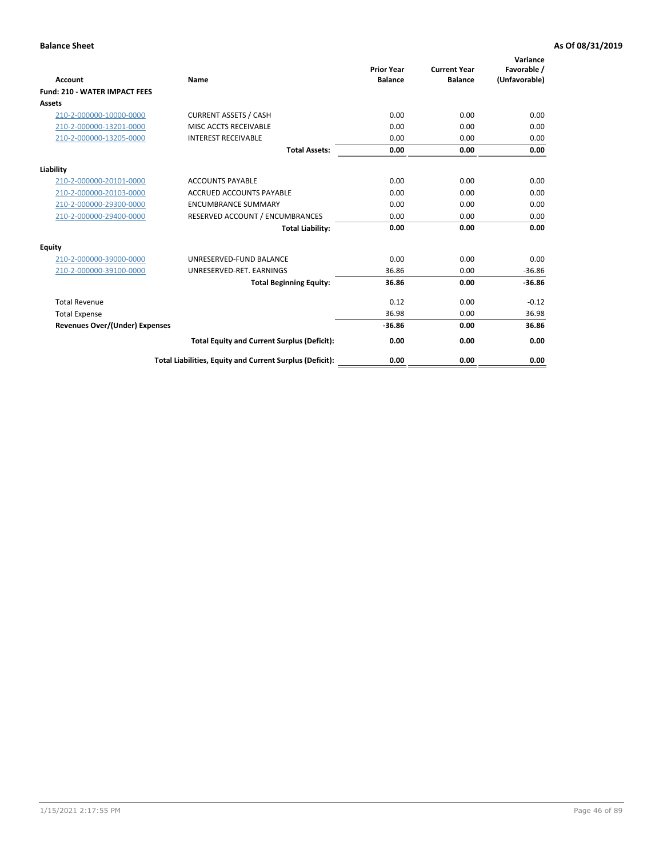| Account                               | Name                                                     | <b>Prior Year</b><br><b>Balance</b> | <b>Current Year</b><br><b>Balance</b> | Variance<br>Favorable /<br>(Unfavorable) |
|---------------------------------------|----------------------------------------------------------|-------------------------------------|---------------------------------------|------------------------------------------|
| <b>Fund: 210 - WATER IMPACT FEES</b>  |                                                          |                                     |                                       |                                          |
| <b>Assets</b>                         |                                                          |                                     |                                       |                                          |
| 210-2-000000-10000-0000               | <b>CURRENT ASSETS / CASH</b>                             | 0.00                                | 0.00                                  | 0.00                                     |
| 210-2-000000-13201-0000               | MISC ACCTS RECEIVABLE                                    | 0.00                                | 0.00                                  | 0.00                                     |
| 210-2-000000-13205-0000               | <b>INTEREST RECEIVABLE</b>                               | 0.00                                | 0.00                                  | 0.00                                     |
|                                       | <b>Total Assets:</b>                                     | 0.00                                | 0.00                                  | 0.00                                     |
| Liability                             |                                                          |                                     |                                       |                                          |
| 210-2-000000-20101-0000               | <b>ACCOUNTS PAYABLE</b>                                  | 0.00                                | 0.00                                  | 0.00                                     |
| 210-2-000000-20103-0000               | <b>ACCRUED ACCOUNTS PAYABLE</b>                          | 0.00                                | 0.00                                  | 0.00                                     |
| 210-2-000000-29300-0000               | <b>ENCUMBRANCE SUMMARY</b>                               | 0.00                                | 0.00                                  | 0.00                                     |
| 210-2-000000-29400-0000               | RESERVED ACCOUNT / ENCUMBRANCES                          | 0.00                                | 0.00                                  | 0.00                                     |
|                                       | <b>Total Liability:</b>                                  | 0.00                                | 0.00                                  | 0.00                                     |
| <b>Equity</b>                         |                                                          |                                     |                                       |                                          |
| 210-2-000000-39000-0000               | UNRESERVED-FUND BALANCE                                  | 0.00                                | 0.00                                  | 0.00                                     |
| 210-2-000000-39100-0000               | UNRESERVED-RET. EARNINGS                                 | 36.86                               | 0.00                                  | $-36.86$                                 |
|                                       | <b>Total Beginning Equity:</b>                           | 36.86                               | 0.00                                  | $-36.86$                                 |
| <b>Total Revenue</b>                  |                                                          | 0.12                                | 0.00                                  | $-0.12$                                  |
| <b>Total Expense</b>                  |                                                          | 36.98                               | 0.00                                  | 36.98                                    |
| <b>Revenues Over/(Under) Expenses</b> |                                                          | $-36.86$                            | 0.00                                  | 36.86                                    |
|                                       | <b>Total Equity and Current Surplus (Deficit):</b>       | 0.00                                | 0.00                                  | 0.00                                     |
|                                       | Total Liabilities, Equity and Current Surplus (Deficit): | 0.00                                | 0.00                                  | 0.00                                     |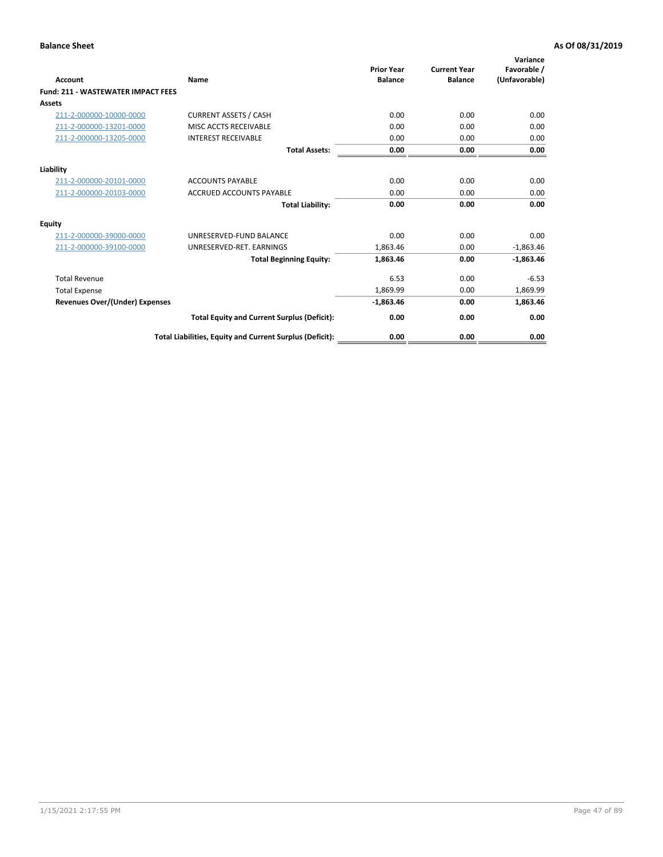| <b>Account</b>                        | Name                                                     | <b>Prior Year</b><br><b>Balance</b> | <b>Current Year</b><br><b>Balance</b> | Variance<br>Favorable /<br>(Unfavorable) |
|---------------------------------------|----------------------------------------------------------|-------------------------------------|---------------------------------------|------------------------------------------|
| Fund: 211 - WASTEWATER IMPACT FEES    |                                                          |                                     |                                       |                                          |
| <b>Assets</b>                         |                                                          |                                     |                                       |                                          |
| 211-2-000000-10000-0000               | <b>CURRENT ASSETS / CASH</b>                             | 0.00                                | 0.00                                  | 0.00                                     |
| 211-2-000000-13201-0000               | MISC ACCTS RECEIVABLE                                    | 0.00                                | 0.00                                  | 0.00                                     |
| 211-2-000000-13205-0000               | <b>INTEREST RECEIVABLE</b>                               | 0.00                                | 0.00                                  | 0.00                                     |
|                                       | <b>Total Assets:</b>                                     | 0.00                                | 0.00                                  | 0.00                                     |
| Liability                             |                                                          |                                     |                                       |                                          |
| 211-2-000000-20101-0000               | <b>ACCOUNTS PAYABLE</b>                                  | 0.00                                | 0.00                                  | 0.00                                     |
| 211-2-000000-20103-0000               | <b>ACCRUED ACCOUNTS PAYABLE</b>                          | 0.00                                | 0.00                                  | 0.00                                     |
|                                       | <b>Total Liability:</b>                                  | 0.00                                | 0.00                                  | 0.00                                     |
| <b>Equity</b>                         |                                                          |                                     |                                       |                                          |
| 211-2-000000-39000-0000               | UNRESERVED-FUND BALANCE                                  | 0.00                                | 0.00                                  | 0.00                                     |
| 211-2-000000-39100-0000               | UNRESERVED-RET. EARNINGS                                 | 1,863.46                            | 0.00                                  | $-1,863.46$                              |
|                                       | <b>Total Beginning Equity:</b>                           | 1,863.46                            | 0.00                                  | $-1,863.46$                              |
| <b>Total Revenue</b>                  |                                                          | 6.53                                | 0.00                                  | $-6.53$                                  |
| <b>Total Expense</b>                  |                                                          | 1,869.99                            | 0.00                                  | 1,869.99                                 |
| <b>Revenues Over/(Under) Expenses</b> |                                                          | $-1,863.46$                         | 0.00                                  | 1,863.46                                 |
|                                       | <b>Total Equity and Current Surplus (Deficit):</b>       | 0.00                                | 0.00                                  | 0.00                                     |
|                                       | Total Liabilities, Equity and Current Surplus (Deficit): | 0.00                                | 0.00                                  | 0.00                                     |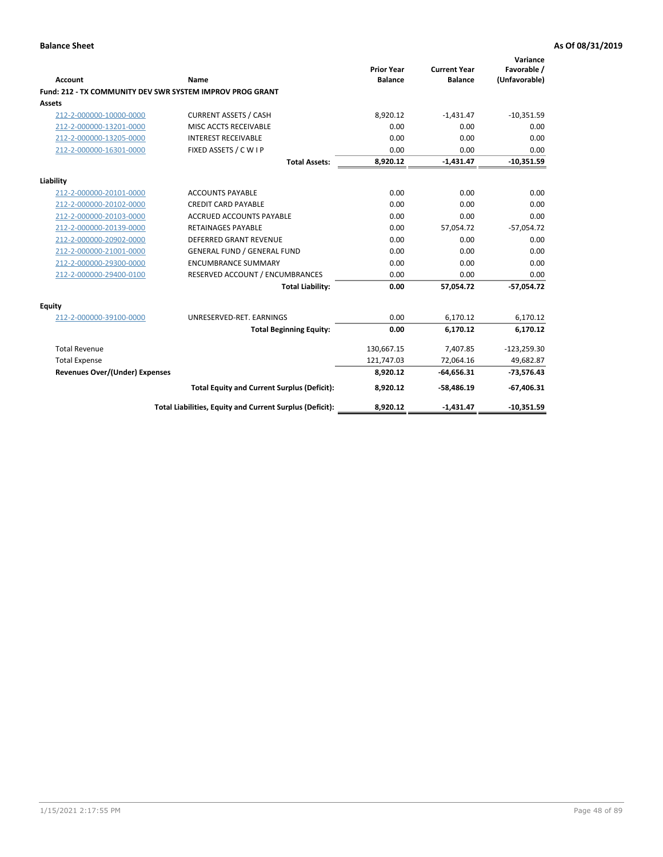| <b>Account</b>                        | <b>Name</b>                                               | <b>Prior Year</b><br><b>Balance</b> | <b>Current Year</b><br><b>Balance</b> | Variance<br>Favorable /<br>(Unfavorable) |
|---------------------------------------|-----------------------------------------------------------|-------------------------------------|---------------------------------------|------------------------------------------|
|                                       | Fund: 212 - TX COMMUNITY DEV SWR SYSTEM IMPROV PROG GRANT |                                     |                                       |                                          |
| <b>Assets</b>                         |                                                           |                                     |                                       |                                          |
| 212-2-000000-10000-0000               | <b>CURRENT ASSETS / CASH</b>                              | 8,920.12                            | $-1,431.47$                           | $-10,351.59$                             |
| 212-2-000000-13201-0000               | MISC ACCTS RECEIVABLE                                     | 0.00                                | 0.00                                  | 0.00                                     |
| 212-2-000000-13205-0000               | <b>INTEREST RECEIVABLE</b>                                | 0.00                                | 0.00                                  | 0.00                                     |
| 212-2-000000-16301-0000               | FIXED ASSETS / C W I P                                    | 0.00                                | 0.00                                  | 0.00                                     |
|                                       | <b>Total Assets:</b>                                      | 8,920.12                            | $-1,431.47$                           | $-10,351.59$                             |
| Liability                             |                                                           |                                     |                                       |                                          |
| 212-2-000000-20101-0000               | <b>ACCOUNTS PAYABLE</b>                                   | 0.00                                | 0.00                                  | 0.00                                     |
| 212-2-000000-20102-0000               | <b>CREDIT CARD PAYABLE</b>                                | 0.00                                | 0.00                                  | 0.00                                     |
| 212-2-000000-20103-0000               | <b>ACCRUED ACCOUNTS PAYABLE</b>                           | 0.00                                | 0.00                                  | 0.00                                     |
| 212-2-000000-20139-0000               | <b>RETAINAGES PAYABLE</b>                                 | 0.00                                | 57,054.72                             | $-57,054.72$                             |
| 212-2-000000-20902-0000               | <b>DEFERRED GRANT REVENUE</b>                             | 0.00                                | 0.00                                  | 0.00                                     |
| 212-2-000000-21001-0000               | <b>GENERAL FUND / GENERAL FUND</b>                        | 0.00                                | 0.00                                  | 0.00                                     |
| 212-2-000000-29300-0000               | <b>ENCUMBRANCE SUMMARY</b>                                | 0.00                                | 0.00                                  | 0.00                                     |
| 212-2-000000-29400-0100               | RESERVED ACCOUNT / ENCUMBRANCES                           | 0.00                                | 0.00                                  | 0.00                                     |
|                                       | <b>Total Liability:</b>                                   | 0.00                                | 57,054.72                             | $-57,054.72$                             |
| Equity                                |                                                           |                                     |                                       |                                          |
| 212-2-000000-39100-0000               | UNRESERVED-RET. EARNINGS                                  | 0.00                                | 6.170.12                              | 6,170.12                                 |
|                                       | <b>Total Beginning Equity:</b>                            | 0.00                                | 6,170.12                              | 6,170.12                                 |
| <b>Total Revenue</b>                  |                                                           | 130,667.15                          | 7,407.85                              | $-123,259.30$                            |
| <b>Total Expense</b>                  |                                                           | 121,747.03                          | 72.064.16                             | 49,682.87                                |
| <b>Revenues Over/(Under) Expenses</b> |                                                           | 8,920.12                            | $-64,656.31$                          | $-73,576.43$                             |
|                                       | <b>Total Equity and Current Surplus (Deficit):</b>        | 8.920.12                            | $-58.486.19$                          | $-67,406.31$                             |
|                                       | Total Liabilities, Equity and Current Surplus (Deficit):  | 8.920.12                            | $-1.431.47$                           | $-10,351.59$                             |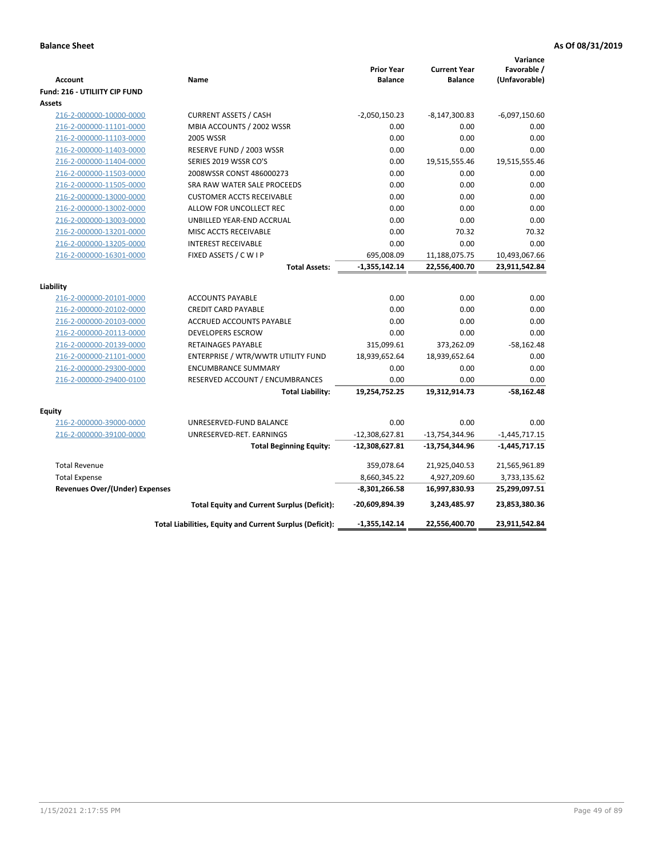| Account<br><b>Fund: 216 - UTILIITY CIP FUND</b> | Name                                                     | <b>Prior Year</b><br><b>Balance</b> | <b>Current Year</b><br><b>Balance</b> | Variance<br>Favorable /<br>(Unfavorable) |
|-------------------------------------------------|----------------------------------------------------------|-------------------------------------|---------------------------------------|------------------------------------------|
| <b>Assets</b>                                   |                                                          |                                     |                                       |                                          |
| 216-2-000000-10000-0000                         | <b>CURRENT ASSETS / CASH</b>                             | $-2,050,150.23$                     | $-8,147,300.83$                       | $-6,097,150.60$                          |
| 216-2-000000-11101-0000                         | MBIA ACCOUNTS / 2002 WSSR                                | 0.00                                | 0.00                                  | 0.00                                     |
| 216-2-000000-11103-0000                         | <b>2005 WSSR</b>                                         | 0.00                                | 0.00                                  | 0.00                                     |
| 216-2-000000-11403-0000                         | RESERVE FUND / 2003 WSSR                                 | 0.00                                | 0.00                                  | 0.00                                     |
| 216-2-000000-11404-0000                         | SERIES 2019 WSSR CO'S                                    | 0.00                                | 19,515,555.46                         | 19,515,555.46                            |
| 216-2-000000-11503-0000                         | 2008WSSR CONST 486000273                                 | 0.00                                | 0.00                                  | 0.00                                     |
| 216-2-000000-11505-0000                         | SRA RAW WATER SALE PROCEEDS                              | 0.00                                | 0.00                                  | 0.00                                     |
| 216-2-000000-13000-0000                         | <b>CUSTOMER ACCTS RECEIVABLE</b>                         | 0.00                                | 0.00                                  | 0.00                                     |
| 216-2-000000-13002-0000                         | ALLOW FOR UNCOLLECT REC                                  | 0.00                                | 0.00                                  | 0.00                                     |
| 216-2-000000-13003-0000                         | UNBILLED YEAR-END ACCRUAL                                | 0.00                                | 0.00                                  | 0.00                                     |
| 216-2-000000-13201-0000                         | MISC ACCTS RECEIVABLE                                    | 0.00                                | 70.32                                 | 70.32                                    |
| 216-2-000000-13205-0000                         | <b>INTEREST RECEIVABLE</b>                               | 0.00                                | 0.00                                  | 0.00                                     |
| 216-2-000000-16301-0000                         | FIXED ASSETS / C W I P                                   | 695,008.09                          | 11,188,075.75                         | 10,493,067.66                            |
|                                                 | <b>Total Assets:</b>                                     | $-1,355,142.14$                     | 22,556,400.70                         | 23,911,542.84                            |
| Liability                                       |                                                          |                                     |                                       |                                          |
| 216-2-000000-20101-0000                         | <b>ACCOUNTS PAYABLE</b>                                  | 0.00                                | 0.00                                  | 0.00                                     |
| 216-2-000000-20102-0000                         | <b>CREDIT CARD PAYABLE</b>                               | 0.00                                | 0.00                                  | 0.00                                     |
| 216-2-000000-20103-0000                         | ACCRUED ACCOUNTS PAYABLE                                 | 0.00                                | 0.00                                  | 0.00                                     |
| 216-2-000000-20113-0000                         | <b>DEVELOPERS ESCROW</b>                                 | 0.00                                | 0.00                                  | 0.00                                     |
| 216-2-000000-20139-0000                         | <b>RETAINAGES PAYABLE</b>                                | 315,099.61                          | 373,262.09                            | $-58,162.48$                             |
| 216-2-000000-21101-0000                         | ENTERPRISE / WTR/WWTR UTILITY FUND                       | 18,939,652.64                       | 18,939,652.64                         | 0.00                                     |
| 216-2-000000-29300-0000                         | <b>ENCUMBRANCE SUMMARY</b>                               | 0.00                                | 0.00                                  | 0.00                                     |
| 216-2-000000-29400-0100                         | RESERVED ACCOUNT / ENCUMBRANCES                          | 0.00                                | 0.00                                  | 0.00                                     |
|                                                 | <b>Total Liability:</b>                                  | 19,254,752.25                       | 19,312,914.73                         | -58,162.48                               |
|                                                 |                                                          |                                     |                                       |                                          |
| <b>Equity</b>                                   |                                                          |                                     |                                       |                                          |
| 216-2-000000-39000-0000                         | UNRESERVED-FUND BALANCE                                  | 0.00                                | 0.00                                  | 0.00                                     |
| 216-2-000000-39100-0000                         | UNRESERVED-RET. EARNINGS                                 | $-12,308,627.81$                    | -13,754,344.96                        | $-1,445,717.15$                          |
|                                                 | <b>Total Beginning Equity:</b>                           | $-12,308,627.81$                    | -13,754,344.96                        | $-1,445,717.15$                          |
| <b>Total Revenue</b>                            |                                                          | 359,078.64                          | 21,925,040.53                         | 21,565,961.89                            |
| <b>Total Expense</b>                            |                                                          | 8,660,345.22                        | 4,927,209.60                          | 3,733,135.62                             |
| <b>Revenues Over/(Under) Expenses</b>           |                                                          | -8,301,266.58                       | 16,997,830.93                         | 25,299,097.51                            |
|                                                 | <b>Total Equity and Current Surplus (Deficit):</b>       | -20,609,894.39                      | 3,243,485.97                          | 23,853,380.36                            |
|                                                 | Total Liabilities, Equity and Current Surplus (Deficit): | -1,355,142.14                       | 22,556,400.70                         | 23,911,542.84                            |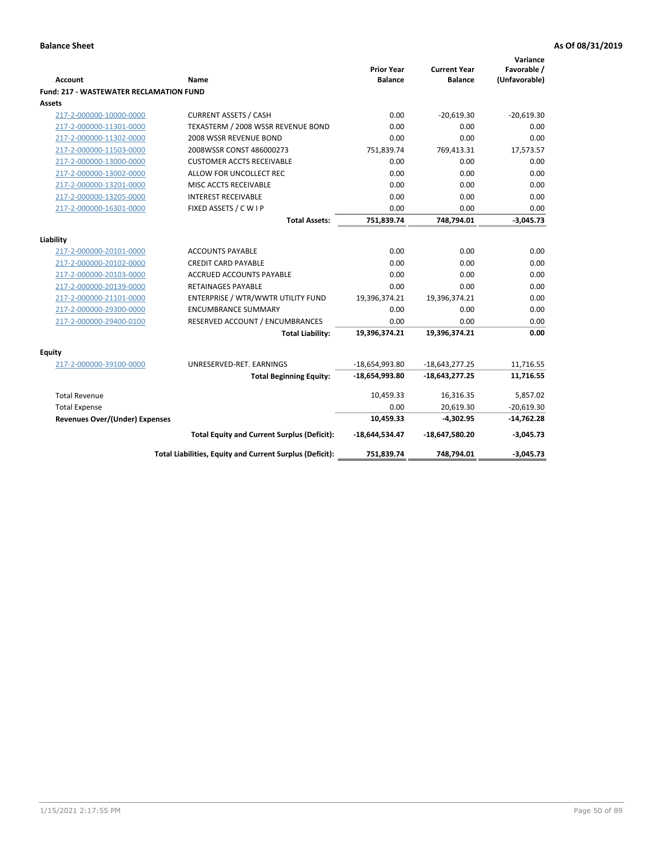| <b>Account</b>                                 | <b>Name</b>                                              | <b>Prior Year</b><br><b>Balance</b> | <b>Current Year</b><br><b>Balance</b> | Variance<br>Favorable /<br>(Unfavorable) |
|------------------------------------------------|----------------------------------------------------------|-------------------------------------|---------------------------------------|------------------------------------------|
| <b>Fund: 217 - WASTEWATER RECLAMATION FUND</b> |                                                          |                                     |                                       |                                          |
| <b>Assets</b>                                  |                                                          |                                     |                                       |                                          |
| 217-2-000000-10000-0000                        | <b>CURRENT ASSETS / CASH</b>                             | 0.00                                | $-20.619.30$                          | $-20.619.30$                             |
| 217-2-000000-11301-0000                        | TEXASTERM / 2008 WSSR REVENUE BOND                       | 0.00                                | 0.00                                  | 0.00                                     |
| 217-2-000000-11302-0000                        | 2008 WSSR REVENUE BOND                                   | 0.00                                | 0.00                                  | 0.00                                     |
| 217-2-000000-11503-0000                        | 2008WSSR CONST 486000273                                 | 751,839.74                          | 769,413.31                            | 17,573.57                                |
| 217-2-000000-13000-0000                        | <b>CUSTOMER ACCTS RECEIVABLE</b>                         | 0.00                                | 0.00                                  | 0.00                                     |
| 217-2-000000-13002-0000                        | ALLOW FOR UNCOLLECT REC                                  | 0.00                                | 0.00                                  | 0.00                                     |
| 217-2-000000-13201-0000                        | MISC ACCTS RECEIVABLE                                    | 0.00                                | 0.00                                  | 0.00                                     |
| 217-2-000000-13205-0000                        | <b>INTEREST RECEIVABLE</b>                               | 0.00                                | 0.00                                  | 0.00                                     |
| 217-2-000000-16301-0000                        | FIXED ASSETS / C W I P                                   | 0.00                                | 0.00                                  | 0.00                                     |
|                                                | <b>Total Assets:</b>                                     | 751,839.74                          | 748,794.01                            | $-3,045.73$                              |
| Liability                                      |                                                          |                                     |                                       |                                          |
| 217-2-000000-20101-0000                        | <b>ACCOUNTS PAYABLE</b>                                  | 0.00                                | 0.00                                  | 0.00                                     |
| 217-2-000000-20102-0000                        | <b>CREDIT CARD PAYABLE</b>                               | 0.00                                | 0.00                                  | 0.00                                     |
| 217-2-000000-20103-0000                        | <b>ACCRUED ACCOUNTS PAYABLE</b>                          | 0.00                                | 0.00                                  | 0.00                                     |
| 217-2-000000-20139-0000                        | <b>RETAINAGES PAYABLE</b>                                | 0.00                                | 0.00                                  | 0.00                                     |
| 217-2-000000-21101-0000                        | ENTERPRISE / WTR/WWTR UTILITY FUND                       | 19,396,374.21                       | 19,396,374.21                         | 0.00                                     |
| 217-2-000000-29300-0000                        | <b>ENCUMBRANCE SUMMARY</b>                               | 0.00                                | 0.00                                  | 0.00                                     |
| 217-2-000000-29400-0100                        | RESERVED ACCOUNT / ENCUMBRANCES                          | 0.00                                | 0.00                                  | 0.00                                     |
|                                                | <b>Total Liability:</b>                                  | 19,396,374.21                       | 19,396,374.21                         | 0.00                                     |
|                                                |                                                          |                                     |                                       |                                          |
| <b>Equity</b>                                  |                                                          |                                     |                                       |                                          |
| 217-2-000000-39100-0000                        | UNRESERVED-RET. EARNINGS                                 | $-18,654,993.80$                    | $-18,643,277.25$                      | 11,716.55                                |
|                                                | <b>Total Beginning Equity:</b>                           | $-18,654,993.80$                    | $-18,643,277.25$                      | 11,716.55                                |
| <b>Total Revenue</b>                           |                                                          | 10,459.33                           | 16,316.35                             | 5,857.02                                 |
| <b>Total Expense</b>                           |                                                          | 0.00                                | 20,619.30                             | $-20,619.30$                             |
| Revenues Over/(Under) Expenses                 |                                                          | 10,459.33                           | $-4,302.95$                           | $-14,762.28$                             |
|                                                | <b>Total Equity and Current Surplus (Deficit):</b>       | -18,644,534.47                      | $-18,647,580.20$                      | $-3,045.73$                              |
|                                                | Total Liabilities, Equity and Current Surplus (Deficit): | 751,839.74                          | 748,794.01                            | $-3,045.73$                              |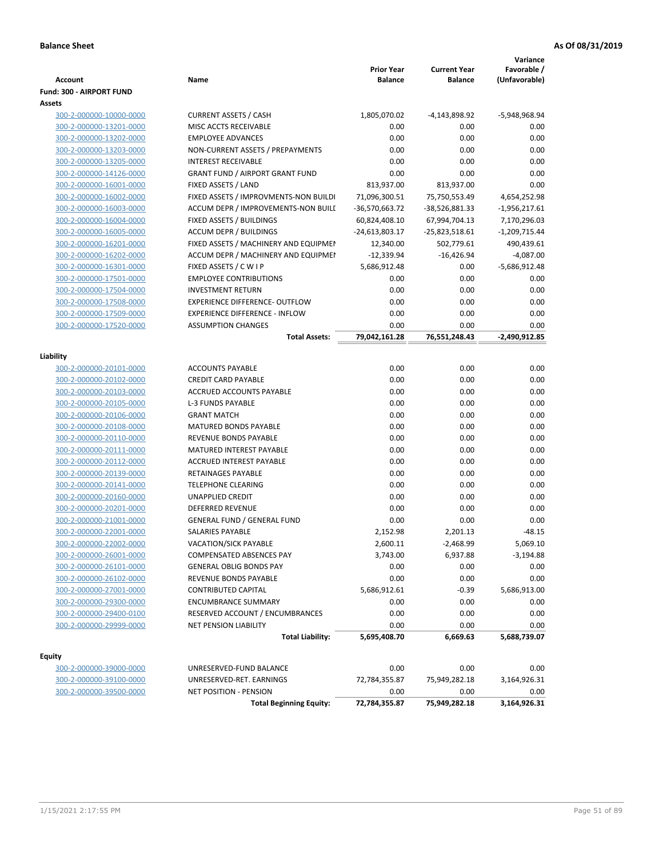| <b>Account</b>           | Name                                   | <b>Prior Year</b><br><b>Balance</b> | <b>Current Year</b><br><b>Balance</b> | Variance<br>Favorable /<br>(Unfavorable) |
|--------------------------|----------------------------------------|-------------------------------------|---------------------------------------|------------------------------------------|
| Fund: 300 - AIRPORT FUND |                                        |                                     |                                       |                                          |
| Assets                   |                                        |                                     |                                       |                                          |
| 300-2-000000-10000-0000  | <b>CURRENT ASSETS / CASH</b>           | 1,805,070.02                        | -4,143,898.92                         | -5,948,968.94                            |
| 300-2-000000-13201-0000  | MISC ACCTS RECEIVABLE                  | 0.00                                | 0.00                                  | 0.00                                     |
| 300-2-000000-13202-0000  | <b>EMPLOYEE ADVANCES</b>               | 0.00                                | 0.00                                  | 0.00                                     |
| 300-2-000000-13203-0000  | NON-CURRENT ASSETS / PREPAYMENTS       | 0.00                                | 0.00                                  | 0.00                                     |
| 300-2-000000-13205-0000  | <b>INTEREST RECEIVABLE</b>             | 0.00                                | 0.00                                  | 0.00                                     |
| 300-2-000000-14126-0000  | <b>GRANT FUND / AIRPORT GRANT FUND</b> | 0.00                                | 0.00                                  | 0.00                                     |
| 300-2-000000-16001-0000  | FIXED ASSETS / LAND                    | 813,937.00                          | 813,937.00                            | 0.00                                     |
| 300-2-000000-16002-0000  | FIXED ASSETS / IMPROVMENTS-NON BUILDI  | 71,096,300.51                       | 75,750,553.49                         | 4,654,252.98                             |
| 300-2-000000-16003-0000  | ACCUM DEPR / IMPROVEMENTS-NON BUILI    | -36,570,663.72                      | -38,526,881.33                        | $-1,956,217.61$                          |
| 300-2-000000-16004-0000  | FIXED ASSETS / BUILDINGS               | 60,824,408.10                       | 67,994,704.13                         | 7,170,296.03                             |
| 300-2-000000-16005-0000  | <b>ACCUM DEPR / BUILDINGS</b>          | -24,613,803.17                      | $-25,823,518.61$                      | $-1,209,715.44$                          |
| 300-2-000000-16201-0000  | FIXED ASSETS / MACHINERY AND EQUIPMEN  | 12,340.00                           | 502,779.61                            | 490,439.61                               |
| 300-2-000000-16202-0000  | ACCUM DEPR / MACHINERY AND EQUIPMEI    | $-12,339.94$                        | $-16,426.94$                          | $-4,087.00$                              |
| 300-2-000000-16301-0000  | FIXED ASSETS / C W I P                 | 5,686,912.48                        | 0.00                                  | $-5,686,912.48$                          |
| 300-2-000000-17501-0000  | <b>EMPLOYEE CONTRIBUTIONS</b>          | 0.00                                | 0.00                                  | 0.00                                     |
| 300-2-000000-17504-0000  | <b>INVESTMENT RETURN</b>               | 0.00                                | 0.00                                  | 0.00                                     |
| 300-2-000000-17508-0000  | <b>EXPERIENCE DIFFERENCE- OUTFLOW</b>  | 0.00                                | 0.00                                  | 0.00                                     |
| 300-2-000000-17509-0000  | <b>EXPERIENCE DIFFERENCE - INFLOW</b>  | 0.00                                | 0.00                                  | 0.00                                     |
| 300-2-000000-17520-0000  | <b>ASSUMPTION CHANGES</b>              | 0.00                                | 0.00                                  | 0.00                                     |
|                          | <b>Total Assets:</b>                   | 79,042,161.28                       | 76,551,248.43                         | -2,490,912.85                            |
|                          |                                        |                                     |                                       |                                          |
| Liability                |                                        |                                     |                                       |                                          |
| 300-2-000000-20101-0000  | <b>ACCOUNTS PAYABLE</b>                | 0.00                                | 0.00                                  | 0.00                                     |
| 300-2-000000-20102-0000  | <b>CREDIT CARD PAYABLE</b>             | 0.00                                | 0.00                                  | 0.00                                     |
| 300-2-000000-20103-0000  | ACCRUED ACCOUNTS PAYABLE               | 0.00                                | 0.00                                  | 0.00                                     |
| 300-2-000000-20105-0000  | <b>L-3 FUNDS PAYABLE</b>               | 0.00                                | 0.00                                  | 0.00                                     |
| 300-2-000000-20106-0000  | <b>GRANT MATCH</b>                     | 0.00                                | 0.00                                  | 0.00                                     |
| 300-2-000000-20108-0000  | <b>MATURED BONDS PAYABLE</b>           | 0.00                                | 0.00                                  | 0.00                                     |
| 300-2-000000-20110-0000  | REVENUE BONDS PAYABLE                  | 0.00                                | 0.00                                  | 0.00                                     |
| 300-2-000000-20111-0000  | MATURED INTEREST PAYABLE               | 0.00                                | 0.00                                  | 0.00                                     |
| 300-2-000000-20112-0000  | <b>ACCRUED INTEREST PAYABLE</b>        | 0.00                                | 0.00                                  | 0.00                                     |
| 300-2-000000-20139-0000  | RETAINAGES PAYABLE                     | 0.00                                | 0.00                                  | 0.00                                     |
| 300-2-000000-20141-0000  | <b>TELEPHONE CLEARING</b>              | 0.00                                | 0.00                                  | 0.00                                     |
| 300-2-000000-20160-0000  | <b>UNAPPLIED CREDIT</b>                | 0.00                                | 0.00                                  | 0.00                                     |
| 300-2-000000-20201-0000  | <b>DEFERRED REVENUE</b>                | 0.00                                | 0.00                                  | 0.00                                     |
| 300-2-000000-21001-0000  | <b>GENERAL FUND / GENERAL FUND</b>     | 0.00                                | 0.00                                  | 0.00                                     |
| 300-2-000000-22001-0000  | SALARIES PAYABLE                       | 2,152.98                            | 2,201.13                              | $-48.15$                                 |
| 300-2-000000-22002-0000  | VACATION/SICK PAYABLE                  | 2,600.11                            | $-2,468.99$                           | 5,069.10                                 |
| 300-2-000000-26001-0000  | COMPENSATED ABSENCES PAY               | 3,743.00                            | 6,937.88                              | $-3,194.88$                              |
| 300-2-000000-26101-0000  | <b>GENERAL OBLIG BONDS PAY</b>         | 0.00                                | 0.00                                  | 0.00                                     |
| 300-2-000000-26102-0000  | REVENUE BONDS PAYABLE                  | 0.00                                | 0.00                                  | 0.00                                     |
| 300-2-000000-27001-0000  | CONTRIBUTED CAPITAL                    | 5,686,912.61                        | $-0.39$                               | 5,686,913.00                             |
| 300-2-000000-29300-0000  | <b>ENCUMBRANCE SUMMARY</b>             | 0.00                                | 0.00                                  | 0.00                                     |
| 300-2-000000-29400-0100  | RESERVED ACCOUNT / ENCUMBRANCES        | 0.00                                | 0.00                                  | 0.00                                     |
| 300-2-000000-29999-0000  | NET PENSION LIABILITY                  | 0.00                                | 0.00                                  | 0.00                                     |
|                          | <b>Total Liability:</b>                | 5,695,408.70                        | 6,669.63                              | 5,688,739.07                             |
|                          |                                        |                                     |                                       |                                          |
| Equity                   |                                        |                                     |                                       |                                          |
| 300-2-000000-39000-0000  | UNRESERVED-FUND BALANCE                | 0.00                                | 0.00                                  | 0.00                                     |
| 300-2-000000-39100-0000  | UNRESERVED-RET. EARNINGS               | 72,784,355.87                       | 75,949,282.18                         | 3,164,926.31                             |
| 300-2-000000-39500-0000  | NET POSITION - PENSION                 | 0.00                                | 0.00                                  | 0.00                                     |
|                          | <b>Total Beginning Equity:</b>         | 72,784,355.87                       | 75,949,282.18                         | 3,164,926.31                             |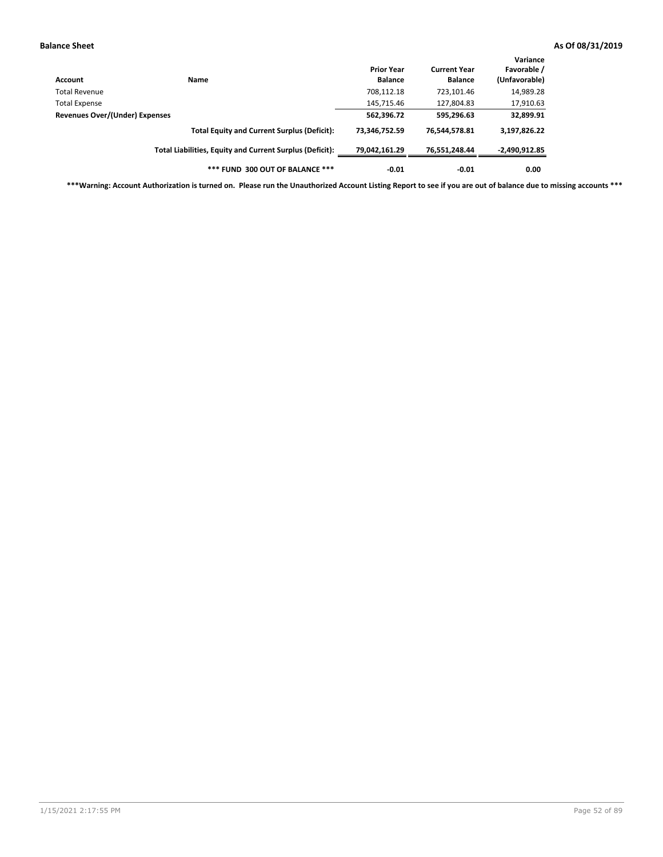| Account                        | Name                                                     | <b>Prior Year</b><br><b>Balance</b> | <b>Current Year</b><br><b>Balance</b> | Variance<br>Favorable /<br>(Unfavorable) |
|--------------------------------|----------------------------------------------------------|-------------------------------------|---------------------------------------|------------------------------------------|
| Total Revenue                  |                                                          | 708,112.18                          | 723,101.46                            | 14,989.28                                |
| <b>Total Expense</b>           |                                                          | 145,715.46                          | 127,804.83                            | 17,910.63                                |
| Revenues Over/(Under) Expenses |                                                          | 562,396.72                          | 595,296.63                            | 32,899.91                                |
|                                | <b>Total Equity and Current Surplus (Deficit):</b>       | 73,346,752.59                       | 76,544,578.81                         | 3,197,826.22                             |
|                                | Total Liabilities, Equity and Current Surplus (Deficit): | 79,042,161.29                       | 76.551.248.44                         | -2,490,912.85                            |
|                                | *** FUND 300 OUT OF BALANCE ***                          | $-0.01$                             | $-0.01$                               | 0.00                                     |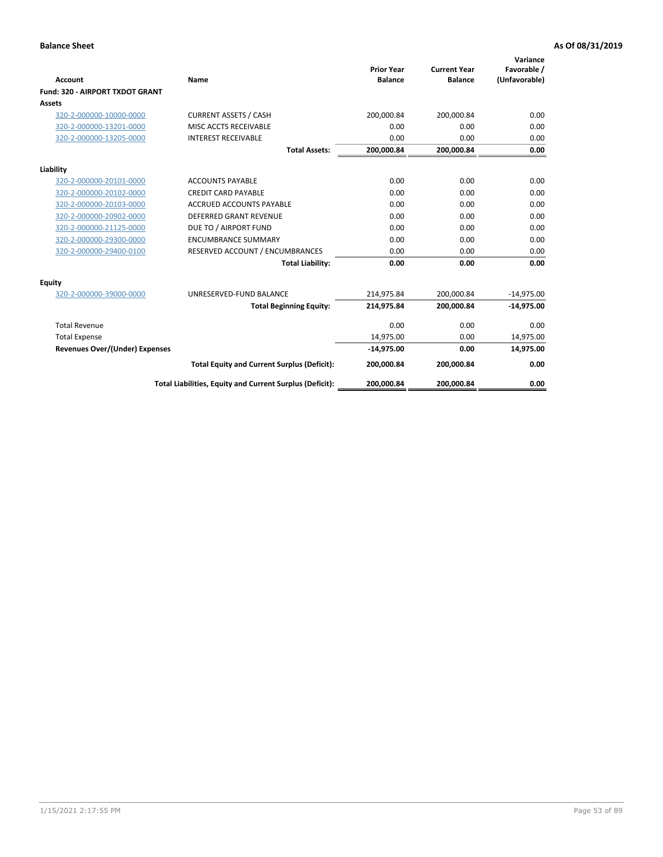|                                       |                                                          | <b>Prior Year</b> | <b>Current Year</b> | Variance<br>Favorable / |
|---------------------------------------|----------------------------------------------------------|-------------------|---------------------|-------------------------|
| <b>Account</b>                        | Name                                                     | <b>Balance</b>    | <b>Balance</b>      | (Unfavorable)           |
| Fund: 320 - AIRPORT TXDOT GRANT       |                                                          |                   |                     |                         |
| <b>Assets</b>                         |                                                          |                   |                     |                         |
| 320-2-000000-10000-0000               | <b>CURRENT ASSETS / CASH</b>                             | 200,000.84        | 200,000.84          | 0.00                    |
| 320-2-000000-13201-0000               | MISC ACCTS RECEIVABLE                                    | 0.00              | 0.00                | 0.00                    |
| 320-2-000000-13205-0000               | <b>INTEREST RECEIVABLE</b>                               | 0.00              | 0.00                | 0.00                    |
|                                       | <b>Total Assets:</b>                                     | 200,000.84        | 200,000.84          | 0.00                    |
| Liability                             |                                                          |                   |                     |                         |
| 320-2-000000-20101-0000               | <b>ACCOUNTS PAYABLE</b>                                  | 0.00              | 0.00                | 0.00                    |
| 320-2-000000-20102-0000               | <b>CREDIT CARD PAYABLE</b>                               | 0.00              | 0.00                | 0.00                    |
| 320-2-000000-20103-0000               | <b>ACCRUED ACCOUNTS PAYABLE</b>                          | 0.00              | 0.00                | 0.00                    |
| 320-2-000000-20902-0000               | <b>DEFERRED GRANT REVENUE</b>                            | 0.00              | 0.00                | 0.00                    |
| 320-2-000000-21125-0000               | DUE TO / AIRPORT FUND                                    | 0.00              | 0.00                | 0.00                    |
| 320-2-000000-29300-0000               | <b>ENCUMBRANCE SUMMARY</b>                               | 0.00              | 0.00                | 0.00                    |
| 320-2-000000-29400-0100               | RESERVED ACCOUNT / ENCUMBRANCES                          | 0.00              | 0.00                | 0.00                    |
|                                       | <b>Total Liability:</b>                                  | 0.00              | 0.00                | 0.00                    |
| <b>Equity</b>                         |                                                          |                   |                     |                         |
| 320-2-000000-39000-0000               | UNRESERVED-FUND BALANCE                                  | 214,975.84        | 200,000.84          | $-14,975.00$            |
|                                       | <b>Total Beginning Equity:</b>                           | 214,975.84        | 200,000.84          | $-14,975.00$            |
| <b>Total Revenue</b>                  |                                                          | 0.00              | 0.00                | 0.00                    |
| <b>Total Expense</b>                  |                                                          | 14,975.00         | 0.00                | 14,975.00               |
| <b>Revenues Over/(Under) Expenses</b> |                                                          | $-14,975.00$      | 0.00                | 14,975.00               |
|                                       | <b>Total Equity and Current Surplus (Deficit):</b>       | 200,000.84        | 200,000.84          | 0.00                    |
|                                       | Total Liabilities, Equity and Current Surplus (Deficit): | 200,000.84        | 200,000.84          | 0.00                    |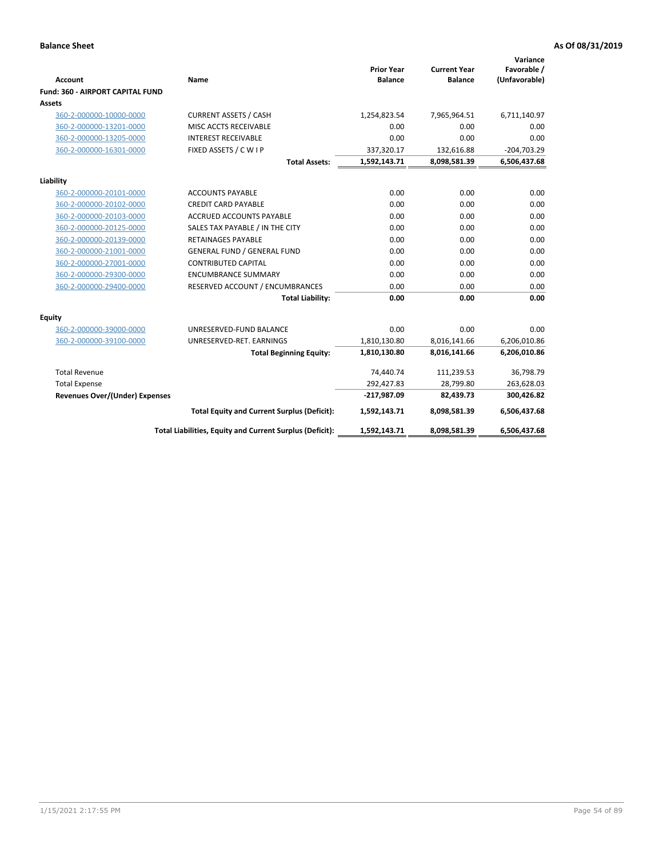| <b>Account</b>                        | Name                                                     | <b>Prior Year</b><br><b>Balance</b> | <b>Current Year</b><br><b>Balance</b> | Variance<br>Favorable /<br>(Unfavorable) |
|---------------------------------------|----------------------------------------------------------|-------------------------------------|---------------------------------------|------------------------------------------|
| Fund: 360 - AIRPORT CAPITAL FUND      |                                                          |                                     |                                       |                                          |
| Assets                                |                                                          |                                     |                                       |                                          |
| 360-2-000000-10000-0000               | <b>CURRENT ASSETS / CASH</b>                             | 1,254,823.54                        | 7,965,964.51                          | 6,711,140.97                             |
| 360-2-000000-13201-0000               | MISC ACCTS RECEIVABLE                                    | 0.00                                | 0.00                                  | 0.00                                     |
| 360-2-000000-13205-0000               | <b>INTEREST RECEIVABLE</b>                               | 0.00                                | 0.00                                  | 0.00                                     |
| 360-2-000000-16301-0000               | FIXED ASSETS / C W I P                                   | 337,320.17                          | 132,616.88                            | $-204,703.29$                            |
|                                       | <b>Total Assets:</b>                                     | 1,592,143.71                        | 8,098,581.39                          | 6,506,437.68                             |
| Liability                             |                                                          |                                     |                                       |                                          |
| 360-2-000000-20101-0000               | <b>ACCOUNTS PAYABLE</b>                                  | 0.00                                | 0.00                                  | 0.00                                     |
| 360-2-000000-20102-0000               | <b>CREDIT CARD PAYABLE</b>                               | 0.00                                | 0.00                                  | 0.00                                     |
| 360-2-000000-20103-0000               | <b>ACCRUED ACCOUNTS PAYABLE</b>                          | 0.00                                | 0.00                                  | 0.00                                     |
| 360-2-000000-20125-0000               | SALES TAX PAYABLE / IN THE CITY                          | 0.00                                | 0.00                                  | 0.00                                     |
| 360-2-000000-20139-0000               | <b>RETAINAGES PAYABLE</b>                                | 0.00                                | 0.00                                  | 0.00                                     |
| 360-2-000000-21001-0000               | <b>GENERAL FUND / GENERAL FUND</b>                       | 0.00                                | 0.00                                  | 0.00                                     |
| 360-2-000000-27001-0000               | <b>CONTRIBUTED CAPITAL</b>                               | 0.00                                | 0.00                                  | 0.00                                     |
| 360-2-000000-29300-0000               | <b>ENCUMBRANCE SUMMARY</b>                               | 0.00                                | 0.00                                  | 0.00                                     |
| 360-2-000000-29400-0000               | RESERVED ACCOUNT / ENCUMBRANCES                          | 0.00                                | 0.00                                  | 0.00                                     |
|                                       | <b>Total Liability:</b>                                  | 0.00                                | 0.00                                  | 0.00                                     |
| Equity                                |                                                          |                                     |                                       |                                          |
| 360-2-000000-39000-0000               | UNRESERVED-FUND BALANCE                                  | 0.00                                | 0.00                                  | 0.00                                     |
| 360-2-000000-39100-0000               | UNRESERVED-RET. EARNINGS                                 | 1,810,130.80                        | 8,016,141.66                          | 6,206,010.86                             |
|                                       | <b>Total Beginning Equity:</b>                           | 1,810,130.80                        | 8,016,141.66                          | 6,206,010.86                             |
| <b>Total Revenue</b>                  |                                                          | 74,440.74                           | 111,239.53                            | 36,798.79                                |
| <b>Total Expense</b>                  |                                                          | 292,427.83                          | 28,799.80                             | 263,628.03                               |
| <b>Revenues Over/(Under) Expenses</b> |                                                          | $-217,987.09$                       | 82,439.73                             | 300,426.82                               |
|                                       | <b>Total Equity and Current Surplus (Deficit):</b>       | 1,592,143.71                        | 8,098,581.39                          | 6,506,437.68                             |
|                                       | Total Liabilities, Equity and Current Surplus (Deficit): | 1,592,143.71                        | 8,098,581.39                          | 6,506,437.68                             |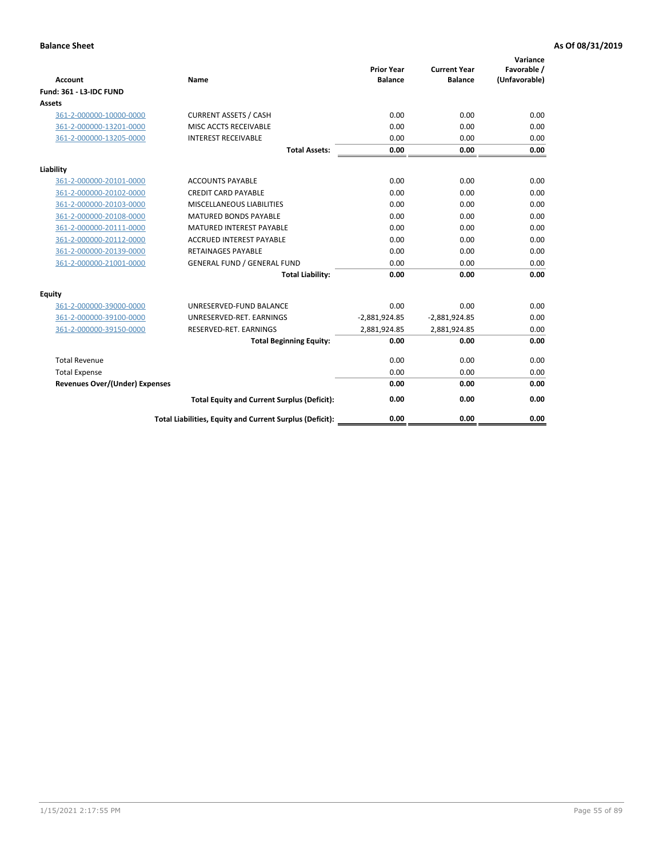| <b>Account</b>                        | <b>Name</b>                                              | <b>Prior Year</b><br><b>Balance</b> | <b>Current Year</b><br><b>Balance</b> | Variance<br>Favorable /<br>(Unfavorable) |
|---------------------------------------|----------------------------------------------------------|-------------------------------------|---------------------------------------|------------------------------------------|
| <b>Fund: 361 - L3-IDC FUND</b>        |                                                          |                                     |                                       |                                          |
| Assets                                |                                                          |                                     |                                       |                                          |
| 361-2-000000-10000-0000               | <b>CURRENT ASSETS / CASH</b>                             | 0.00                                | 0.00                                  | 0.00                                     |
| 361-2-000000-13201-0000               | MISC ACCTS RECEIVABLE                                    | 0.00                                | 0.00                                  | 0.00                                     |
| 361-2-000000-13205-0000               | <b>INTEREST RECEIVABLE</b>                               | 0.00                                | 0.00                                  | 0.00                                     |
|                                       | <b>Total Assets:</b>                                     | 0.00                                | 0.00                                  | 0.00                                     |
| Liability                             |                                                          |                                     |                                       |                                          |
| 361-2-000000-20101-0000               | <b>ACCOUNTS PAYABLE</b>                                  | 0.00                                | 0.00                                  | 0.00                                     |
| 361-2-000000-20102-0000               | <b>CREDIT CARD PAYABLE</b>                               | 0.00                                | 0.00                                  | 0.00                                     |
| 361-2-000000-20103-0000               | MISCELLANEOUS LIABILITIES                                | 0.00                                | 0.00                                  | 0.00                                     |
| 361-2-000000-20108-0000               | <b>MATURED BONDS PAYABLE</b>                             | 0.00                                | 0.00                                  | 0.00                                     |
| 361-2-000000-20111-0000               | <b>MATURED INTEREST PAYABLE</b>                          | 0.00                                | 0.00                                  | 0.00                                     |
| 361-2-000000-20112-0000               | <b>ACCRUED INTEREST PAYABLE</b>                          | 0.00                                | 0.00                                  | 0.00                                     |
| 361-2-000000-20139-0000               | <b>RETAINAGES PAYABLE</b>                                | 0.00                                | 0.00                                  | 0.00                                     |
| 361-2-000000-21001-0000               | <b>GENERAL FUND / GENERAL FUND</b>                       | 0.00                                | 0.00                                  | 0.00                                     |
|                                       | <b>Total Liability:</b>                                  | 0.00                                | 0.00                                  | 0.00                                     |
| Equity                                |                                                          |                                     |                                       |                                          |
| 361-2-000000-39000-0000               | UNRESERVED-FUND BALANCE                                  | 0.00                                | 0.00                                  | 0.00                                     |
| 361-2-000000-39100-0000               | UNRESERVED-RET. EARNINGS                                 | $-2,881,924.85$                     | $-2,881,924.85$                       | 0.00                                     |
| 361-2-000000-39150-0000               | RESERVED-RET. EARNINGS                                   | 2,881,924.85                        | 2,881,924.85                          | 0.00                                     |
|                                       | <b>Total Beginning Equity:</b>                           | 0.00                                | 0.00                                  | 0.00                                     |
| <b>Total Revenue</b>                  |                                                          | 0.00                                | 0.00                                  | 0.00                                     |
| <b>Total Expense</b>                  |                                                          | 0.00                                | 0.00                                  | 0.00                                     |
| <b>Revenues Over/(Under) Expenses</b> |                                                          | 0.00                                | 0.00                                  | 0.00                                     |
|                                       | <b>Total Equity and Current Surplus (Deficit):</b>       | 0.00                                | 0.00                                  | 0.00                                     |
|                                       | Total Liabilities, Equity and Current Surplus (Deficit): | 0.00                                | 0.00                                  | 0.00                                     |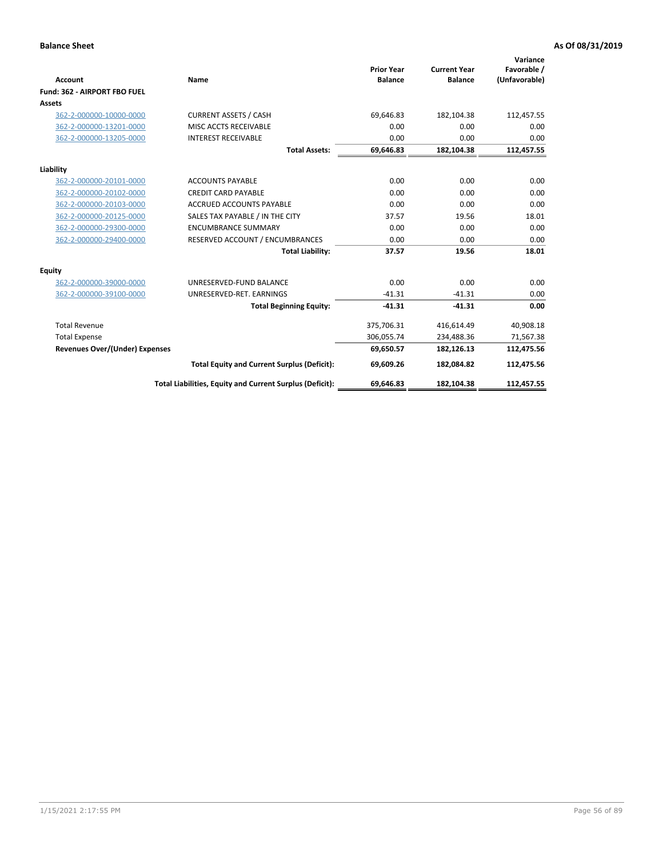|                                       |                                                          |                                     |                                       | Variance                     |
|---------------------------------------|----------------------------------------------------------|-------------------------------------|---------------------------------------|------------------------------|
| <b>Account</b>                        | Name                                                     | <b>Prior Year</b><br><b>Balance</b> | <b>Current Year</b><br><b>Balance</b> | Favorable /<br>(Unfavorable) |
| Fund: 362 - AIRPORT FBO FUEL          |                                                          |                                     |                                       |                              |
| <b>Assets</b>                         |                                                          |                                     |                                       |                              |
| 362-2-000000-10000-0000               | <b>CURRENT ASSETS / CASH</b>                             | 69.646.83                           | 182,104.38                            | 112,457.55                   |
| 362-2-000000-13201-0000               | MISC ACCTS RECEIVABLE                                    | 0.00                                | 0.00                                  | 0.00                         |
| 362-2-000000-13205-0000               | <b>INTEREST RECEIVABLE</b>                               | 0.00                                | 0.00                                  | 0.00                         |
|                                       | <b>Total Assets:</b>                                     | 69,646.83                           | 182,104.38                            | 112,457.55                   |
| Liability                             |                                                          |                                     |                                       |                              |
| 362-2-000000-20101-0000               | <b>ACCOUNTS PAYABLE</b>                                  | 0.00                                | 0.00                                  | 0.00                         |
| 362-2-000000-20102-0000               | <b>CREDIT CARD PAYABLE</b>                               | 0.00                                | 0.00                                  | 0.00                         |
| 362-2-000000-20103-0000               | <b>ACCRUED ACCOUNTS PAYABLE</b>                          | 0.00                                | 0.00                                  | 0.00                         |
| 362-2-000000-20125-0000               | SALES TAX PAYABLE / IN THE CITY                          | 37.57                               | 19.56                                 | 18.01                        |
| 362-2-000000-29300-0000               | <b>ENCUMBRANCE SUMMARY</b>                               | 0.00                                | 0.00                                  | 0.00                         |
| 362-2-000000-29400-0000               | RESERVED ACCOUNT / ENCUMBRANCES                          | 0.00                                | 0.00                                  | 0.00                         |
|                                       | <b>Total Liability:</b>                                  | 37.57                               | 19.56                                 | 18.01                        |
| <b>Equity</b>                         |                                                          |                                     |                                       |                              |
| 362-2-000000-39000-0000               | UNRESERVED-FUND BALANCE                                  | 0.00                                | 0.00                                  | 0.00                         |
| 362-2-000000-39100-0000               | UNRESERVED-RET. EARNINGS                                 | $-41.31$                            | $-41.31$                              | 0.00                         |
|                                       | <b>Total Beginning Equity:</b>                           | $-41.31$                            | $-41.31$                              | 0.00                         |
| <b>Total Revenue</b>                  |                                                          | 375,706.31                          | 416,614.49                            | 40,908.18                    |
| <b>Total Expense</b>                  |                                                          | 306,055.74                          | 234,488.36                            | 71,567.38                    |
| <b>Revenues Over/(Under) Expenses</b> |                                                          | 69,650.57                           | 182,126.13                            | 112,475.56                   |
|                                       | <b>Total Equity and Current Surplus (Deficit):</b>       | 69,609.26                           | 182,084.82                            | 112,475.56                   |
|                                       | Total Liabilities, Equity and Current Surplus (Deficit): | 69,646.83                           | 182,104.38                            | 112,457.55                   |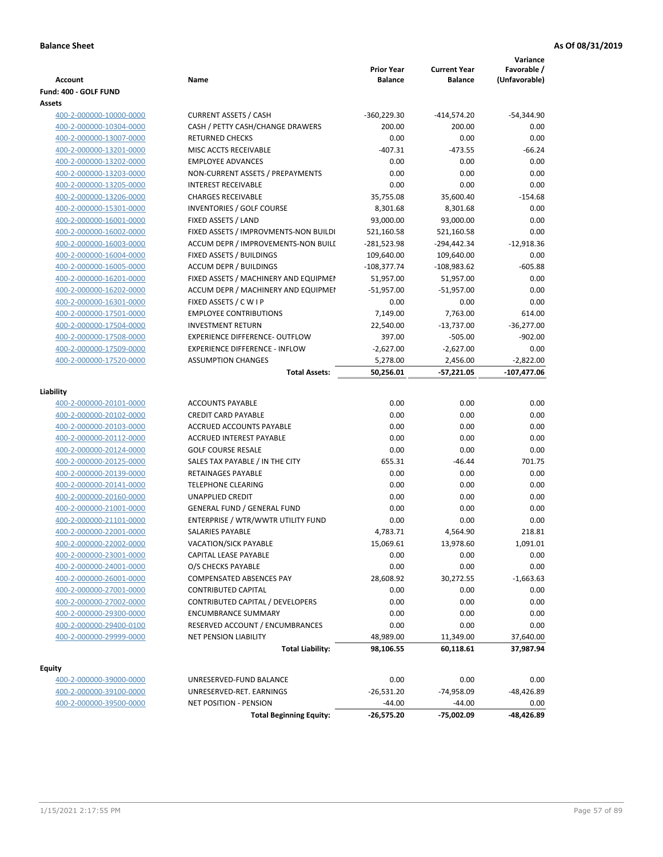| <b>Account</b>                                     | Name                                                   | <b>Prior Year</b><br><b>Balance</b> | <b>Current Year</b><br><b>Balance</b> | Variance<br>Favorable /<br>(Unfavorable) |
|----------------------------------------------------|--------------------------------------------------------|-------------------------------------|---------------------------------------|------------------------------------------|
| Fund: 400 - GOLF FUND<br>Assets                    |                                                        |                                     |                                       |                                          |
| 400-2-000000-10000-0000                            | <b>CURRENT ASSETS / CASH</b>                           | $-360,229.30$                       | $-414,574.20$                         | -54,344.90                               |
| 400-2-000000-10304-0000                            | CASH / PETTY CASH/CHANGE DRAWERS                       | 200.00                              | 200.00                                | 0.00                                     |
| 400-2-000000-13007-0000                            | <b>RETURNED CHECKS</b>                                 | 0.00                                | 0.00                                  | 0.00                                     |
| 400-2-000000-13201-0000                            | MISC ACCTS RECEIVABLE                                  | $-407.31$                           | $-473.55$                             | $-66.24$                                 |
| 400-2-000000-13202-0000                            | <b>EMPLOYEE ADVANCES</b>                               | 0.00                                | 0.00                                  | 0.00                                     |
| 400-2-000000-13203-0000                            | NON-CURRENT ASSETS / PREPAYMENTS                       | 0.00                                | 0.00                                  | 0.00                                     |
| 400-2-000000-13205-0000                            | <b>INTEREST RECEIVABLE</b>                             | 0.00                                | 0.00                                  | 0.00                                     |
| 400-2-000000-13206-0000                            | <b>CHARGES RECEIVABLE</b>                              | 35,755.08                           | 35,600.40                             | $-154.68$                                |
| 400-2-000000-15301-0000                            | INVENTORIES / GOLF COURSE                              | 8,301.68                            | 8,301.68                              | 0.00                                     |
| 400-2-000000-16001-0000                            | FIXED ASSETS / LAND                                    | 93,000.00                           | 93,000.00                             | 0.00                                     |
| 400-2-000000-16002-0000                            | FIXED ASSETS / IMPROVMENTS-NON BUILDI                  | 521,160.58                          | 521,160.58                            | 0.00                                     |
| 400-2-000000-16003-0000                            | ACCUM DEPR / IMPROVEMENTS-NON BUILI                    | -281,523.98                         | -294,442.34                           | $-12,918.36$                             |
| 400-2-000000-16004-0000                            | FIXED ASSETS / BUILDINGS                               | 109,640.00                          | 109,640.00                            | 0.00                                     |
| 400-2-000000-16005-0000                            | <b>ACCUM DEPR / BUILDINGS</b>                          | $-108,377.74$                       | -108,983.62                           | $-605.88$                                |
| 400-2-000000-16201-0000                            | FIXED ASSETS / MACHINERY AND EQUIPMEN                  | 51,957.00                           | 51,957.00                             | 0.00                                     |
| 400-2-000000-16202-0000                            | ACCUM DEPR / MACHINERY AND EQUIPMEI                    | $-51,957.00$                        | $-51,957.00$                          | 0.00                                     |
| 400-2-000000-16301-0000                            | FIXED ASSETS / C W I P                                 | 0.00                                | 0.00                                  | 0.00                                     |
| 400-2-000000-17501-0000                            | <b>EMPLOYEE CONTRIBUTIONS</b>                          | 7,149.00                            | 7,763.00                              | 614.00                                   |
| 400-2-000000-17504-0000                            | <b>INVESTMENT RETURN</b>                               | 22,540.00                           | $-13,737.00$                          | $-36,277.00$                             |
| 400-2-000000-17508-0000                            | <b>EXPERIENCE DIFFERENCE- OUTFLOW</b>                  | 397.00                              | $-505.00$                             | $-902.00$                                |
| 400-2-000000-17509-0000                            | <b>EXPERIENCE DIFFERENCE - INFLOW</b>                  | $-2,627.00$                         | $-2,627.00$                           | 0.00                                     |
| 400-2-000000-17520-0000                            | <b>ASSUMPTION CHANGES</b>                              | 5,278.00                            | 2,456.00                              | $-2,822.00$                              |
|                                                    | <b>Total Assets:</b>                                   | 50,256.01                           | $-57,221.05$                          | -107,477.06                              |
|                                                    |                                                        |                                     |                                       |                                          |
| Liability                                          |                                                        |                                     |                                       |                                          |
| 400-2-000000-20101-0000                            | <b>ACCOUNTS PAYABLE</b>                                | 0.00                                | 0.00                                  | 0.00                                     |
| 400-2-000000-20102-0000                            | <b>CREDIT CARD PAYABLE</b><br>ACCRUED ACCOUNTS PAYABLE | 0.00<br>0.00                        | 0.00                                  | 0.00                                     |
| 400-2-000000-20103-0000                            | <b>ACCRUED INTEREST PAYABLE</b>                        | 0.00                                | 0.00<br>0.00                          | 0.00<br>0.00                             |
| 400-2-000000-20112-0000                            | <b>GOLF COURSE RESALE</b>                              | 0.00                                | 0.00                                  | 0.00                                     |
| 400-2-000000-20124-0000                            |                                                        | 655.31                              | $-46.44$                              | 701.75                                   |
| 400-2-000000-20125-0000<br>400-2-000000-20139-0000 | SALES TAX PAYABLE / IN THE CITY<br>RETAINAGES PAYABLE  | 0.00                                | 0.00                                  | 0.00                                     |
| 400-2-000000-20141-0000                            | <b>TELEPHONE CLEARING</b>                              | 0.00                                | 0.00                                  | 0.00                                     |
| 400-2-000000-20160-0000                            | <b>UNAPPLIED CREDIT</b>                                | 0.00                                | 0.00                                  | 0.00                                     |
| 400-2-000000-21001-0000                            | <b>GENERAL FUND / GENERAL FUND</b>                     | 0.00                                | 0.00                                  | 0.00                                     |
| 400-2-000000-21101-0000                            | ENTERPRISE / WTR/WWTR UTILITY FUND                     | 0.00                                | 0.00                                  | 0.00                                     |
| 400-2-000000-22001-0000                            | <b>SALARIES PAYABLE</b>                                | 4,783.71                            | 4.564.90                              | 218.81                                   |
| 400-2-000000-22002-0000                            | VACATION/SICK PAYABLE                                  | 15,069.61                           | 13,978.60                             | 1,091.01                                 |
| 400-2-000000-23001-0000                            | CAPITAL LEASE PAYABLE                                  | 0.00                                | 0.00                                  | 0.00                                     |
| 400-2-000000-24001-0000                            | O/S CHECKS PAYABLE                                     | 0.00                                | 0.00                                  | 0.00                                     |
| 400-2-000000-26001-0000                            | <b>COMPENSATED ABSENCES PAY</b>                        | 28,608.92                           | 30,272.55                             | $-1,663.63$                              |
| 400-2-000000-27001-0000                            | <b>CONTRIBUTED CAPITAL</b>                             | 0.00                                | 0.00                                  | 0.00                                     |
| 400-2-000000-27002-0000                            | CONTRIBUTED CAPITAL / DEVELOPERS                       | 0.00                                | 0.00                                  | 0.00                                     |
| 400-2-000000-29300-0000                            | <b>ENCUMBRANCE SUMMARY</b>                             | 0.00                                | 0.00                                  | 0.00                                     |
| 400-2-000000-29400-0100                            | RESERVED ACCOUNT / ENCUMBRANCES                        | 0.00                                | 0.00                                  | 0.00                                     |
| 400-2-000000-29999-0000                            | <b>NET PENSION LIABILITY</b>                           | 48,989.00                           | 11,349.00                             | 37,640.00                                |
|                                                    | <b>Total Liability:</b>                                | 98,106.55                           | 60,118.61                             | 37,987.94                                |
|                                                    |                                                        |                                     |                                       |                                          |
| <b>Equity</b>                                      |                                                        |                                     |                                       |                                          |
| 400-2-000000-39000-0000                            | UNRESERVED-FUND BALANCE                                | 0.00                                | 0.00                                  | 0.00                                     |
| 400-2-000000-39100-0000                            | UNRESERVED-RET. EARNINGS                               | $-26,531.20$                        | $-74,958.09$                          | -48,426.89                               |
| 400-2-000000-39500-0000                            | NET POSITION - PENSION                                 | $-44.00$                            | $-44.00$                              | 0.00                                     |
|                                                    | <b>Total Beginning Equity:</b>                         | -26,575.20                          | $-75,002.09$                          | -48,426.89                               |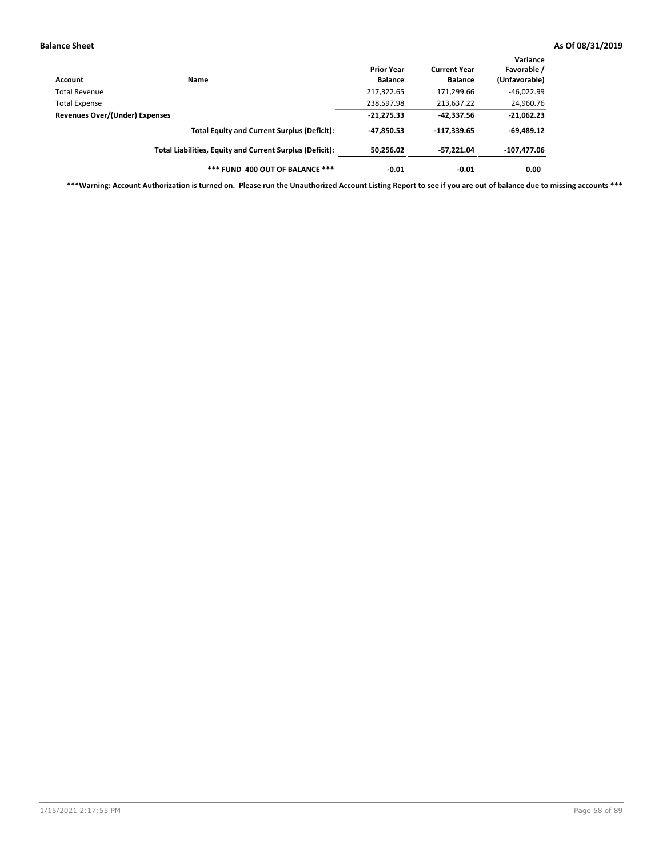| Account                        | Name                                                     | <b>Prior Year</b><br><b>Balance</b> | <b>Current Year</b><br><b>Balance</b> | Variance<br>Favorable /<br>(Unfavorable) |
|--------------------------------|----------------------------------------------------------|-------------------------------------|---------------------------------------|------------------------------------------|
| Total Revenue                  |                                                          | 217,322.65                          | 171,299.66                            | $-46,022.99$                             |
| <b>Total Expense</b>           |                                                          | 238,597.98                          | 213,637.22                            | 24,960.76                                |
| Revenues Over/(Under) Expenses |                                                          | $-21,275.33$                        | $-42.337.56$                          | $-21,062.23$                             |
|                                | <b>Total Equity and Current Surplus (Deficit):</b>       | -47,850.53                          | $-117,339.65$                         | $-69,489.12$                             |
|                                | Total Liabilities, Equity and Current Surplus (Deficit): | 50,256.02                           | -57.221.04                            | -107,477.06                              |
|                                | *** FUND 400 OUT OF BALANCE ***                          | $-0.01$                             | $-0.01$                               | 0.00                                     |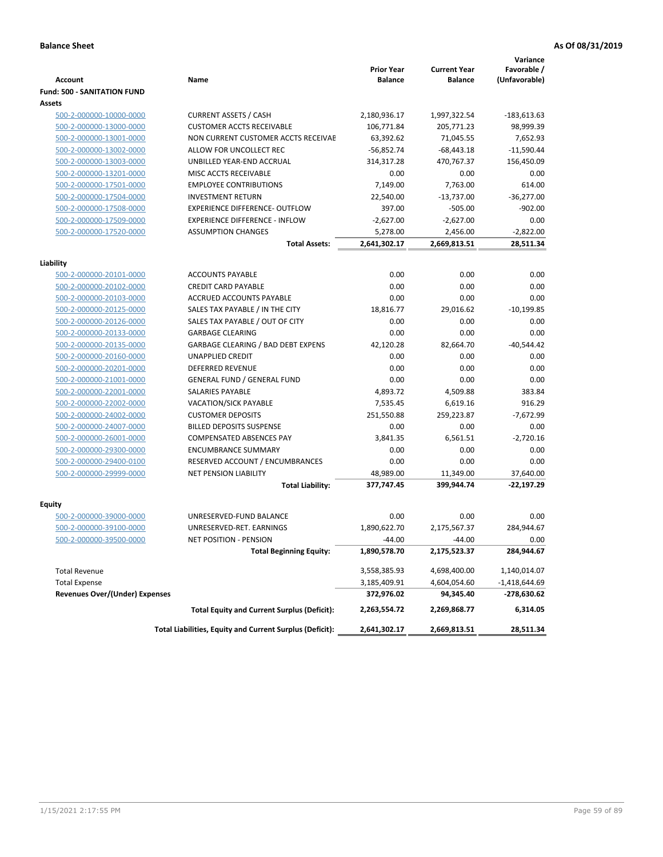|                                                    |                                                          | <b>Prior Year</b> | <b>Current Year</b> | Variance<br>Favorable / |
|----------------------------------------------------|----------------------------------------------------------|-------------------|---------------------|-------------------------|
| <b>Account</b>                                     | Name                                                     | <b>Balance</b>    | <b>Balance</b>      | (Unfavorable)           |
| <b>Fund: 500 - SANITATION FUND</b>                 |                                                          |                   |                     |                         |
| Assets                                             |                                                          |                   |                     |                         |
| 500-2-000000-10000-0000                            | <b>CURRENT ASSETS / CASH</b>                             | 2,180,936.17      | 1,997,322.54        | $-183,613.63$           |
| 500-2-000000-13000-0000                            | <b>CUSTOMER ACCTS RECEIVABLE</b>                         | 106,771.84        | 205,771.23          | 98,999.39               |
| 500-2-000000-13001-0000                            | NON CURRENT CUSTOMER ACCTS RECEIVAE                      | 63,392.62         | 71,045.55           | 7,652.93                |
| 500-2-000000-13002-0000                            | ALLOW FOR UNCOLLECT REC                                  | $-56,852.74$      | $-68,443.18$        | $-11,590.44$            |
| 500-2-000000-13003-0000                            | UNBILLED YEAR-END ACCRUAL                                | 314,317.28        | 470,767.37          | 156,450.09              |
| 500-2-000000-13201-0000                            | <b>MISC ACCTS RECEIVABLE</b>                             | 0.00              | 0.00                | 0.00                    |
| 500-2-000000-17501-0000                            | <b>EMPLOYEE CONTRIBUTIONS</b>                            | 7,149.00          | 7,763.00            | 614.00                  |
| 500-2-000000-17504-0000                            | <b>INVESTMENT RETURN</b>                                 | 22,540.00         | $-13,737.00$        | $-36,277.00$            |
| 500-2-000000-17508-0000                            | <b>EXPERIENCE DIFFERENCE- OUTFLOW</b>                    | 397.00            | $-505.00$           | $-902.00$               |
| 500-2-000000-17509-0000                            | <b>EXPERIENCE DIFFERENCE - INFLOW</b>                    | $-2,627.00$       | $-2,627.00$         | 0.00                    |
| 500-2-000000-17520-0000                            | <b>ASSUMPTION CHANGES</b>                                | 5,278.00          | 2,456.00            | $-2,822.00$             |
|                                                    | <b>Total Assets:</b>                                     | 2,641,302.17      | 2,669,813.51        | 28,511.34               |
|                                                    |                                                          |                   |                     |                         |
| Liability                                          | <b>ACCOUNTS PAYABLE</b>                                  |                   |                     |                         |
| 500-2-000000-20101-0000<br>500-2-000000-20102-0000 | <b>CREDIT CARD PAYABLE</b>                               | 0.00              | 0.00                | 0.00                    |
| 500-2-000000-20103-0000                            | ACCRUED ACCOUNTS PAYABLE                                 | 0.00<br>0.00      | 0.00<br>0.00        | 0.00<br>0.00            |
| 500-2-000000-20125-0000                            | SALES TAX PAYABLE / IN THE CITY                          | 18,816.77         | 29,016.62           | $-10,199.85$            |
| 500-2-000000-20126-0000                            | SALES TAX PAYABLE / OUT OF CITY                          | 0.00              | 0.00                | 0.00                    |
| 500-2-000000-20133-0000                            | <b>GARBAGE CLEARING</b>                                  | 0.00              | 0.00                | 0.00                    |
| 500-2-000000-20135-0000                            | <b>GARBAGE CLEARING / BAD DEBT EXPENS</b>                | 42,120.28         | 82,664.70           | $-40,544.42$            |
| 500-2-000000-20160-0000                            | <b>UNAPPLIED CREDIT</b>                                  | 0.00              | 0.00                | 0.00                    |
| 500-2-000000-20201-0000                            | <b>DEFERRED REVENUE</b>                                  | 0.00              | 0.00                | 0.00                    |
| 500-2-000000-21001-0000                            | <b>GENERAL FUND / GENERAL FUND</b>                       | 0.00              | 0.00                | 0.00                    |
| 500-2-000000-22001-0000                            | <b>SALARIES PAYABLE</b>                                  | 4,893.72          | 4,509.88            | 383.84                  |
| 500-2-000000-22002-0000                            | <b>VACATION/SICK PAYABLE</b>                             | 7,535.45          | 6,619.16            | 916.29                  |
| 500-2-000000-24002-0000                            | <b>CUSTOMER DEPOSITS</b>                                 | 251,550.88        | 259,223.87          | $-7,672.99$             |
| 500-2-000000-24007-0000                            | <b>BILLED DEPOSITS SUSPENSE</b>                          | 0.00              | 0.00                | 0.00                    |
| 500-2-000000-26001-0000                            | <b>COMPENSATED ABSENCES PAY</b>                          | 3,841.35          | 6,561.51            | $-2,720.16$             |
| 500-2-000000-29300-0000                            | <b>ENCUMBRANCE SUMMARY</b>                               | 0.00              | 0.00                | 0.00                    |
| 500-2-000000-29400-0100                            | RESERVED ACCOUNT / ENCUMBRANCES                          | 0.00              | 0.00                | 0.00                    |
| 500-2-000000-29999-0000                            | <b>NET PENSION LIABILITY</b>                             | 48,989.00         | 11,349.00           | 37,640.00               |
|                                                    | <b>Total Liability:</b>                                  | 377,747.45        | 399,944.74          | $-22,197.29$            |
|                                                    |                                                          |                   |                     |                         |
| Equity                                             |                                                          |                   |                     |                         |
| 500-2-000000-39000-0000                            | UNRESERVED-FUND BALANCE                                  | 0.00              | 0.00                | 0.00                    |
| 500-2-000000-39100-0000                            | UNRESERVED-RET. EARNINGS                                 | 1,890,622.70      | 2,175,567.37        | 284,944.67              |
| <u>500-2-000000-39500-0000</u>                     | NET POSITION - PENSION                                   | $-44.00$          | $-44.00$            | 0.00                    |
|                                                    | <b>Total Beginning Equity:</b>                           | 1,890,578.70      | 2,175,523.37        | 284,944.67              |
| <b>Total Revenue</b>                               |                                                          | 3,558,385.93      | 4,698,400.00        | 1,140,014.07            |
| <b>Total Expense</b>                               |                                                          | 3,185,409.91      | 4,604,054.60        | $-1,418,644.69$         |
| <b>Revenues Over/(Under) Expenses</b>              |                                                          | 372,976.02        | 94,345.40           | -278,630.62             |
|                                                    | <b>Total Equity and Current Surplus (Deficit):</b>       | 2,263,554.72      | 2,269,868.77        | 6,314.05                |
|                                                    | Total Liabilities, Equity and Current Surplus (Deficit): | 2,641,302.17      | 2,669,813.51        | 28,511.34               |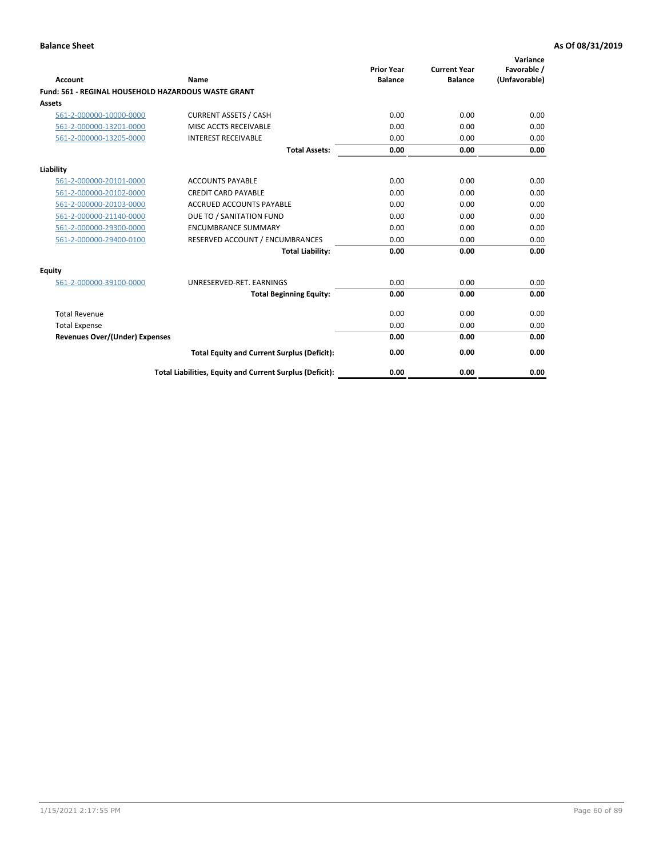| Account                                                    | Name                                                     | <b>Prior Year</b><br><b>Balance</b> | <b>Current Year</b><br><b>Balance</b> | Variance<br>Favorable /<br>(Unfavorable) |
|------------------------------------------------------------|----------------------------------------------------------|-------------------------------------|---------------------------------------|------------------------------------------|
| <b>Fund: 561 - REGINAL HOUSEHOLD HAZARDOUS WASTE GRANT</b> |                                                          |                                     |                                       |                                          |
| Assets                                                     |                                                          |                                     |                                       |                                          |
| 561-2-000000-10000-0000                                    | <b>CURRENT ASSETS / CASH</b>                             | 0.00                                | 0.00                                  | 0.00                                     |
| 561-2-000000-13201-0000                                    | MISC ACCTS RECEIVABLE                                    | 0.00                                | 0.00                                  | 0.00                                     |
| 561-2-000000-13205-0000                                    | <b>INTEREST RECEIVABLE</b>                               | 0.00                                | 0.00                                  | 0.00                                     |
|                                                            | <b>Total Assets:</b>                                     | 0.00                                | 0.00                                  | 0.00                                     |
| Liability                                                  |                                                          |                                     |                                       |                                          |
| 561-2-000000-20101-0000                                    | <b>ACCOUNTS PAYABLE</b>                                  | 0.00                                | 0.00                                  | 0.00                                     |
| 561-2-000000-20102-0000                                    | <b>CREDIT CARD PAYABLE</b>                               | 0.00                                | 0.00                                  | 0.00                                     |
| 561-2-000000-20103-0000                                    | <b>ACCRUED ACCOUNTS PAYABLE</b>                          | 0.00                                | 0.00                                  | 0.00                                     |
| 561-2-000000-21140-0000                                    | DUE TO / SANITATION FUND                                 | 0.00                                | 0.00                                  | 0.00                                     |
| 561-2-000000-29300-0000                                    | <b>ENCUMBRANCE SUMMARY</b>                               | 0.00                                | 0.00                                  | 0.00                                     |
| 561-2-000000-29400-0100                                    | RESERVED ACCOUNT / ENCUMBRANCES                          | 0.00                                | 0.00                                  | 0.00                                     |
|                                                            | <b>Total Liability:</b>                                  | 0.00                                | 0.00                                  | 0.00                                     |
| <b>Equity</b>                                              |                                                          |                                     |                                       |                                          |
| 561-2-000000-39100-0000                                    | UNRESERVED-RET. EARNINGS                                 | 0.00                                | 0.00                                  | 0.00                                     |
|                                                            | <b>Total Beginning Equity:</b>                           | 0.00                                | 0.00                                  | 0.00                                     |
| <b>Total Revenue</b>                                       |                                                          | 0.00                                | 0.00                                  | 0.00                                     |
| <b>Total Expense</b>                                       |                                                          | 0.00                                | 0.00                                  | 0.00                                     |
| <b>Revenues Over/(Under) Expenses</b>                      |                                                          | 0.00                                | 0.00                                  | 0.00                                     |
|                                                            | <b>Total Equity and Current Surplus (Deficit):</b>       | 0.00                                | 0.00                                  | 0.00                                     |
|                                                            | Total Liabilities, Equity and Current Surplus (Deficit): | 0.00                                | 0.00                                  | 0.00                                     |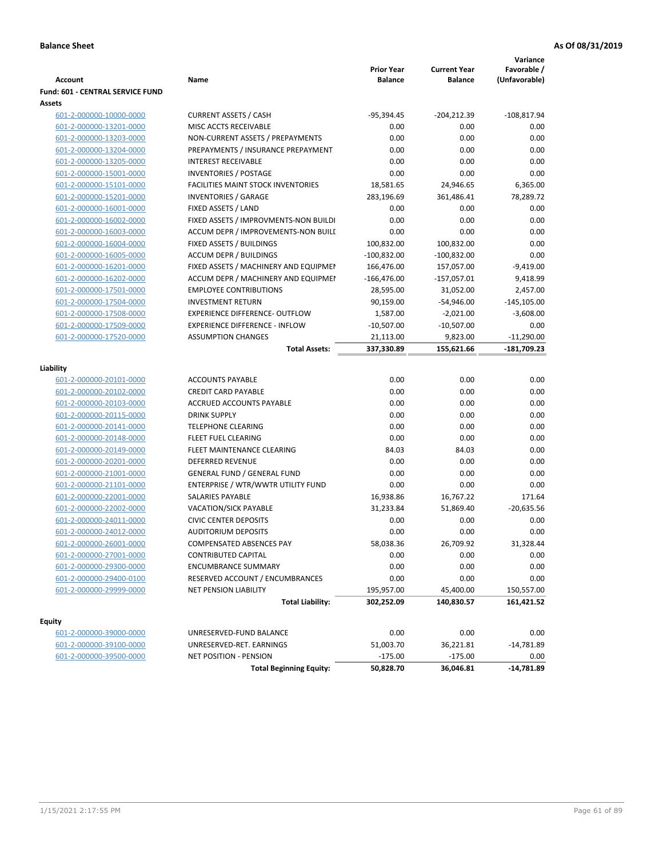| <b>Account</b>                          | Name                                      | <b>Prior Year</b><br><b>Balance</b> | <b>Current Year</b><br><b>Balance</b> | Variance<br>Favorable /<br>(Unfavorable) |
|-----------------------------------------|-------------------------------------------|-------------------------------------|---------------------------------------|------------------------------------------|
| <b>Fund: 601 - CENTRAL SERVICE FUND</b> |                                           |                                     |                                       |                                          |
| Assets                                  |                                           |                                     |                                       |                                          |
| 601-2-000000-10000-0000                 | <b>CURRENT ASSETS / CASH</b>              | $-95,394.45$                        | $-204,212.39$                         | $-108,817.94$                            |
| 601-2-000000-13201-0000                 | MISC ACCTS RECEIVABLE                     | 0.00                                | 0.00                                  | 0.00                                     |
| 601-2-000000-13203-0000                 | NON-CURRENT ASSETS / PREPAYMENTS          | 0.00                                | 0.00                                  | 0.00                                     |
| 601-2-000000-13204-0000                 | PREPAYMENTS / INSURANCE PREPAYMENT        | 0.00                                | 0.00                                  | 0.00                                     |
| 601-2-000000-13205-0000                 | <b>INTEREST RECEIVABLE</b>                | 0.00                                | 0.00                                  | 0.00                                     |
| 601-2-000000-15001-0000                 | INVENTORIES / POSTAGE                     | 0.00                                | 0.00                                  | 0.00                                     |
| 601-2-000000-15101-0000                 | <b>FACILITIES MAINT STOCK INVENTORIES</b> | 18,581.65                           | 24,946.65                             | 6,365.00                                 |
| 601-2-000000-15201-0000                 | <b>INVENTORIES / GARAGE</b>               | 283,196.69                          | 361,486.41                            | 78,289.72                                |
| 601-2-000000-16001-0000                 | FIXED ASSETS / LAND                       | 0.00                                | 0.00                                  | 0.00                                     |
| 601-2-000000-16002-0000                 | FIXED ASSETS / IMPROVMENTS-NON BUILDI     | 0.00                                | 0.00                                  | 0.00                                     |
| 601-2-000000-16003-0000                 | ACCUM DEPR / IMPROVEMENTS-NON BUILI       | 0.00                                | 0.00                                  | 0.00                                     |
| 601-2-000000-16004-0000                 | FIXED ASSETS / BUILDINGS                  | 100,832.00                          | 100,832.00                            | 0.00                                     |
| 601-2-000000-16005-0000                 | <b>ACCUM DEPR / BUILDINGS</b>             | $-100,832.00$                       | $-100,832.00$                         | 0.00                                     |
| 601-2-000000-16201-0000                 | FIXED ASSETS / MACHINERY AND EQUIPMEN     | 166,476.00                          | 157,057.00                            | $-9,419.00$                              |
| 601-2-000000-16202-0000                 | ACCUM DEPR / MACHINERY AND EQUIPMEI       | $-166,476.00$                       | $-157,057.01$                         | 9,418.99                                 |
| 601-2-000000-17501-0000                 | <b>EMPLOYEE CONTRIBUTIONS</b>             | 28,595.00                           | 31,052.00                             | 2,457.00                                 |
| 601-2-000000-17504-0000                 | <b>INVESTMENT RETURN</b>                  | 90,159.00                           | $-54,946.00$                          | $-145,105.00$                            |
| 601-2-000000-17508-0000                 | <b>EXPERIENCE DIFFERENCE- OUTFLOW</b>     | 1,587.00                            | $-2,021.00$                           | $-3,608.00$                              |
| 601-2-000000-17509-0000                 | <b>EXPERIENCE DIFFERENCE - INFLOW</b>     | $-10,507.00$                        | $-10,507.00$                          | 0.00                                     |
| 601-2-000000-17520-0000                 | <b>ASSUMPTION CHANGES</b>                 | 21,113.00                           | 9,823.00                              | $-11,290.00$                             |
|                                         | <b>Total Assets:</b>                      | 337,330.89                          | 155,621.66                            | -181,709.23                              |
|                                         |                                           |                                     |                                       |                                          |
| Liability                               |                                           |                                     |                                       |                                          |
| 601-2-000000-20101-0000                 | <b>ACCOUNTS PAYABLE</b>                   | 0.00                                | 0.00                                  | 0.00                                     |
| 601-2-000000-20102-0000                 | <b>CREDIT CARD PAYABLE</b>                | 0.00                                | 0.00                                  | 0.00                                     |
| 601-2-000000-20103-0000                 | ACCRUED ACCOUNTS PAYABLE                  | 0.00                                | 0.00                                  | 0.00                                     |
| 601-2-000000-20115-0000                 | <b>DRINK SUPPLY</b>                       | 0.00                                | 0.00                                  | 0.00                                     |
| 601-2-000000-20141-0000                 | <b>TELEPHONE CLEARING</b>                 | 0.00                                | 0.00                                  | 0.00                                     |
| 601-2-000000-20148-0000                 | <b>FLEET FUEL CLEARING</b>                | 0.00                                | 0.00                                  | 0.00                                     |
| 601-2-000000-20149-0000                 | FLEET MAINTENANCE CLEARING                | 84.03                               | 84.03                                 | 0.00                                     |
| 601-2-000000-20201-0000                 | <b>DEFERRED REVENUE</b>                   | 0.00                                | 0.00                                  | 0.00                                     |
| 601-2-000000-21001-0000                 | <b>GENERAL FUND / GENERAL FUND</b>        | 0.00                                | 0.00                                  | 0.00                                     |
| 601-2-000000-21101-0000                 | ENTERPRISE / WTR/WWTR UTILITY FUND        | 0.00                                | 0.00                                  | 0.00                                     |
| 601-2-000000-22001-0000                 | <b>SALARIES PAYABLE</b>                   | 16,938.86                           | 16,767.22                             | 171.64                                   |
| 601-2-000000-22002-0000                 | <b>VACATION/SICK PAYABLE</b>              | 31,233.84                           | 51,869.40                             | $-20,635.56$                             |
| 601-2-000000-24011-0000                 | <b>CIVIC CENTER DEPOSITS</b>              | 0.00                                | 0.00                                  | 0.00                                     |
| 601-2-000000-24012-0000                 | <b>AUDITORIUM DEPOSITS</b>                | 0.00                                | 0.00                                  | 0.00                                     |
| 601-2-000000-26001-0000                 | <b>COMPENSATED ABSENCES PAY</b>           | 58,038.36                           | 26,709.92                             | 31,328.44                                |
| 601-2-000000-27001-0000                 | <b>CONTRIBUTED CAPITAL</b>                | 0.00                                | 0.00                                  | 0.00                                     |
| 601-2-000000-29300-0000                 | <b>ENCUMBRANCE SUMMARY</b>                | 0.00                                | 0.00                                  | 0.00                                     |
| 601-2-000000-29400-0100                 | RESERVED ACCOUNT / ENCUMBRANCES           | 0.00                                | 0.00                                  | 0.00                                     |
| 601-2-000000-29999-0000                 | NET PENSION LIABILITY                     | 195,957.00                          | 45,400.00                             | 150,557.00                               |
|                                         | <b>Total Liability:</b>                   | 302,252.09                          | 140,830.57                            | 161,421.52                               |
| <b>Equity</b>                           |                                           |                                     |                                       |                                          |
| 601-2-000000-39000-0000                 | UNRESERVED-FUND BALANCE                   | 0.00                                | 0.00                                  | 0.00                                     |
| 601-2-000000-39100-0000                 | UNRESERVED-RET. EARNINGS                  | 51,003.70                           | 36,221.81                             | -14,781.89                               |
| 601-2-000000-39500-0000                 | NET POSITION - PENSION                    | $-175.00$                           | $-175.00$                             | 0.00                                     |
|                                         | <b>Total Beginning Equity:</b>            | 50,828.70                           | 36,046.81                             | $-14,781.89$                             |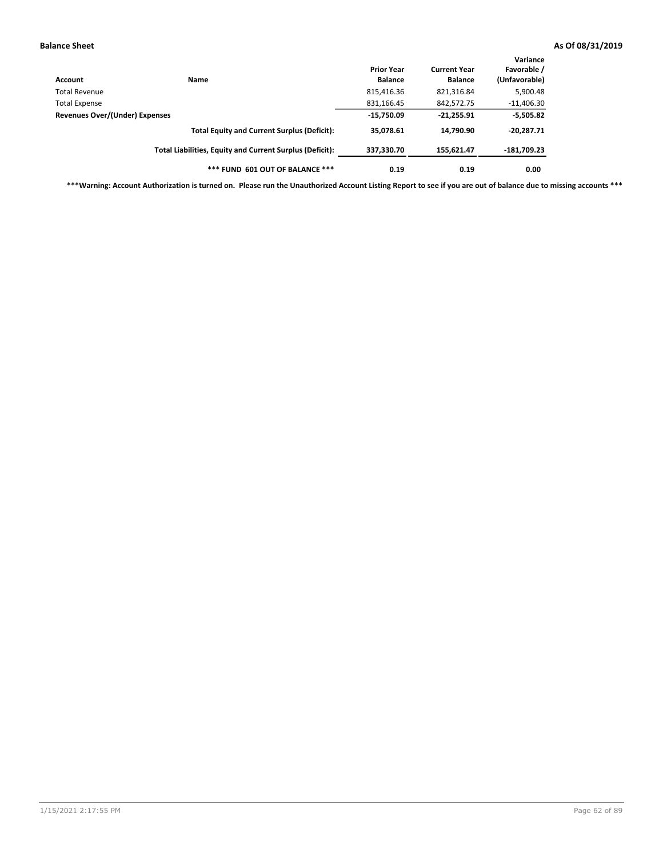| Account                        | <b>Name</b>                                              | <b>Prior Year</b><br><b>Balance</b> | <b>Current Year</b><br><b>Balance</b> | Variance<br>Favorable /<br>(Unfavorable) |
|--------------------------------|----------------------------------------------------------|-------------------------------------|---------------------------------------|------------------------------------------|
| Total Revenue                  |                                                          | 815,416.36                          | 821,316.84                            | 5,900.48                                 |
| Total Expense                  |                                                          | 831,166.45                          | 842,572.75                            | $-11,406.30$                             |
| Revenues Over/(Under) Expenses |                                                          | $-15,750.09$                        | $-21,255.91$                          | $-5,505.82$                              |
|                                | <b>Total Equity and Current Surplus (Deficit):</b>       | 35,078.61                           | 14,790.90                             | $-20,287.71$                             |
|                                | Total Liabilities, Equity and Current Surplus (Deficit): | 337.330.70                          | 155.621.47                            | -181,709.23                              |
|                                | *** FUND 601 OUT OF BALANCE ***                          | 0.19                                | 0.19                                  | 0.00                                     |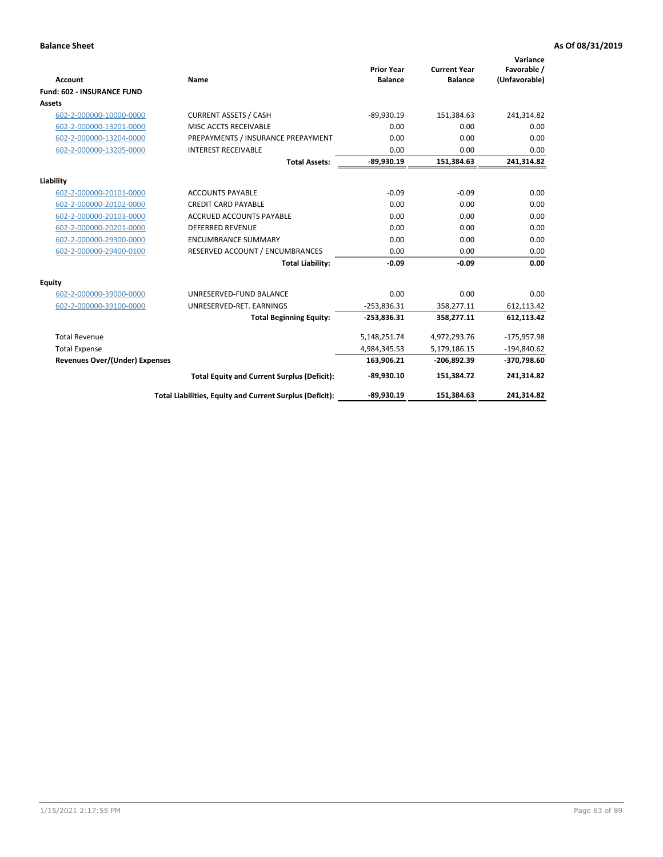|                                       |                                                          |                                     |                                       | Variance                     |
|---------------------------------------|----------------------------------------------------------|-------------------------------------|---------------------------------------|------------------------------|
| <b>Account</b>                        | Name                                                     | <b>Prior Year</b><br><b>Balance</b> | <b>Current Year</b><br><b>Balance</b> | Favorable /<br>(Unfavorable) |
| <b>Fund: 602 - INSURANCE FUND</b>     |                                                          |                                     |                                       |                              |
| <b>Assets</b>                         |                                                          |                                     |                                       |                              |
| 602-2-000000-10000-0000               | <b>CURRENT ASSETS / CASH</b>                             | $-89,930.19$                        | 151,384.63                            | 241,314.82                   |
| 602-2-000000-13201-0000               | MISC ACCTS RECEIVABLE                                    | 0.00                                | 0.00                                  | 0.00                         |
| 602-2-000000-13204-0000               | PREPAYMENTS / INSURANCE PREPAYMENT                       | 0.00                                | 0.00                                  | 0.00                         |
| 602-2-000000-13205-0000               | <b>INTEREST RECEIVABLE</b>                               | 0.00                                | 0.00                                  | 0.00                         |
|                                       | <b>Total Assets:</b>                                     | $-89,930.19$                        | 151,384.63                            | 241,314.82                   |
| Liability                             |                                                          |                                     |                                       |                              |
| 602-2-000000-20101-0000               | <b>ACCOUNTS PAYABLE</b>                                  | $-0.09$                             | $-0.09$                               | 0.00                         |
| 602-2-000000-20102-0000               | <b>CREDIT CARD PAYABLE</b>                               | 0.00                                | 0.00                                  | 0.00                         |
| 602-2-000000-20103-0000               | <b>ACCRUED ACCOUNTS PAYABLE</b>                          | 0.00                                | 0.00                                  | 0.00                         |
| 602-2-000000-20201-0000               | <b>DEFERRED REVENUE</b>                                  | 0.00                                | 0.00                                  | 0.00                         |
| 602-2-000000-29300-0000               | <b>ENCUMBRANCE SUMMARY</b>                               | 0.00                                | 0.00                                  | 0.00                         |
| 602-2-000000-29400-0100               | RESERVED ACCOUNT / ENCUMBRANCES                          | 0.00                                | 0.00                                  | 0.00                         |
|                                       | <b>Total Liability:</b>                                  | $-0.09$                             | $-0.09$                               | 0.00                         |
| <b>Equity</b>                         |                                                          |                                     |                                       |                              |
| 602-2-000000-39000-0000               | UNRESERVED-FUND BALANCE                                  | 0.00                                | 0.00                                  | 0.00                         |
| 602-2-000000-39100-0000               | UNRESERVED-RET. EARNINGS                                 | $-253,836.31$                       | 358,277.11                            | 612,113.42                   |
|                                       | <b>Total Beginning Equity:</b>                           | $-253,836.31$                       | 358,277.11                            | 612,113.42                   |
| <b>Total Revenue</b>                  |                                                          | 5,148,251.74                        | 4,972,293.76                          | $-175,957.98$                |
| <b>Total Expense</b>                  |                                                          | 4,984,345.53                        | 5,179,186.15                          | $-194,840.62$                |
| <b>Revenues Over/(Under) Expenses</b> |                                                          | 163,906.21                          | -206,892.39                           | -370,798.60                  |
|                                       | <b>Total Equity and Current Surplus (Deficit):</b>       | $-89,930.10$                        | 151,384.72                            | 241,314.82                   |
|                                       | Total Liabilities, Equity and Current Surplus (Deficit): | $-89,930.19$                        | 151.384.63                            | 241.314.82                   |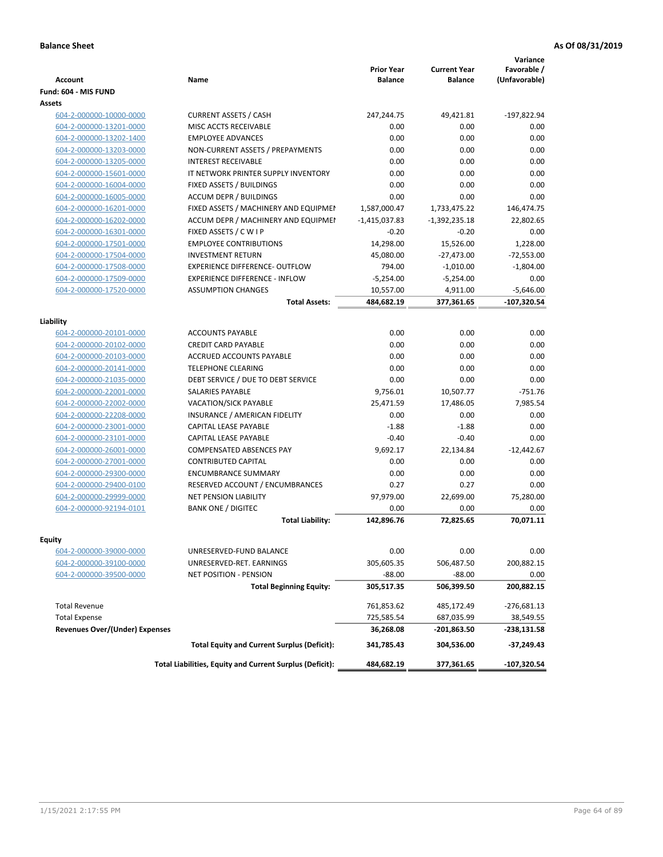| <b>Account</b>                        | Name                                                     | <b>Prior Year</b><br><b>Balance</b> | <b>Current Year</b><br><b>Balance</b> | Variance<br>Favorable /<br>(Unfavorable) |
|---------------------------------------|----------------------------------------------------------|-------------------------------------|---------------------------------------|------------------------------------------|
| Fund: 604 - MIS FUND                  |                                                          |                                     |                                       |                                          |
| Assets                                |                                                          |                                     |                                       |                                          |
| 604-2-000000-10000-0000               | <b>CURRENT ASSETS / CASH</b>                             | 247,244.75                          | 49,421.81                             | $-197,822.94$                            |
| 604-2-000000-13201-0000               | MISC ACCTS RECEIVABLE                                    | 0.00                                | 0.00                                  | 0.00                                     |
| 604-2-000000-13202-1400               | <b>EMPLOYEE ADVANCES</b>                                 | 0.00                                | 0.00                                  | 0.00                                     |
| 604-2-000000-13203-0000               | NON-CURRENT ASSETS / PREPAYMENTS                         | 0.00                                | 0.00                                  | 0.00                                     |
| 604-2-000000-13205-0000               | <b>INTEREST RECEIVABLE</b>                               | 0.00                                | 0.00                                  | 0.00                                     |
| 604-2-000000-15601-0000               | IT NETWORK PRINTER SUPPLY INVENTORY                      | 0.00                                | 0.00                                  | 0.00                                     |
| 604-2-000000-16004-0000               | FIXED ASSETS / BUILDINGS                                 | 0.00                                | 0.00                                  | 0.00                                     |
| 604-2-000000-16005-0000               | <b>ACCUM DEPR / BUILDINGS</b>                            | 0.00                                | 0.00                                  | 0.00                                     |
| 604-2-000000-16201-0000               | FIXED ASSETS / MACHINERY AND EQUIPMEN                    | 1,587,000.47                        | 1,733,475.22                          | 146,474.75                               |
| 604-2-000000-16202-0000               | ACCUM DEPR / MACHINERY AND EQUIPMEI                      | $-1,415,037.83$                     | $-1,392,235.18$                       | 22,802.65                                |
| 604-2-000000-16301-0000               | FIXED ASSETS / C W I P                                   | $-0.20$                             | $-0.20$                               | 0.00                                     |
| 604-2-000000-17501-0000               | <b>EMPLOYEE CONTRIBUTIONS</b>                            | 14,298.00                           | 15,526.00                             | 1,228.00                                 |
| 604-2-000000-17504-0000               | <b>INVESTMENT RETURN</b>                                 | 45,080.00                           | $-27,473.00$                          | $-72,553.00$                             |
| 604-2-000000-17508-0000               | <b>EXPERIENCE DIFFERENCE- OUTFLOW</b>                    | 794.00                              | $-1,010.00$                           | $-1,804.00$                              |
| 604-2-000000-17509-0000               | <b>EXPERIENCE DIFFERENCE - INFLOW</b>                    | $-5,254.00$                         | $-5,254.00$                           | 0.00                                     |
| 604-2-000000-17520-0000               | <b>ASSUMPTION CHANGES</b>                                | 10,557.00                           | 4,911.00                              | $-5,646.00$                              |
|                                       | <b>Total Assets:</b>                                     | 484,682.19                          | 377,361.65                            | $-107,320.54$                            |
|                                       |                                                          |                                     |                                       |                                          |
| Liability                             |                                                          |                                     |                                       |                                          |
| 604-2-000000-20101-0000               | <b>ACCOUNTS PAYABLE</b>                                  | 0.00                                | 0.00                                  | 0.00                                     |
| 604-2-000000-20102-0000               | <b>CREDIT CARD PAYABLE</b>                               | 0.00                                | 0.00                                  | 0.00                                     |
| 604-2-000000-20103-0000               | <b>ACCRUED ACCOUNTS PAYABLE</b>                          | 0.00                                | 0.00                                  | 0.00                                     |
| 604-2-000000-20141-0000               | <b>TELEPHONE CLEARING</b>                                | 0.00                                | 0.00                                  | 0.00                                     |
| 604-2-000000-21035-0000               | DEBT SERVICE / DUE TO DEBT SERVICE                       | 0.00                                | 0.00                                  | 0.00                                     |
| 604-2-000000-22001-0000               | <b>SALARIES PAYABLE</b>                                  | 9,756.01                            | 10,507.77                             | $-751.76$                                |
| 604-2-000000-22002-0000               | <b>VACATION/SICK PAYABLE</b>                             | 25,471.59                           | 17,486.05                             | 7,985.54                                 |
| 604-2-000000-22208-0000               | INSURANCE / AMERICAN FIDELITY                            | 0.00                                | 0.00                                  | 0.00                                     |
| 604-2-000000-23001-0000               | CAPITAL LEASE PAYABLE                                    | $-1.88$                             | $-1.88$                               | 0.00                                     |
| 604-2-000000-23101-0000               | CAPITAL LEASE PAYABLE                                    | $-0.40$                             | $-0.40$                               | 0.00                                     |
| 604-2-000000-26001-0000               | <b>COMPENSATED ABSENCES PAY</b>                          | 9,692.17                            | 22,134.84                             | $-12,442.67$                             |
| 604-2-000000-27001-0000               | <b>CONTRIBUTED CAPITAL</b>                               | 0.00                                | 0.00                                  | 0.00                                     |
| 604-2-000000-29300-0000               | <b>ENCUMBRANCE SUMMARY</b>                               | 0.00                                | 0.00                                  | 0.00                                     |
| 604-2-000000-29400-0100               | <b>RESERVED ACCOUNT / ENCUMBRANCES</b>                   | 0.27                                | 0.27                                  | 0.00                                     |
| 604-2-000000-29999-0000               | <b>NET PENSION LIABILITY</b>                             | 97,979.00                           | 22,699.00                             | 75,280.00                                |
| 604-2-000000-92194-0101               | <b>BANK ONE / DIGITEC</b>                                | 0.00                                | 0.00                                  | 0.00                                     |
|                                       | <b>Total Liability:</b>                                  | 142,896.76                          | 72,825.65                             | 70,071.11                                |
|                                       |                                                          |                                     |                                       |                                          |
| Equity                                |                                                          |                                     |                                       |                                          |
| 604-2-000000-39000-0000               | UNRESERVED-FUND BALANCE                                  | 0.00                                | 0.00                                  | 0.00                                     |
| 604-2-000000-39100-0000               | UNRESERVED-RET. EARNINGS                                 | 305,605.35                          | 506,487.50                            | 200,882.15                               |
| 604-2-000000-39500-0000               | NET POSITION - PENSION                                   | $-88.00$                            | $-88.00$                              | 0.00                                     |
|                                       | <b>Total Beginning Equity:</b>                           | 305,517.35                          | 506,399.50                            | 200,882.15                               |
| <b>Total Revenue</b>                  |                                                          | 761,853.62                          | 485,172.49                            | $-276,681.13$                            |
| <b>Total Expense</b>                  |                                                          | 725,585.54                          | 687,035.99                            | 38,549.55                                |
| <b>Revenues Over/(Under) Expenses</b> |                                                          | 36,268.08                           | -201,863.50                           | -238,131.58                              |
|                                       | <b>Total Equity and Current Surplus (Deficit):</b>       | 341,785.43                          | 304,536.00                            | -37,249.43                               |
|                                       | Total Liabilities, Equity and Current Surplus (Deficit): | 484,682.19                          | 377,361.65                            | -107,320.54                              |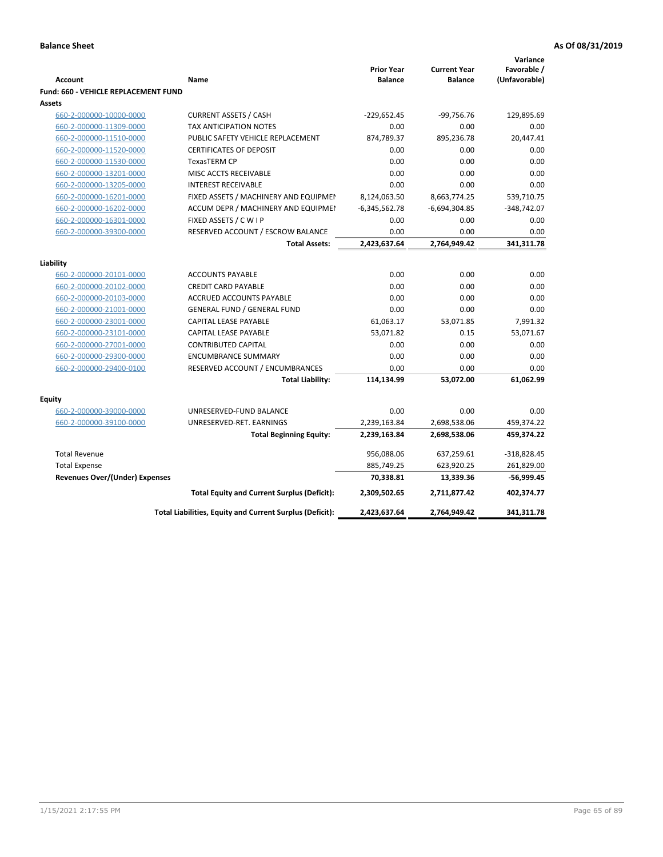|                                             |                                                          |                                     |                                       | Variance                     |
|---------------------------------------------|----------------------------------------------------------|-------------------------------------|---------------------------------------|------------------------------|
| <b>Account</b>                              | Name                                                     | <b>Prior Year</b><br><b>Balance</b> | <b>Current Year</b><br><b>Balance</b> | Favorable /<br>(Unfavorable) |
| <b>Fund: 660 - VEHICLE REPLACEMENT FUND</b> |                                                          |                                     |                                       |                              |
| Assets                                      |                                                          |                                     |                                       |                              |
| 660-2-000000-10000-0000                     | <b>CURRENT ASSETS / CASH</b>                             | $-229,652.45$                       | $-99,756.76$                          | 129,895.69                   |
| 660-2-000000-11309-0000                     | TAX ANTICIPATION NOTES                                   | 0.00                                | 0.00                                  | 0.00                         |
| 660-2-000000-11510-0000                     | PUBLIC SAFETY VEHICLE REPLACEMENT                        | 874,789.37                          | 895,236.78                            | 20,447.41                    |
| 660-2-000000-11520-0000                     | <b>CERTIFICATES OF DEPOSIT</b>                           | 0.00                                | 0.00                                  | 0.00                         |
| 660-2-000000-11530-0000                     | <b>TexasTERM CP</b>                                      | 0.00                                | 0.00                                  | 0.00                         |
| 660-2-000000-13201-0000                     | MISC ACCTS RECEIVABLE                                    | 0.00                                | 0.00                                  | 0.00                         |
| 660-2-000000-13205-0000                     | <b>INTEREST RECEIVABLE</b>                               | 0.00                                | 0.00                                  | 0.00                         |
| 660-2-000000-16201-0000                     | FIXED ASSETS / MACHINERY AND EQUIPMEN                    | 8,124,063.50                        | 8,663,774.25                          | 539,710.75                   |
| 660-2-000000-16202-0000                     | ACCUM DEPR / MACHINERY AND EQUIPMEI                      | $-6,345,562.78$                     | $-6,694,304.85$                       | $-348,742.07$                |
| 660-2-000000-16301-0000                     | FIXED ASSETS / C W I P                                   | 0.00                                | 0.00                                  | 0.00                         |
| 660-2-000000-39300-0000                     | RESERVED ACCOUNT / ESCROW BALANCE                        | 0.00                                | 0.00                                  | 0.00                         |
|                                             | <b>Total Assets:</b>                                     | 2,423,637.64                        | 2,764,949.42                          | 341,311.78                   |
|                                             |                                                          |                                     |                                       |                              |
| Liability                                   |                                                          |                                     |                                       |                              |
| 660-2-000000-20101-0000                     | <b>ACCOUNTS PAYABLE</b>                                  | 0.00                                | 0.00                                  | 0.00                         |
| 660-2-000000-20102-0000                     | <b>CREDIT CARD PAYABLE</b>                               | 0.00                                | 0.00                                  | 0.00                         |
| 660-2-000000-20103-0000                     | <b>ACCRUED ACCOUNTS PAYABLE</b>                          | 0.00                                | 0.00                                  | 0.00                         |
| 660-2-000000-21001-0000                     | <b>GENERAL FUND / GENERAL FUND</b>                       | 0.00                                | 0.00                                  | 0.00                         |
| 660-2-000000-23001-0000                     | <b>CAPITAL LEASE PAYABLE</b>                             | 61,063.17                           | 53,071.85                             | 7,991.32                     |
| 660-2-000000-23101-0000                     | <b>CAPITAL LEASE PAYABLE</b>                             | 53,071.82                           | 0.15                                  | 53,071.67                    |
| 660-2-000000-27001-0000                     | <b>CONTRIBUTED CAPITAL</b>                               | 0.00                                | 0.00                                  | 0.00                         |
| 660-2-000000-29300-0000                     | <b>ENCUMBRANCE SUMMARY</b>                               | 0.00                                | 0.00                                  | 0.00                         |
| 660-2-000000-29400-0100                     | RESERVED ACCOUNT / ENCUMBRANCES                          | 0.00                                | 0.00                                  | 0.00                         |
|                                             | <b>Total Liability:</b>                                  | 114,134.99                          | 53,072.00                             | 61,062.99                    |
| <b>Equity</b>                               |                                                          |                                     |                                       |                              |
| 660-2-000000-39000-0000                     | UNRESERVED-FUND BALANCE                                  | 0.00                                | 0.00                                  | 0.00                         |
| 660-2-000000-39100-0000                     | UNRESERVED-RET. EARNINGS                                 | 2,239,163.84                        | 2,698,538.06                          | 459,374.22                   |
|                                             | <b>Total Beginning Equity:</b>                           | 2,239,163.84                        | 2,698,538.06                          | 459,374.22                   |
|                                             |                                                          |                                     |                                       |                              |
| <b>Total Revenue</b>                        |                                                          | 956,088.06                          | 637,259.61                            | $-318,828.45$                |
| <b>Total Expense</b>                        |                                                          | 885,749.25                          | 623,920.25                            | 261,829.00                   |
| <b>Revenues Over/(Under) Expenses</b>       |                                                          | 70,338.81                           | 13,339.36                             | $-56,999.45$                 |
|                                             | <b>Total Equity and Current Surplus (Deficit):</b>       | 2,309,502.65                        | 2,711,877.42                          | 402,374.77                   |
|                                             | Total Liabilities, Equity and Current Surplus (Deficit): | 2,423,637.64                        | 2,764,949.42                          | 341,311.78                   |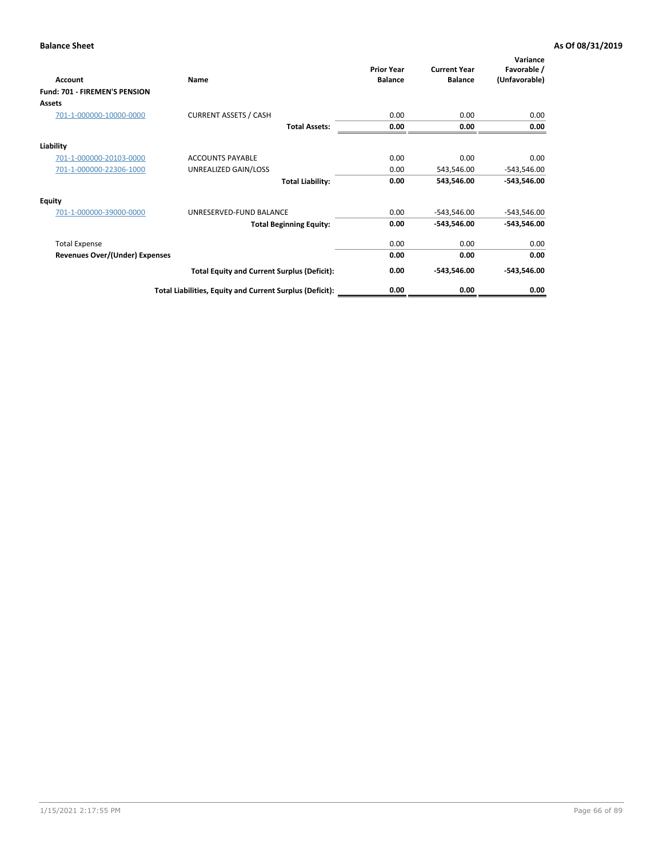| Account                        | Name                                                     | <b>Prior Year</b><br><b>Balance</b> | <b>Current Year</b><br><b>Balance</b> | Variance<br>Favorable /<br>(Unfavorable) |
|--------------------------------|----------------------------------------------------------|-------------------------------------|---------------------------------------|------------------------------------------|
| Fund: 701 - FIREMEN'S PENSION  |                                                          |                                     |                                       |                                          |
| <b>Assets</b>                  |                                                          |                                     |                                       |                                          |
| 701-1-000000-10000-0000        | <b>CURRENT ASSETS / CASH</b>                             | 0.00                                | 0.00                                  | 0.00                                     |
|                                | <b>Total Assets:</b>                                     | 0.00                                | 0.00                                  | 0.00                                     |
| Liability                      |                                                          |                                     |                                       |                                          |
| 701-1-000000-20103-0000        | <b>ACCOUNTS PAYABLE</b>                                  | 0.00                                | 0.00                                  | 0.00                                     |
| 701-1-000000-22306-1000        | UNREALIZED GAIN/LOSS                                     | 0.00                                | 543,546.00                            | $-543,546.00$                            |
|                                | <b>Total Liability:</b>                                  | 0.00                                | 543,546.00                            | $-543,546.00$                            |
| <b>Equity</b>                  |                                                          |                                     |                                       |                                          |
| 701-1-000000-39000-0000        | UNRESERVED-FUND BALANCE                                  | 0.00                                | $-543,546.00$                         | $-543,546.00$                            |
|                                | <b>Total Beginning Equity:</b>                           | 0.00                                | $-543,546.00$                         | $-543,546.00$                            |
| <b>Total Expense</b>           |                                                          | 0.00                                | 0.00                                  | 0.00                                     |
| Revenues Over/(Under) Expenses |                                                          | 0.00                                | 0.00                                  | 0.00                                     |
|                                | <b>Total Equity and Current Surplus (Deficit):</b>       | 0.00                                | $-543,546.00$                         | $-543,546.00$                            |
|                                | Total Liabilities, Equity and Current Surplus (Deficit): | 0.00                                | 0.00                                  | 0.00                                     |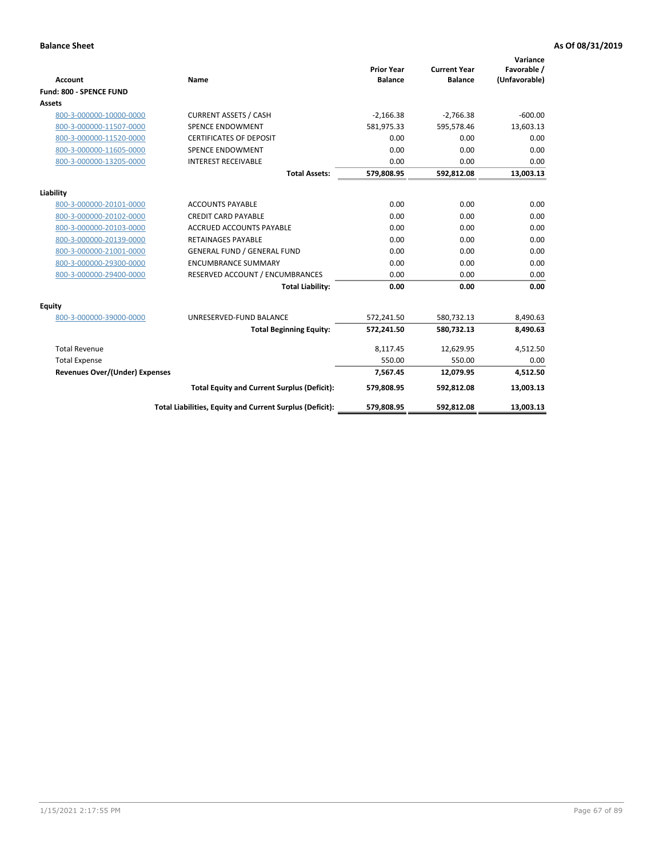|                                       |                                                          |                                     |                                       | Variance                     |
|---------------------------------------|----------------------------------------------------------|-------------------------------------|---------------------------------------|------------------------------|
| <b>Account</b>                        | <b>Name</b>                                              | <b>Prior Year</b><br><b>Balance</b> | <b>Current Year</b><br><b>Balance</b> | Favorable /<br>(Unfavorable) |
| Fund: 800 - SPENCE FUND               |                                                          |                                     |                                       |                              |
| <b>Assets</b>                         |                                                          |                                     |                                       |                              |
| 800-3-000000-10000-0000               | <b>CURRENT ASSETS / CASH</b>                             | $-2,166.38$                         | $-2,766.38$                           | $-600.00$                    |
| 800-3-000000-11507-0000               | <b>SPENCE ENDOWMENT</b>                                  | 581,975.33                          | 595,578.46                            | 13,603.13                    |
| 800-3-000000-11520-0000               | <b>CERTIFICATES OF DEPOSIT</b>                           | 0.00                                | 0.00                                  | 0.00                         |
| 800-3-000000-11605-0000               | <b>SPENCE ENDOWMENT</b>                                  | 0.00                                | 0.00                                  | 0.00                         |
| 800-3-000000-13205-0000               | <b>INTEREST RECEIVABLE</b>                               | 0.00                                | 0.00                                  | 0.00                         |
|                                       | <b>Total Assets:</b>                                     | 579,808.95                          | 592,812.08                            | 13,003.13                    |
| Liability                             |                                                          |                                     |                                       |                              |
| 800-3-000000-20101-0000               | <b>ACCOUNTS PAYABLE</b>                                  | 0.00                                | 0.00                                  | 0.00                         |
| 800-3-000000-20102-0000               | <b>CREDIT CARD PAYABLE</b>                               | 0.00                                | 0.00                                  | 0.00                         |
| 800-3-000000-20103-0000               | <b>ACCRUED ACCOUNTS PAYABLE</b>                          | 0.00                                | 0.00                                  | 0.00                         |
| 800-3-000000-20139-0000               | <b>RETAINAGES PAYABLE</b>                                | 0.00                                | 0.00                                  | 0.00                         |
| 800-3-000000-21001-0000               | <b>GENERAL FUND / GENERAL FUND</b>                       | 0.00                                | 0.00                                  | 0.00                         |
| 800-3-000000-29300-0000               | <b>ENCUMBRANCE SUMMARY</b>                               | 0.00                                | 0.00                                  | 0.00                         |
| 800-3-000000-29400-0000               | RESERVED ACCOUNT / ENCUMBRANCES                          | 0.00                                | 0.00                                  | 0.00                         |
|                                       | <b>Total Liability:</b>                                  | 0.00                                | 0.00                                  | 0.00                         |
| <b>Equity</b>                         |                                                          |                                     |                                       |                              |
| 800-3-000000-39000-0000               | UNRESERVED-FUND BALANCE                                  | 572,241.50                          | 580,732.13                            | 8,490.63                     |
|                                       | <b>Total Beginning Equity:</b>                           | 572,241.50                          | 580,732.13                            | 8,490.63                     |
|                                       |                                                          |                                     |                                       |                              |
| <b>Total Revenue</b>                  |                                                          | 8,117.45                            | 12,629.95                             | 4,512.50                     |
| <b>Total Expense</b>                  |                                                          | 550.00                              | 550.00                                | 0.00                         |
| <b>Revenues Over/(Under) Expenses</b> |                                                          | 7,567.45                            | 12,079.95                             | 4,512.50                     |
|                                       | <b>Total Equity and Current Surplus (Deficit):</b>       | 579,808.95                          | 592,812.08                            | 13,003.13                    |
|                                       | Total Liabilities, Equity and Current Surplus (Deficit): | 579,808.95                          | 592,812.08                            | 13,003.13                    |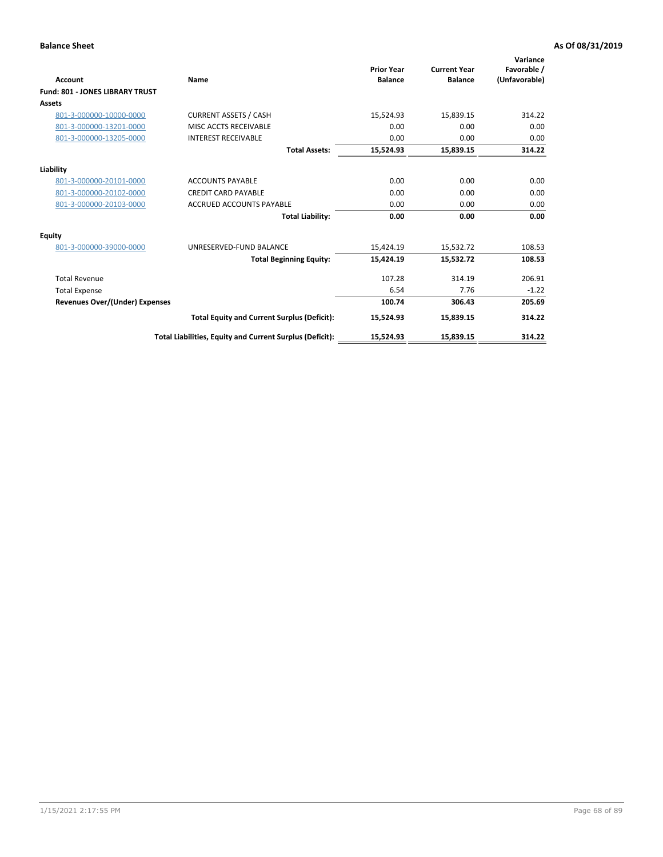| <b>Account</b>                         | Name                                                     | <b>Prior Year</b><br><b>Balance</b> | <b>Current Year</b><br><b>Balance</b> | Variance<br>Favorable /<br>(Unfavorable) |
|----------------------------------------|----------------------------------------------------------|-------------------------------------|---------------------------------------|------------------------------------------|
| <b>Fund: 801 - JONES LIBRARY TRUST</b> |                                                          |                                     |                                       |                                          |
| Assets                                 |                                                          |                                     |                                       |                                          |
| 801-3-000000-10000-0000                | <b>CURRENT ASSETS / CASH</b>                             | 15,524.93                           | 15,839.15                             | 314.22                                   |
| 801-3-000000-13201-0000                | MISC ACCTS RECEIVABLE                                    | 0.00                                | 0.00                                  | 0.00                                     |
| 801-3-000000-13205-0000                | <b>INTEREST RECEIVABLE</b>                               | 0.00                                | 0.00                                  | 0.00                                     |
|                                        | <b>Total Assets:</b>                                     | 15,524.93                           | 15,839.15                             | 314.22                                   |
| Liability                              |                                                          |                                     |                                       |                                          |
| 801-3-000000-20101-0000                | <b>ACCOUNTS PAYABLE</b>                                  | 0.00                                | 0.00                                  | 0.00                                     |
| 801-3-000000-20102-0000                | <b>CREDIT CARD PAYABLE</b>                               | 0.00                                | 0.00                                  | 0.00                                     |
| 801-3-000000-20103-0000                | <b>ACCRUED ACCOUNTS PAYABLE</b>                          | 0.00                                | 0.00                                  | 0.00                                     |
|                                        | <b>Total Liability:</b>                                  | 0.00                                | 0.00                                  | 0.00                                     |
| Equity                                 |                                                          |                                     |                                       |                                          |
| 801-3-000000-39000-0000                | UNRESERVED-FUND BALANCE                                  | 15,424.19                           | 15,532.72                             | 108.53                                   |
|                                        | <b>Total Beginning Equity:</b>                           | 15,424.19                           | 15,532.72                             | 108.53                                   |
| <b>Total Revenue</b>                   |                                                          | 107.28                              | 314.19                                | 206.91                                   |
| <b>Total Expense</b>                   |                                                          | 6.54                                | 7.76                                  | $-1.22$                                  |
| <b>Revenues Over/(Under) Expenses</b>  |                                                          | 100.74                              | 306.43                                | 205.69                                   |
|                                        | <b>Total Equity and Current Surplus (Deficit):</b>       | 15,524.93                           | 15,839.15                             | 314.22                                   |
|                                        | Total Liabilities, Equity and Current Surplus (Deficit): | 15,524.93                           | 15,839.15                             | 314.22                                   |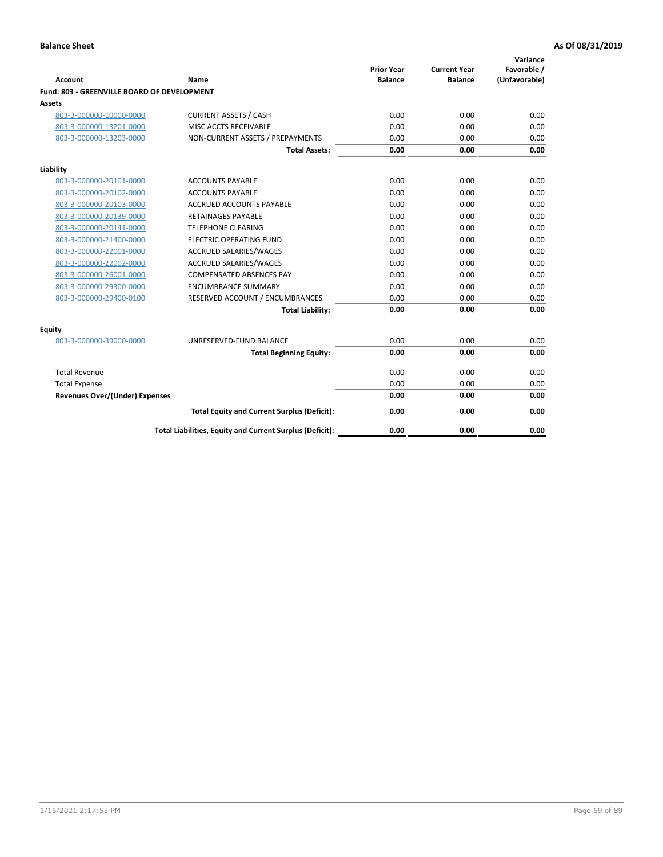| <b>Account</b>                              | Name                                                     | <b>Prior Year</b><br><b>Balance</b> | <b>Current Year</b><br><b>Balance</b> | Variance<br>Favorable /<br>(Unfavorable) |
|---------------------------------------------|----------------------------------------------------------|-------------------------------------|---------------------------------------|------------------------------------------|
| Fund: 803 - GREENVILLE BOARD OF DEVELOPMENT |                                                          |                                     |                                       |                                          |
| Assets                                      |                                                          |                                     |                                       |                                          |
| 803-3-000000-10000-0000                     | <b>CURRENT ASSETS / CASH</b>                             | 0.00                                | 0.00                                  | 0.00                                     |
| 803-3-000000-13201-0000                     | MISC ACCTS RECEIVABLE                                    | 0.00                                | 0.00                                  | 0.00                                     |
| 803-3-000000-13203-0000                     | NON-CURRENT ASSETS / PREPAYMENTS                         | 0.00                                | 0.00                                  | 0.00                                     |
|                                             | <b>Total Assets:</b>                                     | 0.00                                | 0.00                                  | 0.00                                     |
| Liability                                   |                                                          |                                     |                                       |                                          |
| 803-3-000000-20101-0000                     | <b>ACCOUNTS PAYABLE</b>                                  | 0.00                                | 0.00                                  | 0.00                                     |
| 803-3-000000-20102-0000                     | <b>ACCOUNTS PAYABLE</b>                                  | 0.00                                | 0.00                                  | 0.00                                     |
| 803-3-000000-20103-0000                     | <b>ACCRUED ACCOUNTS PAYABLE</b>                          | 0.00                                | 0.00                                  | 0.00                                     |
| 803-3-000000-20139-0000                     | RETAINAGES PAYABLE                                       | 0.00                                | 0.00                                  | 0.00                                     |
| 803-3-000000-20141-0000                     | <b>TELEPHONE CLEARING</b>                                | 0.00                                | 0.00                                  | 0.00                                     |
| 803-3-000000-21400-0000                     | <b>ELECTRIC OPERATING FUND</b>                           | 0.00                                | 0.00                                  | 0.00                                     |
| 803-3-000000-22001-0000                     | <b>ACCRUED SALARIES/WAGES</b>                            | 0.00                                | 0.00                                  | 0.00                                     |
| 803-3-000000-22002-0000                     | <b>ACCRUED SALARIES/WAGES</b>                            | 0.00                                | 0.00                                  | 0.00                                     |
| 803-3-000000-26001-0000                     | <b>COMPENSATED ABSENCES PAY</b>                          | 0.00                                | 0.00                                  | 0.00                                     |
| 803-3-000000-29300-0000                     | <b>ENCUMBRANCE SUMMARY</b>                               | 0.00                                | 0.00                                  | 0.00                                     |
| 803-3-000000-29400-0100                     | RESERVED ACCOUNT / ENCUMBRANCES                          | 0.00                                | 0.00                                  | 0.00                                     |
|                                             | <b>Total Liability:</b>                                  | 0.00                                | 0.00                                  | 0.00                                     |
| <b>Equity</b>                               |                                                          |                                     |                                       |                                          |
| 803-3-000000-39000-0000                     | UNRESERVED-FUND BALANCE                                  | 0.00                                | 0.00                                  | 0.00                                     |
|                                             | <b>Total Beginning Equity:</b>                           | 0.00                                | 0.00                                  | 0.00                                     |
| <b>Total Revenue</b>                        |                                                          | 0.00                                | 0.00                                  | 0.00                                     |
| <b>Total Expense</b>                        |                                                          | 0.00                                | 0.00                                  | 0.00                                     |
| <b>Revenues Over/(Under) Expenses</b>       |                                                          | 0.00                                | 0.00                                  | 0.00                                     |
|                                             | <b>Total Equity and Current Surplus (Deficit):</b>       | 0.00                                | 0.00                                  | 0.00                                     |
|                                             | Total Liabilities, Equity and Current Surplus (Deficit): | 0.00                                | 0.00                                  | 0.00                                     |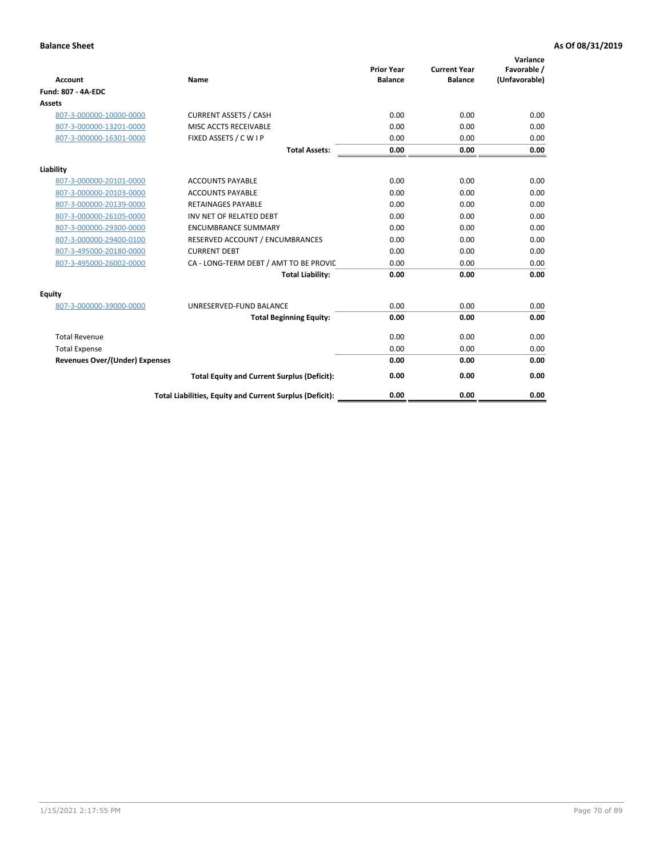| <b>Account</b>                        | Name                                                     | <b>Prior Year</b><br><b>Balance</b> | <b>Current Year</b><br><b>Balance</b> | Variance<br>Favorable /<br>(Unfavorable) |
|---------------------------------------|----------------------------------------------------------|-------------------------------------|---------------------------------------|------------------------------------------|
| Fund: 807 - 4A-EDC                    |                                                          |                                     |                                       |                                          |
| <b>Assets</b>                         |                                                          |                                     |                                       |                                          |
| 807-3-000000-10000-0000               | <b>CURRENT ASSETS / CASH</b>                             | 0.00                                | 0.00                                  | 0.00                                     |
| 807-3-000000-13201-0000               | MISC ACCTS RECEIVABLE                                    | 0.00                                | 0.00                                  | 0.00                                     |
| 807-3-000000-16301-0000               | FIXED ASSETS / C W I P                                   | 0.00                                | 0.00                                  | 0.00                                     |
|                                       | <b>Total Assets:</b>                                     | 0.00                                | 0.00                                  | 0.00                                     |
| Liability                             |                                                          |                                     |                                       |                                          |
| 807-3-000000-20101-0000               | <b>ACCOUNTS PAYABLE</b>                                  | 0.00                                | 0.00                                  | 0.00                                     |
| 807-3-000000-20103-0000               | <b>ACCOUNTS PAYABLE</b>                                  | 0.00                                | 0.00                                  | 0.00                                     |
| 807-3-000000-20139-0000               | <b>RETAINAGES PAYABLE</b>                                | 0.00                                | 0.00                                  | 0.00                                     |
| 807-3-000000-26105-0000               | INV NET OF RELATED DEBT                                  | 0.00                                | 0.00                                  | 0.00                                     |
| 807-3-000000-29300-0000               | <b>ENCUMBRANCE SUMMARY</b>                               | 0.00                                | 0.00                                  | 0.00                                     |
| 807-3-000000-29400-0100               | RESERVED ACCOUNT / ENCUMBRANCES                          | 0.00                                | 0.00                                  | 0.00                                     |
| 807-3-495000-20180-0000               | <b>CURRENT DEBT</b>                                      | 0.00                                | 0.00                                  | 0.00                                     |
| 807-3-495000-26002-0000               | CA - LONG-TERM DEBT / AMT TO BE PROVIL                   | 0.00                                | 0.00                                  | 0.00                                     |
|                                       | <b>Total Liability:</b>                                  | 0.00                                | 0.00                                  | 0.00                                     |
| Equity                                |                                                          |                                     |                                       |                                          |
| 807-3-000000-39000-0000               | UNRESERVED-FUND BALANCE                                  | 0.00                                | 0.00                                  | 0.00                                     |
|                                       | <b>Total Beginning Equity:</b>                           | 0.00                                | 0.00                                  | 0.00                                     |
| <b>Total Revenue</b>                  |                                                          | 0.00                                | 0.00                                  | 0.00                                     |
| <b>Total Expense</b>                  |                                                          | 0.00                                | 0.00                                  | 0.00                                     |
| <b>Revenues Over/(Under) Expenses</b> |                                                          | 0.00                                | 0.00                                  | 0.00                                     |
|                                       | <b>Total Equity and Current Surplus (Deficit):</b>       | 0.00                                | 0.00                                  | 0.00                                     |
|                                       | Total Liabilities, Equity and Current Surplus (Deficit): | 0.00                                | 0.00                                  | 0.00                                     |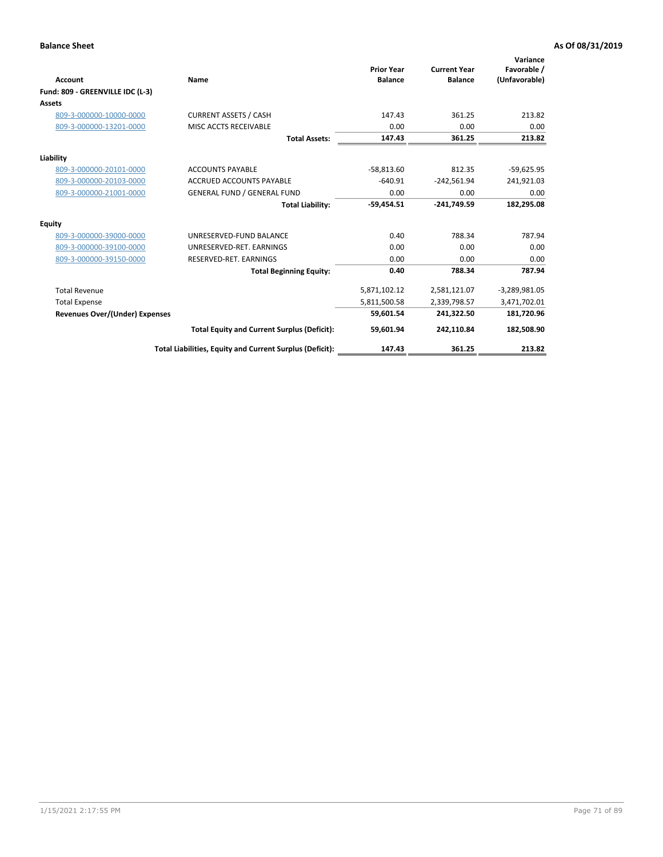|                                       |                                                          |                                     |                                       | Variance                     |
|---------------------------------------|----------------------------------------------------------|-------------------------------------|---------------------------------------|------------------------------|
| <b>Account</b>                        | Name                                                     | <b>Prior Year</b><br><b>Balance</b> | <b>Current Year</b><br><b>Balance</b> | Favorable /<br>(Unfavorable) |
| Fund: 809 - GREENVILLE IDC (L-3)      |                                                          |                                     |                                       |                              |
| <b>Assets</b>                         |                                                          |                                     |                                       |                              |
| 809-3-000000-10000-0000               | <b>CURRENT ASSETS / CASH</b>                             | 147.43                              | 361.25                                | 213.82                       |
| 809-3-000000-13201-0000               | <b>MISC ACCTS RECEIVABLE</b>                             | 0.00                                | 0.00                                  | 0.00                         |
|                                       | <b>Total Assets:</b>                                     | 147.43                              | 361.25                                | 213.82                       |
| Liability                             |                                                          |                                     |                                       |                              |
| 809-3-000000-20101-0000               | <b>ACCOUNTS PAYABLE</b>                                  | $-58,813.60$                        | 812.35                                | $-59,625.95$                 |
| 809-3-000000-20103-0000               | <b>ACCRUED ACCOUNTS PAYABLE</b>                          | $-640.91$                           | $-242,561.94$                         | 241,921.03                   |
| 809-3-000000-21001-0000               | <b>GENERAL FUND / GENERAL FUND</b>                       | 0.00                                | 0.00                                  | 0.00                         |
|                                       | <b>Total Liability:</b>                                  | $-59.454.51$                        | $-241.749.59$                         | 182,295.08                   |
| <b>Equity</b>                         |                                                          |                                     |                                       |                              |
| 809-3-000000-39000-0000               | UNRESERVED-FUND BALANCE                                  | 0.40                                | 788.34                                | 787.94                       |
| 809-3-000000-39100-0000               | UNRESERVED-RET. EARNINGS                                 | 0.00                                | 0.00                                  | 0.00                         |
| 809-3-000000-39150-0000               | RESERVED-RET. EARNINGS                                   | 0.00                                | 0.00                                  | 0.00                         |
|                                       | <b>Total Beginning Equity:</b>                           | 0.40                                | 788.34                                | 787.94                       |
| <b>Total Revenue</b>                  |                                                          | 5,871,102.12                        | 2,581,121.07                          | $-3,289,981.05$              |
| <b>Total Expense</b>                  |                                                          | 5,811,500.58                        | 2,339,798.57                          | 3,471,702.01                 |
| <b>Revenues Over/(Under) Expenses</b> |                                                          | 59.601.54                           | 241.322.50                            | 181,720.96                   |
|                                       | <b>Total Equity and Current Surplus (Deficit):</b>       | 59,601.94                           | 242,110.84                            | 182,508.90                   |
|                                       | Total Liabilities, Equity and Current Surplus (Deficit): | 147.43                              | 361.25                                | 213.82                       |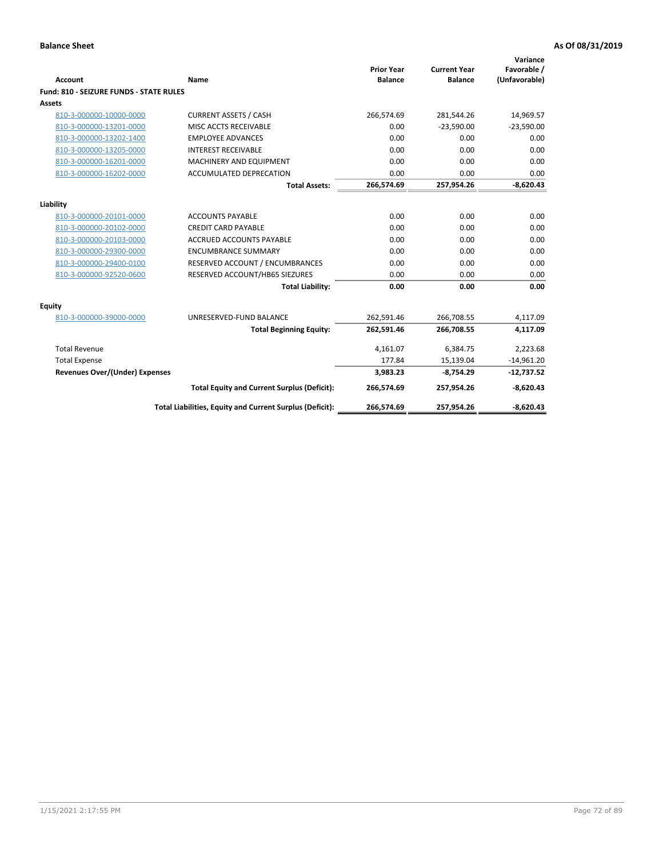| <b>Account</b>                          | Name                                                     | <b>Prior Year</b><br><b>Balance</b> | <b>Current Year</b><br><b>Balance</b> | Variance<br>Favorable /<br>(Unfavorable) |
|-----------------------------------------|----------------------------------------------------------|-------------------------------------|---------------------------------------|------------------------------------------|
| Fund: 810 - SEIZURE FUNDS - STATE RULES |                                                          |                                     |                                       |                                          |
| <b>Assets</b>                           |                                                          |                                     |                                       |                                          |
| 810-3-000000-10000-0000                 | <b>CURRENT ASSETS / CASH</b>                             | 266,574.69                          | 281,544.26                            | 14,969.57                                |
| 810-3-000000-13201-0000                 | MISC ACCTS RECEIVABLE                                    | 0.00                                | $-23,590.00$                          | $-23,590.00$                             |
| 810-3-000000-13202-1400                 | <b>EMPLOYEE ADVANCES</b>                                 | 0.00                                | 0.00                                  | 0.00                                     |
| 810-3-000000-13205-0000                 | <b>INTEREST RECEIVABLE</b>                               | 0.00                                | 0.00                                  | 0.00                                     |
| 810-3-000000-16201-0000                 | <b>MACHINERY AND EQUIPMENT</b>                           | 0.00                                | 0.00                                  | 0.00                                     |
| 810-3-000000-16202-0000                 | ACCUMULATED DEPRECATION                                  | 0.00                                | 0.00                                  | 0.00                                     |
|                                         | <b>Total Assets:</b>                                     | 266,574.69                          | 257,954.26                            | $-8,620.43$                              |
| Liability                               |                                                          |                                     |                                       |                                          |
| 810-3-000000-20101-0000                 | <b>ACCOUNTS PAYABLE</b>                                  | 0.00                                | 0.00                                  | 0.00                                     |
| 810-3-000000-20102-0000                 | <b>CREDIT CARD PAYABLE</b>                               | 0.00                                | 0.00                                  | 0.00                                     |
| 810-3-000000-20103-0000                 | <b>ACCRUED ACCOUNTS PAYABLE</b>                          | 0.00                                | 0.00                                  | 0.00                                     |
| 810-3-000000-29300-0000                 | <b>ENCUMBRANCE SUMMARY</b>                               | 0.00                                | 0.00                                  | 0.00                                     |
| 810-3-000000-29400-0100                 | RESERVED ACCOUNT / ENCUMBRANCES                          | 0.00                                | 0.00                                  | 0.00                                     |
| 810-3-000000-92520-0600                 | RESERVED ACCOUNT/HB65 SIEZURES                           | 0.00                                | 0.00                                  | 0.00                                     |
|                                         | <b>Total Liability:</b>                                  | 0.00                                | 0.00                                  | 0.00                                     |
| <b>Equity</b>                           |                                                          |                                     |                                       |                                          |
| 810-3-000000-39000-0000                 | UNRESERVED-FUND BALANCE                                  | 262,591.46                          | 266,708.55                            | 4,117.09                                 |
|                                         | <b>Total Beginning Equity:</b>                           | 262,591.46                          | 266,708.55                            | 4,117.09                                 |
| <b>Total Revenue</b>                    |                                                          | 4,161.07                            | 6,384.75                              | 2,223.68                                 |
| <b>Total Expense</b>                    |                                                          | 177.84                              | 15,139.04                             | $-14,961.20$                             |
| Revenues Over/(Under) Expenses          |                                                          | 3,983.23                            | $-8,754.29$                           | $-12,737.52$                             |
|                                         | <b>Total Equity and Current Surplus (Deficit):</b>       | 266,574.69                          | 257,954.26                            | $-8,620.43$                              |
|                                         | Total Liabilities, Equity and Current Surplus (Deficit): | 266,574.69                          | 257,954.26                            | $-8,620.43$                              |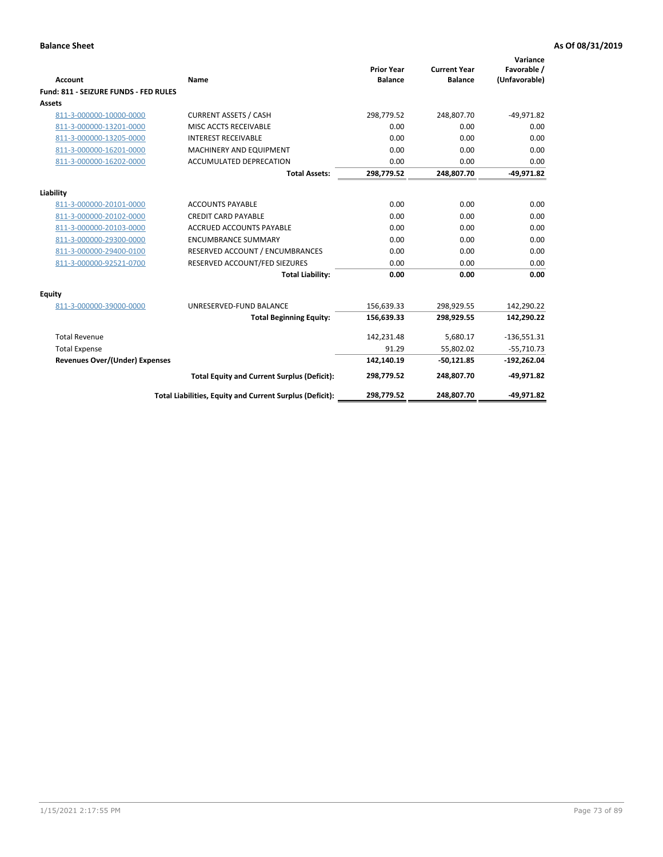| <b>Account</b>                        | Name                                                     | <b>Prior Year</b><br><b>Balance</b> | <b>Current Year</b><br><b>Balance</b> | Variance<br>Favorable /<br>(Unfavorable) |
|---------------------------------------|----------------------------------------------------------|-------------------------------------|---------------------------------------|------------------------------------------|
| Fund: 811 - SEIZURE FUNDS - FED RULES |                                                          |                                     |                                       |                                          |
| <b>Assets</b>                         |                                                          |                                     |                                       |                                          |
| 811-3-000000-10000-0000               | <b>CURRENT ASSETS / CASH</b>                             | 298,779.52                          | 248,807.70                            | $-49,971.82$                             |
| 811-3-000000-13201-0000               | MISC ACCTS RECEIVABLE                                    | 0.00                                | 0.00                                  | 0.00                                     |
| 811-3-000000-13205-0000               | <b>INTEREST RECEIVABLE</b>                               | 0.00                                | 0.00                                  | 0.00                                     |
| 811-3-000000-16201-0000               | <b>MACHINERY AND EQUIPMENT</b>                           | 0.00                                | 0.00                                  | 0.00                                     |
| 811-3-000000-16202-0000               | <b>ACCUMULATED DEPRECATION</b>                           | 0.00                                | 0.00                                  | 0.00                                     |
|                                       | <b>Total Assets:</b>                                     | 298,779.52                          | 248,807.70                            | $-49,971.82$                             |
| Liability                             |                                                          |                                     |                                       |                                          |
| 811-3-000000-20101-0000               | <b>ACCOUNTS PAYABLE</b>                                  | 0.00                                | 0.00                                  | 0.00                                     |
| 811-3-000000-20102-0000               | <b>CREDIT CARD PAYABLE</b>                               | 0.00                                | 0.00                                  | 0.00                                     |
| 811-3-000000-20103-0000               | <b>ACCRUED ACCOUNTS PAYABLE</b>                          | 0.00                                | 0.00                                  | 0.00                                     |
| 811-3-000000-29300-0000               | <b>ENCUMBRANCE SUMMARY</b>                               | 0.00                                | 0.00                                  | 0.00                                     |
| 811-3-000000-29400-0100               | RESERVED ACCOUNT / ENCUMBRANCES                          | 0.00                                | 0.00                                  | 0.00                                     |
| 811-3-000000-92521-0700               | RESERVED ACCOUNT/FED SIEZURES                            | 0.00                                | 0.00                                  | 0.00                                     |
|                                       | <b>Total Liability:</b>                                  | 0.00                                | 0.00                                  | 0.00                                     |
| Equity                                |                                                          |                                     |                                       |                                          |
| 811-3-000000-39000-0000               | UNRESERVED-FUND BALANCE                                  | 156,639.33                          | 298,929.55                            | 142,290.22                               |
|                                       | <b>Total Beginning Equity:</b>                           | 156,639.33                          | 298,929.55                            | 142,290.22                               |
| <b>Total Revenue</b>                  |                                                          | 142,231.48                          | 5,680.17                              | $-136,551.31$                            |
| <b>Total Expense</b>                  |                                                          | 91.29                               | 55,802.02                             | $-55,710.73$                             |
| Revenues Over/(Under) Expenses        |                                                          | 142,140.19                          | $-50,121.85$                          | $-192,262.04$                            |
|                                       | <b>Total Equity and Current Surplus (Deficit):</b>       | 298,779.52                          | 248,807.70                            | $-49,971.82$                             |
|                                       | Total Liabilities, Equity and Current Surplus (Deficit): | 298,779.52                          | 248.807.70                            | $-49.971.82$                             |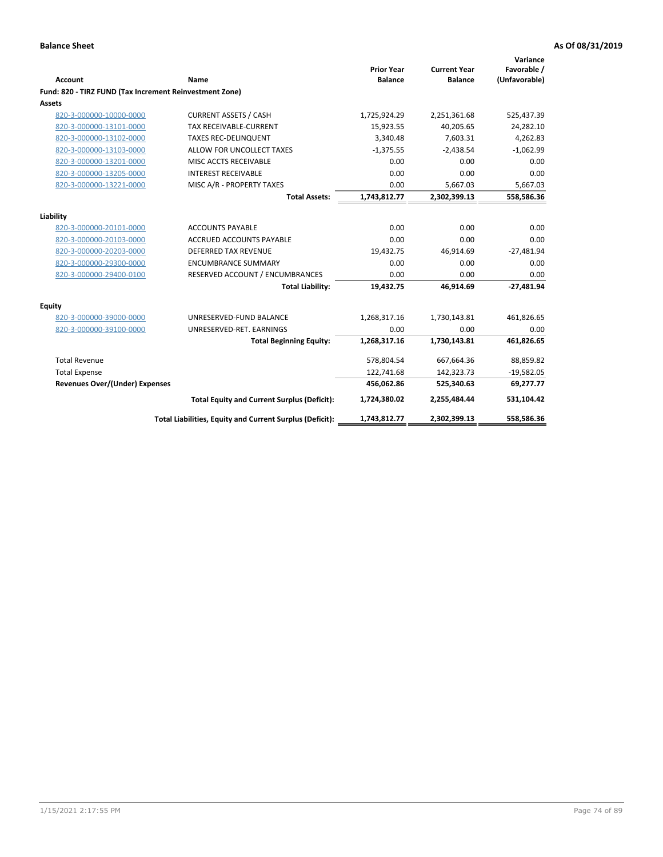| Account                                                 | Name                                                     | <b>Prior Year</b><br><b>Balance</b> | <b>Current Year</b><br><b>Balance</b> | Variance<br>Favorable /<br>(Unfavorable) |
|---------------------------------------------------------|----------------------------------------------------------|-------------------------------------|---------------------------------------|------------------------------------------|
| Fund: 820 - TIRZ FUND (Tax Increment Reinvestment Zone) |                                                          |                                     |                                       |                                          |
| <b>Assets</b>                                           |                                                          |                                     |                                       |                                          |
| 820-3-000000-10000-0000                                 | <b>CURRENT ASSETS / CASH</b>                             | 1,725,924.29                        | 2,251,361.68                          | 525,437.39                               |
| 820-3-000000-13101-0000                                 | <b>TAX RECEIVABLE-CURRENT</b>                            | 15,923.55                           | 40,205.65                             | 24,282.10                                |
| 820-3-000000-13102-0000                                 | <b>TAXES REC-DELINQUENT</b>                              | 3,340.48                            | 7,603.31                              | 4,262.83                                 |
| 820-3-000000-13103-0000                                 | ALLOW FOR UNCOLLECT TAXES                                | $-1,375.55$                         | $-2,438.54$                           | $-1,062.99$                              |
| 820-3-000000-13201-0000                                 | MISC ACCTS RECEIVABLE                                    | 0.00                                | 0.00                                  | 0.00                                     |
| 820-3-000000-13205-0000                                 | <b>INTEREST RECEIVABLE</b>                               | 0.00                                | 0.00                                  | 0.00                                     |
| 820-3-000000-13221-0000                                 | MISC A/R - PROPERTY TAXES                                | 0.00                                | 5,667.03                              | 5,667.03                                 |
|                                                         | <b>Total Assets:</b>                                     | 1,743,812.77                        | 2,302,399.13                          | 558,586.36                               |
| Liability                                               |                                                          |                                     |                                       |                                          |
| 820-3-000000-20101-0000                                 | <b>ACCOUNTS PAYABLE</b>                                  | 0.00                                | 0.00                                  | 0.00                                     |
| 820-3-000000-20103-0000                                 | <b>ACCRUED ACCOUNTS PAYABLE</b>                          | 0.00                                | 0.00                                  | 0.00                                     |
| 820-3-000000-20203-0000                                 | <b>DEFERRED TAX REVENUE</b>                              | 19,432.75                           | 46,914.69                             | $-27,481.94$                             |
| 820-3-000000-29300-0000                                 | <b>ENCUMBRANCE SUMMARY</b>                               | 0.00                                | 0.00                                  | 0.00                                     |
| 820-3-000000-29400-0100                                 | RESERVED ACCOUNT / ENCUMBRANCES                          | 0.00                                | 0.00                                  | 0.00                                     |
|                                                         | <b>Total Liability:</b>                                  | 19,432.75                           | 46,914.69                             | $-27.481.94$                             |
| <b>Equity</b>                                           |                                                          |                                     |                                       |                                          |
| 820-3-000000-39000-0000                                 | UNRESERVED-FUND BALANCE                                  | 1,268,317.16                        | 1,730,143.81                          | 461,826.65                               |
| 820-3-000000-39100-0000                                 | UNRESERVED-RET. EARNINGS                                 | 0.00                                | 0.00                                  | 0.00                                     |
|                                                         | <b>Total Beginning Equity:</b>                           | 1,268,317.16                        | 1,730,143.81                          | 461,826.65                               |
| <b>Total Revenue</b>                                    |                                                          | 578,804.54                          | 667,664.36                            | 88,859.82                                |
| <b>Total Expense</b>                                    |                                                          | 122,741.68                          | 142,323.73                            | $-19,582.05$                             |
| <b>Revenues Over/(Under) Expenses</b>                   |                                                          | 456,062.86                          | 525,340.63                            | 69,277.77                                |
|                                                         | <b>Total Equity and Current Surplus (Deficit):</b>       | 1,724,380.02                        | 2,255,484.44                          | 531,104.42                               |
|                                                         | Total Liabilities, Equity and Current Surplus (Deficit): | 1,743,812.77                        | 2,302,399.13                          | 558,586.36                               |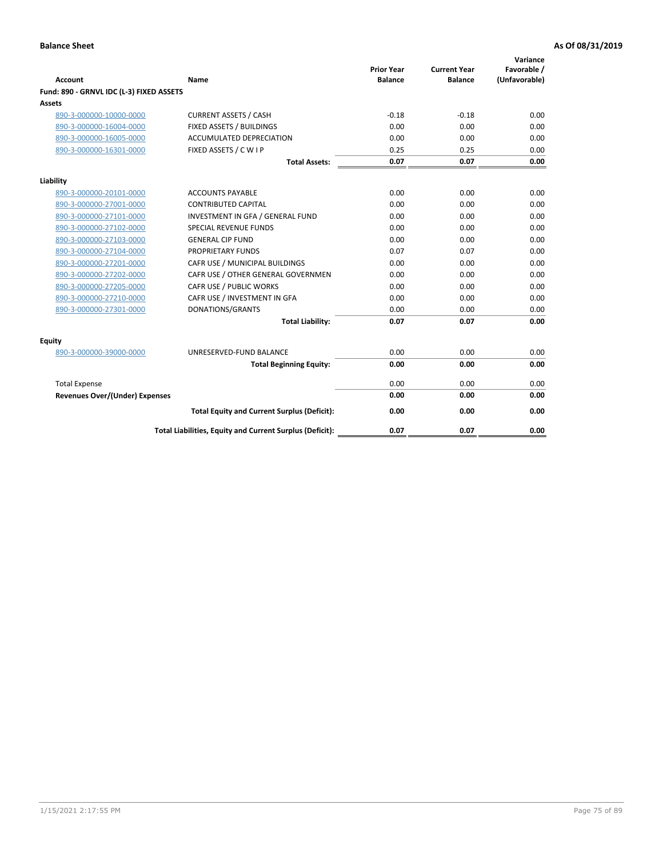| <b>Account</b>                           | Name                                                     | <b>Prior Year</b><br><b>Balance</b> | <b>Current Year</b><br><b>Balance</b> | Variance<br>Favorable /<br>(Unfavorable) |
|------------------------------------------|----------------------------------------------------------|-------------------------------------|---------------------------------------|------------------------------------------|
| Fund: 890 - GRNVL IDC (L-3) FIXED ASSETS |                                                          |                                     |                                       |                                          |
| <b>Assets</b>                            |                                                          |                                     |                                       |                                          |
| 890-3-000000-10000-0000                  | <b>CURRENT ASSETS / CASH</b>                             | $-0.18$                             | $-0.18$                               | 0.00                                     |
| 890-3-000000-16004-0000                  | FIXED ASSETS / BUILDINGS                                 | 0.00                                | 0.00                                  | 0.00                                     |
| 890-3-000000-16005-0000                  | <b>ACCUMULATED DEPRECIATION</b>                          | 0.00                                | 0.00                                  | 0.00                                     |
| 890-3-000000-16301-0000                  | FIXED ASSETS / C W I P                                   | 0.25                                | 0.25                                  | 0.00                                     |
|                                          | <b>Total Assets:</b>                                     | 0.07                                | 0.07                                  | 0.00                                     |
| Liability                                |                                                          |                                     |                                       |                                          |
| 890-3-000000-20101-0000                  | <b>ACCOUNTS PAYABLE</b>                                  | 0.00                                | 0.00                                  | 0.00                                     |
| 890-3-000000-27001-0000                  | <b>CONTRIBUTED CAPITAL</b>                               | 0.00                                | 0.00                                  | 0.00                                     |
| 890-3-000000-27101-0000                  | INVESTMENT IN GFA / GENERAL FUND                         | 0.00                                | 0.00                                  | 0.00                                     |
| 890-3-000000-27102-0000                  | SPECIAL REVENUE FUNDS                                    | 0.00                                | 0.00                                  | 0.00                                     |
| 890-3-000000-27103-0000                  | <b>GENERAL CIP FUND</b>                                  | 0.00                                | 0.00                                  | 0.00                                     |
| 890-3-000000-27104-0000                  | PROPRIETARY FUNDS                                        | 0.07                                | 0.07                                  | 0.00                                     |
| 890-3-000000-27201-0000                  | CAFR USE / MUNICIPAL BUILDINGS                           | 0.00                                | 0.00                                  | 0.00                                     |
| 890-3-000000-27202-0000                  | CAFR USE / OTHER GENERAL GOVERNMEN                       | 0.00                                | 0.00                                  | 0.00                                     |
| 890-3-000000-27205-0000                  | CAFR USE / PUBLIC WORKS                                  | 0.00                                | 0.00                                  | 0.00                                     |
| 890-3-000000-27210-0000                  | CAFR USE / INVESTMENT IN GFA                             | 0.00                                | 0.00                                  | 0.00                                     |
| 890-3-000000-27301-0000                  | DONATIONS/GRANTS                                         | 0.00                                | 0.00                                  | 0.00                                     |
|                                          | <b>Total Liability:</b>                                  | 0.07                                | 0.07                                  | 0.00                                     |
| Equity                                   |                                                          |                                     |                                       |                                          |
| 890-3-000000-39000-0000                  | UNRESERVED-FUND BALANCE                                  | 0.00                                | 0.00                                  | 0.00                                     |
|                                          | <b>Total Beginning Equity:</b>                           | 0.00                                | 0.00                                  | 0.00                                     |
| <b>Total Expense</b>                     |                                                          | 0.00                                | 0.00                                  | 0.00                                     |
| Revenues Over/(Under) Expenses           |                                                          | 0.00                                | 0.00                                  | 0.00                                     |
|                                          | <b>Total Equity and Current Surplus (Deficit):</b>       | 0.00                                | 0.00                                  | 0.00                                     |
|                                          | Total Liabilities, Equity and Current Surplus (Deficit): | 0.07                                | 0.07                                  | 0.00                                     |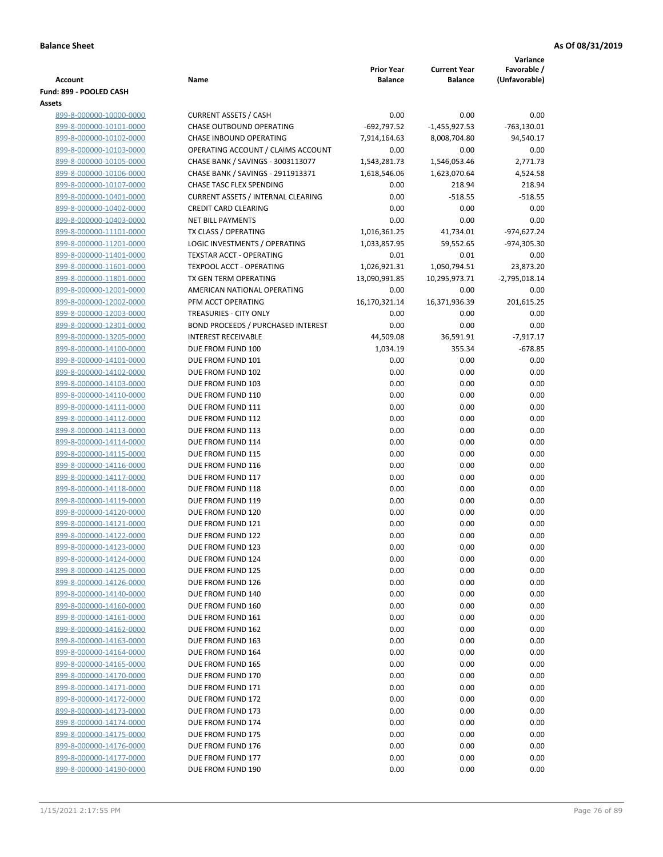|                                                    |                                           |                                     |                                       | Variance                     |
|----------------------------------------------------|-------------------------------------------|-------------------------------------|---------------------------------------|------------------------------|
| Account                                            | Name                                      | <b>Prior Year</b><br><b>Balance</b> | <b>Current Year</b><br><b>Balance</b> | Favorable /<br>(Unfavorable) |
| Fund: 899 - POOLED CASH                            |                                           |                                     |                                       |                              |
| Assets                                             |                                           |                                     |                                       |                              |
| 899-8-000000-10000-0000                            | <b>CURRENT ASSETS / CASH</b>              | 0.00                                | 0.00                                  | 0.00                         |
| 899-8-000000-10101-0000                            | CHASE OUTBOUND OPERATING                  | $-692,797.52$                       | $-1,455,927.53$                       | $-763,130.01$                |
| 899-8-000000-10102-0000                            | CHASE INBOUND OPERATING                   | 7,914,164.63                        | 8,008,704.80                          | 94,540.17                    |
| 899-8-000000-10103-0000                            | OPERATING ACCOUNT / CLAIMS ACCOUNT        | 0.00                                | 0.00                                  | 0.00                         |
| 899-8-000000-10105-0000                            | CHASE BANK / SAVINGS - 3003113077         | 1,543,281.73                        | 1,546,053.46                          | 2,771.73                     |
| 899-8-000000-10106-0000                            | CHASE BANK / SAVINGS - 2911913371         | 1,618,546.06                        | 1,623,070.64                          | 4,524.58                     |
| 899-8-000000-10107-0000                            | <b>CHASE TASC FLEX SPENDING</b>           | 0.00                                | 218.94                                | 218.94                       |
| 899-8-000000-10401-0000                            | <b>CURRENT ASSETS / INTERNAL CLEARING</b> | 0.00                                | $-518.55$                             | $-518.55$                    |
| 899-8-000000-10402-0000                            | <b>CREDIT CARD CLEARING</b>               | 0.00                                | 0.00                                  | 0.00                         |
| 899-8-000000-10403-0000                            | <b>NET BILL PAYMENTS</b>                  | 0.00                                | 0.00                                  | 0.00                         |
| 899-8-000000-11101-0000                            | TX CLASS / OPERATING                      | 1,016,361.25                        | 41,734.01                             | -974,627.24                  |
| 899-8-000000-11201-0000                            | LOGIC INVESTMENTS / OPERATING             | 1,033,857.95                        | 59,552.65                             | -974,305.30                  |
| 899-8-000000-11401-0000                            | <b>TEXSTAR ACCT - OPERATING</b>           | 0.01                                | 0.01                                  | 0.00                         |
| 899-8-000000-11601-0000                            | <b>TEXPOOL ACCT - OPERATING</b>           | 1,026,921.31                        | 1,050,794.51                          | 23,873.20                    |
| 899-8-000000-11801-0000                            | TX GEN TERM OPERATING                     | 13,090,991.85                       | 10,295,973.71                         | $-2,795,018.14$              |
| 899-8-000000-12001-0000                            | AMERICAN NATIONAL OPERATING               | 0.00                                | 0.00                                  | 0.00                         |
| 899-8-000000-12002-0000                            | PFM ACCT OPERATING                        | 16,170,321.14                       | 16,371,936.39                         | 201,615.25                   |
| 899-8-000000-12003-0000                            | TREASURIES - CITY ONLY                    | 0.00                                | 0.00                                  | 0.00                         |
| 899-8-000000-12301-0000                            | <b>BOND PROCEEDS / PURCHASED INTEREST</b> | 0.00                                | 0.00                                  | 0.00                         |
| 899-8-000000-13205-0000                            | <b>INTEREST RECEIVABLE</b>                | 44,509.08                           | 36,591.91                             | $-7,917.17$                  |
| 899-8-000000-14100-0000<br>899-8-000000-14101-0000 | DUE FROM FUND 100<br>DUE FROM FUND 101    | 1,034.19                            | 355.34                                | $-678.85$                    |
| 899-8-000000-14102-0000                            | DUE FROM FUND 102                         | 0.00<br>0.00                        | 0.00<br>0.00                          | 0.00<br>0.00                 |
| 899-8-000000-14103-0000                            | DUE FROM FUND 103                         | 0.00                                | 0.00                                  | 0.00                         |
| 899-8-000000-14110-0000                            | DUE FROM FUND 110                         | 0.00                                | 0.00                                  | 0.00                         |
| 899-8-000000-14111-0000                            | DUE FROM FUND 111                         | 0.00                                | 0.00                                  | 0.00                         |
| 899-8-000000-14112-0000                            | DUE FROM FUND 112                         | 0.00                                | 0.00                                  | 0.00                         |
| 899-8-000000-14113-0000                            | DUE FROM FUND 113                         | 0.00                                | 0.00                                  | 0.00                         |
| 899-8-000000-14114-0000                            | DUE FROM FUND 114                         | 0.00                                | 0.00                                  | 0.00                         |
| 899-8-000000-14115-0000                            | DUE FROM FUND 115                         | 0.00                                | 0.00                                  | 0.00                         |
| 899-8-000000-14116-0000                            | DUE FROM FUND 116                         | 0.00                                | 0.00                                  | 0.00                         |
| 899-8-000000-14117-0000                            | DUE FROM FUND 117                         | 0.00                                | 0.00                                  | 0.00                         |
| 899-8-000000-14118-0000                            | DUE FROM FUND 118                         | 0.00                                | 0.00                                  | 0.00                         |
| 899-8-000000-14119-0000                            | DUE FROM FUND 119                         | 0.00                                | 0.00                                  | 0.00                         |
| 899-8-000000-14120-0000                            | DUE FROM FUND 120                         | 0.00                                | 0.00                                  | 0.00                         |
| 899-8-000000-14121-0000                            | DUE FROM FUND 121                         | 0.00                                | 0.00                                  | 0.00                         |
| 899-8-000000-14122-0000                            | DUE FROM FUND 122                         | 0.00                                | 0.00                                  | 0.00                         |
| 899-8-000000-14123-0000                            | DUE FROM FUND 123                         | 0.00                                | 0.00                                  | 0.00                         |
| 899-8-000000-14124-0000                            | DUE FROM FUND 124                         | 0.00                                | 0.00                                  | 0.00                         |
| 899-8-000000-14125-0000                            | DUE FROM FUND 125                         | 0.00                                | 0.00                                  | 0.00                         |
| 899-8-000000-14126-0000                            | DUE FROM FUND 126                         | 0.00                                | 0.00                                  | 0.00                         |
| 899-8-000000-14140-0000                            | DUE FROM FUND 140                         | 0.00                                | 0.00                                  | 0.00                         |
| 899-8-000000-14160-0000                            | DUE FROM FUND 160                         | 0.00                                | 0.00                                  | 0.00                         |
| 899-8-000000-14161-0000<br>899-8-000000-14162-0000 | DUE FROM FUND 161<br>DUE FROM FUND 162    | 0.00<br>0.00                        | 0.00<br>0.00                          | 0.00<br>0.00                 |
| 899-8-000000-14163-0000                            | DUE FROM FUND 163                         | 0.00                                | 0.00                                  | 0.00                         |
| 899-8-000000-14164-0000                            | DUE FROM FUND 164                         | 0.00                                | 0.00                                  | 0.00                         |
| 899-8-000000-14165-0000                            | DUE FROM FUND 165                         | 0.00                                | 0.00                                  | 0.00                         |
| 899-8-000000-14170-0000                            | DUE FROM FUND 170                         | 0.00                                | 0.00                                  | 0.00                         |
| 899-8-000000-14171-0000                            | DUE FROM FUND 171                         | 0.00                                | 0.00                                  | 0.00                         |
| 899-8-000000-14172-0000                            | DUE FROM FUND 172                         | 0.00                                | 0.00                                  | 0.00                         |
| 899-8-000000-14173-0000                            | DUE FROM FUND 173                         | 0.00                                | 0.00                                  | 0.00                         |
| 899-8-000000-14174-0000                            | DUE FROM FUND 174                         | 0.00                                | 0.00                                  | 0.00                         |
| 899-8-000000-14175-0000                            | DUE FROM FUND 175                         | 0.00                                | 0.00                                  | 0.00                         |
| 899-8-000000-14176-0000                            | DUE FROM FUND 176                         | 0.00                                | 0.00                                  | 0.00                         |
| 899-8-000000-14177-0000                            | DUE FROM FUND 177                         | 0.00                                | 0.00                                  | 0.00                         |
| 899-8-000000-14190-0000                            | DUE FROM FUND 190                         | 0.00                                | 0.00                                  | 0.00                         |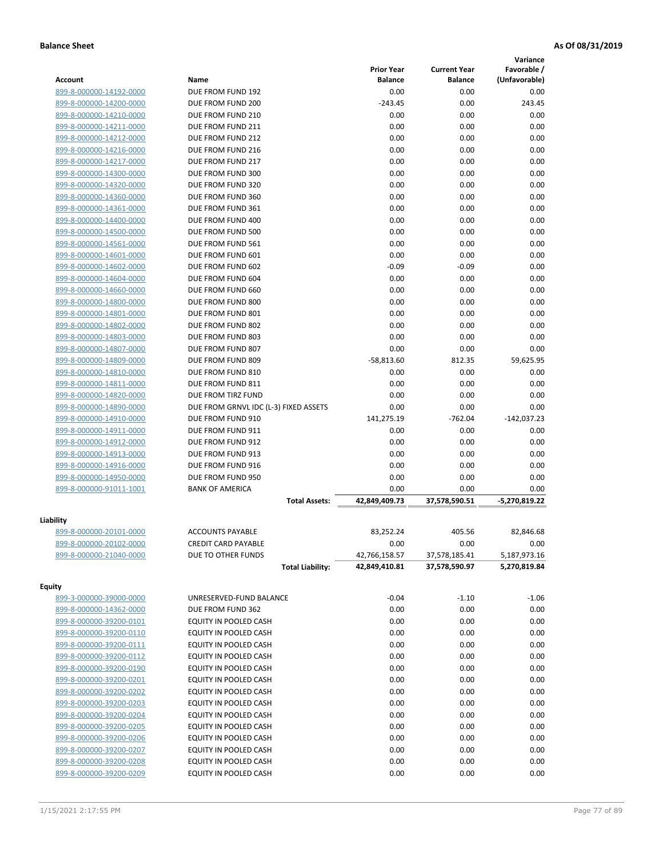|                                                    |                                                |                    |                     | Variance              |
|----------------------------------------------------|------------------------------------------------|--------------------|---------------------|-----------------------|
|                                                    |                                                | <b>Prior Year</b>  | <b>Current Year</b> | Favorable /           |
| Account                                            | Name                                           | <b>Balance</b>     | <b>Balance</b>      | (Unfavorable)         |
| 899-8-000000-14192-0000                            | DUE FROM FUND 192                              | 0.00               | 0.00                | 0.00                  |
| 899-8-000000-14200-0000                            | DUE FROM FUND 200                              | $-243.45$          | 0.00                | 243.45                |
| 899-8-000000-14210-0000                            | DUE FROM FUND 210                              | 0.00               | 0.00                | 0.00                  |
| 899-8-000000-14211-0000                            | DUE FROM FUND 211                              | 0.00               | 0.00                | 0.00                  |
| 899-8-000000-14212-0000                            | DUE FROM FUND 212                              | 0.00               | 0.00                | 0.00                  |
| 899-8-000000-14216-0000                            | DUE FROM FUND 216                              | 0.00               | 0.00                | 0.00                  |
| 899-8-000000-14217-0000                            | DUE FROM FUND 217                              | 0.00               | 0.00                | 0.00                  |
| 899-8-000000-14300-0000                            | DUE FROM FUND 300                              | 0.00               | 0.00                | 0.00                  |
| 899-8-000000-14320-0000                            | DUE FROM FUND 320                              | 0.00               | 0.00                | 0.00                  |
| 899-8-000000-14360-0000                            | DUE FROM FUND 360                              | 0.00               | 0.00                | 0.00                  |
| 899-8-000000-14361-0000                            | DUE FROM FUND 361                              | 0.00               | 0.00                | 0.00                  |
| 899-8-000000-14400-0000                            | DUE FROM FUND 400                              | 0.00               | 0.00                | 0.00                  |
| 899-8-000000-14500-0000                            | DUE FROM FUND 500                              | 0.00               | 0.00                | 0.00                  |
| 899-8-000000-14561-0000                            | DUE FROM FUND 561                              | 0.00               | 0.00                | 0.00                  |
| 899-8-000000-14601-0000                            | DUE FROM FUND 601                              | 0.00               | 0.00                | 0.00                  |
| 899-8-000000-14602-0000                            | DUE FROM FUND 602                              | $-0.09$            | $-0.09$             | 0.00                  |
| 899-8-000000-14604-0000                            | DUE FROM FUND 604                              | 0.00               | 0.00                | 0.00                  |
| 899-8-000000-14660-0000                            | DUE FROM FUND 660                              | 0.00               | 0.00                | 0.00                  |
| 899-8-000000-14800-0000                            | DUE FROM FUND 800                              | 0.00               | 0.00                | 0.00                  |
| 899-8-000000-14801-0000                            | DUE FROM FUND 801                              | 0.00               | 0.00                | 0.00                  |
| 899-8-000000-14802-0000                            | DUE FROM FUND 802                              | 0.00               | 0.00                | 0.00                  |
| 899-8-000000-14803-0000                            | DUE FROM FUND 803                              | 0.00               | 0.00                | 0.00<br>0.00          |
| 899-8-000000-14807-0000                            | DUE FROM FUND 807                              | 0.00               | 0.00                |                       |
| 899-8-000000-14809-0000                            | DUE FROM FUND 809                              | $-58,813.60$       | 812.35              | 59,625.95             |
| 899-8-000000-14810-0000<br>899-8-000000-14811-0000 | DUE FROM FUND 810<br>DUE FROM FUND 811         | 0.00<br>0.00       | 0.00<br>0.00        | 0.00<br>0.00          |
| 899-8-000000-14820-0000                            | DUE FROM TIRZ FUND                             | 0.00               | 0.00                | 0.00                  |
| 899-8-000000-14890-0000                            | DUE FROM GRNVL IDC (L-3) FIXED ASSETS          | 0.00               | 0.00                | 0.00                  |
|                                                    | DUE FROM FUND 910                              |                    | $-762.04$           |                       |
| 899-8-000000-14910-0000<br>899-8-000000-14911-0000 | DUE FROM FUND 911                              | 141,275.19<br>0.00 | 0.00                | $-142,037.23$<br>0.00 |
| 899-8-000000-14912-0000                            | DUE FROM FUND 912                              | 0.00               | 0.00                | 0.00                  |
| 899-8-000000-14913-0000                            | DUE FROM FUND 913                              | 0.00               | 0.00                | 0.00                  |
| 899-8-000000-14916-0000                            | DUE FROM FUND 916                              | 0.00               | 0.00                | 0.00                  |
| 899-8-000000-14950-0000                            | DUE FROM FUND 950                              | 0.00               | 0.00                | 0.00                  |
| 899-8-000000-91011-1001                            | <b>BANK OF AMERICA</b>                         | 0.00               | 0.00                | 0.00                  |
|                                                    | <b>Total Assets:</b>                           | 42,849,409.73      | 37,578,590.51       | -5,270,819.22         |
|                                                    |                                                |                    |                     |                       |
| Liability<br>899-8-000000-20101-0000               | <b>ACCOUNTS PAYABLE</b>                        | 83,252.24          | 405.56              | 82,846.68             |
| 899-8-000000-20102-0000                            | <b>CREDIT CARD PAYABLE</b>                     | 0.00               | 0.00                | 0.00                  |
| 899-8-000000-21040-0000                            | DUE TO OTHER FUNDS                             | 42,766,158.57      | 37,578,185.41       | 5,187,973.16          |
|                                                    | <b>Total Liability:</b>                        | 42,849,410.81      | 37,578,590.97       | 5,270,819.84          |
|                                                    |                                                |                    |                     |                       |
| <b>Equity</b><br>899-3-000000-39000-0000           | UNRESERVED-FUND BALANCE                        | $-0.04$            | $-1.10$             |                       |
|                                                    | DUE FROM FUND 362                              | 0.00               | 0.00                | $-1.06$<br>0.00       |
| 899-8-000000-14362-0000<br>899-8-000000-39200-0101 |                                                |                    |                     |                       |
|                                                    | EQUITY IN POOLED CASH                          | 0.00               | 0.00                | 0.00                  |
| 899-8-000000-39200-0110                            | EQUITY IN POOLED CASH                          | 0.00               | 0.00                | 0.00                  |
| 899-8-000000-39200-0111                            | EQUITY IN POOLED CASH                          | 0.00               | 0.00                | 0.00                  |
| 899-8-000000-39200-0112<br>899-8-000000-39200-0190 | EQUITY IN POOLED CASH                          | 0.00               | 0.00                | 0.00                  |
|                                                    | EQUITY IN POOLED CASH                          | 0.00               | 0.00                | 0.00                  |
| 899-8-000000-39200-0201                            | EQUITY IN POOLED CASH                          | 0.00               | 0.00                | 0.00                  |
| 899-8-000000-39200-0202                            | EQUITY IN POOLED CASH                          | 0.00               | 0.00                | 0.00                  |
| 899-8-000000-39200-0203                            | EQUITY IN POOLED CASH<br>EQUITY IN POOLED CASH | 0.00               | 0.00                | 0.00                  |
| 899-8-000000-39200-0204                            |                                                | 0.00<br>0.00       | 0.00<br>0.00        | 0.00<br>0.00          |
| 899-8-000000-39200-0205<br>899-8-000000-39200-0206 | EQUITY IN POOLED CASH<br>EQUITY IN POOLED CASH | 0.00               | 0.00                | 0.00                  |
| 899-8-000000-39200-0207                            | EQUITY IN POOLED CASH                          | 0.00               | 0.00                | 0.00                  |
| 899-8-000000-39200-0208                            | EQUITY IN POOLED CASH                          | 0.00               | 0.00                | 0.00                  |
| 899-8-000000-39200-0209                            | EQUITY IN POOLED CASH                          | 0.00               | 0.00                | 0.00                  |
|                                                    |                                                |                    |                     |                       |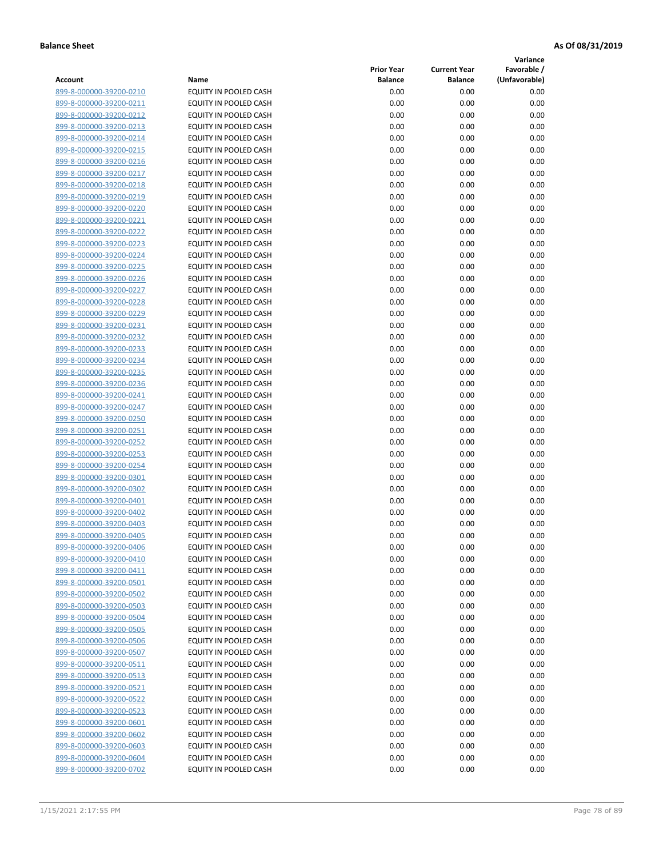**Variance**

| Account                                            | Name                                           | <b>Prior Year</b><br><b>Balance</b> | <b>Current Year</b><br><b>Balance</b> | Favorable /<br>(Unfavorable) |
|----------------------------------------------------|------------------------------------------------|-------------------------------------|---------------------------------------|------------------------------|
| 899-8-000000-39200-0210                            | EQUITY IN POOLED CASH                          | 0.00                                | 0.00                                  | 0.00                         |
| 899-8-000000-39200-0211                            | EQUITY IN POOLED CASH                          | 0.00                                | 0.00                                  | 0.00                         |
| 899-8-000000-39200-0212                            | EQUITY IN POOLED CASH                          | 0.00                                | 0.00                                  | 0.00                         |
| 899-8-000000-39200-0213                            | EQUITY IN POOLED CASH                          | 0.00                                | 0.00                                  | 0.00                         |
| 899-8-000000-39200-0214                            | <b>EQUITY IN POOLED CASH</b>                   | 0.00                                | 0.00                                  | 0.00                         |
| 899-8-000000-39200-0215                            | EQUITY IN POOLED CASH                          | 0.00                                | 0.00                                  | 0.00                         |
| 899-8-000000-39200-0216                            | EQUITY IN POOLED CASH                          | 0.00                                | 0.00                                  | 0.00                         |
| 899-8-000000-39200-0217                            | EQUITY IN POOLED CASH                          | 0.00                                | 0.00                                  | 0.00                         |
| 899-8-000000-39200-0218                            | EQUITY IN POOLED CASH                          | 0.00                                | 0.00                                  | 0.00                         |
| 899-8-000000-39200-0219                            | EQUITY IN POOLED CASH                          | 0.00                                | 0.00                                  | 0.00                         |
| 899-8-000000-39200-0220                            | EQUITY IN POOLED CASH                          | 0.00                                | 0.00                                  | 0.00                         |
| 899-8-000000-39200-0221                            | EQUITY IN POOLED CASH                          | 0.00                                | 0.00                                  | 0.00                         |
| 899-8-000000-39200-0222                            | EQUITY IN POOLED CASH                          | 0.00                                | 0.00                                  | 0.00                         |
| 899-8-000000-39200-0223                            | EQUITY IN POOLED CASH                          | 0.00                                | 0.00                                  | 0.00                         |
| 899-8-000000-39200-0224                            | EQUITY IN POOLED CASH                          | 0.00                                | 0.00                                  | 0.00                         |
| 899-8-000000-39200-0225                            | EQUITY IN POOLED CASH                          | 0.00                                | 0.00                                  | 0.00                         |
| 899-8-000000-39200-0226                            | EQUITY IN POOLED CASH                          | 0.00                                | 0.00                                  | 0.00                         |
| 899-8-000000-39200-0227                            | EQUITY IN POOLED CASH                          | 0.00                                | 0.00                                  | 0.00                         |
| 899-8-000000-39200-0228                            | EQUITY IN POOLED CASH                          | 0.00                                | 0.00                                  | 0.00                         |
| 899-8-000000-39200-0229                            | <b>EQUITY IN POOLED CASH</b>                   | 0.00                                | 0.00                                  | 0.00                         |
| 899-8-000000-39200-0231                            | <b>EQUITY IN POOLED CASH</b>                   | 0.00                                | 0.00                                  | 0.00                         |
| 899-8-000000-39200-0232                            | EQUITY IN POOLED CASH                          | 0.00                                | 0.00                                  | 0.00                         |
| 899-8-000000-39200-0233                            | EQUITY IN POOLED CASH                          | 0.00                                | 0.00                                  | 0.00                         |
| 899-8-000000-39200-0234                            | EQUITY IN POOLED CASH                          | 0.00                                | 0.00                                  | 0.00                         |
| 899-8-000000-39200-0235                            | EQUITY IN POOLED CASH                          | 0.00                                | 0.00                                  | 0.00                         |
| 899-8-000000-39200-0236                            | EQUITY IN POOLED CASH                          | 0.00                                | 0.00                                  | 0.00                         |
| 899-8-000000-39200-0241                            | EQUITY IN POOLED CASH                          | 0.00                                | 0.00                                  | 0.00                         |
| 899-8-000000-39200-0247                            | EQUITY IN POOLED CASH                          | 0.00                                | 0.00                                  | 0.00                         |
| 899-8-000000-39200-0250                            | EQUITY IN POOLED CASH                          | 0.00                                | 0.00                                  | 0.00                         |
| 899-8-000000-39200-0251                            | EQUITY IN POOLED CASH                          | 0.00                                | 0.00                                  | 0.00                         |
| 899-8-000000-39200-0252                            | EQUITY IN POOLED CASH                          | 0.00                                | 0.00                                  | 0.00                         |
| 899-8-000000-39200-0253                            | EQUITY IN POOLED CASH                          | 0.00                                | 0.00                                  | 0.00                         |
| 899-8-000000-39200-0254                            | EQUITY IN POOLED CASH                          | 0.00                                | 0.00                                  | 0.00                         |
| 899-8-000000-39200-0301<br>899-8-000000-39200-0302 | EQUITY IN POOLED CASH                          | 0.00<br>0.00                        | 0.00                                  | 0.00                         |
| 899-8-000000-39200-0401                            | EQUITY IN POOLED CASH<br>EQUITY IN POOLED CASH | 0.00                                | 0.00<br>0.00                          | 0.00<br>0.00                 |
| 899-8-000000-39200-0402                            | EQUITY IN POOLED CASH                          | 0.00                                | 0.00                                  | 0.00                         |
| 899-8-000000-39200-0403                            | EQUITY IN POOLED CASH                          | 0.00                                | 0.00                                  | 0.00                         |
| 899-8-000000-39200-0405                            | <b>EQUITY IN POOLED CASH</b>                   | 0.00                                | 0.00                                  | 0.00                         |
| 899-8-000000-39200-0406                            | EQUITY IN POOLED CASH                          | 0.00                                | 0.00                                  | 0.00                         |
| 899-8-000000-39200-0410                            | <b>EQUITY IN POOLED CASH</b>                   | 0.00                                | 0.00                                  | 0.00                         |
| 899-8-000000-39200-0411                            | EQUITY IN POOLED CASH                          | 0.00                                | 0.00                                  | 0.00                         |
| 899-8-000000-39200-0501                            | EQUITY IN POOLED CASH                          | 0.00                                | 0.00                                  | 0.00                         |
| 899-8-000000-39200-0502                            | EQUITY IN POOLED CASH                          | 0.00                                | 0.00                                  | 0.00                         |
| 899-8-000000-39200-0503                            | EQUITY IN POOLED CASH                          | 0.00                                | 0.00                                  | 0.00                         |
| 899-8-000000-39200-0504                            | <b>EQUITY IN POOLED CASH</b>                   | 0.00                                | 0.00                                  | 0.00                         |
| 899-8-000000-39200-0505                            | EQUITY IN POOLED CASH                          | 0.00                                | 0.00                                  | 0.00                         |
| 899-8-000000-39200-0506                            | EQUITY IN POOLED CASH                          | 0.00                                | 0.00                                  | 0.00                         |
| 899-8-000000-39200-0507                            | EQUITY IN POOLED CASH                          | 0.00                                | 0.00                                  | 0.00                         |
| 899-8-000000-39200-0511                            | <b>EQUITY IN POOLED CASH</b>                   | 0.00                                | 0.00                                  | 0.00                         |
| 899-8-000000-39200-0513                            | EQUITY IN POOLED CASH                          | 0.00                                | 0.00                                  | 0.00                         |
| 899-8-000000-39200-0521                            | EQUITY IN POOLED CASH                          | 0.00                                | 0.00                                  | 0.00                         |
| 899-8-000000-39200-0522                            | EQUITY IN POOLED CASH                          | 0.00                                | 0.00                                  | 0.00                         |
| 899-8-000000-39200-0523                            | EQUITY IN POOLED CASH                          | 0.00                                | 0.00                                  | 0.00                         |
| 899-8-000000-39200-0601                            | EQUITY IN POOLED CASH                          | 0.00                                | 0.00                                  | 0.00                         |
| 899-8-000000-39200-0602                            | EQUITY IN POOLED CASH                          | 0.00                                | 0.00                                  | 0.00                         |
| 899-8-000000-39200-0603                            | EQUITY IN POOLED CASH                          | 0.00                                | 0.00                                  | 0.00                         |
| 899-8-000000-39200-0604                            | EQUITY IN POOLED CASH                          | 0.00                                | 0.00                                  | 0.00                         |
| 899-8-000000-39200-0702                            | EQUITY IN POOLED CASH                          | 0.00                                | 0.00                                  | 0.00                         |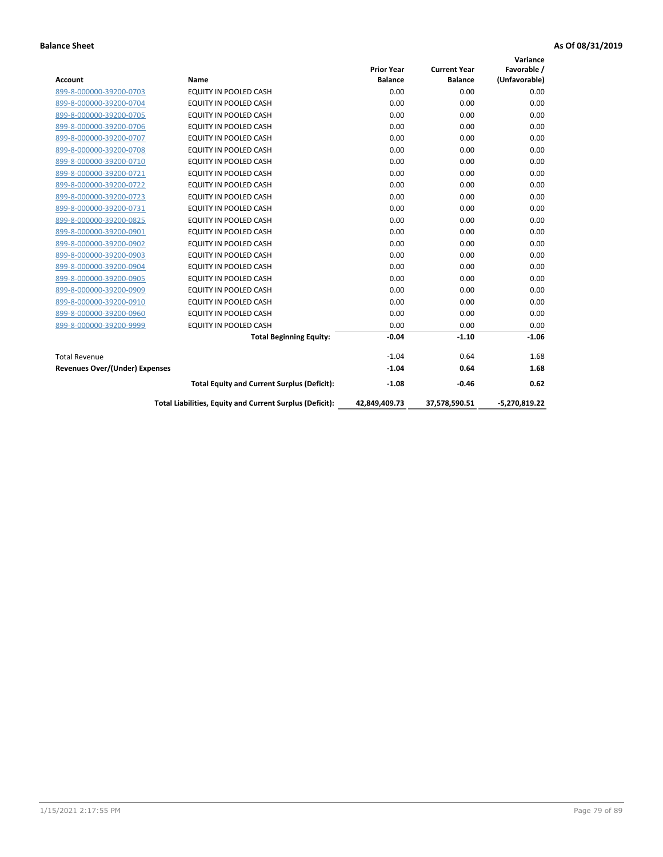|                                       |                                                          |                   |                     | Variance        |
|---------------------------------------|----------------------------------------------------------|-------------------|---------------------|-----------------|
|                                       |                                                          | <b>Prior Year</b> | <b>Current Year</b> | Favorable /     |
| <b>Account</b>                        | <b>Name</b>                                              | <b>Balance</b>    | <b>Balance</b>      | (Unfavorable)   |
| 899-8-000000-39200-0703               | EQUITY IN POOLED CASH                                    | 0.00              | 0.00                | 0.00            |
| 899-8-000000-39200-0704               | <b>EQUITY IN POOLED CASH</b>                             | 0.00              | 0.00                | 0.00            |
| 899-8-000000-39200-0705               | EQUITY IN POOLED CASH                                    | 0.00              | 0.00                | 0.00            |
| 899-8-000000-39200-0706               | EQUITY IN POOLED CASH                                    | 0.00              | 0.00                | 0.00            |
| 899-8-000000-39200-0707               | <b>EQUITY IN POOLED CASH</b>                             | 0.00              | 0.00                | 0.00            |
| 899-8-000000-39200-0708               | <b>EQUITY IN POOLED CASH</b>                             | 0.00              | 0.00                | 0.00            |
| 899-8-000000-39200-0710               | <b>EQUITY IN POOLED CASH</b>                             | 0.00              | 0.00                | 0.00            |
| 899-8-000000-39200-0721               | EQUITY IN POOLED CASH                                    | 0.00              | 0.00                | 0.00            |
| 899-8-000000-39200-0722               | <b>EQUITY IN POOLED CASH</b>                             | 0.00              | 0.00                | 0.00            |
| 899-8-000000-39200-0723               | <b>EQUITY IN POOLED CASH</b>                             | 0.00              | 0.00                | 0.00            |
| 899-8-000000-39200-0731               | <b>EQUITY IN POOLED CASH</b>                             | 0.00              | 0.00                | 0.00            |
| 899-8-000000-39200-0825               | EQUITY IN POOLED CASH                                    | 0.00              | 0.00                | 0.00            |
| 899-8-000000-39200-0901               | <b>EQUITY IN POOLED CASH</b>                             | 0.00              | 0.00                | 0.00            |
| 899-8-000000-39200-0902               | <b>EQUITY IN POOLED CASH</b>                             | 0.00              | 0.00                | 0.00            |
| 899-8-000000-39200-0903               | <b>EQUITY IN POOLED CASH</b>                             | 0.00              | 0.00                | 0.00            |
| 899-8-000000-39200-0904               | <b>EQUITY IN POOLED CASH</b>                             | 0.00              | 0.00                | 0.00            |
| 899-8-000000-39200-0905               | EQUITY IN POOLED CASH                                    | 0.00              | 0.00                | 0.00            |
| 899-8-000000-39200-0909               | EQUITY IN POOLED CASH                                    | 0.00              | 0.00                | 0.00            |
| 899-8-000000-39200-0910               | <b>EQUITY IN POOLED CASH</b>                             | 0.00              | 0.00                | 0.00            |
| 899-8-000000-39200-0960               | <b>EQUITY IN POOLED CASH</b>                             | 0.00              | 0.00                | 0.00            |
| 899-8-000000-39200-9999               | <b>EQUITY IN POOLED CASH</b>                             | 0.00              | 0.00                | 0.00            |
|                                       | <b>Total Beginning Equity:</b>                           | $-0.04$           | $-1.10$             | $-1.06$         |
| <b>Total Revenue</b>                  |                                                          | $-1.04$           | 0.64                | 1.68            |
| <b>Revenues Over/(Under) Expenses</b> |                                                          | $-1.04$           | 0.64                | 1.68            |
|                                       | <b>Total Equity and Current Surplus (Deficit):</b>       | $-1.08$           | $-0.46$             | 0.62            |
|                                       | Total Liabilities, Equity and Current Surplus (Deficit): | 42,849,409.73     | 37,578,590.51       | $-5,270,819.22$ |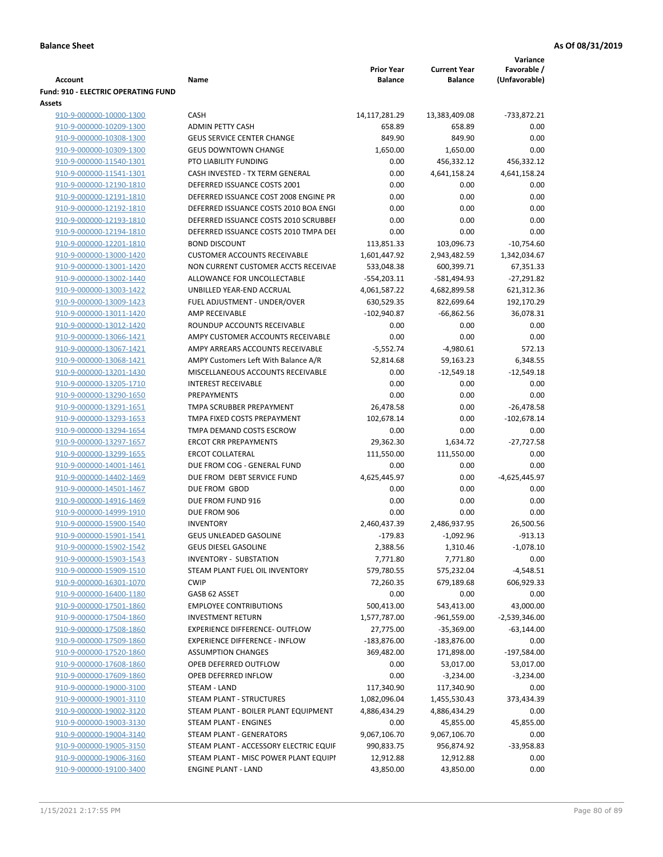|                                                    |                                                                 |                                     |                                       | Variance                     |
|----------------------------------------------------|-----------------------------------------------------------------|-------------------------------------|---------------------------------------|------------------------------|
| Account                                            | Name                                                            | <b>Prior Year</b><br><b>Balance</b> | <b>Current Year</b><br><b>Balance</b> | Favorable /<br>(Unfavorable) |
| <b>Fund: 910 - ELECTRIC OPERATING FUND</b>         |                                                                 |                                     |                                       |                              |
| <b>Assets</b>                                      |                                                                 |                                     |                                       |                              |
| 910-9-000000-10000-1300                            | <b>CASH</b>                                                     | 14,117,281.29                       | 13,383,409.08                         | -733,872.21                  |
| 910-9-000000-10209-1300                            | <b>ADMIN PETTY CASH</b>                                         | 658.89                              | 658.89                                | 0.00                         |
| 910-9-000000-10308-1300                            | <b>GEUS SERVICE CENTER CHANGE</b>                               | 849.90                              | 849.90                                | 0.00                         |
| 910-9-000000-10309-1300                            | <b>GEUS DOWNTOWN CHANGE</b>                                     | 1,650.00                            | 1,650.00                              | 0.00                         |
| 910-9-000000-11540-1301                            | PTO LIABILITY FUNDING                                           | 0.00                                | 456,332.12                            | 456,332.12                   |
| 910-9-000000-11541-1301                            | CASH INVESTED - TX TERM GENERAL                                 | 0.00                                | 4,641,158.24                          | 4,641,158.24                 |
| 910-9-000000-12190-1810                            | DEFERRED ISSUANCE COSTS 2001                                    | 0.00                                | 0.00                                  | 0.00                         |
| 910-9-000000-12191-1810                            | DEFERRED ISSUANCE COST 2008 ENGINE PR                           | 0.00                                | 0.00                                  | 0.00                         |
| 910-9-000000-12192-1810                            | DEFERRED ISSUANCE COSTS 2010 BOA ENGI                           | 0.00                                | 0.00                                  | 0.00                         |
| 910-9-000000-12193-1810                            | DEFERRED ISSUANCE COSTS 2010 SCRUBBEF                           | 0.00                                | 0.00                                  | 0.00                         |
| 910-9-000000-12194-1810                            | DEFERRED ISSUANCE COSTS 2010 TMPA DEI                           | 0.00                                | 0.00                                  | 0.00                         |
| 910-9-000000-12201-1810                            | <b>BOND DISCOUNT</b>                                            | 113,851.33                          | 103,096.73                            | $-10,754.60$                 |
| 910-9-000000-13000-1420                            | <b>CUSTOMER ACCOUNTS RECEIVABLE</b>                             | 1,601,447.92                        | 2,943,482.59                          | 1,342,034.67                 |
| 910-9-000000-13001-1420                            | NON CURRENT CUSTOMER ACCTS RECEIVAE                             | 533,048.38                          | 600,399.71                            | 67,351.33                    |
| 910-9-000000-13002-1440                            | ALLOWANCE FOR UNCOLLECTABLE                                     | -554,203.11                         | -581,494.93                           | $-27,291.82$                 |
| 910-9-000000-13003-1422                            | UNBILLED YEAR-END ACCRUAL                                       | 4,061,587.22                        | 4,682,899.58                          | 621,312.36                   |
| 910-9-000000-13009-1423                            | FUEL ADJUSTMENT - UNDER/OVER                                    | 630,529.35                          | 822,699.64                            | 192,170.29                   |
| 910-9-000000-13011-1420                            | AMP RECEIVABLE                                                  | $-102,940.87$                       | $-66,862.56$                          | 36,078.31                    |
| 910-9-000000-13012-1420                            | ROUNDUP ACCOUNTS RECEIVABLE                                     | 0.00                                | 0.00                                  | 0.00                         |
| 910-9-000000-13066-1421                            | AMPY CUSTOMER ACCOUNTS RECEIVABLE                               | 0.00                                | 0.00                                  | 0.00                         |
| 910-9-000000-13067-1421                            | AMPY ARREARS ACCOUNTS RECEIVABLE                                | $-5,552.74$                         | $-4,980.61$                           | 572.13                       |
| 910-9-000000-13068-1421                            | AMPY Customers Left With Balance A/R                            | 52,814.68                           | 59,163.23                             | 6,348.55                     |
| 910-9-000000-13201-1430                            | MISCELLANEOUS ACCOUNTS RECEIVABLE                               | 0.00                                | $-12,549.18$                          | $-12,549.18$                 |
| 910-9-000000-13205-1710                            | <b>INTEREST RECEIVABLE</b>                                      | 0.00                                | 0.00                                  | 0.00                         |
| 910-9-000000-13290-1650                            | <b>PREPAYMENTS</b>                                              | 0.00                                | 0.00                                  | 0.00                         |
| 910-9-000000-13291-1651                            | TMPA SCRUBBER PREPAYMENT                                        | 26,478.58                           | 0.00                                  | $-26,478.58$                 |
| 910-9-000000-13293-1653                            | TMPA FIXED COSTS PREPAYMENT                                     | 102,678.14                          | 0.00                                  | $-102,678.14$                |
| 910-9-000000-13294-1654                            | TMPA DEMAND COSTS ESCROW                                        | 0.00                                | 0.00                                  | 0.00                         |
| 910-9-000000-13297-1657                            | <b>ERCOT CRR PREPAYMENTS</b>                                    | 29,362.30                           | 1,634.72                              | $-27,727.58$                 |
| 910-9-000000-13299-1655                            | <b>ERCOT COLLATERAL</b>                                         | 111,550.00                          | 111,550.00                            | 0.00                         |
| 910-9-000000-14001-1461                            | DUE FROM COG - GENERAL FUND                                     | 0.00                                | 0.00                                  | 0.00                         |
| 910-9-000000-14402-1469                            | DUE FROM DEBT SERVICE FUND                                      | 4,625,445.97                        | 0.00                                  | $-4,625,445.97$              |
| 910-9-000000-14501-1467                            | DUE FROM GBOD                                                   | 0.00                                | 0.00                                  | 0.00                         |
| 910-9-000000-14916-1469                            | DUE FROM FUND 916                                               | 0.00                                | 0.00                                  | 0.00                         |
| 910-9-000000-14999-1910                            | DUE FROM 906                                                    | 0.00                                | 0.00                                  | 0.00                         |
| 910-9-000000-15900-1540                            | <b>INVENTORY</b>                                                | 2,460,437.39                        | 2,486,937.95                          | 26,500.56                    |
| 910-9-000000-15901-1541                            | GEUS UNLEADED GASOLINE                                          | $-179.83$                           | $-1,092.96$                           | $-913.13$                    |
| 910-9-000000-15902-1542<br>910-9-000000-15903-1543 | <b>GEUS DIESEL GASOLINE</b>                                     | 2,388.56                            | 1,310.46                              | $-1,078.10$                  |
| 910-9-000000-15909-1510                            | <b>INVENTORY - SUBSTATION</b><br>STEAM PLANT FUEL OIL INVENTORY | 7,771.80<br>579,780.55              | 7,771.80<br>575,232.04                | 0.00<br>$-4,548.51$          |
| 910-9-000000-16301-1070                            | <b>CWIP</b>                                                     | 72,260.35                           | 679,189.68                            | 606,929.33                   |
| 910-9-000000-16400-1180                            | GASB 62 ASSET                                                   | 0.00                                | 0.00                                  | 0.00                         |
| 910-9-000000-17501-1860                            | <b>EMPLOYEE CONTRIBUTIONS</b>                                   | 500,413.00                          | 543,413.00                            | 43,000.00                    |
| 910-9-000000-17504-1860                            | <b>INVESTMENT RETURN</b>                                        | 1,577,787.00                        | $-961,559.00$                         | $-2,539,346.00$              |
| 910-9-000000-17508-1860                            | EXPERIENCE DIFFERENCE- OUTFLOW                                  | 27,775.00                           | $-35,369.00$                          | $-63,144.00$                 |
| 910-9-000000-17509-1860                            | <b>EXPERIENCE DIFFERENCE - INFLOW</b>                           | $-183,876.00$                       | $-183,876.00$                         | 0.00                         |
| 910-9-000000-17520-1860                            | <b>ASSUMPTION CHANGES</b>                                       | 369,482.00                          | 171,898.00                            | $-197,584.00$                |
| 910-9-000000-17608-1860                            | OPEB DEFERRED OUTFLOW                                           | 0.00                                | 53,017.00                             | 53,017.00                    |
| 910-9-000000-17609-1860                            | OPEB DEFERRED INFLOW                                            | 0.00                                | $-3,234.00$                           | $-3,234.00$                  |
| 910-9-000000-19000-3100                            | STEAM - LAND                                                    | 117,340.90                          | 117,340.90                            | 0.00                         |
| 910-9-000000-19001-3110                            | STEAM PLANT - STRUCTURES                                        | 1,082,096.04                        | 1,455,530.43                          | 373,434.39                   |
| 910-9-000000-19002-3120                            | STEAM PLANT - BOILER PLANT EQUIPMENT                            | 4,886,434.29                        | 4,886,434.29                          | 0.00                         |
| 910-9-000000-19003-3130                            | STEAM PLANT - ENGINES                                           | 0.00                                | 45,855.00                             | 45,855.00                    |
| 910-9-000000-19004-3140                            | STEAM PLANT - GENERATORS                                        | 9,067,106.70                        | 9,067,106.70                          | 0.00                         |
| 910-9-000000-19005-3150                            | STEAM PLANT - ACCESSORY ELECTRIC EQUIF                          | 990,833.75                          | 956,874.92                            | -33,958.83                   |
| 910-9-000000-19006-3160                            | STEAM PLANT - MISC POWER PLANT EQUIPI                           | 12,912.88                           | 12,912.88                             | 0.00                         |
| 910-9-000000-19100-3400                            | <b>ENGINE PLANT - LAND</b>                                      | 43,850.00                           | 43,850.00                             | 0.00                         |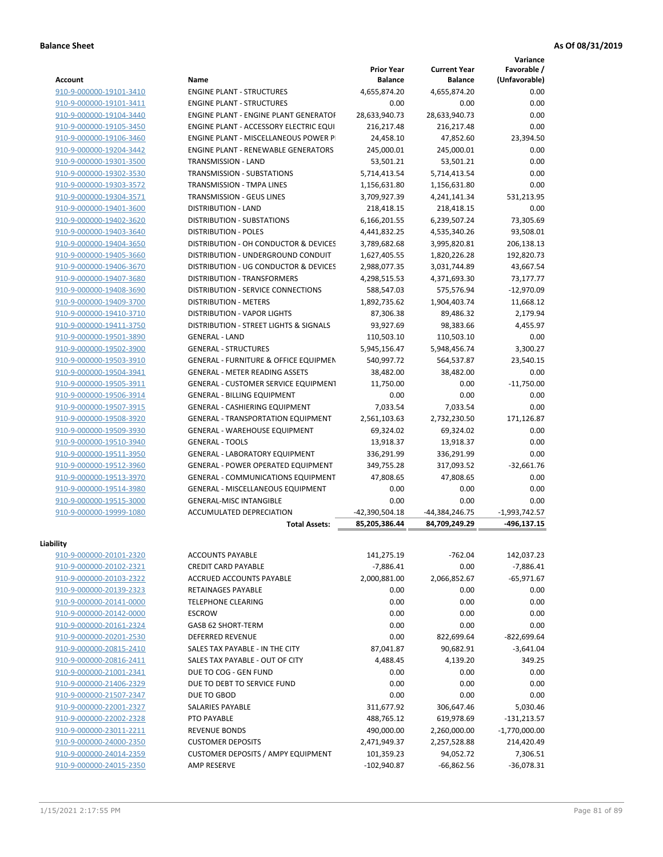**Variance**

| <b>Account</b>          | Name                                             | <b>Prior Year</b><br><b>Balance</b> | <b>Current Year</b><br><b>Balance</b> | Favorable /<br>(Unfavorable) |
|-------------------------|--------------------------------------------------|-------------------------------------|---------------------------------------|------------------------------|
| 910-9-000000-19101-3410 | <b>ENGINE PLANT - STRUCTURES</b>                 | 4,655,874.20                        | 4,655,874.20                          | 0.00                         |
| 910-9-000000-19101-3411 | <b>ENGINE PLANT - STRUCTURES</b>                 | 0.00                                | 0.00                                  | 0.00                         |
| 910-9-000000-19104-3440 | <b>ENGINE PLANT - ENGINE PLANT GENERATOF</b>     | 28,633,940.73                       | 28,633,940.73                         | 0.00                         |
| 910-9-000000-19105-3450 | ENGINE PLANT - ACCESSORY ELECTRIC EQUI           | 216,217.48                          | 216,217.48                            | 0.00                         |
| 910-9-000000-19106-3460 | ENGINE PLANT - MISCELLANEOUS POWER P             | 24,458.10                           | 47,852.60                             | 23,394.50                    |
| 910-9-000000-19204-3442 | <b>ENGINE PLANT - RENEWABLE GENERATORS</b>       | 245,000.01                          | 245,000.01                            | 0.00                         |
| 910-9-000000-19301-3500 | TRANSMISSION - LAND                              | 53,501.21                           | 53,501.21                             | 0.00                         |
| 910-9-000000-19302-3530 | <b>TRANSMISSION - SUBSTATIONS</b>                | 5,714,413.54                        | 5,714,413.54                          | 0.00                         |
| 910-9-000000-19303-3572 | TRANSMISSION - TMPA LINES                        | 1,156,631.80                        | 1,156,631.80                          | 0.00                         |
| 910-9-000000-19304-3571 | TRANSMISSION - GEUS LINES                        | 3,709,927.39                        | 4,241,141.34                          | 531,213.95                   |
| 910-9-000000-19401-3600 | <b>DISTRIBUTION - LAND</b>                       | 218,418.15                          | 218,418.15                            | 0.00                         |
| 910-9-000000-19402-3620 | DISTRIBUTION - SUBSTATIONS                       | 6,166,201.55                        | 6,239,507.24                          | 73,305.69                    |
| 910-9-000000-19403-3640 | <b>DISTRIBUTION - POLES</b>                      | 4,441,832.25                        | 4,535,340.26                          | 93,508.01                    |
| 910-9-000000-19404-3650 | DISTRIBUTION - OH CONDUCTOR & DEVICES            | 3,789,682.68                        | 3,995,820.81                          | 206,138.13                   |
| 910-9-000000-19405-3660 | DISTRIBUTION - UNDERGROUND CONDUIT               | 1,627,405.55                        | 1,820,226.28                          | 192,820.73                   |
|                         | DISTRIBUTION - UG CONDUCTOR & DEVICES            |                                     |                                       |                              |
| 910-9-000000-19406-3670 | DISTRIBUTION - TRANSFORMERS                      | 2,988,077.35<br>4,298,515.53        | 3,031,744.89<br>4,371,693.30          | 43,667.54                    |
| 910-9-000000-19407-3680 |                                                  |                                     |                                       | 73,177.77                    |
| 910-9-000000-19408-3690 | DISTRIBUTION - SERVICE CONNECTIONS               | 588,547.03                          | 575,576.94                            | $-12,970.09$                 |
| 910-9-000000-19409-3700 | <b>DISTRIBUTION - METERS</b>                     | 1,892,735.62                        | 1,904,403.74                          | 11,668.12                    |
| 910-9-000000-19410-3710 | DISTRIBUTION - VAPOR LIGHTS                      | 87,306.38                           | 89,486.32                             | 2,179.94                     |
| 910-9-000000-19411-3750 | DISTRIBUTION - STREET LIGHTS & SIGNALS           | 93,927.69                           | 98,383.66                             | 4,455.97                     |
| 910-9-000000-19501-3890 | <b>GENERAL - LAND</b>                            | 110,503.10                          | 110,503.10                            | 0.00                         |
| 910-9-000000-19502-3900 | <b>GENERAL - STRUCTURES</b>                      | 5,945,156.47                        | 5,948,456.74                          | 3,300.27                     |
| 910-9-000000-19503-3910 | <b>GENERAL - FURNITURE &amp; OFFICE EQUIPMEN</b> | 540,997.72                          | 564,537.87                            | 23,540.15                    |
| 910-9-000000-19504-3941 | <b>GENERAL - METER READING ASSETS</b>            | 38,482.00                           | 38,482.00                             | 0.00                         |
| 910-9-000000-19505-3911 | <b>GENERAL - CUSTOMER SERVICE EQUIPMENT</b>      | 11,750.00                           | 0.00                                  | $-11,750.00$                 |
| 910-9-000000-19506-3914 | <b>GENERAL - BILLING EQUIPMENT</b>               | 0.00                                | 0.00                                  | 0.00                         |
| 910-9-000000-19507-3915 | <b>GENERAL - CASHIERING EQUIPMENT</b>            | 7,033.54                            | 7,033.54                              | 0.00                         |
| 910-9-000000-19508-3920 | <b>GENERAL - TRANSPORTATION EQUIPMENT</b>        | 2,561,103.63                        | 2,732,230.50                          | 171,126.87                   |
| 910-9-000000-19509-3930 | <b>GENERAL - WAREHOUSE EQUIPMENT</b>             | 69,324.02                           | 69,324.02                             | 0.00                         |
| 910-9-000000-19510-3940 | <b>GENERAL - TOOLS</b>                           | 13,918.37                           | 13,918.37                             | 0.00                         |
| 910-9-000000-19511-3950 | <b>GENERAL - LABORATORY EQUIPMENT</b>            | 336,291.99                          | 336,291.99                            | 0.00                         |
| 910-9-000000-19512-3960 | <b>GENERAL - POWER OPERATED EQUIPMENT</b>        | 349,755.28                          | 317,093.52                            | $-32,661.76$                 |
| 910-9-000000-19513-3970 | GENERAL - COMMUNICATIONS EQUIPMENT               | 47,808.65                           | 47,808.65                             | 0.00                         |
| 910-9-000000-19514-3980 | GENERAL - MISCELLANEOUS EQUIPMENT                | 0.00                                | 0.00                                  | 0.00                         |
| 910-9-000000-19515-3000 | <b>GENERAL-MISC INTANGIBLE</b>                   | 0.00                                | 0.00                                  | 0.00                         |
| 910-9-000000-19999-1080 | ACCUMULATED DEPRECIATION                         | -42,390,504.18                      | -44,384,246.75                        | $-1,993,742.57$              |
|                         | <b>Total Assets:</b>                             | 85,205,386.44                       | 84,709,249.29                         | $-496, 137.15$               |
| Liability               |                                                  |                                     |                                       |                              |
| 910-9-000000-20101-2320 | <b>ACCOUNTS PAYABLE</b>                          | 141,275.19                          | $-762.04$                             | 142,037.23                   |
| 910-9-000000-20102-2321 | <b>CREDIT CARD PAYABLE</b>                       | $-7,886.41$                         | 0.00                                  | $-7,886.41$                  |
| 910-9-000000-20103-2322 | ACCRUED ACCOUNTS PAYABLE                         | 2,000,881.00                        | 2,066,852.67                          | -65,971.67                   |
| 910-9-000000-20139-2323 | RETAINAGES PAYABLE                               | 0.00                                | 0.00                                  | 0.00                         |
| 910-9-000000-20141-0000 | <b>TELEPHONE CLEARING</b>                        | 0.00                                | 0.00                                  | 0.00                         |
| 910-9-000000-20142-0000 | <b>ESCROW</b>                                    | 0.00                                | 0.00                                  | 0.00                         |
| 910-9-000000-20161-2324 | GASB 62 SHORT-TERM                               | 0.00                                | 0.00                                  | 0.00                         |
| 910-9-000000-20201-2530 | <b>DEFERRED REVENUE</b>                          | 0.00                                | 822,699.64                            | $-822,699.64$                |
| 910-9-000000-20815-2410 | SALES TAX PAYABLE - IN THE CITY                  | 87,041.87                           | 90,682.91                             | $-3,641.04$                  |
| 910-9-000000-20816-2411 | SALES TAX PAYABLE - OUT OF CITY                  | 4,488.45                            | 4,139.20                              | 349.25                       |
| 910-9-000000-21001-2341 | DUE TO COG - GEN FUND                            | 0.00                                | 0.00                                  | 0.00                         |
| 910-9-000000-21406-2329 | DUE TO DEBT TO SERVICE FUND                      | 0.00                                | 0.00                                  | 0.00                         |
| 910-9-000000-21507-2347 | DUE TO GBOD                                      | 0.00                                | 0.00                                  | 0.00                         |
| 910-9-000000-22001-2327 | SALARIES PAYABLE                                 | 311,677.92                          | 306,647.46                            | 5,030.46                     |
| 910-9-000000-22002-2328 | PTO PAYABLE                                      | 488,765.12                          | 619,978.69                            | $-131,213.57$                |
| 910-9-000000-23011-2211 | <b>REVENUE BONDS</b>                             | 490,000.00                          | 2,260,000.00                          | $-1,770,000.00$              |
| 910-9-000000-24000-2350 | <b>CUSTOMER DEPOSITS</b>                         | 2,471,949.37                        | 2,257,528.88                          | 214,420.49                   |
| 910-9-000000-24014-2359 | <b>CUSTOMER DEPOSITS / AMPY EQUIPMENT</b>        | 101,359.23                          | 94,052.72                             |                              |
| 910-9-000000-24015-2350 | <b>AMP RESERVE</b>                               |                                     |                                       | 7,306.51<br>$-36,078.31$     |
|                         |                                                  | $-102,940.87$                       | $-66,862.56$                          |                              |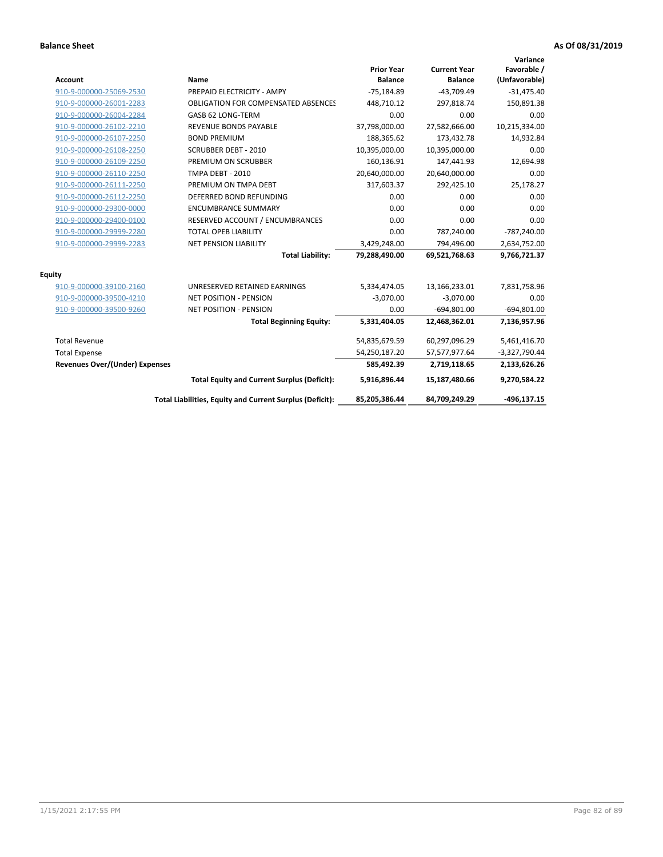| <b>Account</b>                        | <b>Name</b>                                              | <b>Prior Year</b><br><b>Balance</b> | <b>Current Year</b><br><b>Balance</b> | Variance<br>Favorable /<br>(Unfavorable) |
|---------------------------------------|----------------------------------------------------------|-------------------------------------|---------------------------------------|------------------------------------------|
| 910-9-000000-25069-2530               | PREPAID ELECTRICITY - AMPY                               | $-75,184.89$                        | $-43,709.49$                          | $-31,475.40$                             |
| 910-9-000000-26001-2283               | <b>OBLIGATION FOR COMPENSATED ABSENCES</b>               | 448,710.12                          | 297,818.74                            | 150,891.38                               |
| 910-9-000000-26004-2284               | GASB 62 LONG-TERM                                        | 0.00                                | 0.00                                  | 0.00                                     |
| 910-9-000000-26102-2210               | <b>REVENUE BONDS PAYABLE</b>                             | 37,798,000.00                       | 27,582,666.00                         | 10,215,334.00                            |
| 910-9-000000-26107-2250               | <b>BOND PREMIUM</b>                                      | 188,365.62                          | 173,432.78                            | 14,932.84                                |
| 910-9-000000-26108-2250               | <b>SCRUBBER DEBT - 2010</b>                              | 10,395,000.00                       | 10,395,000.00                         | 0.00                                     |
| 910-9-000000-26109-2250               | PREMIUM ON SCRUBBER                                      | 160,136.91                          | 147,441.93                            | 12,694.98                                |
| 910-9-000000-26110-2250               | <b>TMPA DEBT - 2010</b>                                  | 20,640,000.00                       | 20,640,000.00                         | 0.00                                     |
| 910-9-000000-26111-2250               | PREMIUM ON TMPA DEBT                                     | 317,603.37                          | 292,425.10                            | 25,178.27                                |
| 910-9-000000-26112-2250               | DEFERRED BOND REFUNDING                                  | 0.00                                | 0.00                                  | 0.00                                     |
| 910-9-000000-29300-0000               | <b>ENCUMBRANCE SUMMARY</b>                               | 0.00                                | 0.00                                  | 0.00                                     |
| 910-9-000000-29400-0100               | RESERVED ACCOUNT / ENCUMBRANCES                          | 0.00                                | 0.00                                  | 0.00                                     |
| 910-9-000000-29999-2280               | <b>TOTAL OPEB LIABILITY</b>                              | 0.00                                | 787,240.00                            | $-787,240.00$                            |
| 910-9-000000-29999-2283               | <b>NET PENSION LIABILITY</b>                             | 3,429,248.00                        | 794,496.00                            | 2,634,752.00                             |
|                                       | <b>Total Liability:</b>                                  | 79,288,490.00                       | 69,521,768.63                         | 9,766,721.37                             |
| <b>Equity</b>                         |                                                          |                                     |                                       |                                          |
| 910-9-000000-39100-2160               | UNRESERVED RETAINED EARNINGS                             | 5,334,474.05                        | 13,166,233.01                         | 7,831,758.96                             |
| 910-9-000000-39500-4210               | <b>NET POSITION - PENSION</b>                            | $-3,070.00$                         | $-3,070.00$                           | 0.00                                     |
| 910-9-000000-39500-9260               | <b>NET POSITION - PENSION</b>                            | 0.00                                | $-694,801.00$                         | $-694,801.00$                            |
|                                       | <b>Total Beginning Equity:</b>                           | 5,331,404.05                        | 12,468,362.01                         | 7,136,957.96                             |
| <b>Total Revenue</b>                  |                                                          | 54,835,679.59                       | 60,297,096.29                         | 5,461,416.70                             |
| <b>Total Expense</b>                  |                                                          | 54,250,187.20                       | 57,577,977.64                         | $-3,327,790.44$                          |
| <b>Revenues Over/(Under) Expenses</b> |                                                          | 585,492.39                          | 2,719,118.65                          | 2,133,626.26                             |
|                                       | <b>Total Equity and Current Surplus (Deficit):</b>       | 5,916,896.44                        | 15,187,480.66                         | 9,270,584.22                             |
|                                       | Total Liabilities, Equity and Current Surplus (Deficit): | 85,205,386.44                       | 84,709,249.29                         | $-496.137.15$                            |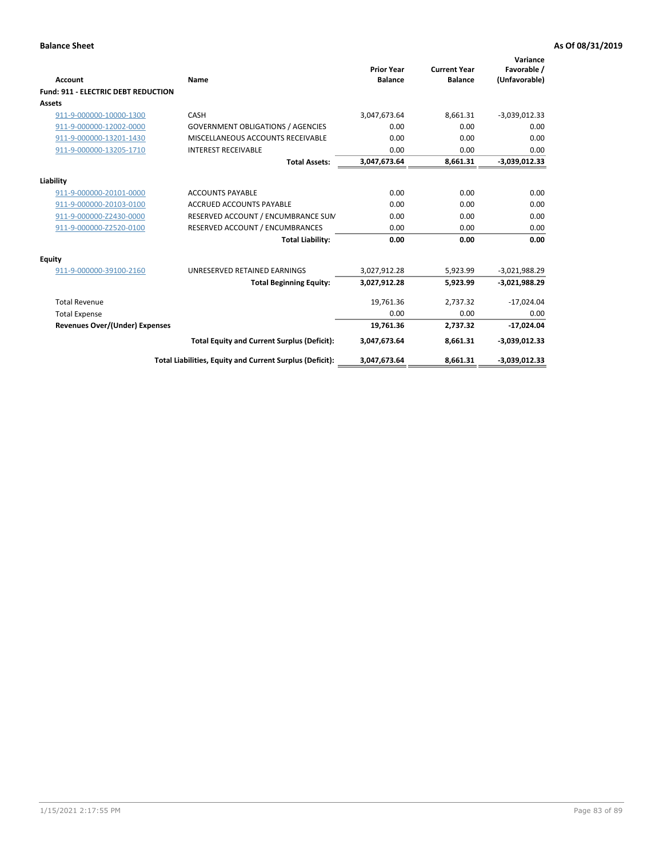| <b>Account</b>                             | Name                                                     | <b>Prior Year</b><br><b>Balance</b> | <b>Current Year</b><br><b>Balance</b> | Variance<br>Favorable /<br>(Unfavorable) |
|--------------------------------------------|----------------------------------------------------------|-------------------------------------|---------------------------------------|------------------------------------------|
| <b>Fund: 911 - ELECTRIC DEBT REDUCTION</b> |                                                          |                                     |                                       |                                          |
| Assets                                     |                                                          |                                     |                                       |                                          |
| 911-9-000000-10000-1300                    | CASH                                                     | 3,047,673.64                        | 8,661.31                              | $-3,039,012.33$                          |
| 911-9-000000-12002-0000                    | <b>GOVERNMENT OBLIGATIONS / AGENCIES</b>                 | 0.00                                | 0.00                                  | 0.00                                     |
| 911-9-000000-13201-1430                    | MISCELLANEOUS ACCOUNTS RECEIVABLE                        | 0.00                                | 0.00                                  | 0.00                                     |
| 911-9-000000-13205-1710                    | <b>INTEREST RECEIVABLE</b>                               | 0.00                                | 0.00                                  | 0.00                                     |
|                                            | <b>Total Assets:</b>                                     | 3,047,673.64                        | 8,661.31                              | $-3,039,012.33$                          |
| Liability                                  |                                                          |                                     |                                       |                                          |
| 911-9-000000-20101-0000                    | <b>ACCOUNTS PAYABLE</b>                                  | 0.00                                | 0.00                                  | 0.00                                     |
| 911-9-000000-20103-0100                    | <b>ACCRUED ACCOUNTS PAYABLE</b>                          | 0.00                                | 0.00                                  | 0.00                                     |
| 911-9-000000-Z2430-0000                    | RESERVED ACCOUNT / ENCUMBRANCE SUM                       | 0.00                                | 0.00                                  | 0.00                                     |
| 911-9-000000-Z2520-0100                    | RESERVED ACCOUNT / ENCUMBRANCES                          | 0.00                                | 0.00                                  | 0.00                                     |
|                                            | <b>Total Liability:</b>                                  | 0.00                                | 0.00                                  | 0.00                                     |
| Equity                                     |                                                          |                                     |                                       |                                          |
| 911-9-000000-39100-2160                    | UNRESERVED RETAINED EARNINGS                             | 3,027,912.28                        | 5,923.99                              | $-3,021,988.29$                          |
|                                            | <b>Total Beginning Equity:</b>                           | 3,027,912.28                        | 5,923.99                              | $-3,021,988.29$                          |
| <b>Total Revenue</b>                       |                                                          | 19,761.36                           | 2,737.32                              | $-17,024.04$                             |
| <b>Total Expense</b>                       |                                                          | 0.00                                | 0.00                                  | 0.00                                     |
| <b>Revenues Over/(Under) Expenses</b>      |                                                          | 19,761.36                           | 2,737.32                              | $-17,024.04$                             |
|                                            | <b>Total Equity and Current Surplus (Deficit):</b>       | 3,047,673.64                        | 8,661.31                              | $-3,039,012.33$                          |
|                                            | Total Liabilities, Equity and Current Surplus (Deficit): | 3,047,673.64                        | 8,661.31                              | $-3,039,012.33$                          |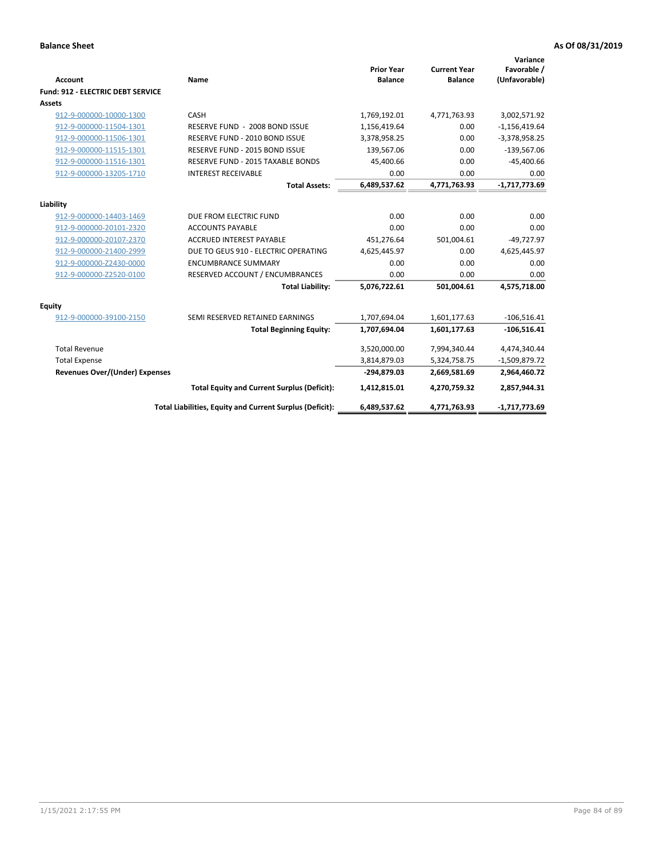| <b>Account</b>                           | Name                                                     | <b>Prior Year</b><br><b>Balance</b> | <b>Current Year</b><br><b>Balance</b> | Variance<br>Favorable /<br>(Unfavorable) |
|------------------------------------------|----------------------------------------------------------|-------------------------------------|---------------------------------------|------------------------------------------|
| <b>Fund: 912 - ELECTRIC DEBT SERVICE</b> |                                                          |                                     |                                       |                                          |
| <b>Assets</b>                            |                                                          |                                     |                                       |                                          |
| 912-9-000000-10000-1300                  | CASH                                                     | 1,769,192.01                        | 4,771,763.93                          | 3,002,571.92                             |
| 912-9-000000-11504-1301                  | RESERVE FUND - 2008 BOND ISSUE                           | 1,156,419.64                        | 0.00                                  | $-1,156,419.64$                          |
| 912-9-000000-11506-1301                  | RESERVE FUND - 2010 BOND ISSUE                           | 3,378,958.25                        | 0.00                                  | $-3,378,958.25$                          |
| 912-9-000000-11515-1301                  | RESERVE FUND - 2015 BOND ISSUE                           | 139,567.06                          | 0.00                                  | $-139,567.06$                            |
| 912-9-000000-11516-1301                  | RESERVE FUND - 2015 TAXABLE BONDS                        | 45,400.66                           | 0.00                                  | $-45,400.66$                             |
| 912-9-000000-13205-1710                  | <b>INTEREST RECEIVABLE</b>                               | 0.00                                | 0.00                                  | 0.00                                     |
|                                          | <b>Total Assets:</b>                                     | 6,489,537.62                        | 4,771,763.93                          | $-1,717,773.69$                          |
|                                          |                                                          |                                     |                                       |                                          |
| Liability                                |                                                          |                                     |                                       |                                          |
| 912-9-000000-14403-1469                  | DUE FROM ELECTRIC FUND                                   | 0.00                                | 0.00                                  | 0.00                                     |
| 912-9-000000-20101-2320                  | <b>ACCOUNTS PAYABLE</b>                                  | 0.00                                | 0.00                                  | 0.00                                     |
| 912-9-000000-20107-2370                  | <b>ACCRUED INTEREST PAYABLE</b>                          | 451,276.64                          | 501,004.61                            | $-49,727.97$                             |
| 912-9-000000-21400-2999                  | DUE TO GEUS 910 - ELECTRIC OPERATING                     | 4,625,445.97                        | 0.00                                  | 4,625,445.97                             |
| 912-9-000000-Z2430-0000                  | <b>ENCUMBRANCE SUMMARY</b>                               | 0.00                                | 0.00                                  | 0.00                                     |
| 912-9-000000-Z2520-0100                  | RESERVED ACCOUNT / ENCUMBRANCES                          | 0.00                                | 0.00                                  | 0.00                                     |
|                                          | <b>Total Liability:</b>                                  | 5,076,722.61                        | 501,004.61                            | 4,575,718.00                             |
| <b>Equity</b>                            |                                                          |                                     |                                       |                                          |
| 912-9-000000-39100-2150                  | SEMI RESERVED RETAINED EARNINGS                          | 1,707,694.04                        | 1,601,177.63                          | $-106,516.41$                            |
|                                          | <b>Total Beginning Equity:</b>                           | 1,707,694.04                        | 1,601,177.63                          | $-106,516.41$                            |
| <b>Total Revenue</b>                     |                                                          | 3,520,000.00                        | 7,994,340.44                          | 4,474,340.44                             |
| <b>Total Expense</b>                     |                                                          | 3,814,879.03                        | 5,324,758.75                          | $-1,509,879.72$                          |
| <b>Revenues Over/(Under) Expenses</b>    |                                                          | -294,879.03                         | 2,669,581.69                          | 2,964,460.72                             |
|                                          | <b>Total Equity and Current Surplus (Deficit):</b>       | 1,412,815.01                        | 4,270,759.32                          | 2,857,944.31                             |
|                                          | Total Liabilities, Equity and Current Surplus (Deficit): | 6,489,537.62                        | 4,771,763.93                          | -1,717,773.69                            |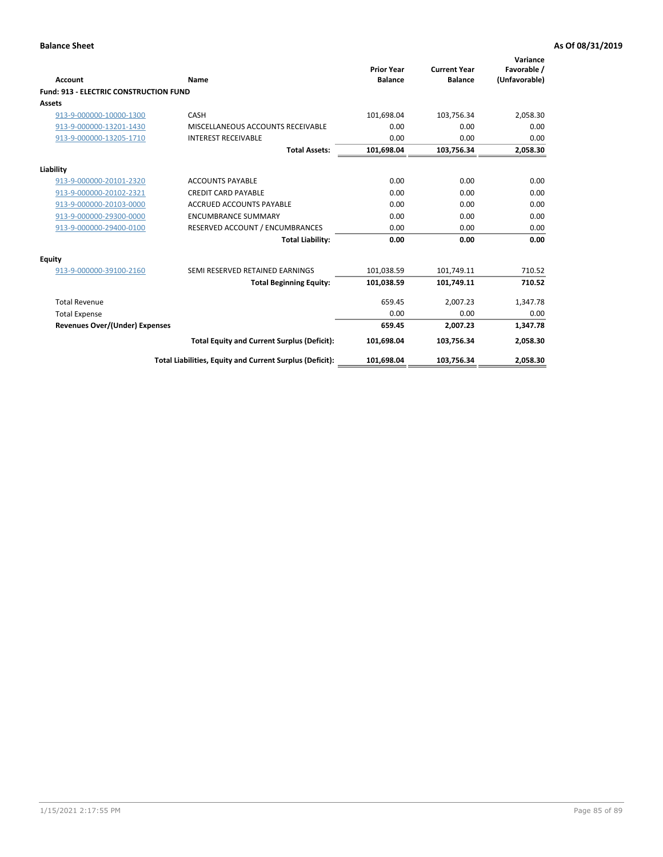| Account                                       | Name                                                     | <b>Prior Year</b><br><b>Balance</b> | <b>Current Year</b><br><b>Balance</b> | Variance<br>Favorable /<br>(Unfavorable) |
|-----------------------------------------------|----------------------------------------------------------|-------------------------------------|---------------------------------------|------------------------------------------|
| <b>Fund: 913 - ELECTRIC CONSTRUCTION FUND</b> |                                                          |                                     |                                       |                                          |
| <b>Assets</b>                                 |                                                          |                                     |                                       |                                          |
| 913-9-000000-10000-1300                       | CASH                                                     | 101,698.04                          | 103,756.34                            | 2,058.30                                 |
| 913-9-000000-13201-1430                       | MISCELLANEOUS ACCOUNTS RECEIVABLE                        | 0.00                                | 0.00                                  | 0.00                                     |
| 913-9-000000-13205-1710                       | <b>INTEREST RECEIVABLE</b>                               | 0.00                                | 0.00                                  | 0.00                                     |
|                                               | <b>Total Assets:</b>                                     | 101,698.04                          | 103,756.34                            | 2,058.30                                 |
| Liability                                     |                                                          |                                     |                                       |                                          |
| 913-9-000000-20101-2320                       | <b>ACCOUNTS PAYABLE</b>                                  | 0.00                                | 0.00                                  | 0.00                                     |
| 913-9-000000-20102-2321                       | <b>CREDIT CARD PAYABLE</b>                               | 0.00                                | 0.00                                  | 0.00                                     |
| 913-9-000000-20103-0000                       | <b>ACCRUED ACCOUNTS PAYABLE</b>                          | 0.00                                | 0.00                                  | 0.00                                     |
| 913-9-000000-29300-0000                       | <b>ENCUMBRANCE SUMMARY</b>                               | 0.00                                | 0.00                                  | 0.00                                     |
| 913-9-000000-29400-0100                       | RESERVED ACCOUNT / ENCUMBRANCES                          | 0.00                                | 0.00                                  | 0.00                                     |
|                                               | <b>Total Liability:</b>                                  | 0.00                                | 0.00                                  | 0.00                                     |
| Equity                                        |                                                          |                                     |                                       |                                          |
| 913-9-000000-39100-2160                       | SEMI RESERVED RETAINED EARNINGS                          | 101,038.59                          | 101,749.11                            | 710.52                                   |
|                                               | <b>Total Beginning Equity:</b>                           | 101,038.59                          | 101,749.11                            | 710.52                                   |
| <b>Total Revenue</b>                          |                                                          | 659.45                              | 2,007.23                              | 1,347.78                                 |
| <b>Total Expense</b>                          |                                                          | 0.00                                | 0.00                                  | 0.00                                     |
| Revenues Over/(Under) Expenses                |                                                          | 659.45                              | 2,007.23                              | 1,347.78                                 |
|                                               | <b>Total Equity and Current Surplus (Deficit):</b>       | 101,698.04                          | 103,756.34                            | 2,058.30                                 |
|                                               | Total Liabilities, Equity and Current Surplus (Deficit): | 101,698.04                          | 103,756.34                            | 2,058.30                                 |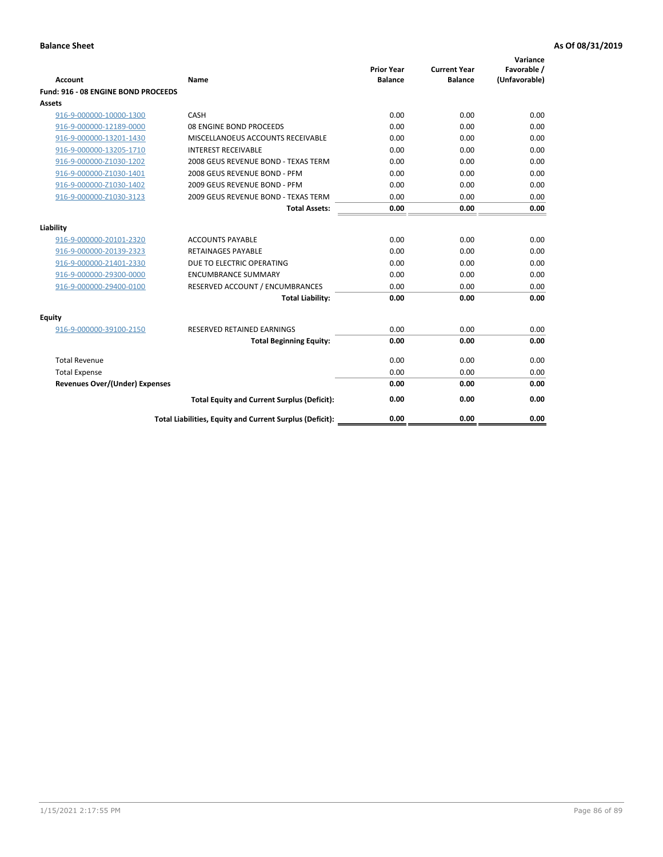| <b>Account</b>                        | Name                                                     | <b>Prior Year</b><br><b>Balance</b> | <b>Current Year</b><br><b>Balance</b> | Variance<br>Favorable /<br>(Unfavorable) |
|---------------------------------------|----------------------------------------------------------|-------------------------------------|---------------------------------------|------------------------------------------|
| Fund: 916 - 08 ENGINE BOND PROCEEDS   |                                                          |                                     |                                       |                                          |
| Assets                                |                                                          |                                     |                                       |                                          |
| 916-9-000000-10000-1300               | CASH                                                     | 0.00                                | 0.00                                  | 0.00                                     |
| 916-9-000000-12189-0000               | 08 ENGINE BOND PROCEEDS                                  | 0.00                                | 0.00                                  | 0.00                                     |
| 916-9-000000-13201-1430               | MISCELLANOEUS ACCOUNTS RECEIVABLE                        | 0.00                                | 0.00                                  | 0.00                                     |
| 916-9-000000-13205-1710               | <b>INTEREST RECEIVABLE</b>                               | 0.00                                | 0.00                                  | 0.00                                     |
| 916-9-000000-Z1030-1202               | 2008 GEUS REVENUE BOND - TEXAS TERM                      | 0.00                                | 0.00                                  | 0.00                                     |
| 916-9-000000-Z1030-1401               | 2008 GEUS REVENUE BOND - PFM                             | 0.00                                | 0.00                                  | 0.00                                     |
| 916-9-000000-Z1030-1402               | 2009 GEUS REVENUE BOND - PFM                             | 0.00                                | 0.00                                  | 0.00                                     |
| 916-9-000000-Z1030-3123               | 2009 GEUS REVENUE BOND - TEXAS TERM                      | 0.00                                | 0.00                                  | 0.00                                     |
|                                       | <b>Total Assets:</b>                                     | 0.00                                | 0.00                                  | 0.00                                     |
| Liability                             |                                                          |                                     |                                       |                                          |
| 916-9-000000-20101-2320               | <b>ACCOUNTS PAYABLE</b>                                  | 0.00                                | 0.00                                  | 0.00                                     |
| 916-9-000000-20139-2323               | <b>RETAINAGES PAYABLE</b>                                | 0.00                                | 0.00                                  | 0.00                                     |
| 916-9-000000-21401-2330               | DUE TO ELECTRIC OPERATING                                | 0.00                                | 0.00                                  | 0.00                                     |
| 916-9-000000-29300-0000               | <b>ENCUMBRANCE SUMMARY</b>                               | 0.00                                | 0.00                                  | 0.00                                     |
| 916-9-000000-29400-0100               | RESERVED ACCOUNT / ENCUMBRANCES                          | 0.00                                | 0.00                                  | 0.00                                     |
|                                       | <b>Total Liability:</b>                                  | 0.00                                | 0.00                                  | 0.00                                     |
|                                       |                                                          |                                     |                                       |                                          |
| Equity                                |                                                          |                                     |                                       |                                          |
| 916-9-000000-39100-2150               | <b>RESERVED RETAINED EARNINGS</b>                        | 0.00                                | 0.00                                  | 0.00                                     |
|                                       | <b>Total Beginning Equity:</b>                           | 0.00                                | 0.00                                  | 0.00                                     |
| <b>Total Revenue</b>                  |                                                          | 0.00                                | 0.00                                  | 0.00                                     |
| <b>Total Expense</b>                  |                                                          | 0.00                                | 0.00                                  | 0.00                                     |
| <b>Revenues Over/(Under) Expenses</b> |                                                          | 0.00                                | 0.00                                  | 0.00                                     |
|                                       | <b>Total Equity and Current Surplus (Deficit):</b>       | 0.00                                | 0.00                                  | 0.00                                     |
|                                       | Total Liabilities, Equity and Current Surplus (Deficit): | 0.00                                | 0.00                                  | 0.00                                     |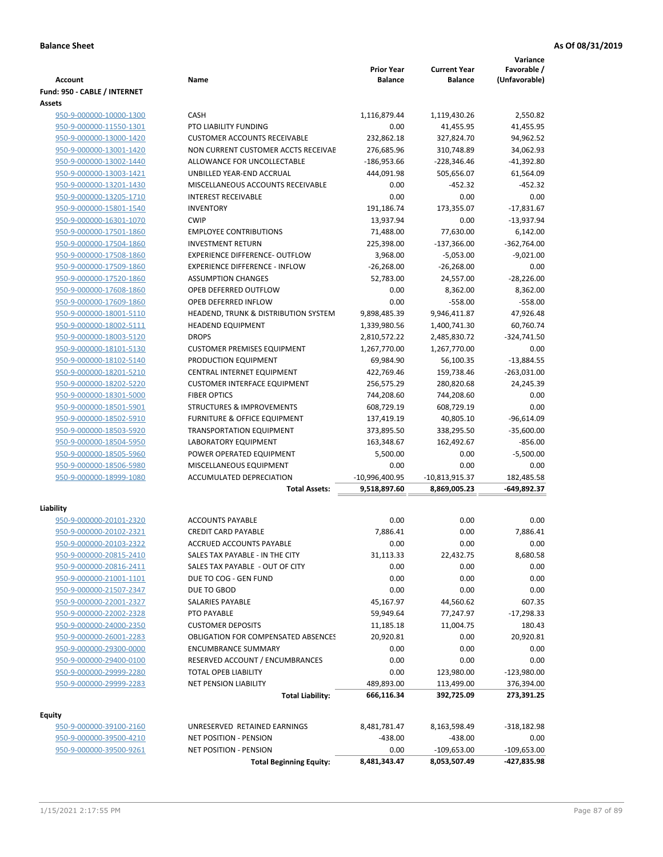|                                                    |                                                            |                                     |                                       | Variance                     |
|----------------------------------------------------|------------------------------------------------------------|-------------------------------------|---------------------------------------|------------------------------|
| <b>Account</b>                                     | Name                                                       | <b>Prior Year</b><br><b>Balance</b> | <b>Current Year</b><br><b>Balance</b> | Favorable /<br>(Unfavorable) |
| Fund: 950 - CABLE / INTERNET                       |                                                            |                                     |                                       |                              |
| <b>Assets</b>                                      |                                                            |                                     |                                       |                              |
| 950-9-000000-10000-1300                            | <b>CASH</b>                                                | 1,116,879.44                        | 1,119,430.26                          | 2,550.82                     |
| 950-9-000000-11550-1301                            | <b>PTO LIABILITY FUNDING</b>                               | 0.00                                | 41,455.95                             | 41,455.95                    |
| 950-9-000000-13000-1420                            | <b>CUSTOMER ACCOUNTS RECEIVABLE</b>                        | 232,862.18                          | 327,824.70                            | 94,962.52                    |
| 950-9-000000-13001-1420                            | NON CURRENT CUSTOMER ACCTS RECEIVAE                        | 276,685.96                          | 310,748.89                            | 34,062.93                    |
| 950-9-000000-13002-1440                            | ALLOWANCE FOR UNCOLLECTABLE                                | $-186,953.66$                       | $-228,346.46$                         | $-41,392.80$                 |
| 950-9-000000-13003-1421                            | UNBILLED YEAR-END ACCRUAL                                  | 444,091.98                          | 505,656.07                            | 61,564.09                    |
| 950-9-000000-13201-1430                            | MISCELLANEOUS ACCOUNTS RECEIVABLE                          | 0.00                                | $-452.32$                             | $-452.32$                    |
| 950-9-000000-13205-1710                            | <b>INTEREST RECEIVABLE</b>                                 | 0.00                                | 0.00                                  | 0.00                         |
| 950-9-000000-15801-1540                            | <b>INVENTORY</b>                                           | 191,186.74                          | 173,355.07                            | $-17,831.67$                 |
| 950-9-000000-16301-1070                            | <b>CWIP</b>                                                | 13,937.94                           | 0.00                                  | $-13,937.94$                 |
| 950-9-000000-17501-1860                            | <b>EMPLOYEE CONTRIBUTIONS</b>                              | 71,488.00                           | 77,630.00                             | 6,142.00                     |
| 950-9-000000-17504-1860                            | <b>INVESTMENT RETURN</b>                                   | 225,398.00                          | $-137,366.00$                         | $-362,764.00$                |
| 950-9-000000-17508-1860                            | <b>EXPERIENCE DIFFERENCE- OUTFLOW</b>                      | 3,968.00                            | $-5,053.00$                           | $-9,021.00$                  |
| 950-9-000000-17509-1860                            | <b>EXPERIENCE DIFFERENCE - INFLOW</b>                      | $-26,268.00$                        | $-26,268.00$                          | 0.00                         |
| 950-9-000000-17520-1860                            | <b>ASSUMPTION CHANGES</b>                                  | 52,783.00                           | 24,557.00                             | $-28,226.00$                 |
| 950-9-000000-17608-1860                            | OPEB DEFERRED OUTFLOW                                      | 0.00                                | 8,362.00                              | 8,362.00                     |
| 950-9-000000-17609-1860                            | OPEB DEFERRED INFLOW                                       | 0.00                                | $-558.00$                             | $-558.00$                    |
| 950-9-000000-18001-5110                            | HEADEND, TRUNK & DISTRIBUTION SYSTEM                       | 9,898,485.39                        | 9,946,411.87                          | 47,926.48                    |
| 950-9-000000-18002-5111                            | <b>HEADEND EQUIPMENT</b>                                   | 1,339,980.56                        | 1,400,741.30                          | 60,760.74                    |
| 950-9-000000-18003-5120                            | <b>DROPS</b>                                               | 2,810,572.22                        | 2,485,830.72                          | $-324,741.50$                |
| 950-9-000000-18101-5130                            | <b>CUSTOMER PREMISES EQUIPMENT</b>                         | 1,267,770.00                        | 1,267,770.00                          | 0.00                         |
| 950-9-000000-18102-5140                            | PRODUCTION EQUIPMENT                                       | 69,984.90                           | 56,100.35                             | $-13,884.55$                 |
| 950-9-000000-18201-5210                            | CENTRAL INTERNET EQUIPMENT                                 | 422,769.46                          | 159,738.46                            | $-263,031.00$                |
| 950-9-000000-18202-5220                            | <b>CUSTOMER INTERFACE EQUIPMENT</b><br><b>FIBER OPTICS</b> | 256,575.29                          | 280,820.68                            | 24,245.39<br>0.00            |
| 950-9-000000-18301-5000<br>950-9-000000-18501-5901 | <b>STRUCTURES &amp; IMPROVEMENTS</b>                       | 744,208.60<br>608,729.19            | 744,208.60<br>608,729.19              | 0.00                         |
| 950-9-000000-18502-5910                            | <b>FURNITURE &amp; OFFICE EQUIPMENT</b>                    | 137,419.19                          | 40,805.10                             | $-96,614.09$                 |
| 950-9-000000-18503-5920                            | <b>TRANSPORTATION EQUIPMENT</b>                            | 373,895.50                          | 338,295.50                            | $-35,600.00$                 |
| 950-9-000000-18504-5950                            | LABORATORY EQUIPMENT                                       | 163,348.67                          | 162,492.67                            | $-856.00$                    |
| 950-9-000000-18505-5960                            | POWER OPERATED EQUIPMENT                                   | 5,500.00                            | 0.00                                  | $-5,500.00$                  |
| 950-9-000000-18506-5980                            | MISCELLANEOUS EQUIPMENT                                    | 0.00                                | 0.00                                  | 0.00                         |
| 950-9-000000-18999-1080                            | ACCUMULATED DEPRECIATION                                   | $-10,996,400.95$                    | $-10,813,915.37$                      | 182,485.58                   |
|                                                    | <b>Total Assets:</b>                                       | 9,518,897.60                        | 8,869,005.23                          | -649,892.37                  |
|                                                    |                                                            |                                     |                                       |                              |
| Liability                                          |                                                            |                                     |                                       |                              |
| 950-9-000000-20101-2320                            | <b>ACCOUNTS PAYABLE</b>                                    | 0.00                                | 0.00                                  | 0.00                         |
| 950-9-000000-20102-2321                            | <b>CREDIT CARD PAYABLE</b>                                 | 7,886.41                            | 0.00                                  | 7.886.41                     |
| 950-9-000000-20103-2322                            | ACCRUED ACCOUNTS PAYABLE                                   | 0.00                                | 0.00                                  | 0.00                         |
| 950-9-000000-20815-2410                            | SALES TAX PAYABLE - IN THE CITY                            | 31,113.33                           | 22,432.75                             | 8,680.58                     |
| 950-9-000000-20816-2411                            | SALES TAX PAYABLE - OUT OF CITY                            | 0.00                                | 0.00                                  | 0.00                         |
| 950-9-000000-21001-1101                            | DUE TO COG - GEN FUND                                      | 0.00                                | 0.00                                  | 0.00                         |
| 950-9-000000-21507-2347                            | DUE TO GBOD                                                | 0.00                                | 0.00                                  | 0.00                         |
| 950-9-000000-22001-2327                            | <b>SALARIES PAYABLE</b>                                    | 45,167.97                           | 44,560.62                             | 607.35                       |
| 950-9-000000-22002-2328                            | PTO PAYABLE                                                | 59,949.64                           | 77,247.97                             | $-17,298.33$                 |
| 950-9-000000-24000-2350                            | <b>CUSTOMER DEPOSITS</b>                                   | 11,185.18                           | 11,004.75                             | 180.43                       |
| 950-9-000000-26001-2283                            | <b>OBLIGATION FOR COMPENSATED ABSENCES</b>                 | 20,920.81                           | 0.00                                  | 20,920.81                    |
| 950-9-000000-29300-0000                            | <b>ENCUMBRANCE SUMMARY</b>                                 | 0.00                                | 0.00                                  | 0.00                         |
| 950-9-000000-29400-0100                            | RESERVED ACCOUNT / ENCUMBRANCES                            | 0.00                                | 0.00                                  | 0.00                         |
| 950-9-000000-29999-2280                            | TOTAL OPEB LIABILITY                                       | 0.00                                | 123,980.00                            | $-123,980.00$                |
| 950-9-000000-29999-2283                            | NET PENSION LIABILITY                                      | 489,893.00                          | 113,499.00                            | 376,394.00                   |
|                                                    | <b>Total Liability:</b>                                    | 666,116.34                          | 392,725.09                            | 273,391.25                   |
| <b>Equity</b>                                      |                                                            |                                     |                                       |                              |
| 950-9-000000-39100-2160                            | UNRESERVED RETAINED EARNINGS                               | 8,481,781.47                        | 8,163,598.49                          | $-318,182.98$                |
| 950-9-000000-39500-4210                            | <b>NET POSITION - PENSION</b>                              | $-438.00$                           | $-438.00$                             | 0.00                         |
| 950-9-000000-39500-9261                            | <b>NET POSITION - PENSION</b>                              | 0.00                                | $-109,653.00$                         | $-109,653.00$                |
|                                                    | <b>Total Beginning Equity:</b>                             | 8,481,343.47                        | 8,053,507.49                          | -427,835.98                  |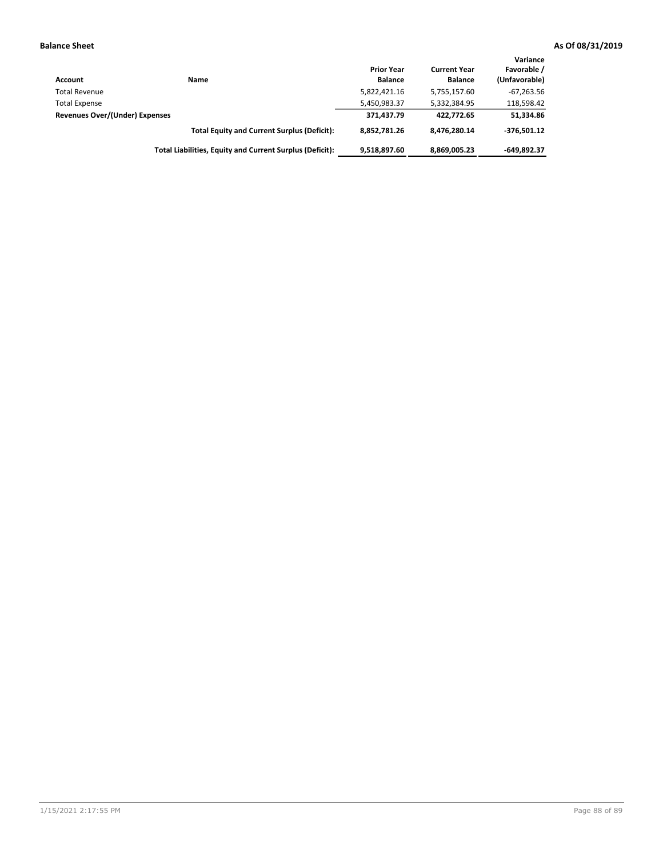| Account                        | Name                                                     | <b>Prior Year</b><br><b>Balance</b> | <b>Current Year</b><br><b>Balance</b> | Variance<br>Favorable /<br>(Unfavorable) |
|--------------------------------|----------------------------------------------------------|-------------------------------------|---------------------------------------|------------------------------------------|
| <b>Total Revenue</b>           |                                                          | 5,822,421.16                        | 5,755,157.60                          | $-67,263.56$                             |
| <b>Total Expense</b>           |                                                          | 5,450,983.37                        | 5,332,384.95                          | 118,598.42                               |
| Revenues Over/(Under) Expenses |                                                          | 371,437.79                          | 422.772.65                            | 51,334.86                                |
|                                | <b>Total Equity and Current Surplus (Deficit):</b>       | 8,852,781.26                        | 8,476,280.14                          | $-376.501.12$                            |
|                                | Total Liabilities, Equity and Current Surplus (Deficit): | 9,518,897.60                        | 8,869,005.23                          | $-649.892.37$                            |